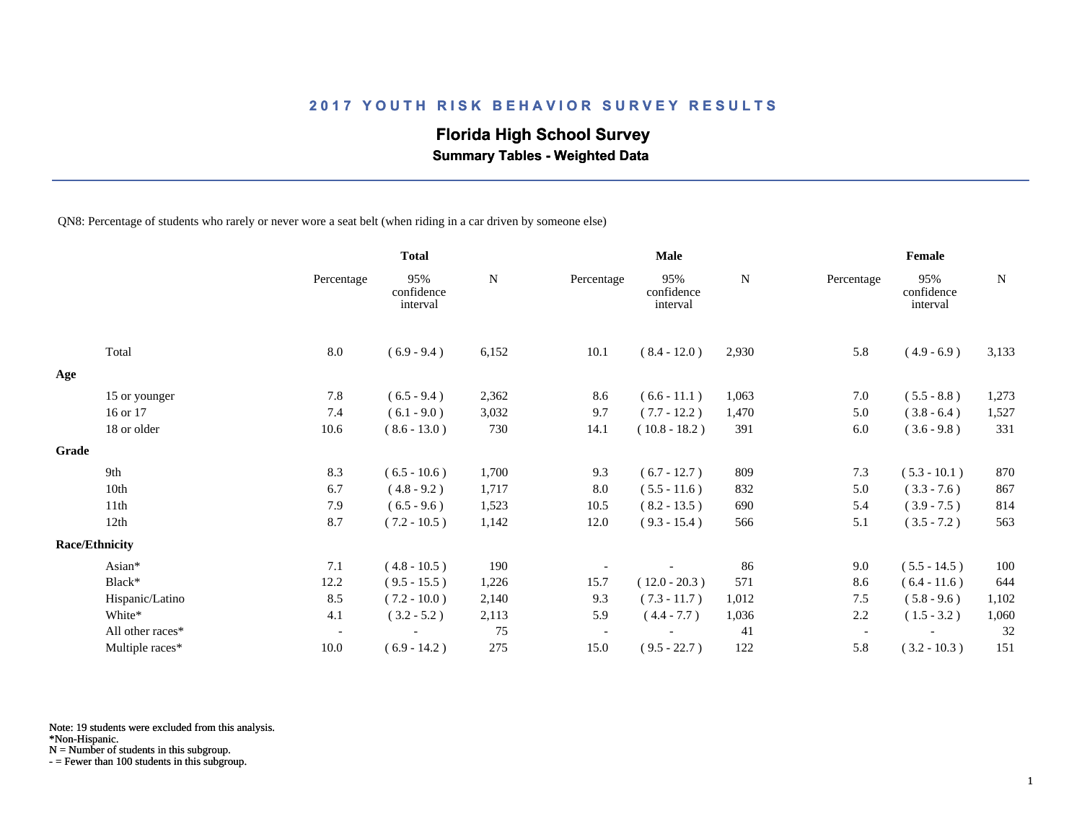## **Florida High School Survey**

 **Summary Tables - Weighted Data**

QN8: Percentage of students who rarely or never wore a seat belt (when riding in a car driven by someone else)

|                       |                  |                          | <b>Total</b>                  |       | <b>Male</b> |                               |       | Female                   |                               |       |  |
|-----------------------|------------------|--------------------------|-------------------------------|-------|-------------|-------------------------------|-------|--------------------------|-------------------------------|-------|--|
|                       |                  | Percentage               | 95%<br>confidence<br>interval | N     | Percentage  | 95%<br>confidence<br>interval | N     | Percentage               | 95%<br>confidence<br>interval | N     |  |
|                       | Total            | 8.0                      | $(6.9 - 9.4)$                 | 6,152 | 10.1        | $(8.4 - 12.0)$                | 2,930 | 5.8                      | $(4.9 - 6.9)$                 | 3,133 |  |
| Age                   |                  |                          |                               |       |             |                               |       |                          |                               |       |  |
|                       | 15 or younger    | 7.8                      | $(6.5 - 9.4)$                 | 2,362 | 8.6         | $(6.6 - 11.1)$                | 1,063 | 7.0                      | $(5.5 - 8.8)$                 | 1,273 |  |
|                       | 16 or 17         | 7.4                      | $(6.1 - 9.0)$                 | 3,032 | 9.7         | $(7.7 - 12.2)$                | 1,470 | 5.0                      | $(3.8 - 6.4)$                 | 1,527 |  |
|                       | 18 or older      | 10.6                     | $(8.6 - 13.0)$                | 730   | 14.1        | $(10.8 - 18.2)$               | 391   | 6.0                      | $(3.6 - 9.8)$                 | 331   |  |
| Grade                 |                  |                          |                               |       |             |                               |       |                          |                               |       |  |
|                       | 9th              | 8.3                      | $(6.5 - 10.6)$                | 1,700 | 9.3         | $(6.7 - 12.7)$                | 809   | 7.3                      | $(5.3 - 10.1)$                | 870   |  |
|                       | 10th             | 6.7                      | $(4.8 - 9.2)$                 | 1,717 | 8.0         | $(5.5 - 11.6)$                | 832   | 5.0                      | $(3.3 - 7.6)$                 | 867   |  |
|                       | 11th             | 7.9                      | $(6.5 - 9.6)$                 | 1,523 | 10.5        | $(8.2 - 13.5)$                | 690   | 5.4                      | $(3.9 - 7.5)$                 | 814   |  |
|                       | 12th             | 8.7                      | $(7.2 - 10.5)$                | 1,142 | 12.0        | $(9.3 - 15.4)$                | 566   | 5.1                      | $(3.5 - 7.2)$                 | 563   |  |
| <b>Race/Ethnicity</b> |                  |                          |                               |       |             |                               |       |                          |                               |       |  |
|                       | Asian*           | 7.1                      | $(4.8 - 10.5)$                | 190   |             |                               | 86    | 9.0                      | $(5.5 - 14.5)$                | 100   |  |
|                       | Black*           | 12.2                     | $(9.5 - 15.5)$                | 1,226 | 15.7        | $(12.0 - 20.3)$               | 571   | 8.6                      | $(6.4 - 11.6)$                | 644   |  |
|                       | Hispanic/Latino  | 8.5                      | $(7.2 - 10.0)$                | 2,140 | 9.3         | $(7.3 - 11.7)$                | 1,012 | 7.5                      | $(5.8 - 9.6)$                 | 1,102 |  |
|                       | White*           | 4.1                      | $(3.2 - 5.2)$                 | 2,113 | 5.9         | $(4.4 - 7.7)$                 | 1,036 | 2.2                      | $(1.5 - 3.2)$                 | 1,060 |  |
|                       | All other races* | $\overline{\phantom{a}}$ |                               | 75    |             |                               | 41    | $\overline{\phantom{a}}$ |                               | 32    |  |
|                       | Multiple races*  | 10.0                     | $(6.9 - 14.2)$                | 275   | 15.0        | $(9.5 - 22.7)$                | 122   | 5.8                      | $(3.2 - 10.3)$                | 151   |  |

Note: 19 students were excluded from this analysis.

\*Non-Hispanic.

N = Number of students in this subgroup.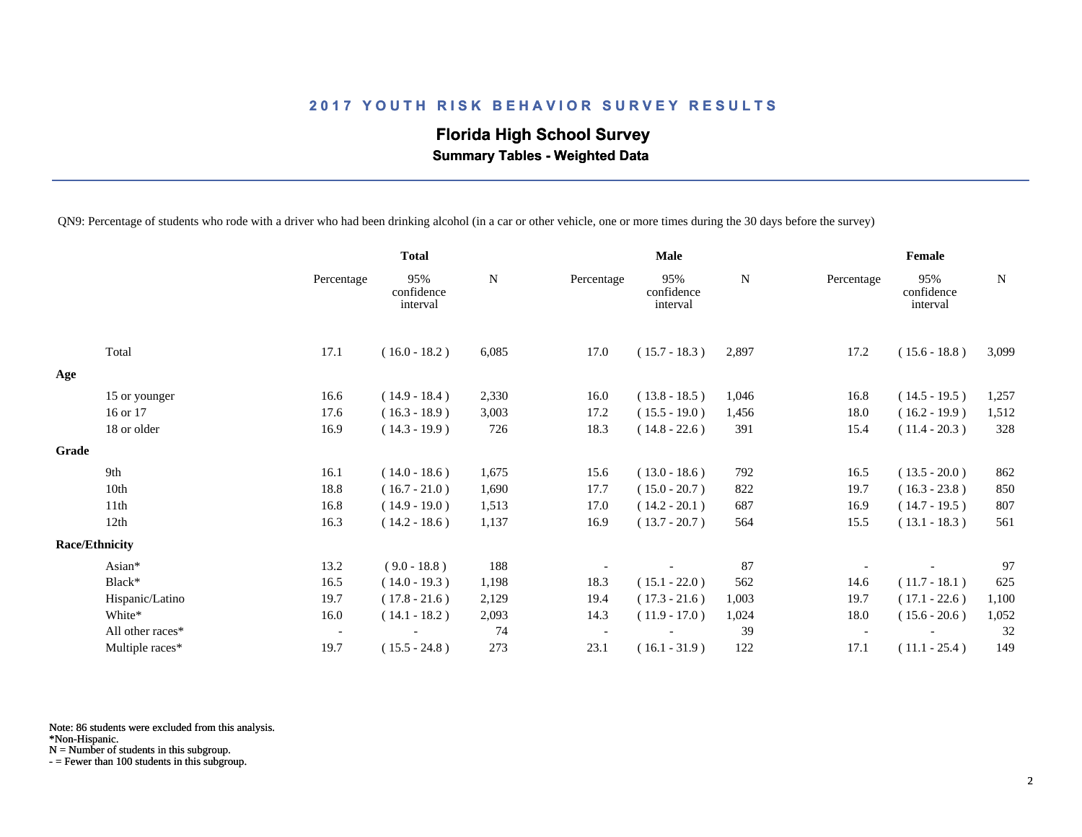## **Florida High School Survey Summary Tables - Weighted Data**

QN9: Percentage of students who rode with a driver who had been drinking alcohol (in a car or other vehicle, one or more times during the 30 days before the survey)

|       |                       |                          | <b>Total</b>                  |           | <b>Male</b> |                               |       | Female                   |                               |       |
|-------|-----------------------|--------------------------|-------------------------------|-----------|-------------|-------------------------------|-------|--------------------------|-------------------------------|-------|
|       |                       | Percentage               | 95%<br>confidence<br>interval | ${\bf N}$ | Percentage  | 95%<br>confidence<br>interval | N     | Percentage               | 95%<br>confidence<br>interval | N     |
|       | Total                 | 17.1                     | $(16.0 - 18.2)$               | 6,085     | 17.0        | $(15.7 - 18.3)$               | 2,897 | 17.2                     | $(15.6 - 18.8)$               | 3,099 |
| Age   |                       |                          |                               |           |             |                               |       |                          |                               |       |
|       | 15 or younger         | 16.6                     | $(14.9 - 18.4)$               | 2,330     | 16.0        | $(13.8 - 18.5)$               | 1,046 | 16.8                     | $(14.5 - 19.5)$               | 1,257 |
|       | 16 or 17              | 17.6                     | $(16.3 - 18.9)$               | 3,003     | 17.2        | $(15.5 - 19.0)$               | 1,456 | 18.0                     | $(16.2 - 19.9)$               | 1,512 |
|       | 18 or older           | 16.9                     | $(14.3 - 19.9)$               | 726       | 18.3        | $(14.8 - 22.6)$               | 391   | 15.4                     | $(11.4 - 20.3)$               | 328   |
| Grade |                       |                          |                               |           |             |                               |       |                          |                               |       |
|       | 9th                   | 16.1                     | $(14.0 - 18.6)$               | 1,675     | 15.6        | $(13.0 - 18.6)$               | 792   | 16.5                     | $(13.5 - 20.0)$               | 862   |
|       | 10th                  | 18.8                     | $(16.7 - 21.0)$               | 1,690     | 17.7        | $(15.0 - 20.7)$               | 822   | 19.7                     | $(16.3 - 23.8)$               | 850   |
|       | 11th                  | 16.8                     | $(14.9 - 19.0)$               | 1,513     | 17.0        | $(14.2 - 20.1)$               | 687   | 16.9                     | $(14.7 - 19.5)$               | 807   |
|       | 12th                  | 16.3                     | $(14.2 - 18.6)$               | 1,137     | 16.9        | $(13.7 - 20.7)$               | 564   | 15.5                     | $(13.1 - 18.3)$               | 561   |
|       | <b>Race/Ethnicity</b> |                          |                               |           |             |                               |       |                          |                               |       |
|       | Asian*                | 13.2                     | $(9.0 - 18.8)$                | 188       |             |                               | 87    |                          |                               | 97    |
|       | Black*                | 16.5                     | $(14.0 - 19.3)$               | 1,198     | 18.3        | $(15.1 - 22.0)$               | 562   | 14.6                     | $(11.7 - 18.1)$               | 625   |
|       | Hispanic/Latino       | 19.7                     | $(17.8 - 21.6)$               | 2,129     | 19.4        | $(17.3 - 21.6)$               | 1,003 | 19.7                     | $(17.1 - 22.6)$               | 1,100 |
|       | White*                | 16.0                     | $(14.1 - 18.2)$               | 2,093     | 14.3        | $(11.9 - 17.0)$               | 1,024 | 18.0                     | $(15.6 - 20.6)$               | 1,052 |
|       | All other races*      | $\overline{\phantom{a}}$ |                               | 74        |             |                               | 39    | $\overline{\phantom{a}}$ |                               | 32    |
|       | Multiple races*       | 19.7                     | $(15.5 - 24.8)$               | 273       | 23.1        | $(16.1 - 31.9)$               | 122   | 17.1                     | $(11.1 - 25.4)$               | 149   |

Note: 86 students were excluded from this analysis.

\*Non-Hispanic.

N = Number of students in this subgroup.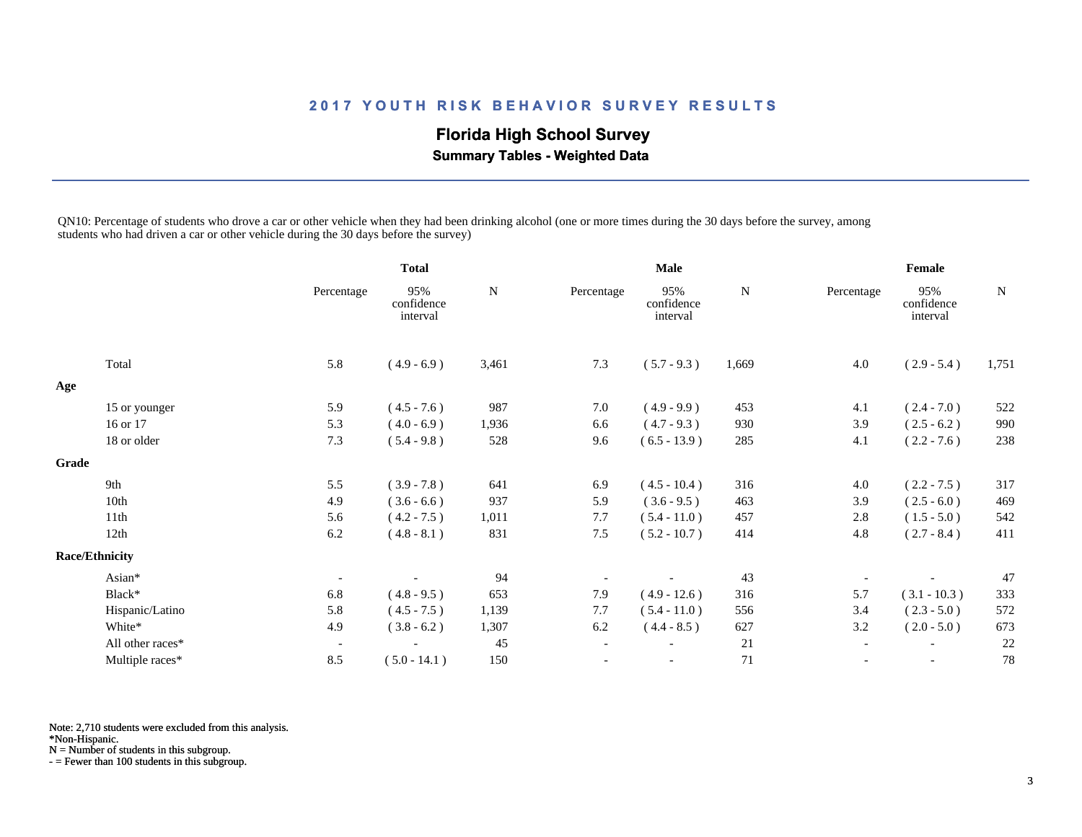## **Florida High School Survey Summary Tables - Weighted Data**

QN10: Percentage of students who drove a car or other vehicle when they had been drinking alcohol (one or more times during the 30 days before the survey, among students who had driven a car or other vehicle during the 30 days before the survey)

|              |                       |                          | <b>Total</b>                  |           | <b>Male</b>              |                               |           | Female                   |                               |           |
|--------------|-----------------------|--------------------------|-------------------------------|-----------|--------------------------|-------------------------------|-----------|--------------------------|-------------------------------|-----------|
|              |                       | Percentage               | 95%<br>confidence<br>interval | ${\bf N}$ | Percentage               | 95%<br>confidence<br>interval | ${\bf N}$ | Percentage               | 95%<br>confidence<br>interval | ${\bf N}$ |
|              | Total                 | 5.8                      | $(4.9 - 6.9)$                 | 3,461     | 7.3                      | $(5.7 - 9.3)$                 | 1,669     | 4.0                      | $(2.9 - 5.4)$                 | 1,751     |
| Age          |                       |                          |                               |           |                          |                               |           |                          |                               |           |
|              | 15 or younger         | 5.9                      | $(4.5 - 7.6)$                 | 987       | 7.0                      | $(4.9 - 9.9)$                 | 453       | 4.1                      | $(2.4 - 7.0)$                 | 522       |
|              | 16 or 17              | 5.3                      | $(4.0 - 6.9)$                 | 1,936     | 6.6                      | $(4.7 - 9.3)$                 | 930       | 3.9                      | $(2.5 - 6.2)$                 | 990       |
|              | 18 or older           | 7.3                      | $(5.4 - 9.8)$                 | 528       | 9.6                      | $(6.5 - 13.9)$                | 285       | 4.1                      | $(2.2 - 7.6)$                 | 238       |
| <b>Grade</b> |                       |                          |                               |           |                          |                               |           |                          |                               |           |
|              | 9th                   | 5.5                      | $(3.9 - 7.8)$                 | 641       | 6.9                      | $(4.5 - 10.4)$                | 316       | 4.0                      | $(2.2 - 7.5)$                 | 317       |
|              | 10th                  | 4.9                      | $(3.6 - 6.6)$                 | 937       | 5.9                      | $(3.6 - 9.5)$                 | 463       | 3.9                      | $(2.5 - 6.0)$                 | 469       |
|              | 11th                  | 5.6                      | $(4.2 - 7.5)$                 | 1,011     | 7.7                      | $(5.4 - 11.0)$                | 457       | 2.8                      | $(1.5 - 5.0)$                 | 542       |
|              | 12th                  | 6.2                      | $(4.8 - 8.1)$                 | 831       | 7.5                      | $(5.2 - 10.7)$                | 414       | 4.8                      | $(2.7 - 8.4)$                 | 411       |
|              | <b>Race/Ethnicity</b> |                          |                               |           |                          |                               |           |                          |                               |           |
|              | Asian*                | $\overline{\phantom{a}}$ |                               | 94        |                          |                               | 43        |                          |                               | 47        |
|              | Black*                | 6.8                      | $(4.8 - 9.5)$                 | 653       | 7.9                      | $(4.9 - 12.6)$                | 316       | 5.7                      | $(3.1 - 10.3)$                | 333       |
|              | Hispanic/Latino       | 5.8                      | $(4.5 - 7.5)$                 | 1,139     | 7.7                      | $(5.4 - 11.0)$                | 556       | 3.4                      | $(2.3 - 5.0)$                 | 572       |
|              | White*                | 4.9                      | $(3.8 - 6.2)$                 | 1,307     | 6.2                      | $(4.4 - 8.5)$                 | 627       | 3.2                      | $(2.0 - 5.0)$                 | 673       |
|              | All other races*      | $\overline{\phantom{a}}$ |                               | 45        | $\overline{\phantom{a}}$ |                               | 21        | $\overline{\phantom{a}}$ | $\overline{\phantom{a}}$      | 22        |
|              | Multiple races*       | 8.5                      | $(5.0 - 14.1)$                | 150       | $\overline{\phantom{a}}$ |                               | 71        | $\overline{\phantom{a}}$ | $\overline{\phantom{a}}$      | 78        |

Note: 2,710 students were excluded from this analysis.

\*Non-Hispanic.

N = Number of students in this subgroup.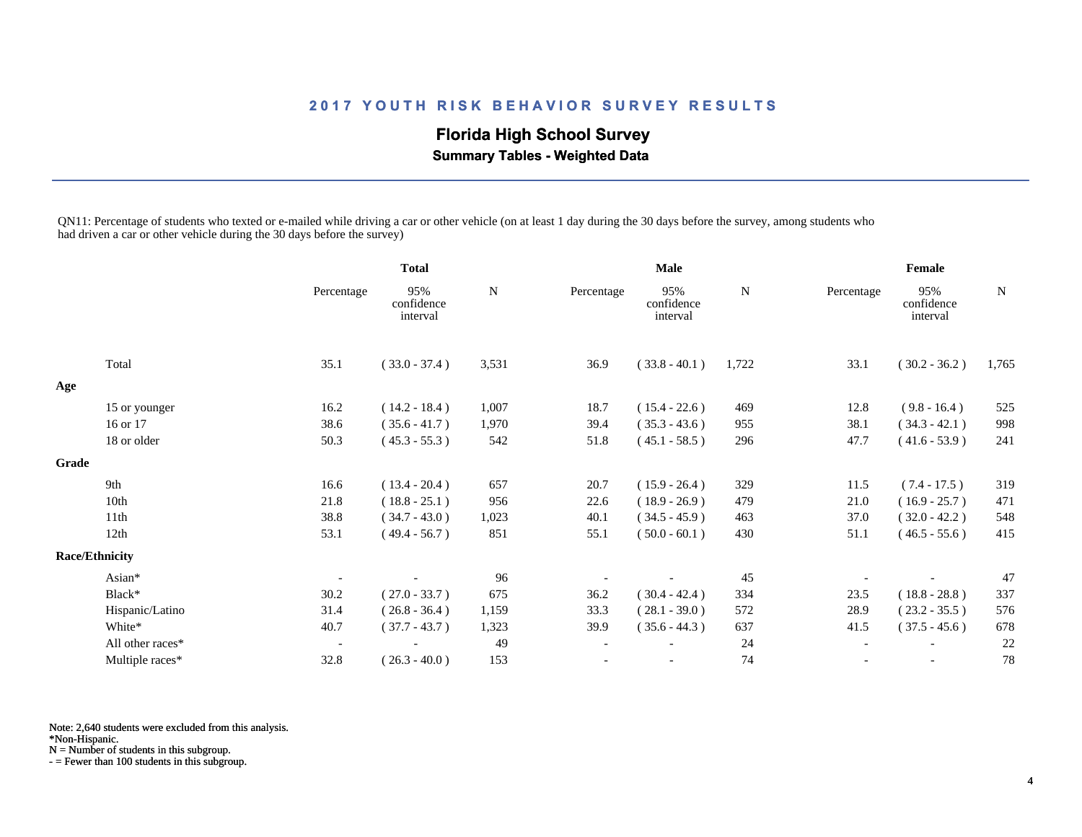## **Florida High School Survey Summary Tables - Weighted Data**

QN11: Percentage of students who texted or e-mailed while driving a car or other vehicle (on at least 1 day during the 30 days before the survey, among students who had driven a car or other vehicle during the 30 days before the survey)

|       |                       |                          | <b>Total</b>                  |       | <b>Male</b> |                               |             | Female     |                               |       |
|-------|-----------------------|--------------------------|-------------------------------|-------|-------------|-------------------------------|-------------|------------|-------------------------------|-------|
|       |                       | Percentage               | 95%<br>confidence<br>interval | N     | Percentage  | 95%<br>confidence<br>interval | $\mathbf N$ | Percentage | 95%<br>confidence<br>interval | N     |
|       | Total                 | 35.1                     | $(33.0 - 37.4)$               | 3,531 | 36.9        | $(33.8 - 40.1)$               | 1,722       | 33.1       | $(30.2 - 36.2)$               | 1,765 |
| Age   |                       |                          |                               |       |             |                               |             |            |                               |       |
|       | 15 or younger         | 16.2                     | $(14.2 - 18.4)$               | 1,007 | 18.7        | $(15.4 - 22.6)$               | 469         | 12.8       | $(9.8 - 16.4)$                | 525   |
|       | 16 or 17              | 38.6                     | $(35.6 - 41.7)$               | 1,970 | 39.4        | $(35.3 - 43.6)$               | 955         | 38.1       | $(34.3 - 42.1)$               | 998   |
|       | 18 or older           | 50.3                     | $(45.3 - 55.3)$               | 542   | 51.8        | $(45.1 - 58.5)$               | 296         | 47.7       | $(41.6 - 53.9)$               | 241   |
| Grade |                       |                          |                               |       |             |                               |             |            |                               |       |
|       | 9th                   | 16.6                     | $(13.4 - 20.4)$               | 657   | 20.7        | $(15.9 - 26.4)$               | 329         | 11.5       | $(7.4 - 17.5)$                | 319   |
|       | 10th                  | 21.8                     | $(18.8 - 25.1)$               | 956   | 22.6        | $(18.9 - 26.9)$               | 479         | 21.0       | $(16.9 - 25.7)$               | 471   |
|       | 11th                  | 38.8                     | $(34.7 - 43.0)$               | 1,023 | 40.1        | $(34.5 - 45.9)$               | 463         | 37.0       | $(32.0 - 42.2)$               | 548   |
|       | 12th                  | 53.1                     | $(49.4 - 56.7)$               | 851   | 55.1        | $(50.0 - 60.1)$               | 430         | 51.1       | $(46.5 - 55.6)$               | 415   |
|       | <b>Race/Ethnicity</b> |                          |                               |       |             |                               |             |            |                               |       |
|       | Asian*                |                          |                               | 96    |             |                               | 45          |            |                               | 47    |
|       | Black*                | 30.2                     | $(27.0 - 33.7)$               | 675   | 36.2        | $(30.4 - 42.4)$               | 334         | 23.5       | $(18.8 - 28.8)$               | 337   |
|       | Hispanic/Latino       | 31.4                     | $(26.8 - 36.4)$               | 1,159 | 33.3        | $(28.1 - 39.0)$               | 572         | 28.9       | $(23.2 - 35.5)$               | 576   |
|       | White*                | 40.7                     | $(37.7 - 43.7)$               | 1,323 | 39.9        | $(35.6 - 44.3)$               | 637         | 41.5       | $(37.5 - 45.6)$               | 678   |
|       | All other races*      | $\overline{\phantom{a}}$ |                               | 49    |             |                               | 24          |            |                               | 22    |
|       | Multiple races*       | 32.8                     | $(26.3 - 40.0)$               | 153   |             |                               | 74          |            | $\overline{\phantom{a}}$      | 78    |

Note: 2,640 students were excluded from this analysis.

\*Non-Hispanic.

N = Number of students in this subgroup.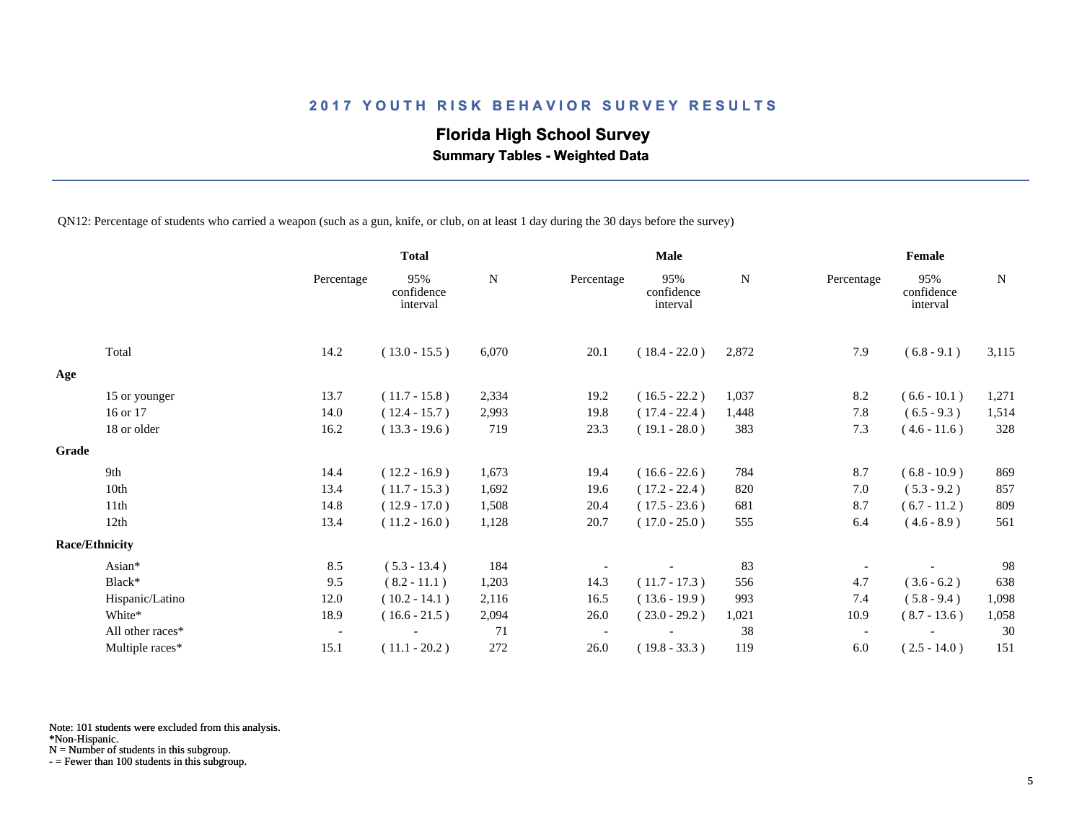## **Florida High School Survey**

 **Summary Tables - Weighted Data**

QN12: Percentage of students who carried a weapon (such as a gun, knife, or club, on at least 1 day during the 30 days before the survey)

|       |                       |                          | <b>Total</b>                  |           | <b>Male</b> |                               |       | Female                   |                               |       |  |
|-------|-----------------------|--------------------------|-------------------------------|-----------|-------------|-------------------------------|-------|--------------------------|-------------------------------|-------|--|
|       |                       | Percentage               | 95%<br>confidence<br>interval | ${\bf N}$ | Percentage  | 95%<br>confidence<br>interval | N     | Percentage               | 95%<br>confidence<br>interval | N     |  |
|       | Total                 | 14.2                     | $(13.0 - 15.5)$               | 6,070     | 20.1        | $(18.4 - 22.0)$               | 2,872 | 7.9                      | $(6.8 - 9.1)$                 | 3,115 |  |
| Age   |                       |                          |                               |           |             |                               |       |                          |                               |       |  |
|       | 15 or younger         | 13.7                     | $(11.7 - 15.8)$               | 2,334     | 19.2        | $(16.5 - 22.2)$               | 1,037 | 8.2                      | $(6.6 - 10.1)$                | 1,271 |  |
|       | 16 or 17              | 14.0                     | $(12.4 - 15.7)$               | 2,993     | 19.8        | $(17.4 - 22.4)$               | 1,448 | 7.8                      | $(6.5 - 9.3)$                 | 1,514 |  |
|       | 18 or older           | 16.2                     | $(13.3 - 19.6)$               | 719       | 23.3        | $(19.1 - 28.0)$               | 383   | 7.3                      | $(4.6 - 11.6)$                | 328   |  |
| Grade |                       |                          |                               |           |             |                               |       |                          |                               |       |  |
|       | 9th                   | 14.4                     | $(12.2 - 16.9)$               | 1,673     | 19.4        | $(16.6 - 22.6)$               | 784   | 8.7                      | $(6.8 - 10.9)$                | 869   |  |
|       | 10th                  | 13.4                     | $(11.7 - 15.3)$               | 1,692     | 19.6        | $(17.2 - 22.4)$               | 820   | 7.0                      | $(5.3 - 9.2)$                 | 857   |  |
|       | 11th                  | 14.8                     | $(12.9 - 17.0)$               | 1,508     | 20.4        | $(17.5 - 23.6)$               | 681   | 8.7                      | $(6.7 - 11.2)$                | 809   |  |
|       | 12th                  | 13.4                     | $(11.2 - 16.0)$               | 1,128     | 20.7        | $(17.0 - 25.0)$               | 555   | 6.4                      | $(4.6 - 8.9)$                 | 561   |  |
|       | <b>Race/Ethnicity</b> |                          |                               |           |             |                               |       |                          |                               |       |  |
|       | Asian*                | 8.5                      | $(5.3 - 13.4)$                | 184       |             |                               | 83    |                          |                               | 98    |  |
|       | Black*                | 9.5                      | $(8.2 - 11.1)$                | 1,203     | 14.3        | $(11.7 - 17.3)$               | 556   | 4.7                      | $(3.6 - 6.2)$                 | 638   |  |
|       | Hispanic/Latino       | 12.0                     | $(10.2 - 14.1)$               | 2,116     | 16.5        | $(13.6 - 19.9)$               | 993   | 7.4                      | $(5.8 - 9.4)$                 | 1,098 |  |
|       | White*                | 18.9                     | $(16.6 - 21.5)$               | 2,094     | 26.0        | $(23.0 - 29.2)$               | 1,021 | 10.9                     | $(8.7 - 13.6)$                | 1,058 |  |
|       | All other races*      | $\overline{\phantom{a}}$ |                               | 71        |             |                               | 38    | $\overline{\phantom{a}}$ |                               | 30    |  |
|       | Multiple races*       | 15.1                     | $(11.1 - 20.2)$               | 272       | 26.0        | $(19.8 - 33.3)$               | 119   | 6.0                      | $(2.5 - 14.0)$                | 151   |  |

Note: 101 students were excluded from this analysis.

N = Number of students in this subgroup.

<sup>\*</sup>Non-Hispanic.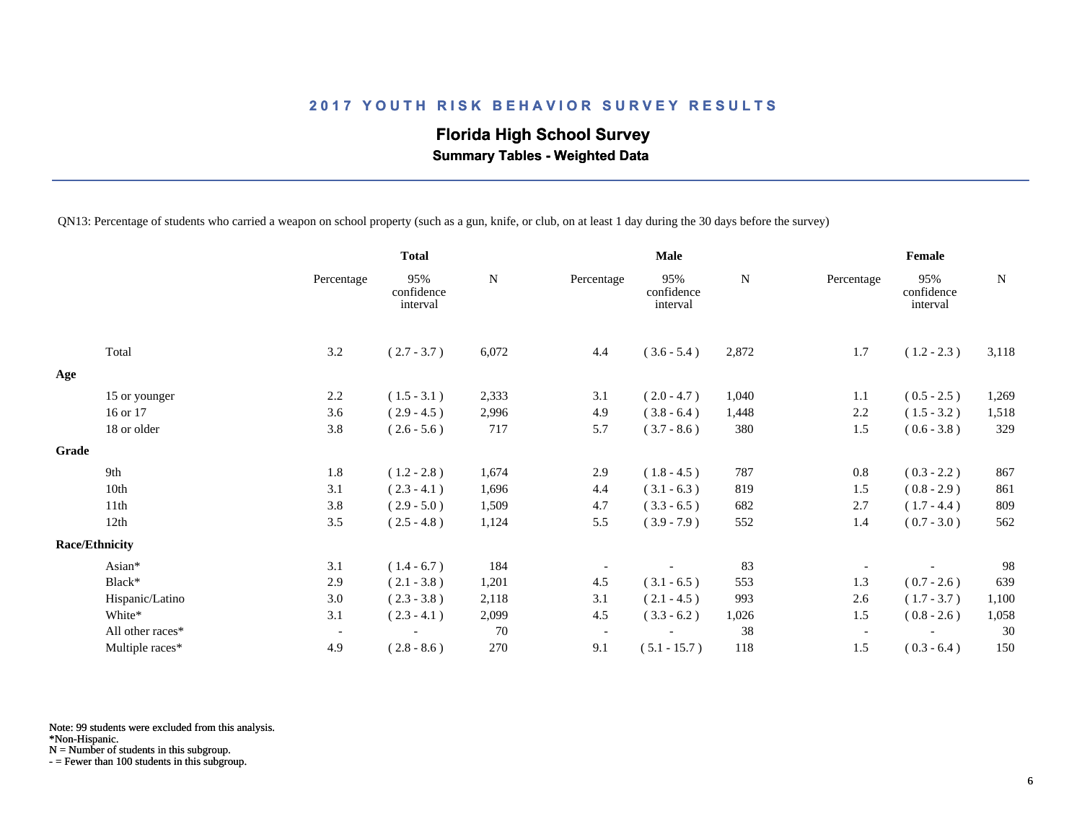## **Florida High School Survey Summary Tables - Weighted Data**

QN13: Percentage of students who carried a weapon on school property (such as a gun, knife, or club, on at least 1 day during the 30 days before the survey)

|                       |                          | <b>Total</b>                  |       | <b>Male</b>              |                               |             | Female                   |                               |       |
|-----------------------|--------------------------|-------------------------------|-------|--------------------------|-------------------------------|-------------|--------------------------|-------------------------------|-------|
|                       | Percentage               | 95%<br>confidence<br>interval | N     | Percentage               | 95%<br>confidence<br>interval | $\mathbf N$ | Percentage               | 95%<br>confidence<br>interval | N     |
| Total                 | 3.2                      | $(2.7 - 3.7)$                 | 6,072 | 4.4                      | $(3.6 - 5.4)$                 | 2,872       | 1.7                      | $(1.2 - 2.3)$                 | 3,118 |
| Age                   |                          |                               |       |                          |                               |             |                          |                               |       |
| 15 or younger         | 2.2                      | $(1.5 - 3.1)$                 | 2,333 | 3.1                      | $(2.0 - 4.7)$                 | 1,040       | 1.1                      | $(0.5 - 2.5)$                 | 1,269 |
| 16 or 17              | 3.6                      | $(2.9 - 4.5)$                 | 2,996 | 4.9                      | $(3.8 - 6.4)$                 | 1,448       | 2.2                      | $(1.5 - 3.2)$                 | 1,518 |
| 18 or older           | 3.8                      | $(2.6 - 5.6)$                 | 717   | 5.7                      | $(3.7 - 8.6)$                 | 380         | 1.5                      | $(0.6 - 3.8)$                 | 329   |
| Grade                 |                          |                               |       |                          |                               |             |                          |                               |       |
| 9th                   | 1.8                      | $(1.2 - 2.8)$                 | 1,674 | 2.9                      | $(1.8 - 4.5)$                 | 787         | 0.8                      | $(0.3 - 2.2)$                 | 867   |
| 10th                  | 3.1                      | $(2.3 - 4.1)$                 | 1,696 | 4.4                      | $(3.1 - 6.3)$                 | 819         | 1.5                      | $(0.8 - 2.9)$                 | 861   |
| 11th                  | 3.8                      | $(2.9 - 5.0)$                 | 1,509 | 4.7                      | $(3.3 - 6.5)$                 | 682         | 2.7                      | $(1.7 - 4.4)$                 | 809   |
| 12th                  | 3.5                      | $(2.5 - 4.8)$                 | 1,124 | 5.5                      | $(3.9 - 7.9)$                 | 552         | 1.4                      | $(0.7 - 3.0)$                 | 562   |
| <b>Race/Ethnicity</b> |                          |                               |       |                          |                               |             |                          |                               |       |
| Asian*                | 3.1                      | $(1.4 - 6.7)$                 | 184   |                          |                               | 83          |                          |                               | 98    |
| Black*                | 2.9                      | $(2.1 - 3.8)$                 | 1,201 | 4.5                      | $(3.1 - 6.5)$                 | 553         | 1.3                      | $(0.7 - 2.6)$                 | 639   |
| Hispanic/Latino       | 3.0                      | $(2.3 - 3.8)$                 | 2,118 | 3.1                      | $(2.1 - 4.5)$                 | 993         | 2.6                      | $(1.7 - 3.7)$                 | 1,100 |
| White*                | 3.1                      | $(2.3 - 4.1)$                 | 2,099 | 4.5                      | $(3.3 - 6.2)$                 | 1,026       | 1.5                      | $(0.8 - 2.6)$                 | 1,058 |
| All other races*      | $\overline{\phantom{a}}$ |                               | 70    | $\overline{\phantom{a}}$ |                               | 38          | $\overline{\phantom{a}}$ |                               | 30    |
| Multiple races*       | 4.9                      | $(2.8 - 8.6)$                 | 270   | 9.1                      | $(5.1 - 15.7)$                | 118         | 1.5                      | $(0.3 - 6.4)$                 | 150   |

Note: 99 students were excluded from this analysis.

\*Non-Hispanic.

N = Number of students in this subgroup.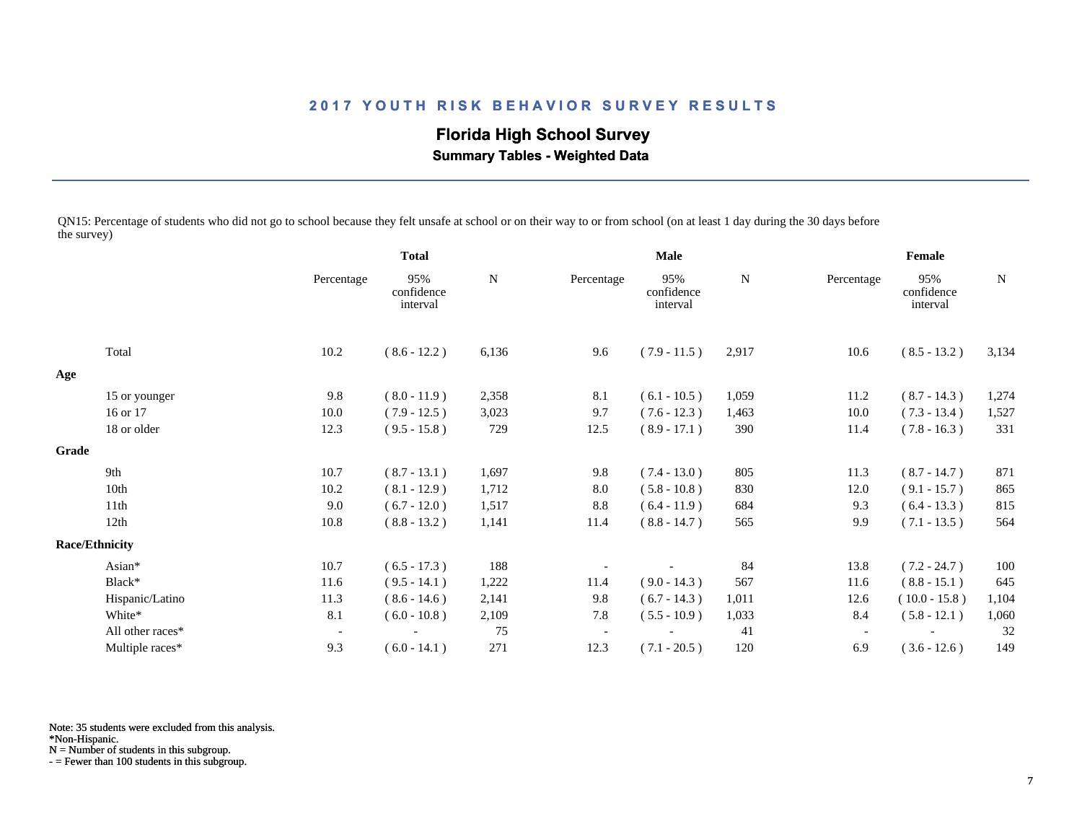# **Florida High School Survey**

 **Summary Tables - Weighted Data**

QN15: Percentage of students who did not go to school because they felt unsafe at school or on their way to or from school (on at least 1 day during the 30 days before the survey)

|       |                       |                          | <b>Total</b>                  |             | Male       |                               |       | Female                   |                               |             |
|-------|-----------------------|--------------------------|-------------------------------|-------------|------------|-------------------------------|-------|--------------------------|-------------------------------|-------------|
|       |                       | Percentage               | 95%<br>confidence<br>interval | $\mathbf N$ | Percentage | 95%<br>confidence<br>interval | N     | Percentage               | 95%<br>confidence<br>interval | $\mathbf N$ |
|       | Total                 | 10.2                     | $(8.6 - 12.2)$                | 6,136       | 9.6        | $(7.9 - 11.5)$                | 2,917 | 10.6                     | $(8.5 - 13.2)$                | 3,134       |
| Age   |                       |                          |                               |             |            |                               |       |                          |                               |             |
|       | 15 or younger         | 9.8                      | $(8.0 - 11.9)$                | 2,358       | 8.1        | $(6.1 - 10.5)$                | 1,059 | 11.2                     | $(8.7 - 14.3)$                | 1,274       |
|       | 16 or 17              | 10.0                     | $(7.9 - 12.5)$                | 3,023       | 9.7        | $(7.6 - 12.3)$                | 1,463 | 10.0                     | $(7.3 - 13.4)$                | 1,527       |
|       | 18 or older           | 12.3                     | $(9.5 - 15.8)$                | 729         | 12.5       | $(8.9 - 17.1)$                | 390   | 11.4                     | $(7.8 - 16.3)$                | 331         |
| Grade |                       |                          |                               |             |            |                               |       |                          |                               |             |
|       | 9th                   | 10.7                     | $(8.7 - 13.1)$                | 1,697       | 9.8        | $(7.4 - 13.0)$                | 805   | 11.3                     | $(8.7 - 14.7)$                | 871         |
|       | 10th                  | 10.2                     | $(8.1 - 12.9)$                | 1,712       | 8.0        | $(5.8 - 10.8)$                | 830   | 12.0                     | $(9.1 - 15.7)$                | 865         |
|       | 11th                  | 9.0                      | $(6.7 - 12.0)$                | 1,517       | 8.8        | $(6.4 - 11.9)$                | 684   | 9.3                      | $(6.4 - 13.3)$                | 815         |
|       | 12th                  | 10.8                     | $(8.8 - 13.2)$                | 1,141       | 11.4       | $(8.8 - 14.7)$                | 565   | 9.9                      | $(7.1 - 13.5)$                | 564         |
|       | <b>Race/Ethnicity</b> |                          |                               |             |            |                               |       |                          |                               |             |
|       | Asian*                | 10.7                     | $(6.5 - 17.3)$                | 188         |            |                               | 84    | 13.8                     | $(7.2 - 24.7)$                | 100         |
|       | Black*                | 11.6                     | $(9.5 - 14.1)$                | 1,222       | 11.4       | $(9.0 - 14.3)$                | 567   | 11.6                     | $(8.8 - 15.1)$                | 645         |
|       | Hispanic/Latino       | 11.3                     | $(8.6 - 14.6)$                | 2,141       | 9.8        | $(6.7 - 14.3)$                | 1,011 | 12.6                     | $(10.0 - 15.8)$               | 1,104       |
|       | White*                | 8.1                      | $(6.0 - 10.8)$                | 2,109       | 7.8        | $(5.5 - 10.9)$                | 1,033 | 8.4                      | $(5.8 - 12.1)$                | 1,060       |
|       | All other races*      | $\overline{\phantom{a}}$ |                               | 75          |            |                               | 41    | $\overline{\phantom{a}}$ |                               | 32          |
|       | Multiple races*       | 9.3                      | $(6.0 - 14.1)$                | 271         | 12.3       | $(7.1 - 20.5)$                | 120   | 6.9                      | $(3.6 - 12.6)$                | 149         |

Note: 35 students were excluded from this analysis.

\*Non-Hispanic.

N = Number of students in this subgroup.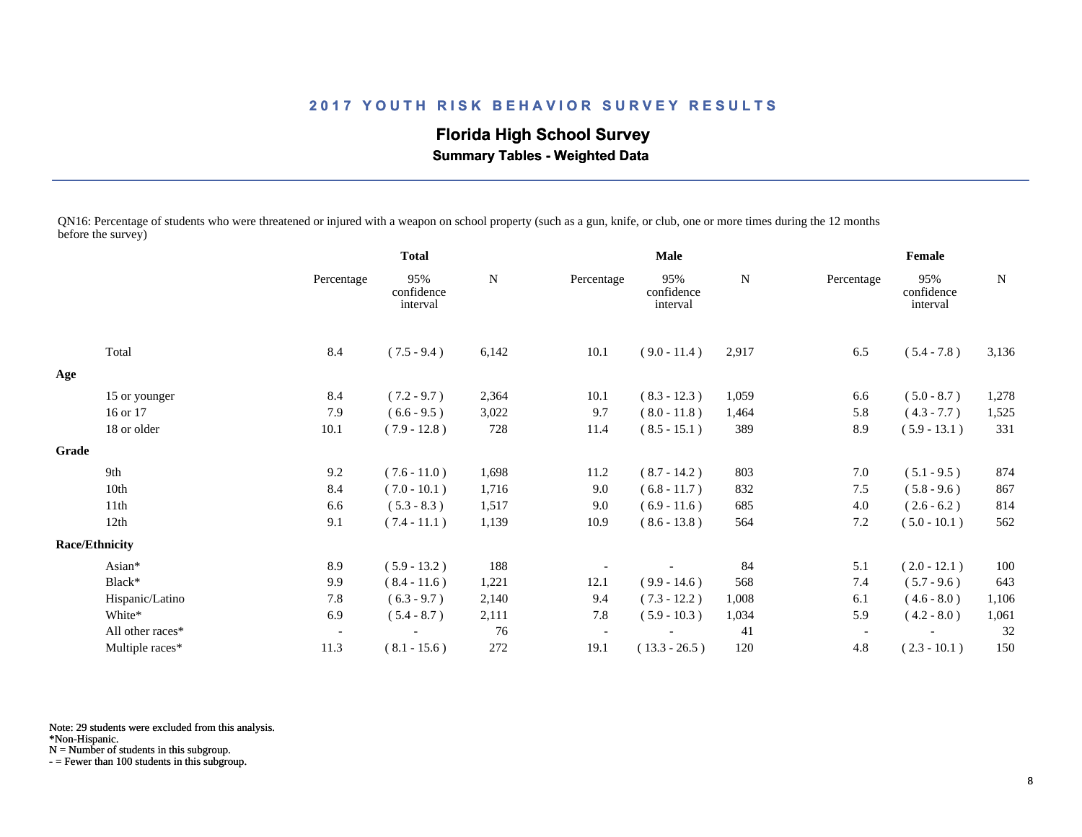**Florida High School Survey Summary Tables - Weighted Data**

QN16: Percentage of students who were threatened or injured with a weapon on school property (such as a gun, knife, or club, one or more times during the 12 months before the survey)

|       |                       |                          | <b>Total</b>                  |       | <b>Male</b>              |                               |       | Female                   |                               |             |
|-------|-----------------------|--------------------------|-------------------------------|-------|--------------------------|-------------------------------|-------|--------------------------|-------------------------------|-------------|
|       |                       | Percentage               | 95%<br>confidence<br>interval | N     | Percentage               | 95%<br>confidence<br>interval | N     | Percentage               | 95%<br>confidence<br>interval | $\mathbf N$ |
|       | Total                 | 8.4                      | $(7.5 - 9.4)$                 | 6,142 | 10.1                     | $(9.0 - 11.4)$                | 2,917 | 6.5                      | $(5.4 - 7.8)$                 | 3,136       |
| Age   |                       |                          |                               |       |                          |                               |       |                          |                               |             |
|       | 15 or younger         | 8.4                      | $(7.2 - 9.7)$                 | 2,364 | 10.1                     | $(8.3 - 12.3)$                | 1,059 | 6.6                      | $(5.0 - 8.7)$                 | 1,278       |
|       | 16 or 17              | 7.9                      | $(6.6 - 9.5)$                 | 3,022 | 9.7                      | $(8.0 - 11.8)$                | 1,464 | 5.8                      | $(4.3 - 7.7)$                 | 1,525       |
|       | 18 or older           | 10.1                     | $(7.9 - 12.8)$                | 728   | 11.4                     | $(8.5 - 15.1)$                | 389   | 8.9                      | $(5.9 - 13.1)$                | 331         |
| Grade |                       |                          |                               |       |                          |                               |       |                          |                               |             |
|       | 9th                   | 9.2                      | $(7.6 - 11.0)$                | 1,698 | 11.2                     | $(8.7 - 14.2)$                | 803   | 7.0                      | $(5.1 - 9.5)$                 | 874         |
|       | 10th                  | 8.4                      | $(7.0 - 10.1)$                | 1,716 | 9.0                      | $(6.8 - 11.7)$                | 832   | 7.5                      | $(5.8 - 9.6)$                 | 867         |
|       | 11th                  | 6.6                      | $(5.3 - 8.3)$                 | 1,517 | 9.0                      | $(6.9 - 11.6)$                | 685   | 4.0                      | $(2.6 - 6.2)$                 | 814         |
|       | 12th                  | 9.1                      | $(7.4 - 11.1)$                | 1,139 | 10.9                     | $(8.6 - 13.8)$                | 564   | 7.2                      | $(5.0 - 10.1)$                | 562         |
|       | <b>Race/Ethnicity</b> |                          |                               |       |                          |                               |       |                          |                               |             |
|       | Asian*                | 8.9                      | $(5.9 - 13.2)$                | 188   |                          |                               | 84    | 5.1                      | $(2.0 - 12.1)$                | 100         |
|       | Black*                | 9.9                      | $(8.4 - 11.6)$                | 1,221 | 12.1                     | $(9.9 - 14.6)$                | 568   | 7.4                      | $(5.7 - 9.6)$                 | 643         |
|       | Hispanic/Latino       | 7.8                      | $(6.3 - 9.7)$                 | 2,140 | 9.4                      | $(7.3 - 12.2)$                | 1,008 | 6.1                      | $(4.6 - 8.0)$                 | 1,106       |
|       | White*                | 6.9                      | $(5.4 - 8.7)$                 | 2,111 | 7.8                      | $(5.9 - 10.3)$                | 1,034 | 5.9                      | $(4.2 - 8.0)$                 | 1,061       |
|       | All other races*      | $\overline{\phantom{a}}$ |                               | 76    | $\overline{\phantom{a}}$ |                               | 41    | $\overline{\phantom{a}}$ |                               | 32          |
|       | Multiple races*       | 11.3                     | $(8.1 - 15.6)$                | 272   | 19.1                     | $(13.3 - 26.5)$               | 120   | 4.8                      | $(2.3 - 10.1)$                | 150         |

Note: 29 students were excluded from this analysis.

\*Non-Hispanic.

N = Number of students in this subgroup.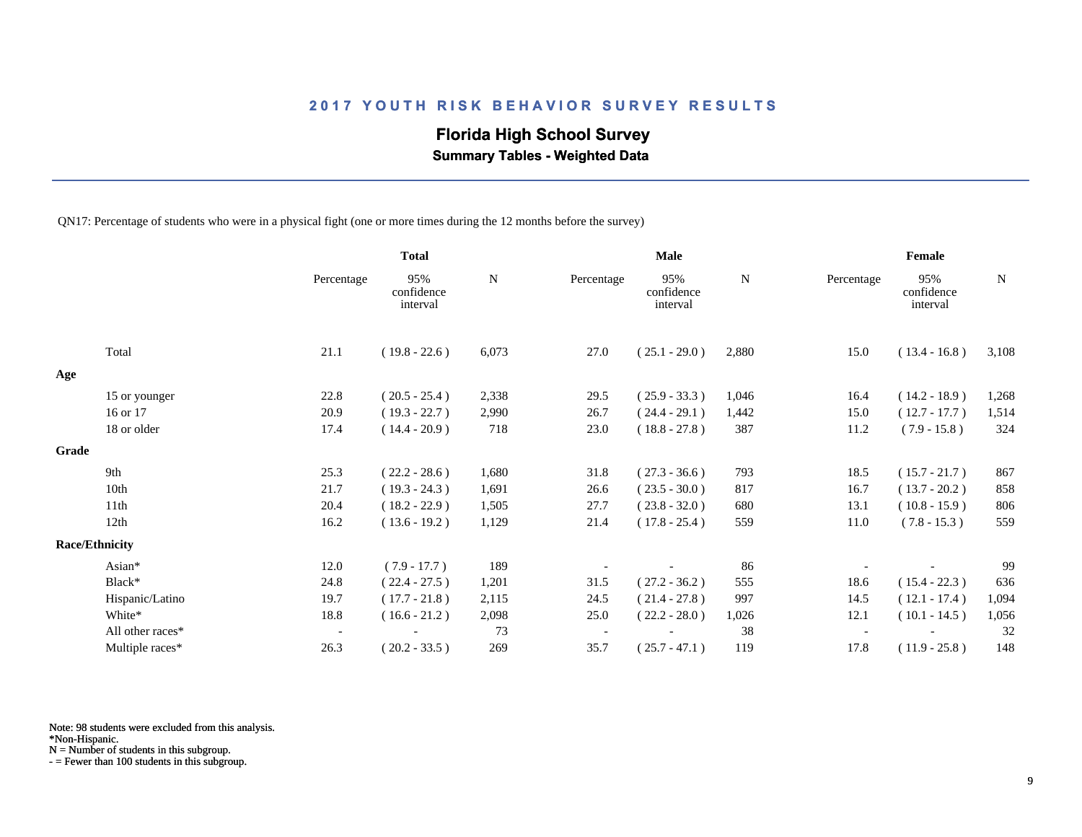## **Florida High School Survey**

 **Summary Tables - Weighted Data**

QN17: Percentage of students who were in a physical fight (one or more times during the 12 months before the survey)

|       |                       |                          | <b>Total</b>                  |       | <b>Male</b> |                               |       | Female     |                               |             |  |
|-------|-----------------------|--------------------------|-------------------------------|-------|-------------|-------------------------------|-------|------------|-------------------------------|-------------|--|
|       |                       | Percentage               | 95%<br>confidence<br>interval | N     | Percentage  | 95%<br>confidence<br>interval | N     | Percentage | 95%<br>confidence<br>interval | $\mathbf N$ |  |
|       | Total                 | 21.1                     | $(19.8 - 22.6)$               | 6,073 | 27.0        | $(25.1 - 29.0)$               | 2,880 | 15.0       | $(13.4 - 16.8)$               | 3,108       |  |
| Age   |                       |                          |                               |       |             |                               |       |            |                               |             |  |
|       | 15 or younger         | 22.8                     | $(20.5 - 25.4)$               | 2,338 | 29.5        | $(25.9 - 33.3)$               | 1,046 | 16.4       | $(14.2 - 18.9)$               | 1,268       |  |
|       | 16 or 17              | 20.9                     | $(19.3 - 22.7)$               | 2,990 | 26.7        | $(24.4 - 29.1)$               | 1,442 | 15.0       | $(12.7 - 17.7)$               | 1,514       |  |
|       | 18 or older           | 17.4                     | $(14.4 - 20.9)$               | 718   | 23.0        | $(18.8 - 27.8)$               | 387   | 11.2       | $(7.9 - 15.8)$                | 324         |  |
| Grade |                       |                          |                               |       |             |                               |       |            |                               |             |  |
|       | 9th                   | 25.3                     | $(22.2 - 28.6)$               | 1,680 | 31.8        | $(27.3 - 36.6)$               | 793   | 18.5       | $(15.7 - 21.7)$               | 867         |  |
|       | 10th                  | 21.7                     | $(19.3 - 24.3)$               | 1,691 | 26.6        | $(23.5 - 30.0)$               | 817   | 16.7       | $(13.7 - 20.2)$               | 858         |  |
|       | 11th                  | 20.4                     | $(18.2 - 22.9)$               | 1,505 | 27.7        | $(23.8 - 32.0)$               | 680   | 13.1       | $(10.8 - 15.9)$               | 806         |  |
|       | 12th                  | 16.2                     | $(13.6 - 19.2)$               | 1,129 | 21.4        | $(17.8 - 25.4)$               | 559   | 11.0       | $(7.8 - 15.3)$                | 559         |  |
|       | <b>Race/Ethnicity</b> |                          |                               |       |             |                               |       |            |                               |             |  |
|       | Asian*                | 12.0                     | $(7.9 - 17.7)$                | 189   |             |                               | 86    |            |                               | 99          |  |
|       | Black*                | 24.8                     | $(22.4 - 27.5)$               | 1,201 | 31.5        | $(27.2 - 36.2)$               | 555   | 18.6       | $(15.4 - 22.3)$               | 636         |  |
|       | Hispanic/Latino       | 19.7                     | $(17.7 - 21.8)$               | 2,115 | 24.5        | $(21.4 - 27.8)$               | 997   | 14.5       | $(12.1 - 17.4)$               | 1,094       |  |
|       | White*                | 18.8                     | $(16.6 - 21.2)$               | 2,098 | 25.0        | $(22.2 - 28.0)$               | 1,026 | 12.1       | $(10.1 - 14.5)$               | 1,056       |  |
|       | All other races*      | $\overline{\phantom{a}}$ |                               | 73    |             |                               | 38    |            |                               | 32          |  |
|       | Multiple races*       | 26.3                     | $(20.2 - 33.5)$               | 269   | 35.7        | $(25.7 - 47.1)$               | 119   | 17.8       | $(11.9 - 25.8)$               | 148         |  |

Note: 98 students were excluded from this analysis.

\*Non-Hispanic.

N = Number of students in this subgroup.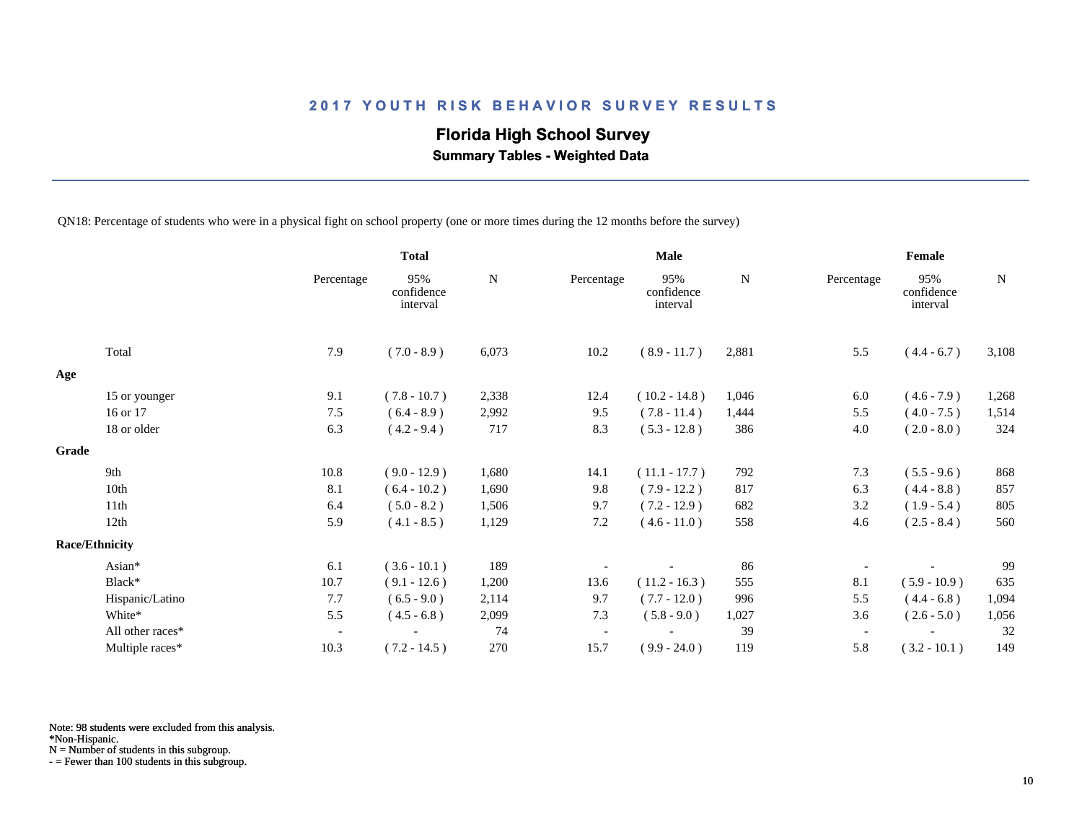## **Florida High School Survey**

 **Summary Tables - Weighted Data**

QN18: Percentage of students who were in a physical fight on school property (one or more times during the 12 months before the survey)

|       |                       |                          | <b>Total</b>                  |           | <b>Male</b> |                               |           | Female                   |                               |           |  |
|-------|-----------------------|--------------------------|-------------------------------|-----------|-------------|-------------------------------|-----------|--------------------------|-------------------------------|-----------|--|
|       |                       | Percentage               | 95%<br>confidence<br>interval | ${\bf N}$ | Percentage  | 95%<br>confidence<br>interval | ${\bf N}$ | Percentage               | 95%<br>confidence<br>interval | ${\bf N}$ |  |
|       | Total                 | 7.9                      | $(7.0 - 8.9)$                 | 6,073     | 10.2        | $(8.9 - 11.7)$                | 2,881     | 5.5                      | $(4.4 - 6.7)$                 | 3,108     |  |
| Age   |                       |                          |                               |           |             |                               |           |                          |                               |           |  |
|       | 15 or younger         | 9.1                      | $(7.8 - 10.7)$                | 2,338     | 12.4        | $(10.2 - 14.8)$               | 1,046     | 6.0                      | $(4.6 - 7.9)$                 | 1,268     |  |
|       | 16 or 17              | 7.5                      | $(6.4 - 8.9)$                 | 2,992     | 9.5         | $(7.8 - 11.4)$                | 1,444     | 5.5                      | $(4.0 - 7.5)$                 | 1,514     |  |
|       | 18 or older           | 6.3                      | $(4.2 - 9.4)$                 | 717       | 8.3         | $(5.3 - 12.8)$                | 386       | 4.0                      | $(2.0 - 8.0)$                 | 324       |  |
| Grade |                       |                          |                               |           |             |                               |           |                          |                               |           |  |
|       | 9th                   | 10.8                     | $(9.0 - 12.9)$                | 1,680     | 14.1        | $(11.1 - 17.7)$               | 792       | 7.3                      | $(5.5 - 9.6)$                 | 868       |  |
|       | 10th                  | 8.1                      | $(6.4 - 10.2)$                | 1,690     | 9.8         | $(7.9 - 12.2)$                | 817       | 6.3                      | $(4.4 - 8.8)$                 | 857       |  |
|       | 11th                  | 6.4                      | $(5.0 - 8.2)$                 | 1,506     | 9.7         | $(7.2 - 12.9)$                | 682       | 3.2                      | $(1.9 - 5.4)$                 | 805       |  |
|       | 12th                  | 5.9                      | $(4.1 - 8.5)$                 | 1,129     | 7.2         | $(4.6 - 11.0)$                | 558       | 4.6                      | $(2.5 - 8.4)$                 | 560       |  |
|       | <b>Race/Ethnicity</b> |                          |                               |           |             |                               |           |                          |                               |           |  |
|       | Asian*                | 6.1                      | $(3.6 - 10.1)$                | 189       |             |                               | 86        |                          |                               | 99        |  |
|       | Black*                | 10.7                     | $(9.1 - 12.6)$                | 1,200     | 13.6        | $(11.2 - 16.3)$               | 555       | 8.1                      | $(5.9 - 10.9)$                | 635       |  |
|       | Hispanic/Latino       | 7.7                      | $(6.5 - 9.0)$                 | 2,114     | 9.7         | $(7.7 - 12.0)$                | 996       | 5.5                      | $(4.4 - 6.8)$                 | 1,094     |  |
|       | White*                | 5.5                      | $(4.5 - 6.8)$                 | 2,099     | 7.3         | $(5.8 - 9.0)$                 | 1,027     | 3.6                      | $(2.6 - 5.0)$                 | 1,056     |  |
|       | All other races*      | $\overline{\phantom{a}}$ |                               | 74        |             |                               | 39        | $\overline{\phantom{a}}$ |                               | 32        |  |
|       | Multiple races*       | 10.3                     | $(7.2 - 14.5)$                | 270       | 15.7        | $(9.9 - 24.0)$                | 119       | 5.8                      | $(3.2 - 10.1)$                | 149       |  |

Note: 98 students were excluded from this analysis.

\*Non-Hispanic.

N = Number of students in this subgroup.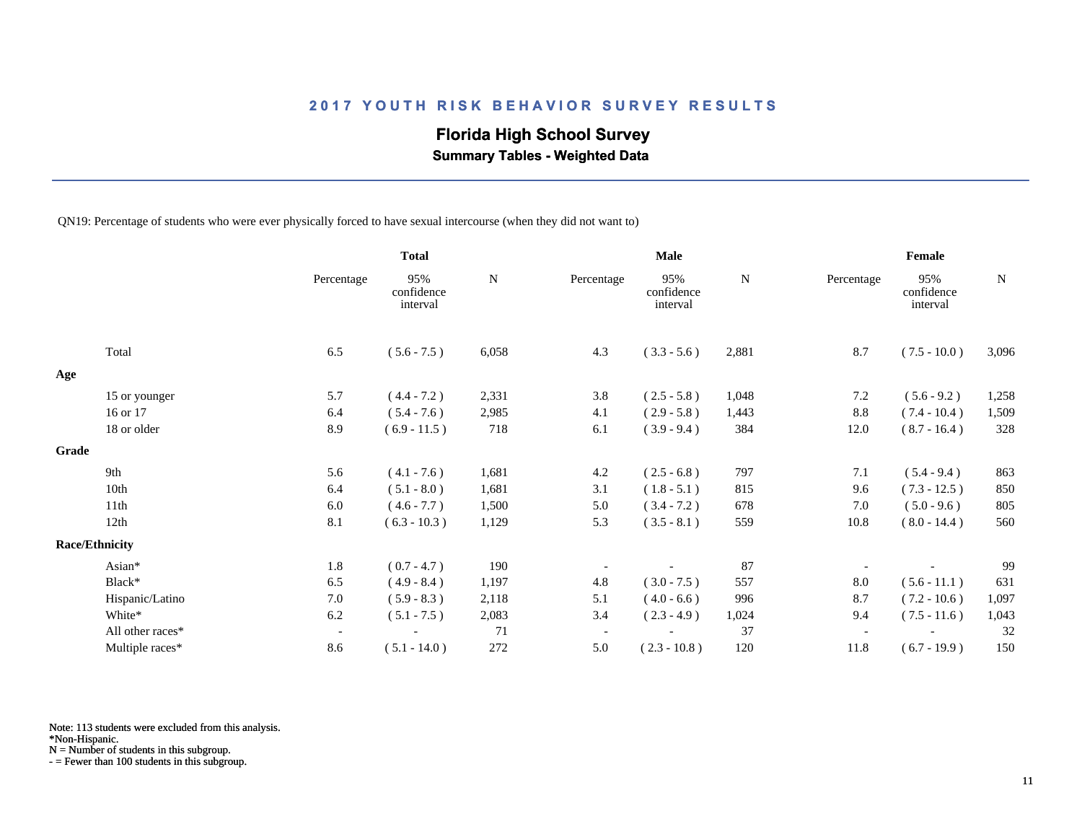## **Florida High School Survey**

 **Summary Tables - Weighted Data**

QN19: Percentage of students who were ever physically forced to have sexual intercourse (when they did not want to)

|                       |                  |                          | <b>Total</b>                  |           | <b>Male</b>              |                               |       | Female     |                               |       |
|-----------------------|------------------|--------------------------|-------------------------------|-----------|--------------------------|-------------------------------|-------|------------|-------------------------------|-------|
|                       |                  | Percentage               | 95%<br>confidence<br>interval | ${\bf N}$ | Percentage               | 95%<br>confidence<br>interval | N     | Percentage | 95%<br>confidence<br>interval | N     |
| Total                 |                  | 6.5                      | $(5.6 - 7.5)$                 | 6,058     | 4.3                      | $(3.3 - 5.6)$                 | 2,881 | 8.7        | $(7.5 - 10.0)$                | 3,096 |
| Age                   |                  |                          |                               |           |                          |                               |       |            |                               |       |
|                       | 15 or younger    | 5.7                      | $(4.4 - 7.2)$                 | 2,331     | 3.8                      | $(2.5 - 5.8)$                 | 1,048 | 7.2        | $(5.6 - 9.2)$                 | 1,258 |
| 16 or 17              |                  | 6.4                      | $(5.4 - 7.6)$                 | 2,985     | 4.1                      | $(2.9 - 5.8)$                 | 1,443 | 8.8        | $(7.4 - 10.4)$                | 1,509 |
|                       | 18 or older      | 8.9                      | $(6.9 - 11.5)$                | 718       | 6.1                      | $(3.9 - 9.4)$                 | 384   | 12.0       | $(8.7 - 16.4)$                | 328   |
| Grade                 |                  |                          |                               |           |                          |                               |       |            |                               |       |
| 9th                   |                  | 5.6                      | $(4.1 - 7.6)$                 | 1,681     | 4.2                      | $(2.5 - 6.8)$                 | 797   | 7.1        | $(5.4 - 9.4)$                 | 863   |
| 10th                  |                  | 6.4                      | $(5.1 - 8.0)$                 | 1,681     | 3.1                      | $(1.8 - 5.1)$                 | 815   | 9.6        | $(7.3 - 12.5)$                | 850   |
| 11th                  |                  | 6.0                      | $(4.6 - 7.7)$                 | 1,500     | 5.0                      | $(3.4 - 7.2)$                 | 678   | 7.0        | $(5.0 - 9.6)$                 | 805   |
| 12th                  |                  | 8.1                      | $(6.3 - 10.3)$                | 1,129     | 5.3                      | $(3.5 - 8.1)$                 | 559   | 10.8       | $(8.0 - 14.4)$                | 560   |
| <b>Race/Ethnicity</b> |                  |                          |                               |           |                          |                               |       |            |                               |       |
| Asian*                |                  | 1.8                      | $(0.7 - 4.7)$                 | 190       |                          |                               | 87    |            |                               | 99    |
| Black*                |                  | 6.5                      | $(4.9 - 8.4)$                 | 1,197     | 4.8                      | $(3.0 - 7.5)$                 | 557   | 8.0        | $(5.6 - 11.1)$                | 631   |
|                       | Hispanic/Latino  | 7.0                      | $(5.9 - 8.3)$                 | 2,118     | 5.1                      | $(4.0 - 6.6)$                 | 996   | 8.7        | $(7.2 - 10.6)$                | 1,097 |
| White*                |                  | 6.2                      | $(5.1 - 7.5)$                 | 2,083     | 3.4                      | $(2.3 - 4.9)$                 | 1,024 | 9.4        | $(7.5 - 11.6)$                | 1,043 |
|                       | All other races* | $\overline{\phantom{a}}$ |                               | 71        | $\overline{\phantom{a}}$ |                               | 37    |            |                               | 32    |
|                       | Multiple races*  | 8.6                      | $(5.1 - 14.0)$                | 272       | 5.0                      | $(2.3 - 10.8)$                | 120   | 11.8       | $(6.7 - 19.9)$                | 150   |

Note: 113 students were excluded from this analysis.

N = Number of students in this subgroup.

<sup>\*</sup>Non-Hispanic.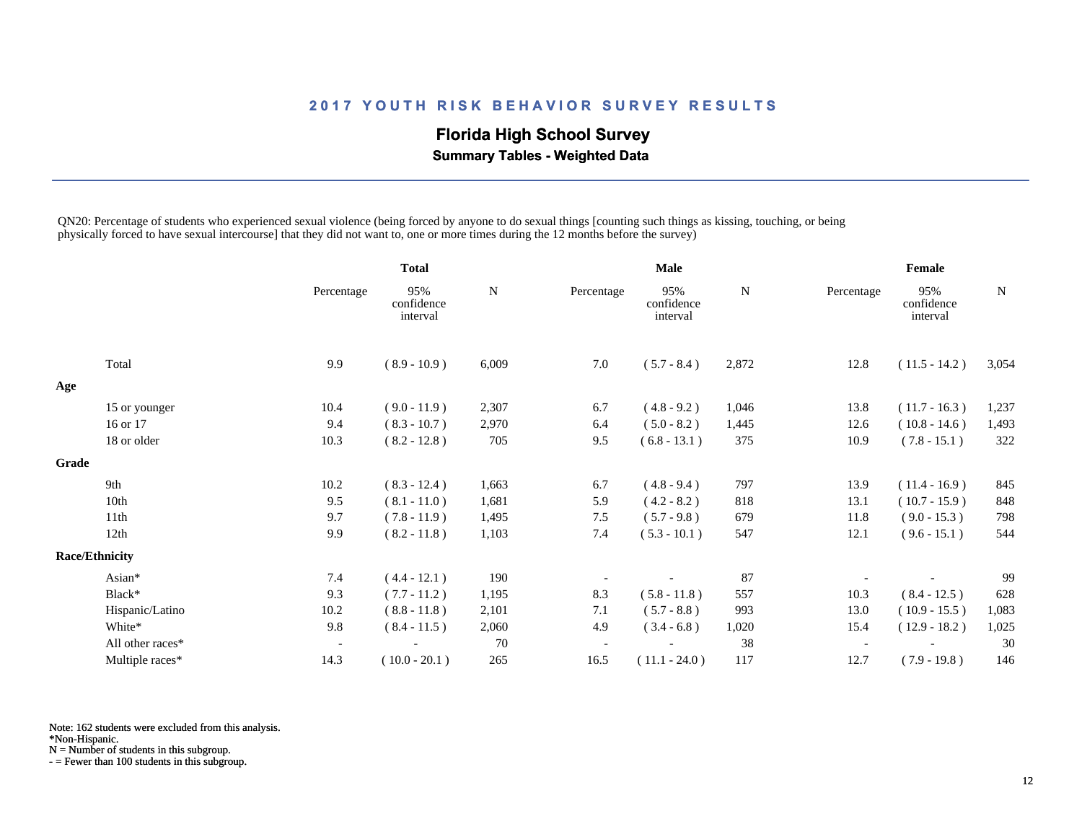## **Florida High School Survey**

 **Summary Tables - Weighted Data**

QN20: Percentage of students who experienced sexual violence (being forced by anyone to do sexual things [counting such things as kissing, touching, or being physically forced to have sexual intercourse] that they did not want to, one or more times during the 12 months before the survey)

|       |                       |                          | <b>Total</b>                  |           | <b>Male</b>              |                               |             | Female                   |                               |       |
|-------|-----------------------|--------------------------|-------------------------------|-----------|--------------------------|-------------------------------|-------------|--------------------------|-------------------------------|-------|
|       |                       | Percentage               | 95%<br>confidence<br>interval | ${\bf N}$ | Percentage               | 95%<br>confidence<br>interval | $\mathbf N$ | Percentage               | 95%<br>confidence<br>interval | N     |
|       | Total                 | 9.9                      | $(8.9 - 10.9)$                | 6,009     | 7.0                      | $(5.7 - 8.4)$                 | 2,872       | 12.8                     | $(11.5 - 14.2)$               | 3,054 |
| Age   |                       |                          |                               |           |                          |                               |             |                          |                               |       |
|       | 15 or younger         | 10.4                     | $(9.0 - 11.9)$                | 2,307     | 6.7                      | $(4.8 - 9.2)$                 | 1,046       | 13.8                     | $(11.7 - 16.3)$               | 1,237 |
|       | 16 or 17              | 9.4                      | $(8.3 - 10.7)$                | 2,970     | 6.4                      | $(5.0 - 8.2)$                 | 1,445       | 12.6                     | $(10.8 - 14.6)$               | 1,493 |
|       | 18 or older           | 10.3                     | $(8.2 - 12.8)$                | 705       | 9.5                      | $(6.8 - 13.1)$                | 375         | 10.9                     | $(7.8 - 15.1)$                | 322   |
| Grade |                       |                          |                               |           |                          |                               |             |                          |                               |       |
|       | 9th                   | 10.2                     | $(8.3 - 12.4)$                | 1,663     | 6.7                      | $(4.8 - 9.4)$                 | 797         | 13.9                     | $(11.4 - 16.9)$               | 845   |
|       | 10th                  | 9.5                      | $(8.1 - 11.0)$                | 1,681     | 5.9                      | $(4.2 - 8.2)$                 | 818         | 13.1                     | $(10.7 - 15.9)$               | 848   |
|       | 11th                  | 9.7                      | $(7.8 - 11.9)$                | 1,495     | 7.5                      | $(5.7 - 9.8)$                 | 679         | 11.8                     | $(9.0 - 15.3)$                | 798   |
|       | 12th                  | 9.9                      | $(8.2 - 11.8)$                | 1,103     | 7.4                      | $(5.3 - 10.1)$                | 547         | 12.1                     | $(9.6 - 15.1)$                | 544   |
|       | <b>Race/Ethnicity</b> |                          |                               |           |                          |                               |             |                          |                               |       |
|       | Asian*                | 7.4                      | $(4.4 - 12.1)$                | 190       |                          |                               | 87          |                          |                               | 99    |
|       | Black*                | 9.3                      | $(7.7 - 11.2)$                | 1,195     | 8.3                      | $(5.8 - 11.8)$                | 557         | 10.3                     | $(8.4 - 12.5)$                | 628   |
|       | Hispanic/Latino       | 10.2                     | $(8.8 - 11.8)$                | 2,101     | 7.1                      | $(5.7 - 8.8)$                 | 993         | 13.0                     | $(10.9 - 15.5)$               | 1,083 |
|       | White*                | 9.8                      | $(8.4 - 11.5)$                | 2,060     | 4.9                      | $(3.4 - 6.8)$                 | 1,020       | 15.4                     | $(12.9 - 18.2)$               | 1,025 |
|       | All other races*      | $\overline{\phantom{a}}$ |                               | 70        | $\overline{\phantom{a}}$ |                               | 38          | $\overline{\phantom{a}}$ |                               | 30    |
|       | Multiple races*       | 14.3                     | $(10.0 - 20.1)$               | 265       | 16.5                     | $(11.1 - 24.0)$               | 117         | 12.7                     | $(7.9 - 19.8)$                | 146   |

Note: 162 students were excluded from this analysis.

\*Non-Hispanic.

N = Number of students in this subgroup.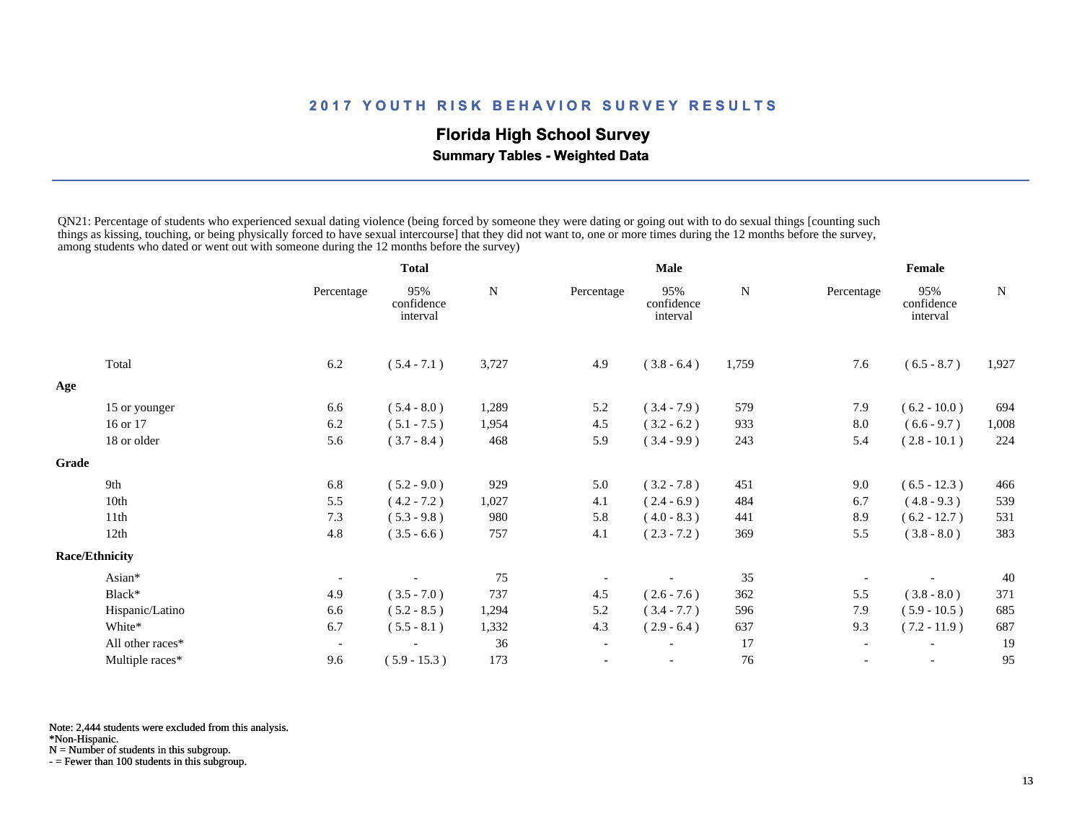## **Florida High School Survey**

 **Summary Tables - Weighted Data**

QN21: Percentage of students who experienced sexual dating violence (being forced by someone they were dating or going out with to do sexual things [counting such things as kissing, touching, or being physically forced to have sexual intercourse] that they did not want to, one or more times during the 12 months before the survey, among students who dated or went out with someone during the 12 months before the survey)

|       |                       |                          | <b>Total</b>                  |           | Male                     |                               |       | Female     |                               |       |
|-------|-----------------------|--------------------------|-------------------------------|-----------|--------------------------|-------------------------------|-------|------------|-------------------------------|-------|
|       |                       | Percentage               | 95%<br>confidence<br>interval | ${\bf N}$ | Percentage               | 95%<br>confidence<br>interval | N     | Percentage | 95%<br>confidence<br>interval | N     |
|       | Total                 | 6.2                      | $(5.4 - 7.1)$                 | 3,727     | 4.9                      | $(3.8 - 6.4)$                 | 1,759 | 7.6        | $(6.5 - 8.7)$                 | 1,927 |
| Age   |                       |                          |                               |           |                          |                               |       |            |                               |       |
|       | 15 or younger         | 6.6                      | $(5.4 - 8.0)$                 | 1,289     | 5.2                      | $(3.4 - 7.9)$                 | 579   | 7.9        | $(6.2 - 10.0)$                | 694   |
|       | 16 or 17              | 6.2                      | $(5.1 - 7.5)$                 | 1,954     | 4.5                      | $(3.2 - 6.2)$                 | 933   | 8.0        | $(6.6 - 9.7)$                 | 1,008 |
|       | 18 or older           | 5.6                      | $(3.7 - 8.4)$                 | 468       | 5.9                      | $(3.4 - 9.9)$                 | 243   | 5.4        | $(2.8 - 10.1)$                | 224   |
| Grade |                       |                          |                               |           |                          |                               |       |            |                               |       |
|       | 9th                   | 6.8                      | $(5.2 - 9.0)$                 | 929       | 5.0                      | $(3.2 - 7.8)$                 | 451   | 9.0        | $(6.5 - 12.3)$                | 466   |
|       | 10th                  | 5.5                      | $(4.2 - 7.2)$                 | 1,027     | 4.1                      | $(2.4 - 6.9)$                 | 484   | 6.7        | $(4.8 - 9.3)$                 | 539   |
|       | 11th                  | 7.3                      | $(5.3 - 9.8)$                 | 980       | 5.8                      | $(4.0 - 8.3)$                 | 441   | 8.9        | $(6.2 - 12.7)$                | 531   |
|       | 12th                  | 4.8                      | $(3.5 - 6.6)$                 | 757       | 4.1                      | $(2.3 - 7.2)$                 | 369   | 5.5        | $(3.8 - 8.0)$                 | 383   |
|       | <b>Race/Ethnicity</b> |                          |                               |           |                          |                               |       |            |                               |       |
|       | Asian*                | $\overline{\phantom{a}}$ |                               | 75        |                          |                               | 35    |            |                               | 40    |
|       | Black*                | 4.9                      | $(3.5 - 7.0)$                 | 737       | 4.5                      | $(2.6 - 7.6)$                 | 362   | 5.5        | $(3.8 - 8.0)$                 | 371   |
|       | Hispanic/Latino       | 6.6                      | $(5.2 - 8.5)$                 | 1,294     | 5.2                      | $(3.4 - 7.7)$                 | 596   | 7.9        | $(5.9 - 10.5)$                | 685   |
|       | White*                | 6.7                      | $(5.5 - 8.1)$                 | 1,332     | 4.3                      | $(2.9 - 6.4)$                 | 637   | 9.3        | $(7.2 - 11.9)$                | 687   |
|       | All other races*      |                          |                               | 36        | $\overline{\phantom{a}}$ |                               | 17    |            |                               | 19    |
|       | Multiple races*       | 9.6                      | $(5.9 - 15.3)$                | 173       |                          | $\overline{\phantom{a}}$      | 76    |            | $\overline{\phantom{a}}$      | 95    |

Note: 2,444 students were excluded from this analysis.

\*Non-Hispanic.

N = Number of students in this subgroup.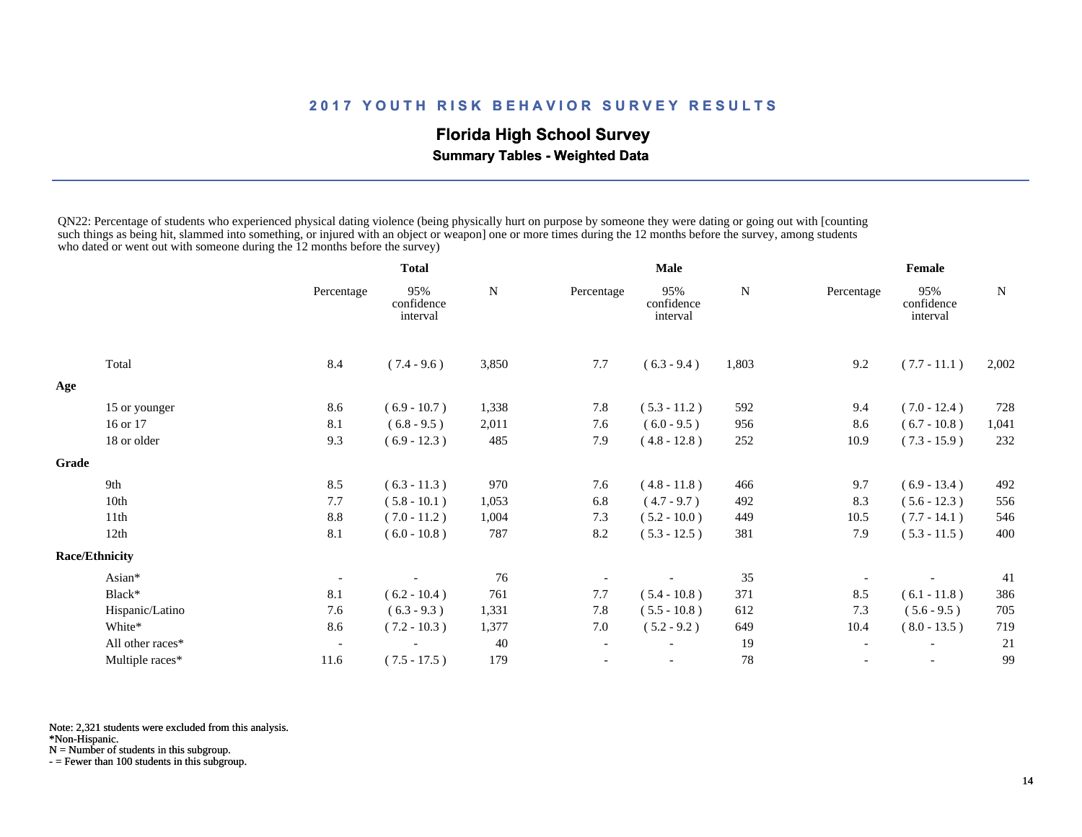## **Florida High School Survey**

 **Summary Tables - Weighted Data**

QN22: Percentage of students who experienced physical dating violence (being physically hurt on purpose by someone they were dating or going out with [counting such things as being hit, slammed into something, or injured with an object or weapon] one or more times during the 12 months before the survey, among students who dated or went out with someone during the 12 months before the survey)

|       |                       |                          | <b>Total</b>                  |       | <b>Male</b>              |                               |       | Female                   |                               |           |
|-------|-----------------------|--------------------------|-------------------------------|-------|--------------------------|-------------------------------|-------|--------------------------|-------------------------------|-----------|
|       |                       | Percentage               | 95%<br>confidence<br>interval | N     | Percentage               | 95%<br>confidence<br>interval | N     | Percentage               | 95%<br>confidence<br>interval | ${\bf N}$ |
|       | Total                 | 8.4                      | $(7.4 - 9.6)$                 | 3,850 | 7.7                      | $(6.3 - 9.4)$                 | 1,803 | 9.2                      | $(7.7 - 11.1)$                | 2,002     |
| Age   |                       |                          |                               |       |                          |                               |       |                          |                               |           |
|       | 15 or younger         | 8.6                      | $(6.9 - 10.7)$                | 1,338 | 7.8                      | $(5.3 - 11.2)$                | 592   | 9.4                      | $(7.0 - 12.4)$                | 728       |
|       | 16 or 17              | 8.1                      | $(6.8 - 9.5)$                 | 2,011 | 7.6                      | $(6.0 - 9.5)$                 | 956   | 8.6                      | $(6.7 - 10.8)$                | 1,041     |
|       | 18 or older           | 9.3                      | $(6.9 - 12.3)$                | 485   | 7.9                      | $(4.8 - 12.8)$                | 252   | 10.9                     | $(7.3 - 15.9)$                | 232       |
| Grade |                       |                          |                               |       |                          |                               |       |                          |                               |           |
|       | 9th                   | 8.5                      | $(6.3 - 11.3)$                | 970   | 7.6                      | $(4.8 - 11.8)$                | 466   | 9.7                      | $(6.9 - 13.4)$                | 492       |
|       | 10th                  | 7.7                      | $(5.8 - 10.1)$                | 1,053 | 6.8                      | $(4.7 - 9.7)$                 | 492   | 8.3                      | $(5.6 - 12.3)$                | 556       |
|       | 11th                  | 8.8                      | $(7.0 - 11.2)$                | 1,004 | 7.3                      | $(5.2 - 10.0)$                | 449   | 10.5                     | $(7.7 - 14.1)$                | 546       |
|       | 12th                  | 8.1                      | $(6.0 - 10.8)$                | 787   | 8.2                      | $(5.3 - 12.5)$                | 381   | 7.9                      | $(5.3 - 11.5)$                | 400       |
|       | <b>Race/Ethnicity</b> |                          |                               |       |                          |                               |       |                          |                               |           |
|       | Asian*                |                          |                               | 76    |                          |                               | 35    |                          |                               | 41        |
|       | Black*                | 8.1                      | $(6.2 - 10.4)$                | 761   | 7.7                      | $(5.4 - 10.8)$                | 371   | 8.5                      | $(6.1 - 11.8)$                | 386       |
|       | Hispanic/Latino       | 7.6                      | $(6.3 - 9.3)$                 | 1,331 | 7.8                      | $(5.5 - 10.8)$                | 612   | 7.3                      | $(5.6 - 9.5)$                 | 705       |
|       | White*                | 8.6                      | $(7.2 - 10.3)$                | 1,377 | 7.0                      | $(5.2 - 9.2)$                 | 649   | 10.4                     | $(8.0 - 13.5)$                | 719       |
|       | All other races*      | $\overline{\phantom{a}}$ |                               | 40    | $\overline{\phantom{a}}$ |                               | 19    | $\overline{\phantom{a}}$ |                               | 21        |
|       | Multiple races*       | 11.6                     | $(7.5 - 17.5)$                | 179   |                          |                               | 78    | $\overline{\phantom{a}}$ |                               | 99        |

Note: 2,321 students were excluded from this analysis.

\*Non-Hispanic.

N = Number of students in this subgroup.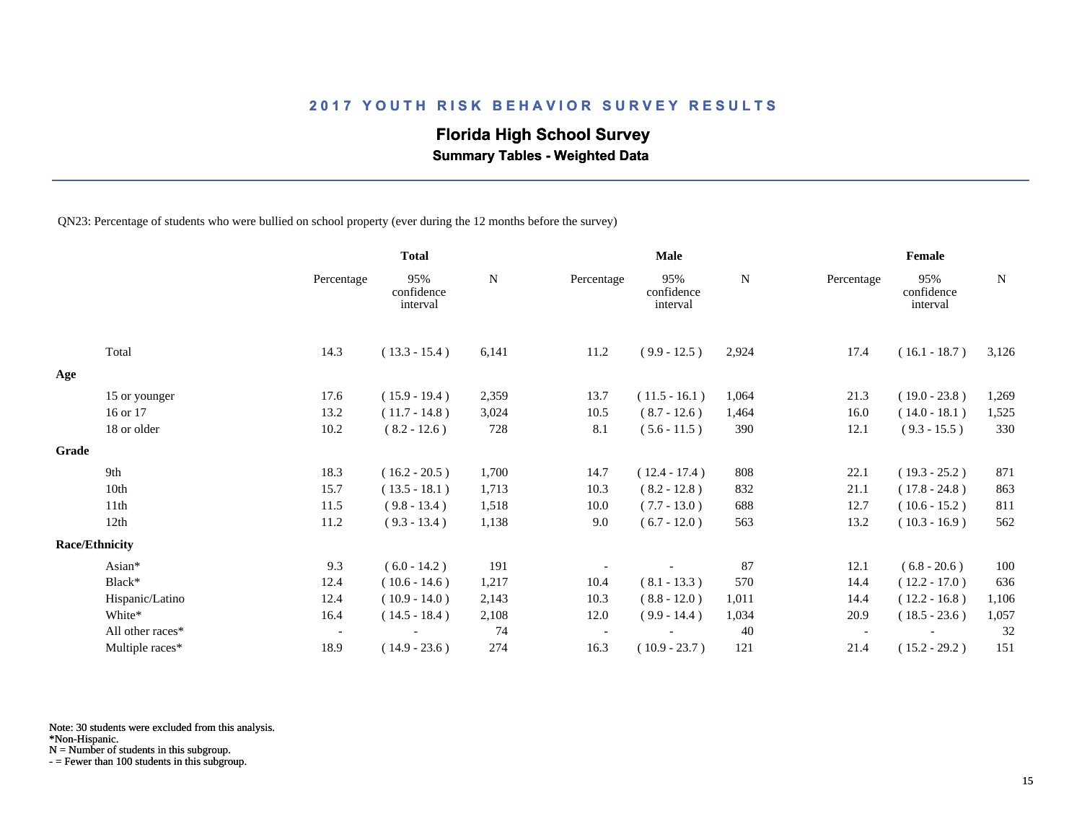## **Florida High School Survey**

 **Summary Tables - Weighted Data**

QN23: Percentage of students who were bullied on school property (ever during the 12 months before the survey)

|                       |                  |                          | <b>Total</b>                  |       |            | <b>Male</b>                   |       |            | Female                        |       |
|-----------------------|------------------|--------------------------|-------------------------------|-------|------------|-------------------------------|-------|------------|-------------------------------|-------|
|                       |                  | Percentage               | 95%<br>confidence<br>interval | N     | Percentage | 95%<br>confidence<br>interval | N     | Percentage | 95%<br>confidence<br>interval | N     |
|                       | Total            | 14.3                     | $(13.3 - 15.4)$               | 6,141 | 11.2       | $(9.9 - 12.5)$                | 2,924 | 17.4       | $(16.1 - 18.7)$               | 3,126 |
| Age                   |                  |                          |                               |       |            |                               |       |            |                               |       |
|                       | 15 or younger    | 17.6                     | $(15.9 - 19.4)$               | 2,359 | 13.7       | $(11.5 - 16.1)$               | 1,064 | 21.3       | $(19.0 - 23.8)$               | 1,269 |
|                       | 16 or 17         | 13.2                     | $(11.7 - 14.8)$               | 3,024 | 10.5       | $(8.7 - 12.6)$                | 1,464 | 16.0       | $(14.0 - 18.1)$               | 1,525 |
|                       | 18 or older      | 10.2                     | $(8.2 - 12.6)$                | 728   | 8.1        | $(5.6 - 11.5)$                | 390   | 12.1       | $(9.3 - 15.5)$                | 330   |
| Grade                 |                  |                          |                               |       |            |                               |       |            |                               |       |
|                       | 9th              | 18.3                     | $(16.2 - 20.5)$               | 1,700 | 14.7       | $(12.4 - 17.4)$               | 808   | 22.1       | $(19.3 - 25.2)$               | 871   |
|                       | 10th             | 15.7                     | $(13.5 - 18.1)$               | 1,713 | 10.3       | $(8.2 - 12.8)$                | 832   | 21.1       | $(17.8 - 24.8)$               | 863   |
|                       | 11th             | 11.5                     | $(9.8 - 13.4)$                | 1,518 | 10.0       | $(7.7 - 13.0)$                | 688   | 12.7       | $(10.6 - 15.2)$               | 811   |
|                       | 12th             | 11.2                     | $(9.3 - 13.4)$                | 1,138 | 9.0        | $(6.7 - 12.0)$                | 563   | 13.2       | $(10.3 - 16.9)$               | 562   |
| <b>Race/Ethnicity</b> |                  |                          |                               |       |            |                               |       |            |                               |       |
|                       | Asian*           | 9.3                      | $(6.0 - 14.2)$                | 191   |            |                               | 87    | 12.1       | $(6.8 - 20.6)$                | 100   |
|                       | Black*           | 12.4                     | $(10.6 - 14.6)$               | 1,217 | 10.4       | $(8.1 - 13.3)$                | 570   | 14.4       | $(12.2 - 17.0)$               | 636   |
|                       | Hispanic/Latino  | 12.4                     | $(10.9 - 14.0)$               | 2,143 | 10.3       | $(8.8 - 12.0)$                | 1,011 | 14.4       | $(12.2 - 16.8)$               | 1,106 |
|                       | White*           | 16.4                     | $(14.5 - 18.4)$               | 2,108 | 12.0       | $(9.9 - 14.4)$                | 1,034 | 20.9       | $(18.5 - 23.6)$               | 1,057 |
|                       | All other races* | $\overline{\phantom{a}}$ |                               | 74    |            |                               | 40    |            |                               | 32    |
|                       | Multiple races*  | 18.9                     | $(14.9 - 23.6)$               | 274   | 16.3       | $(10.9 - 23.7)$               | 121   | 21.4       | $(15.2 - 29.2)$               | 151   |

Note: 30 students were excluded from this analysis.

\*Non-Hispanic.

N = Number of students in this subgroup.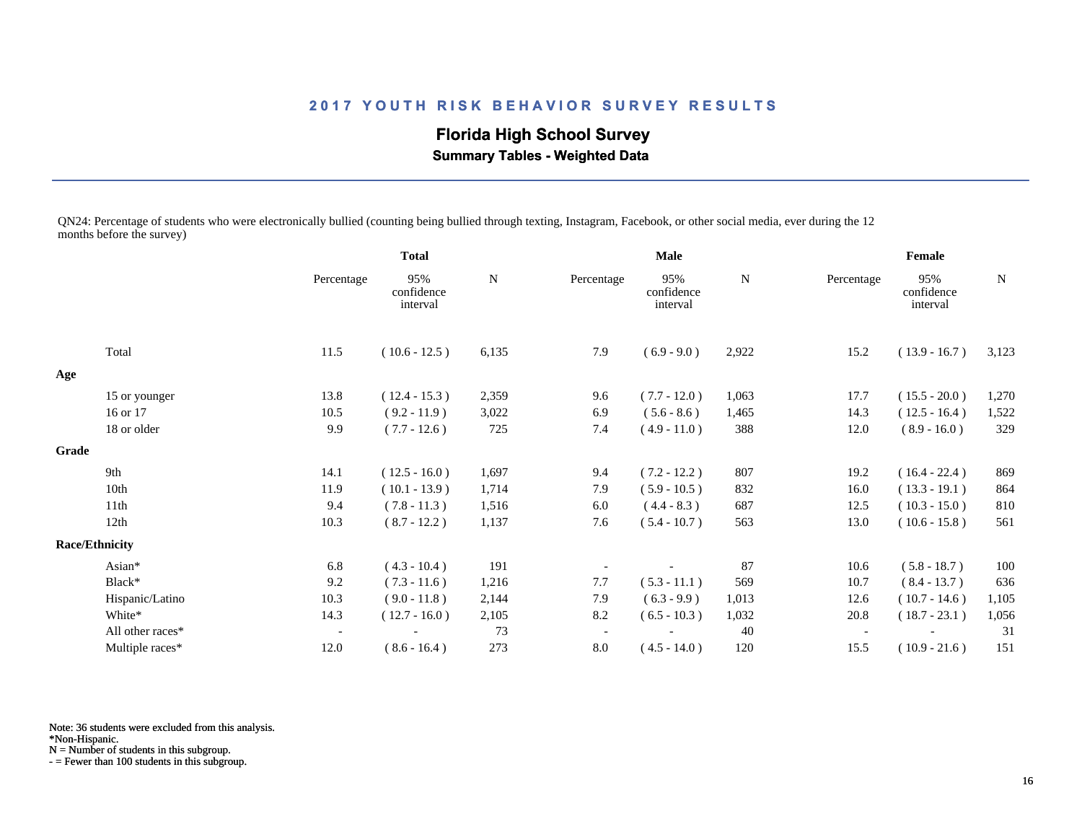**Florida High School Survey**

 **Summary Tables - Weighted Data**

QN24: Percentage of students who were electronically bullied (counting being bullied through texting, Instagram, Facebook, or other social media, ever during the 12 months before the survey)

|                  |                          | <b>Total</b>                  |             | Male                     |                               |       | Female                   |                               |             |
|------------------|--------------------------|-------------------------------|-------------|--------------------------|-------------------------------|-------|--------------------------|-------------------------------|-------------|
|                  | Percentage               | 95%<br>confidence<br>interval | $\mathbf N$ | Percentage               | 95%<br>confidence<br>interval | N     | Percentage               | 95%<br>confidence<br>interval | $\mathbf N$ |
| Total            | 11.5                     | $(10.6 - 12.5)$               | 6,135       | 7.9                      | $(6.9 - 9.0)$                 | 2,922 | 15.2                     | $(13.9 - 16.7)$               | 3,123       |
|                  |                          |                               |             |                          |                               |       |                          |                               |             |
| 15 or younger    | 13.8                     | $(12.4 - 15.3)$               | 2,359       | 9.6                      | $(7.7 - 12.0)$                | 1,063 | 17.7                     | $(15.5 - 20.0)$               | 1,270       |
| 16 or 17         | 10.5                     | $(9.2 - 11.9)$                | 3,022       | 6.9                      | $(5.6 - 8.6)$                 | 1,465 | 14.3                     | $(12.5 - 16.4)$               | 1,522       |
| 18 or older      | 9.9                      | $(7.7 - 12.6)$                | 725         | 7.4                      | $(4.9 - 11.0)$                | 388   | 12.0                     | $(8.9 - 16.0)$                | 329         |
|                  |                          |                               |             |                          |                               |       |                          |                               |             |
| 9th              | 14.1                     | $(12.5 - 16.0)$               | 1,697       | 9.4                      | $(7.2 - 12.2)$                | 807   | 19.2                     | $(16.4 - 22.4)$               | 869         |
| 10th             | 11.9                     | $(10.1 - 13.9)$               | 1,714       | 7.9                      | $(5.9 - 10.5)$                | 832   | 16.0                     | $(13.3 - 19.1)$               | 864         |
| 11th             | 9.4                      | $(7.8 - 11.3)$                | 1,516       | 6.0                      | $(4.4 - 8.3)$                 | 687   | 12.5                     | $(10.3 - 15.0)$               | 810         |
| 12th             | 10.3                     | $(8.7 - 12.2)$                | 1,137       | 7.6                      | $(5.4 - 10.7)$                | 563   | 13.0                     | $(10.6 - 15.8)$               | 561         |
|                  |                          |                               |             |                          |                               |       |                          |                               |             |
| Asian*           | 6.8                      | $(4.3 - 10.4)$                | 191         |                          |                               | 87    | 10.6                     | $(5.8 - 18.7)$                | 100         |
| Black*           | 9.2                      | $(7.3 - 11.6)$                | 1,216       | 7.7                      | $(5.3 - 11.1)$                | 569   | 10.7                     | $(8.4 - 13.7)$                | 636         |
| Hispanic/Latino  | 10.3                     | $(9.0 - 11.8)$                | 2,144       | 7.9                      | $(6.3 - 9.9)$                 | 1,013 | 12.6                     | $(10.7 - 14.6)$               | 1,105       |
| White*           | 14.3                     | $(12.7 - 16.0)$               | 2,105       | 8.2                      | $(6.5 - 10.3)$                | 1,032 | 20.8                     | $(18.7 - 23.1)$               | 1,056       |
| All other races* | $\overline{\phantom{a}}$ |                               | 73          | $\overline{\phantom{a}}$ |                               | 40    | $\overline{\phantom{a}}$ |                               | 31          |
| Multiple races*  | 12.0                     | $(8.6 - 16.4)$                | 273         | 8.0                      | $(4.5 - 14.0)$                | 120   | 15.5                     | $(10.9 - 21.6)$               | 151         |
|                  | <b>Race/Ethnicity</b>    |                               |             |                          |                               |       |                          |                               |             |

Note: 36 students were excluded from this analysis.

\*Non-Hispanic.

N = Number of students in this subgroup.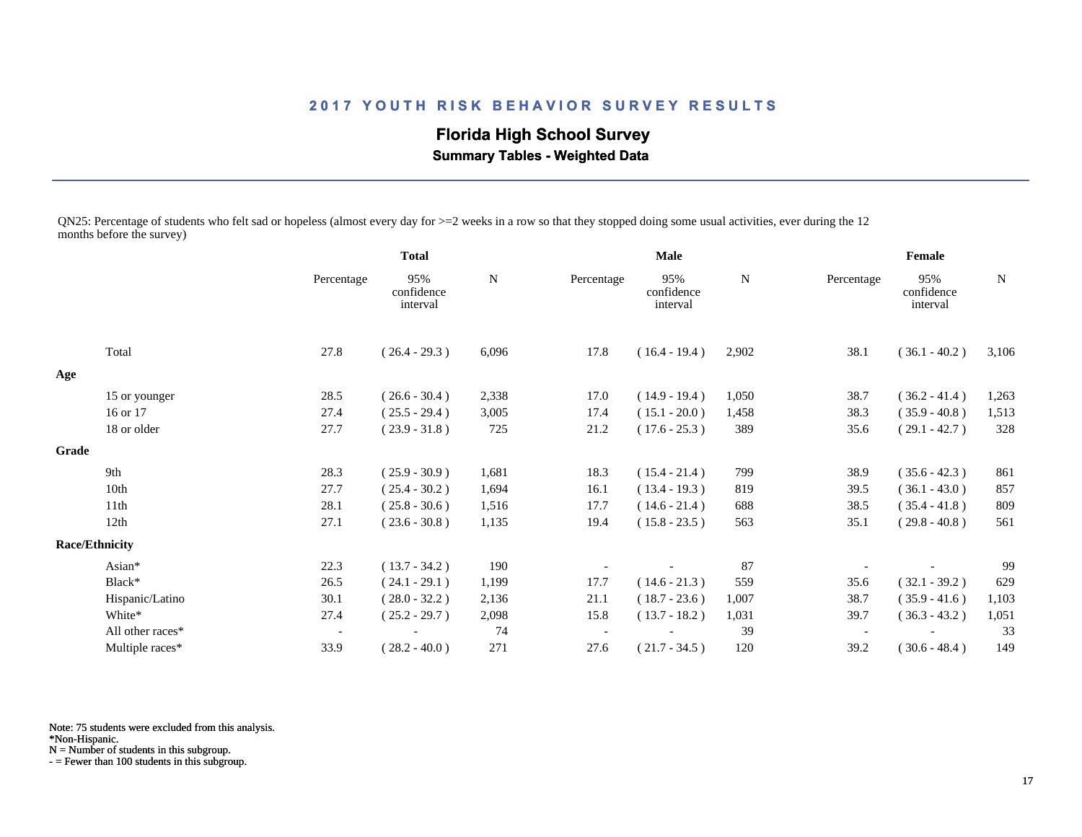**Florida High School Survey**

 **Summary Tables - Weighted Data**

QN25: Percentage of students who felt sad or hopeless (almost every day for >=2 weeks in a row so that they stopped doing some usual activities, ever during the 12 months before the survey)

|       |                       |                          | <b>Total</b>                  |       | <b>Male</b> |                               |       | Female     |                               |       |
|-------|-----------------------|--------------------------|-------------------------------|-------|-------------|-------------------------------|-------|------------|-------------------------------|-------|
|       |                       | Percentage               | 95%<br>confidence<br>interval | N     | Percentage  | 95%<br>confidence<br>interval | N     | Percentage | 95%<br>confidence<br>interval | N     |
|       | Total                 | 27.8                     | $(26.4 - 29.3)$               | 6,096 | 17.8        | $(16.4 - 19.4)$               | 2,902 | 38.1       | $(36.1 - 40.2)$               | 3,106 |
| Age   |                       |                          |                               |       |             |                               |       |            |                               |       |
|       | 15 or younger         | 28.5                     | $(26.6 - 30.4)$               | 2,338 | 17.0        | $(14.9 - 19.4)$               | 1,050 | 38.7       | $(36.2 - 41.4)$               | 1,263 |
|       | 16 or 17              | 27.4                     | $(25.5 - 29.4)$               | 3,005 | 17.4        | $(15.1 - 20.0)$               | 1,458 | 38.3       | $(35.9 - 40.8)$               | 1,513 |
|       | 18 or older           | 27.7                     | $(23.9 - 31.8)$               | 725   | 21.2        | $(17.6 - 25.3)$               | 389   | 35.6       | $(29.1 - 42.7)$               | 328   |
| Grade |                       |                          |                               |       |             |                               |       |            |                               |       |
|       | 9th                   | 28.3                     | $(25.9 - 30.9)$               | 1,681 | 18.3        | $(15.4 - 21.4)$               | 799   | 38.9       | $(35.6 - 42.3)$               | 861   |
|       | 10th                  | 27.7                     | $(25.4 - 30.2)$               | 1,694 | 16.1        | $(13.4 - 19.3)$               | 819   | 39.5       | $(36.1 - 43.0)$               | 857   |
|       | 11 <sup>th</sup>      | 28.1                     | $(25.8 - 30.6)$               | 1,516 | 17.7        | $(14.6 - 21.4)$               | 688   | 38.5       | $(35.4 - 41.8)$               | 809   |
|       | 12th                  | 27.1                     | $(23.6 - 30.8)$               | 1,135 | 19.4        | $(15.8 - 23.5)$               | 563   | 35.1       | $(29.8 - 40.8)$               | 561   |
|       | <b>Race/Ethnicity</b> |                          |                               |       |             |                               |       |            |                               |       |
|       | Asian*                | 22.3                     | $(13.7 - 34.2)$               | 190   |             |                               | 87    |            |                               | 99    |
|       | Black*                | 26.5                     | $(24.1 - 29.1)$               | 1,199 | 17.7        | $(14.6 - 21.3)$               | 559   | 35.6       | $(32.1 - 39.2)$               | 629   |
|       | Hispanic/Latino       | 30.1                     | $(28.0 - 32.2)$               | 2,136 | 21.1        | $(18.7 - 23.6)$               | 1,007 | 38.7       | $(35.9 - 41.6)$               | 1,103 |
|       | White*                | 27.4                     | $(25.2 - 29.7)$               | 2,098 | 15.8        | $(13.7 - 18.2)$               | 1,031 | 39.7       | $(36.3 - 43.2)$               | 1,051 |
|       | All other races*      | $\overline{\phantom{a}}$ |                               | 74    |             |                               | 39    |            |                               | 33    |
|       | Multiple races*       | 33.9                     | $(28.2 - 40.0)$               | 271   | 27.6        | $(21.7 - 34.5)$               | 120   | 39.2       | $(30.6 - 48.4)$               | 149   |

Note: 75 students were excluded from this analysis.

\*Non-Hispanic.

N = Number of students in this subgroup.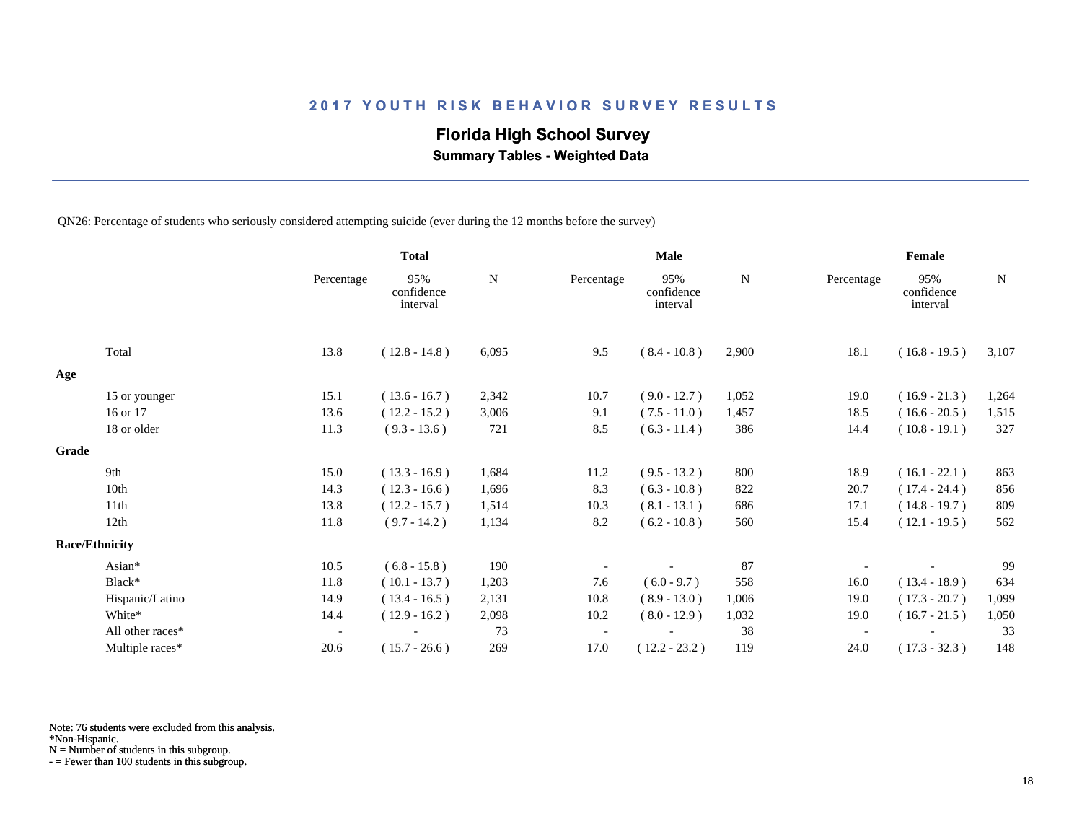## **Florida High School Survey**

 **Summary Tables - Weighted Data**

QN26: Percentage of students who seriously considered attempting suicide (ever during the 12 months before the survey)

|       |                       |                          | <b>Total</b>                  |       |            | <b>Male</b>                   |       |            | Female                        |             |
|-------|-----------------------|--------------------------|-------------------------------|-------|------------|-------------------------------|-------|------------|-------------------------------|-------------|
|       |                       | Percentage               | 95%<br>confidence<br>interval | N     | Percentage | 95%<br>confidence<br>interval | N     | Percentage | 95%<br>confidence<br>interval | $\mathbf N$ |
|       | Total                 | 13.8                     | $(12.8 - 14.8)$               | 6,095 | 9.5        | $(8.4 - 10.8)$                | 2,900 | 18.1       | $(16.8 - 19.5)$               | 3,107       |
| Age   |                       |                          |                               |       |            |                               |       |            |                               |             |
|       | 15 or younger         | 15.1                     | $(13.6 - 16.7)$               | 2,342 | 10.7       | $(9.0 - 12.7)$                | 1,052 | 19.0       | $(16.9 - 21.3)$               | 1,264       |
|       | 16 or 17              | 13.6                     | $(12.2 - 15.2)$               | 3,006 | 9.1        | $(7.5 - 11.0)$                | 1,457 | 18.5       | $(16.6 - 20.5)$               | 1,515       |
|       | 18 or older           | 11.3                     | $(9.3 - 13.6)$                | 721   | 8.5        | $(6.3 - 11.4)$                | 386   | 14.4       | $(10.8 - 19.1)$               | 327         |
| Grade |                       |                          |                               |       |            |                               |       |            |                               |             |
|       | 9th                   | 15.0                     | $(13.3 - 16.9)$               | 1,684 | 11.2       | $(9.5 - 13.2)$                | 800   | 18.9       | $(16.1 - 22.1)$               | 863         |
|       | 10th                  | 14.3                     | $(12.3 - 16.6)$               | 1,696 | 8.3        | $(6.3 - 10.8)$                | 822   | 20.7       | $(17.4 - 24.4)$               | 856         |
|       | 11th                  | 13.8                     | $(12.2 - 15.7)$               | 1,514 | 10.3       | $(8.1 - 13.1)$                | 686   | 17.1       | $(14.8 - 19.7)$               | 809         |
|       | 12th                  | 11.8                     | $(9.7 - 14.2)$                | 1,134 | 8.2        | $(6.2 - 10.8)$                | 560   | 15.4       | $(12.1 - 19.5)$               | 562         |
|       | <b>Race/Ethnicity</b> |                          |                               |       |            |                               |       |            |                               |             |
|       | Asian*                | 10.5                     | $(6.8 - 15.8)$                | 190   |            |                               | 87    |            |                               | 99          |
|       | Black*                | 11.8                     | $(10.1 - 13.7)$               | 1,203 | 7.6        | $(6.0 - 9.7)$                 | 558   | 16.0       | $(13.4 - 18.9)$               | 634         |
|       | Hispanic/Latino       | 14.9                     | $(13.4 - 16.5)$               | 2,131 | 10.8       | $(8.9 - 13.0)$                | 1,006 | 19.0       | $(17.3 - 20.7)$               | 1,099       |
|       | White*                | 14.4                     | $(12.9 - 16.2)$               | 2,098 | 10.2       | $(8.0 - 12.9)$                | 1,032 | 19.0       | $(16.7 - 21.5)$               | 1,050       |
|       | All other races*      | $\overline{\phantom{a}}$ |                               | 73    |            |                               | 38    |            |                               | 33          |
|       | Multiple races*       | 20.6                     | $(15.7 - 26.6)$               | 269   | 17.0       | $(12.2 - 23.2)$               | 119   | 24.0       | $(17.3 - 32.3)$               | 148         |

Note: 76 students were excluded from this analysis.

\*Non-Hispanic.

N = Number of students in this subgroup.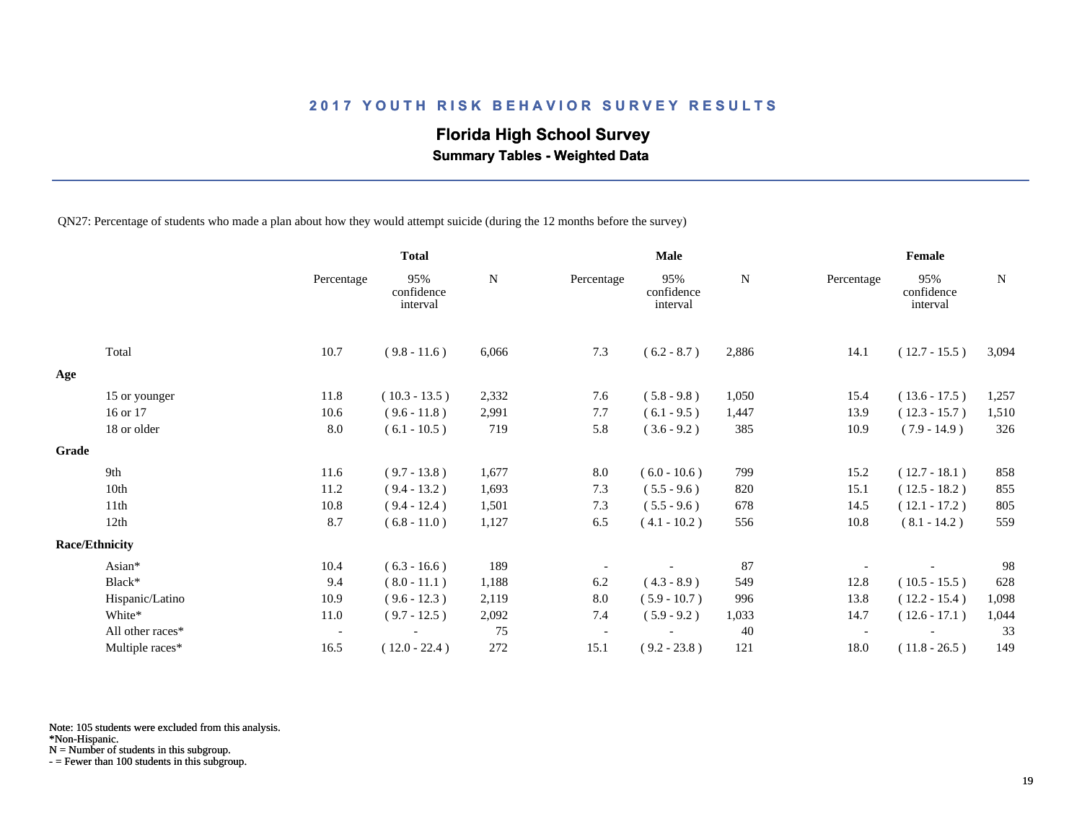## **Florida High School Survey**

 **Summary Tables - Weighted Data**

QN27: Percentage of students who made a plan about how they would attempt suicide (during the 12 months before the survey)

|       |                       |                          | <b>Total</b>                  |           |            | <b>Male</b>                   |           |            | Female                        |             |
|-------|-----------------------|--------------------------|-------------------------------|-----------|------------|-------------------------------|-----------|------------|-------------------------------|-------------|
|       |                       | Percentage               | 95%<br>confidence<br>interval | ${\bf N}$ | Percentage | 95%<br>confidence<br>interval | ${\bf N}$ | Percentage | 95%<br>confidence<br>interval | $\mathbf N$ |
|       | Total                 | 10.7                     | $(9.8 - 11.6)$                | 6,066     | 7.3        | $(6.2 - 8.7)$                 | 2,886     | 14.1       | $(12.7 - 15.5)$               | 3,094       |
| Age   |                       |                          |                               |           |            |                               |           |            |                               |             |
|       | 15 or younger         | 11.8                     | $(10.3 - 13.5)$               | 2,332     | 7.6        | $(5.8 - 9.8)$                 | 1,050     | 15.4       | $(13.6 - 17.5)$               | 1,257       |
|       | 16 or 17              | 10.6                     | $(9.6 - 11.8)$                | 2,991     | 7.7        | $(6.1 - 9.5)$                 | 1,447     | 13.9       | $(12.3 - 15.7)$               | 1,510       |
|       | 18 or older           | 8.0                      | $(6.1 - 10.5)$                | 719       | 5.8        | $(3.6 - 9.2)$                 | 385       | 10.9       | $(7.9 - 14.9)$                | 326         |
| Grade |                       |                          |                               |           |            |                               |           |            |                               |             |
|       | 9th                   | 11.6                     | $(9.7 - 13.8)$                | 1,677     | 8.0        | $(6.0 - 10.6)$                | 799       | 15.2       | $(12.7 - 18.1)$               | 858         |
|       | 10th                  | 11.2                     | $(9.4 - 13.2)$                | 1,693     | 7.3        | $(5.5 - 9.6)$                 | 820       | 15.1       | $(12.5 - 18.2)$               | 855         |
|       | 11th                  | 10.8                     | $(9.4 - 12.4)$                | 1,501     | 7.3        | $(5.5 - 9.6)$                 | 678       | 14.5       | $(12.1 - 17.2)$               | 805         |
|       | 12th                  | 8.7                      | $(6.8 - 11.0)$                | 1,127     | 6.5        | $(4.1 - 10.2)$                | 556       | 10.8       | $(8.1 - 14.2)$                | 559         |
|       | <b>Race/Ethnicity</b> |                          |                               |           |            |                               |           |            |                               |             |
|       | Asian*                | 10.4                     | $(6.3 - 16.6)$                | 189       |            |                               | 87        |            |                               | 98          |
|       | Black*                | 9.4                      | $(8.0 - 11.1)$                | 1,188     | 6.2        | $(4.3 - 8.9)$                 | 549       | 12.8       | $(10.5 - 15.5)$               | 628         |
|       | Hispanic/Latino       | 10.9                     | $(9.6 - 12.3)$                | 2,119     | 8.0        | $(5.9 - 10.7)$                | 996       | 13.8       | $(12.2 - 15.4)$               | 1,098       |
|       | White*                | 11.0                     | $(9.7 - 12.5)$                | 2,092     | 7.4        | $(5.9 - 9.2)$                 | 1,033     | 14.7       | $(12.6 - 17.1)$               | 1,044       |
|       | All other races*      | $\overline{\phantom{a}}$ |                               | 75        |            |                               | 40        |            |                               | 33          |
|       | Multiple races*       | 16.5                     | $(12.0 - 22.4)$               | 272       | 15.1       | $(9.2 - 23.8)$                | 121       | 18.0       | $(11.8 - 26.5)$               | 149         |

Note: 105 students were excluded from this analysis.

N = Number of students in this subgroup.

<sup>\*</sup>Non-Hispanic.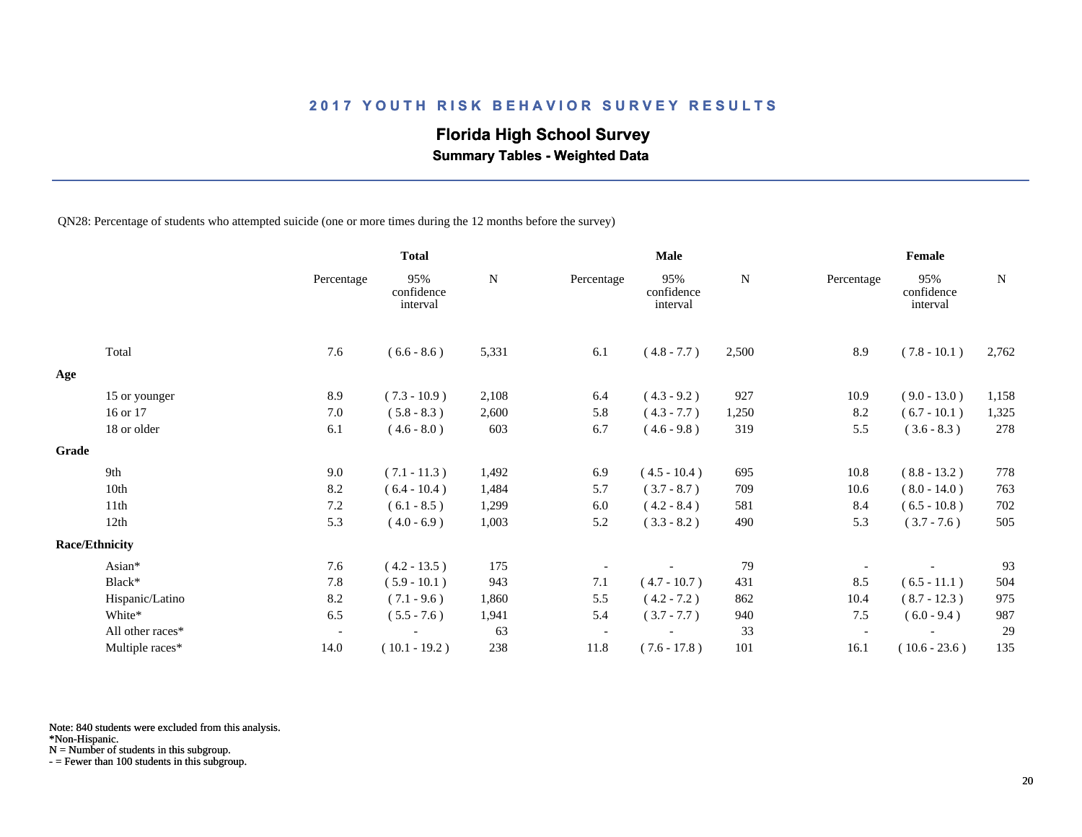## **Florida High School Survey**

 **Summary Tables - Weighted Data**

QN28: Percentage of students who attempted suicide (one or more times during the 12 months before the survey)

|       |                       |                          | <b>Total</b>                  |       |            | <b>Male</b>                   |       |                          | Female                        |       |
|-------|-----------------------|--------------------------|-------------------------------|-------|------------|-------------------------------|-------|--------------------------|-------------------------------|-------|
|       |                       | Percentage               | 95%<br>confidence<br>interval | N     | Percentage | 95%<br>confidence<br>interval | N     | Percentage               | 95%<br>confidence<br>interval | N     |
|       | Total                 | 7.6                      | $(6.6 - 8.6)$                 | 5,331 | 6.1        | $(4.8 - 7.7)$                 | 2,500 | 8.9                      | $(7.8 - 10.1)$                | 2,762 |
| Age   |                       |                          |                               |       |            |                               |       |                          |                               |       |
|       | 15 or younger         | 8.9                      | $(7.3 - 10.9)$                | 2,108 | 6.4        | $(4.3 - 9.2)$                 | 927   | 10.9                     | $(9.0 - 13.0)$                | 1,158 |
|       | 16 or 17              | 7.0                      | $(5.8 - 8.3)$                 | 2,600 | 5.8        | $(4.3 - 7.7)$                 | 1,250 | 8.2                      | $(6.7 - 10.1)$                | 1,325 |
|       | 18 or older           | 6.1                      | $(4.6 - 8.0)$                 | 603   | 6.7        | $(4.6 - 9.8)$                 | 319   | 5.5                      | $(3.6 - 8.3)$                 | 278   |
| Grade |                       |                          |                               |       |            |                               |       |                          |                               |       |
|       | 9th                   | 9.0                      | $(7.1 - 11.3)$                | 1,492 | 6.9        | $(4.5 - 10.4)$                | 695   | 10.8                     | $(8.8 - 13.2)$                | 778   |
|       | 10th                  | 8.2                      | $(6.4 - 10.4)$                | 1,484 | 5.7        | $(3.7 - 8.7)$                 | 709   | 10.6                     | $(8.0 - 14.0)$                | 763   |
|       | 11th                  | 7.2                      | $(6.1 - 8.5)$                 | 1,299 | 6.0        | $(4.2 - 8.4)$                 | 581   | 8.4                      | $(6.5 - 10.8)$                | 702   |
|       | 12th                  | 5.3                      | $(4.0 - 6.9)$                 | 1,003 | 5.2        | $(3.3 - 8.2)$                 | 490   | 5.3                      | $(3.7 - 7.6)$                 | 505   |
|       | <b>Race/Ethnicity</b> |                          |                               |       |            |                               |       |                          |                               |       |
|       | Asian*                | 7.6                      | $(4.2 - 13.5)$                | 175   |            |                               | 79    |                          |                               | 93    |
|       | Black*                | 7.8                      | $(5.9 - 10.1)$                | 943   | 7.1        | $(4.7 - 10.7)$                | 431   | 8.5                      | $(6.5 - 11.1)$                | 504   |
|       | Hispanic/Latino       | 8.2                      | $(7.1 - 9.6)$                 | 1,860 | 5.5        | $(4.2 - 7.2)$                 | 862   | 10.4                     | $(8.7 - 12.3)$                | 975   |
|       | White*                | 6.5                      | $(5.5 - 7.6)$                 | 1,941 | 5.4        | $(3.7 - 7.7)$                 | 940   | 7.5                      | $(6.0 - 9.4)$                 | 987   |
|       | All other races*      | $\overline{\phantom{a}}$ |                               | 63    |            |                               | 33    | $\overline{\phantom{a}}$ |                               | 29    |
|       | Multiple races*       | 14.0                     | $(10.1 - 19.2)$               | 238   | 11.8       | $(7.6 - 17.8)$                | 101   | 16.1                     | $(10.6 - 23.6)$               | 135   |

Note: 840 students were excluded from this analysis.

\*Non-Hispanic.

N = Number of students in this subgroup.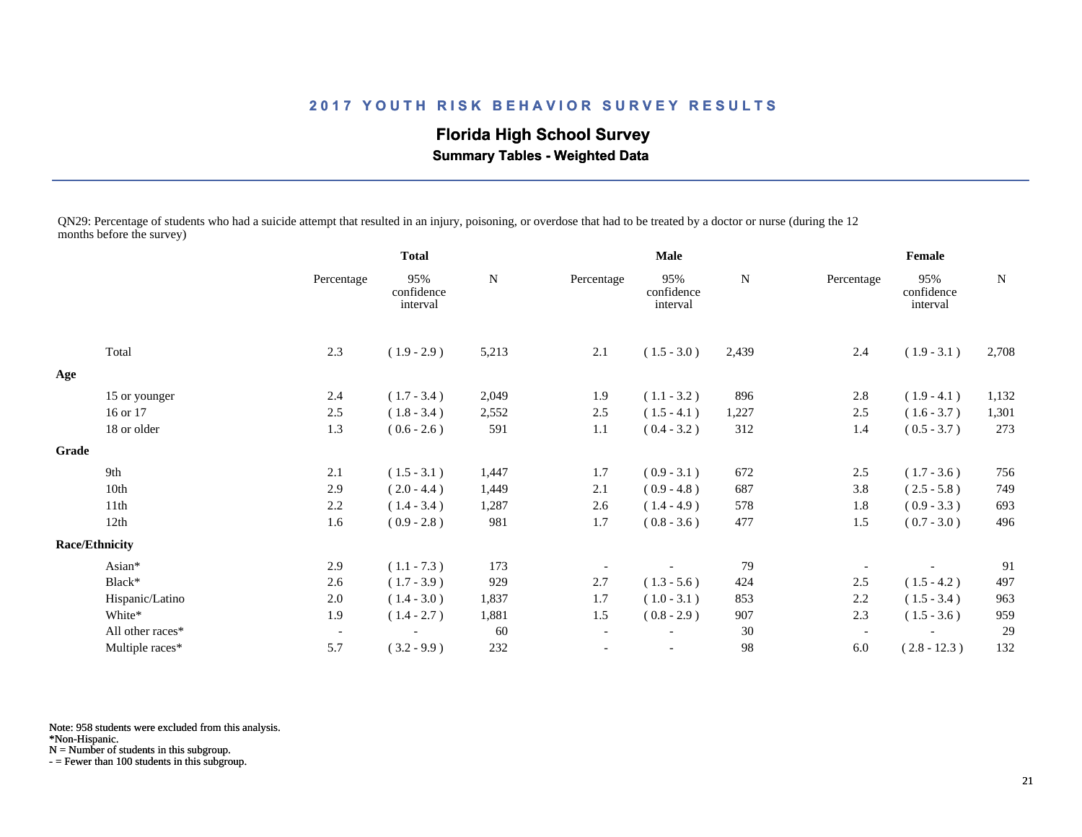**Florida High School Survey Summary Tables - Weighted Data**

QN29: Percentage of students who had a suicide attempt that resulted in an injury, poisoning, or overdose that had to be treated by a doctor or nurse (during the 12 months before the survey)

|                       |                  |                          | <b>Total</b>                  |       | <b>Male</b>              |                               |             | Female                   |                               |       |
|-----------------------|------------------|--------------------------|-------------------------------|-------|--------------------------|-------------------------------|-------------|--------------------------|-------------------------------|-------|
|                       |                  | Percentage               | 95%<br>confidence<br>interval | N     | Percentage               | 95%<br>confidence<br>interval | $\mathbf N$ | Percentage               | 95%<br>confidence<br>interval | N     |
|                       | Total            | 2.3                      | $(1.9 - 2.9)$                 | 5,213 | 2.1                      | $(1.5 - 3.0)$                 | 2,439       | 2.4                      | $(1.9 - 3.1)$                 | 2,708 |
| Age                   |                  |                          |                               |       |                          |                               |             |                          |                               |       |
|                       | 15 or younger    | 2.4                      | $(1.7 - 3.4)$                 | 2,049 | 1.9                      | $(1.1 - 3.2)$                 | 896         | 2.8                      | $(1.9 - 4.1)$                 | 1,132 |
|                       | 16 or 17         | 2.5                      | $(1.8 - 3.4)$                 | 2,552 | 2.5                      | $(1.5 - 4.1)$                 | 1,227       | 2.5                      | $(1.6 - 3.7)$                 | 1,301 |
|                       | 18 or older      | 1.3                      | $(0.6 - 2.6)$                 | 591   | 1.1                      | $(0.4 - 3.2)$                 | 312         | 1.4                      | $(0.5 - 3.7)$                 | 273   |
| Grade                 |                  |                          |                               |       |                          |                               |             |                          |                               |       |
|                       | 9th              | 2.1                      | $(1.5 - 3.1)$                 | 1,447 | 1.7                      | $(0.9 - 3.1)$                 | 672         | 2.5                      | $(1.7 - 3.6)$                 | 756   |
|                       | 10th             | 2.9                      | $(2.0 - 4.4)$                 | 1,449 | 2.1                      | $(0.9 - 4.8)$                 | 687         | 3.8                      | $(2.5 - 5.8)$                 | 749   |
|                       | 11th             | 2.2                      | $(1.4 - 3.4)$                 | 1,287 | 2.6                      | $(1.4 - 4.9)$                 | 578         | 1.8                      | $(0.9 - 3.3)$                 | 693   |
|                       | 12th             | 1.6                      | $(0.9 - 2.8)$                 | 981   | 1.7                      | $(0.8 - 3.6)$                 | 477         | 1.5                      | $(0.7 - 3.0)$                 | 496   |
| <b>Race/Ethnicity</b> |                  |                          |                               |       |                          |                               |             |                          |                               |       |
|                       | Asian*           | 2.9                      | $(1.1 - 7.3)$                 | 173   |                          |                               | 79          |                          |                               | 91    |
|                       | Black*           | 2.6                      | $(1.7 - 3.9)$                 | 929   | 2.7                      | $(1.3 - 5.6)$                 | 424         | 2.5                      | $(1.5 - 4.2)$                 | 497   |
|                       | Hispanic/Latino  | $2.0\,$                  | $(1.4 - 3.0)$                 | 1,837 | 1.7                      | $(1.0 - 3.1)$                 | 853         | 2.2                      | $(1.5 - 3.4)$                 | 963   |
|                       | White*           | 1.9                      | $(1.4 - 2.7)$                 | 1,881 | 1.5                      | $(0.8 - 2.9)$                 | 907         | 2.3                      | $(1.5 - 3.6)$                 | 959   |
|                       | All other races* | $\overline{\phantom{a}}$ |                               | 60    | $\overline{\phantom{a}}$ |                               | 30          | $\overline{\phantom{a}}$ |                               | 29    |
|                       | Multiple races*  | 5.7                      | $(3.2 - 9.9)$                 | 232   |                          |                               | 98          | 6.0                      | $(2.8 - 12.3)$                | 132   |

Note: 958 students were excluded from this analysis.

\*Non-Hispanic.

N = Number of students in this subgroup.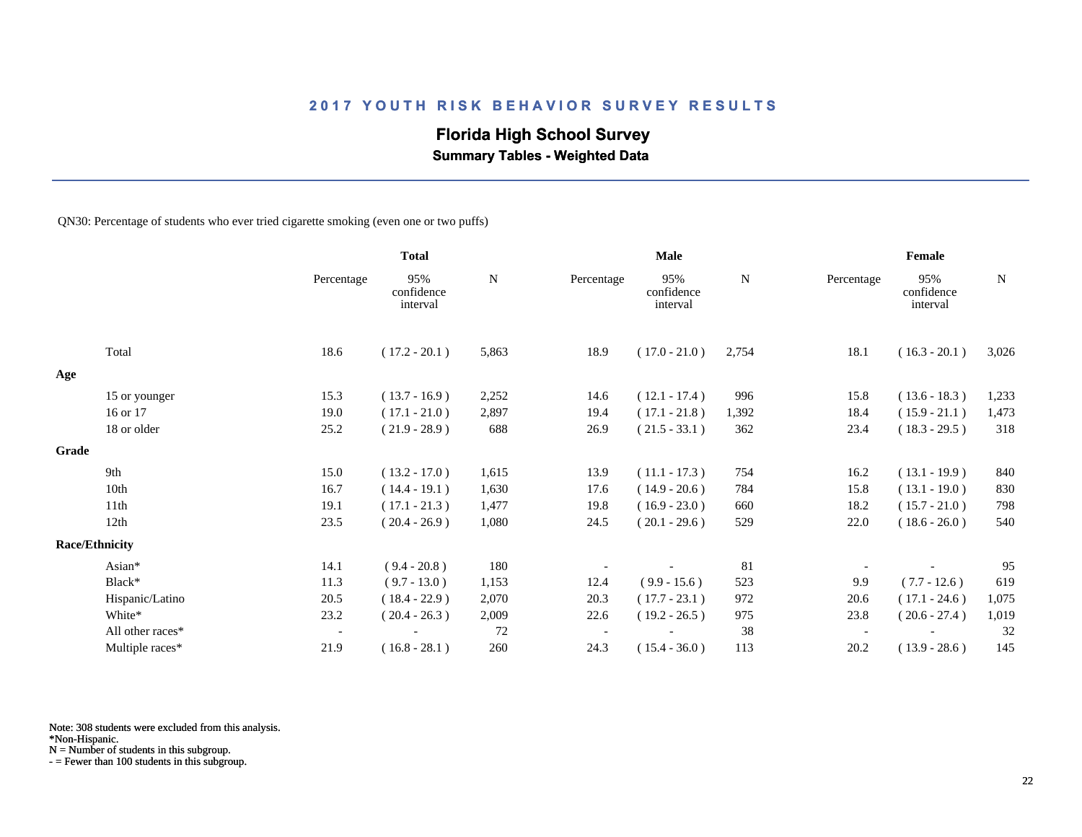## **Florida High School Survey**

 **Summary Tables - Weighted Data**

QN30: Percentage of students who ever tried cigarette smoking (even one or two puffs)

|       |                       |            | <b>Total</b>                  |       |            | <b>Male</b>                   |             |            | Female                        |             |
|-------|-----------------------|------------|-------------------------------|-------|------------|-------------------------------|-------------|------------|-------------------------------|-------------|
|       |                       | Percentage | 95%<br>confidence<br>interval | N     | Percentage | 95%<br>confidence<br>interval | $\mathbf N$ | Percentage | 95%<br>confidence<br>interval | $\mathbf N$ |
|       | Total                 | 18.6       | $(17.2 - 20.1)$               | 5,863 | 18.9       | $(17.0 - 21.0)$               | 2,754       | 18.1       | $(16.3 - 20.1)$               | 3,026       |
| Age   |                       |            |                               |       |            |                               |             |            |                               |             |
|       | 15 or younger         | 15.3       | $(13.7 - 16.9)$               | 2,252 | 14.6       | $(12.1 - 17.4)$               | 996         | 15.8       | $(13.6 - 18.3)$               | 1,233       |
|       | 16 or 17              | 19.0       | $(17.1 - 21.0)$               | 2,897 | 19.4       | $(17.1 - 21.8)$               | 1,392       | 18.4       | $(15.9 - 21.1)$               | 1,473       |
|       | 18 or older           | 25.2       | $(21.9 - 28.9)$               | 688   | 26.9       | $(21.5 - 33.1)$               | 362         | 23.4       | $(18.3 - 29.5)$               | 318         |
| Grade |                       |            |                               |       |            |                               |             |            |                               |             |
|       | 9th                   | 15.0       | $(13.2 - 17.0)$               | 1,615 | 13.9       | $(11.1 - 17.3)$               | 754         | 16.2       | $(13.1 - 19.9)$               | 840         |
|       | 10th                  | 16.7       | $(14.4 - 19.1)$               | 1,630 | 17.6       | $(14.9 - 20.6)$               | 784         | 15.8       | $(13.1 - 19.0)$               | 830         |
|       | 11 <sup>th</sup>      | 19.1       | $(17.1 - 21.3)$               | 1,477 | 19.8       | $(16.9 - 23.0)$               | 660         | 18.2       | $(15.7 - 21.0)$               | 798         |
|       | 12th                  | 23.5       | $(20.4 - 26.9)$               | 1,080 | 24.5       | $(20.1 - 29.6)$               | 529         | 22.0       | $(18.6 - 26.0)$               | 540         |
|       | <b>Race/Ethnicity</b> |            |                               |       |            |                               |             |            |                               |             |
|       | Asian*                | 14.1       | $(9.4 - 20.8)$                | 180   |            |                               | 81          |            |                               | 95          |
|       | Black*                | 11.3       | $(9.7 - 13.0)$                | 1,153 | 12.4       | $(9.9 - 15.6)$                | 523         | 9.9        | $(7.7 - 12.6)$                | 619         |
|       | Hispanic/Latino       | 20.5       | $(18.4 - 22.9)$               | 2,070 | 20.3       | $(17.7 - 23.1)$               | 972         | 20.6       | $(17.1 - 24.6)$               | 1,075       |
|       | White*                | 23.2       | $(20.4 - 26.3)$               | 2,009 | 22.6       | $(19.2 - 26.5)$               | 975         | 23.8       | $(20.6 - 27.4)$               | 1,019       |
|       | All other races*      | $\sim$     |                               | 72    |            |                               | 38          |            |                               | 32          |
|       | Multiple races*       | 21.9       | $(16.8 - 28.1)$               | 260   | 24.3       | $(15.4 - 36.0)$               | 113         | 20.2       | $(13.9 - 28.6)$               | 145         |

Note: 308 students were excluded from this analysis.

N = Number of students in this subgroup.

<sup>\*</sup>Non-Hispanic.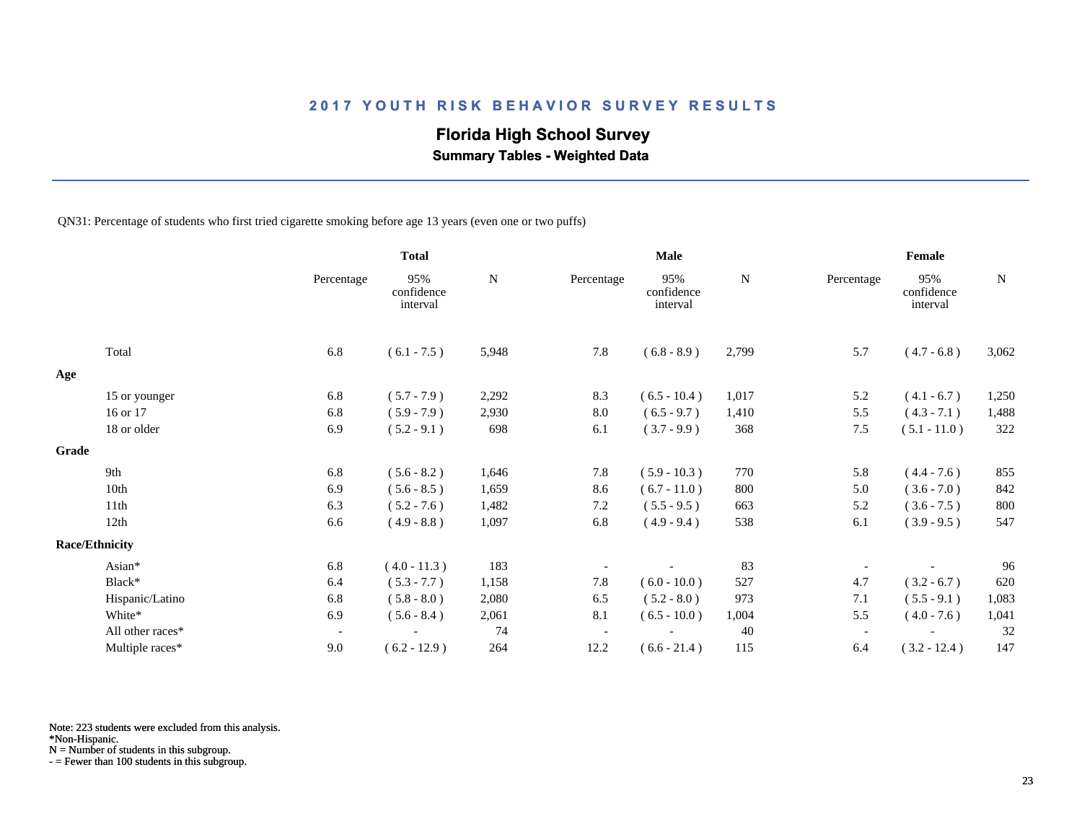## **Florida High School Survey**

 **Summary Tables - Weighted Data**

QN31: Percentage of students who first tried cigarette smoking before age 13 years (even one or two puffs)

|       |                       |                          | <b>Total</b>                  |           |                          | <b>Male</b>                   |           |            | Female                        |           |
|-------|-----------------------|--------------------------|-------------------------------|-----------|--------------------------|-------------------------------|-----------|------------|-------------------------------|-----------|
|       |                       | Percentage               | 95%<br>confidence<br>interval | ${\bf N}$ | Percentage               | 95%<br>confidence<br>interval | ${\bf N}$ | Percentage | 95%<br>confidence<br>interval | ${\bf N}$ |
|       | Total                 | 6.8                      | $(6.1 - 7.5)$                 | 5,948     | 7.8                      | $(6.8 - 8.9)$                 | 2,799     | 5.7        | $(4.7 - 6.8)$                 | 3,062     |
| Age   |                       |                          |                               |           |                          |                               |           |            |                               |           |
|       | 15 or younger         | 6.8                      | $(5.7 - 7.9)$                 | 2,292     | 8.3                      | $(6.5 - 10.4)$                | 1,017     | 5.2        | $(4.1 - 6.7)$                 | 1,250     |
|       | 16 or 17              | 6.8                      | $(5.9 - 7.9)$                 | 2,930     | 8.0                      | $(6.5 - 9.7)$                 | 1,410     | 5.5        | $(4.3 - 7.1)$                 | 1,488     |
|       | 18 or older           | 6.9                      | $(5.2 - 9.1)$                 | 698       | 6.1                      | $(3.7 - 9.9)$                 | 368       | 7.5        | $(5.1 - 11.0)$                | 322       |
| Grade |                       |                          |                               |           |                          |                               |           |            |                               |           |
|       | 9th                   | 6.8                      | $(5.6 - 8.2)$                 | 1,646     | 7.8                      | $(5.9 - 10.3)$                | 770       | 5.8        | $(4.4 - 7.6)$                 | 855       |
|       | 10th                  | 6.9                      | $(5.6 - 8.5)$                 | 1,659     | 8.6                      | $(6.7 - 11.0)$                | 800       | 5.0        | $(3.6 - 7.0)$                 | 842       |
|       | 11th                  | 6.3                      | $(5.2 - 7.6)$                 | 1,482     | 7.2                      | $(5.5 - 9.5)$                 | 663       | 5.2        | $(3.6 - 7.5)$                 | 800       |
|       | 12th                  | 6.6                      | $(4.9 - 8.8)$                 | 1,097     | 6.8                      | $(4.9 - 9.4)$                 | 538       | 6.1        | $(3.9 - 9.5)$                 | 547       |
|       | <b>Race/Ethnicity</b> |                          |                               |           |                          |                               |           |            |                               |           |
|       | Asian*                | 6.8                      | $(4.0 - 11.3)$                | 183       |                          |                               | 83        |            |                               | 96        |
|       | Black*                | 6.4                      | $(5.3 - 7.7)$                 | 1,158     | 7.8                      | $(6.0 - 10.0)$                | 527       | 4.7        | $(3.2 - 6.7)$                 | 620       |
|       | Hispanic/Latino       | 6.8                      | $(5.8 - 8.0)$                 | 2,080     | 6.5                      | $(5.2 - 8.0)$                 | 973       | 7.1        | $(5.5 - 9.1)$                 | 1,083     |
|       | White*                | 6.9                      | $(5.6 - 8.4)$                 | 2,061     | 8.1                      | $(6.5 - 10.0)$                | 1,004     | 5.5        | $(4.0 - 7.6)$                 | 1,041     |
|       | All other races*      | $\overline{\phantom{a}}$ |                               | 74        | $\overline{\phantom{a}}$ |                               | 40        |            |                               | 32        |
|       | Multiple races*       | 9.0                      | $(6.2 - 12.9)$                | 264       | 12.2                     | $(6.6 - 21.4)$                | 115       | 6.4        | $(3.2 - 12.4)$                | 147       |

Note: 223 students were excluded from this analysis.

\*Non-Hispanic.

N = Number of students in this subgroup.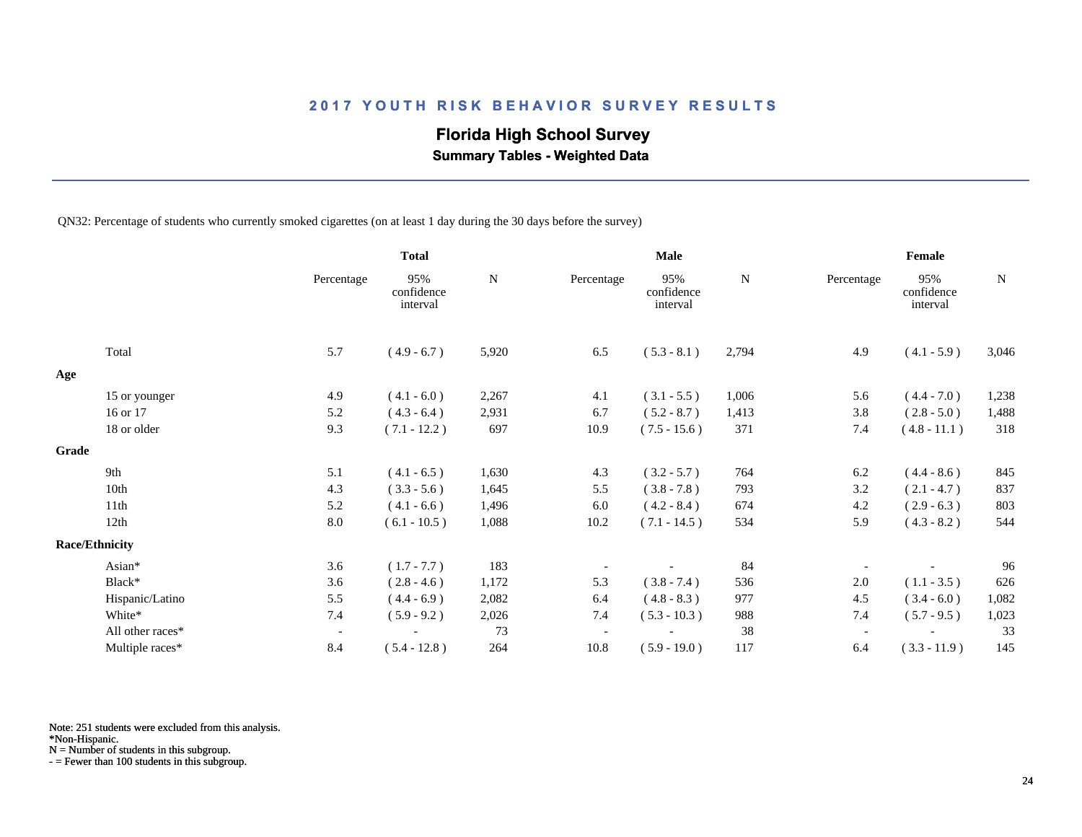## **Florida High School Survey**

 **Summary Tables - Weighted Data**

QN32: Percentage of students who currently smoked cigarettes (on at least 1 day during the 30 days before the survey)

|                       |                  |                          | <b>Total</b>                  |       |            | <b>Male</b>                   |       |                          | Female                        |             |
|-----------------------|------------------|--------------------------|-------------------------------|-------|------------|-------------------------------|-------|--------------------------|-------------------------------|-------------|
|                       |                  | Percentage               | 95%<br>confidence<br>interval | N     | Percentage | 95%<br>confidence<br>interval | N     | Percentage               | 95%<br>confidence<br>interval | $\mathbf N$ |
|                       | Total            | 5.7                      | $(4.9 - 6.7)$                 | 5,920 | 6.5        | $(5.3 - 8.1)$                 | 2,794 | 4.9                      | $(4.1 - 5.9)$                 | 3,046       |
| Age                   |                  |                          |                               |       |            |                               |       |                          |                               |             |
|                       | 15 or younger    | 4.9                      | $(4.1 - 6.0)$                 | 2,267 | 4.1        | $(3.1 - 5.5)$                 | 1,006 | 5.6                      | $(4.4 - 7.0)$                 | 1,238       |
|                       | 16 or 17         | 5.2                      | $(4.3 - 6.4)$                 | 2,931 | 6.7        | $(5.2 - 8.7)$                 | 1,413 | 3.8                      | $(2.8 - 5.0)$                 | 1,488       |
|                       | 18 or older      | 9.3                      | $(7.1 - 12.2)$                | 697   | 10.9       | $(7.5 - 15.6)$                | 371   | 7.4                      | $(4.8 - 11.1)$                | 318         |
| Grade                 |                  |                          |                               |       |            |                               |       |                          |                               |             |
|                       | 9th              | 5.1                      | $(4.1 - 6.5)$                 | 1,630 | 4.3        | $(3.2 - 5.7)$                 | 764   | 6.2                      | $(4.4 - 8.6)$                 | 845         |
|                       | 10th             | 4.3                      | $(3.3 - 5.6)$                 | 1,645 | 5.5        | $(3.8 - 7.8)$                 | 793   | 3.2                      | $(2.1 - 4.7)$                 | 837         |
|                       | 11th             | 5.2                      | $(4.1 - 6.6)$                 | 1,496 | 6.0        | $(4.2 - 8.4)$                 | 674   | 4.2                      | $(2.9 - 6.3)$                 | 803         |
|                       | 12th             | 8.0                      | $(6.1 - 10.5)$                | 1,088 | 10.2       | $(7.1 - 14.5)$                | 534   | 5.9                      | $(4.3 - 8.2)$                 | 544         |
| <b>Race/Ethnicity</b> |                  |                          |                               |       |            |                               |       |                          |                               |             |
|                       | Asian*           | 3.6                      | $(1.7 - 7.7)$                 | 183   |            |                               | 84    |                          |                               | 96          |
|                       | Black*           | 3.6                      | $(2.8 - 4.6)$                 | 1,172 | 5.3        | $(3.8 - 7.4)$                 | 536   | 2.0                      | $(1.1 - 3.5)$                 | 626         |
|                       | Hispanic/Latino  | 5.5                      | $(4.4 - 6.9)$                 | 2,082 | 6.4        | $(4.8 - 8.3)$                 | 977   | 4.5                      | $(3.4 - 6.0)$                 | 1,082       |
|                       | White*           | 7.4                      | $(5.9 - 9.2)$                 | 2,026 | 7.4        | $(5.3 - 10.3)$                | 988   | 7.4                      | $(5.7 - 9.5)$                 | 1,023       |
|                       | All other races* | $\overline{\phantom{a}}$ |                               | 73    |            |                               | 38    | $\overline{\phantom{a}}$ |                               | 33          |
|                       | Multiple races*  | 8.4                      | $(5.4 - 12.8)$                | 264   | 10.8       | $(5.9 - 19.0)$                | 117   | 6.4                      | $(3.3 - 11.9)$                | 145         |

Note: 251 students were excluded from this analysis.

N = Number of students in this subgroup.

<sup>\*</sup>Non-Hispanic.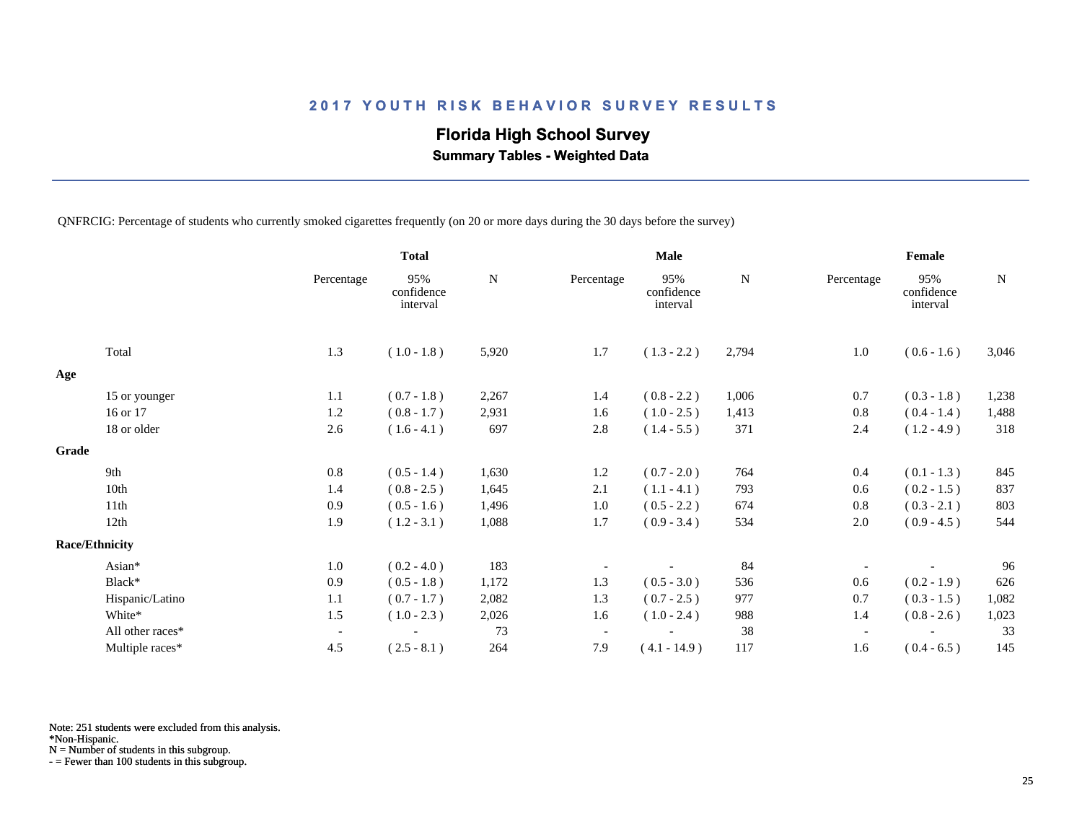## **Florida High School Survey**

 **Summary Tables - Weighted Data**

QNFRCIG: Percentage of students who currently smoked cigarettes frequently (on 20 or more days during the 30 days before the survey)

|                       |                  |                          | <b>Total</b>                  |             |                          | Male                          |       |                          | Female                        |       |
|-----------------------|------------------|--------------------------|-------------------------------|-------------|--------------------------|-------------------------------|-------|--------------------------|-------------------------------|-------|
|                       |                  | Percentage               | 95%<br>confidence<br>interval | $\mathbf N$ | Percentage               | 95%<br>confidence<br>interval | N     | Percentage               | 95%<br>confidence<br>interval | N     |
|                       | Total            | 1.3                      | $(1.0 - 1.8)$                 | 5,920       | 1.7                      | $(1.3 - 2.2)$                 | 2,794 | 1.0                      | $(0.6 - 1.6)$                 | 3,046 |
| Age                   |                  |                          |                               |             |                          |                               |       |                          |                               |       |
|                       | 15 or younger    | 1.1                      | $(0.7 - 1.8)$                 | 2,267       | 1.4                      | $(0.8 - 2.2)$                 | 1,006 | 0.7                      | $(0.3 - 1.8)$                 | 1,238 |
|                       | 16 or 17         | 1.2                      | $(0.8 - 1.7)$                 | 2,931       | 1.6                      | $(1.0 - 2.5)$                 | 1,413 | 0.8                      | $(0.4 - 1.4)$                 | 1,488 |
|                       | 18 or older      | 2.6                      | $(1.6 - 4.1)$                 | 697         | 2.8                      | $(1.4 - 5.5)$                 | 371   | 2.4                      | $(1.2 - 4.9)$                 | 318   |
| Grade                 |                  |                          |                               |             |                          |                               |       |                          |                               |       |
|                       | 9th              | 0.8                      | $(0.5 - 1.4)$                 | 1,630       | 1.2                      | $(0.7 - 2.0)$                 | 764   | 0.4                      | $(0.1 - 1.3)$                 | 845   |
|                       | 10th             | 1.4                      | $(0.8 - 2.5)$                 | 1,645       | 2.1                      | $(1.1 - 4.1)$                 | 793   | 0.6                      | $(0.2 - 1.5)$                 | 837   |
|                       | 11th             | 0.9                      | $(0.5 - 1.6)$                 | 1,496       | 1.0                      | $(0.5 - 2.2)$                 | 674   | 0.8                      | $(0.3 - 2.1)$                 | 803   |
|                       | 12th             | 1.9                      | $(1.2 - 3.1)$                 | 1,088       | 1.7                      | $(0.9 - 3.4)$                 | 534   | $2.0\,$                  | $(0.9 - 4.5)$                 | 544   |
| <b>Race/Ethnicity</b> |                  |                          |                               |             |                          |                               |       |                          |                               |       |
|                       | Asian*           | 1.0                      | $(0.2 - 4.0)$                 | 183         |                          |                               | 84    |                          |                               | 96    |
|                       | Black*           | 0.9                      | $(0.5 - 1.8)$                 | 1,172       | 1.3                      | $(0.5 - 3.0)$                 | 536   | 0.6                      | $(0.2 - 1.9)$                 | 626   |
|                       | Hispanic/Latino  | 1.1                      | $(0.7 - 1.7)$                 | 2,082       | 1.3                      | $(0.7 - 2.5)$                 | 977   | 0.7                      | $(0.3 - 1.5)$                 | 1,082 |
|                       | White*           | 1.5                      | $(1.0 - 2.3)$                 | 2,026       | 1.6                      | $(1.0 - 2.4)$                 | 988   | 1.4                      | $(0.8 - 2.6)$                 | 1,023 |
|                       | All other races* | $\overline{\phantom{a}}$ |                               | 73          | $\overline{\phantom{a}}$ |                               | 38    | $\overline{\phantom{a}}$ |                               | 33    |
|                       | Multiple races*  | 4.5                      | $(2.5 - 8.1)$                 | 264         | 7.9                      | $(4.1 - 14.9)$                | 117   | 1.6                      | $(0.4 - 6.5)$                 | 145   |

Note: 251 students were excluded from this analysis.

\*Non-Hispanic.

N = Number of students in this subgroup.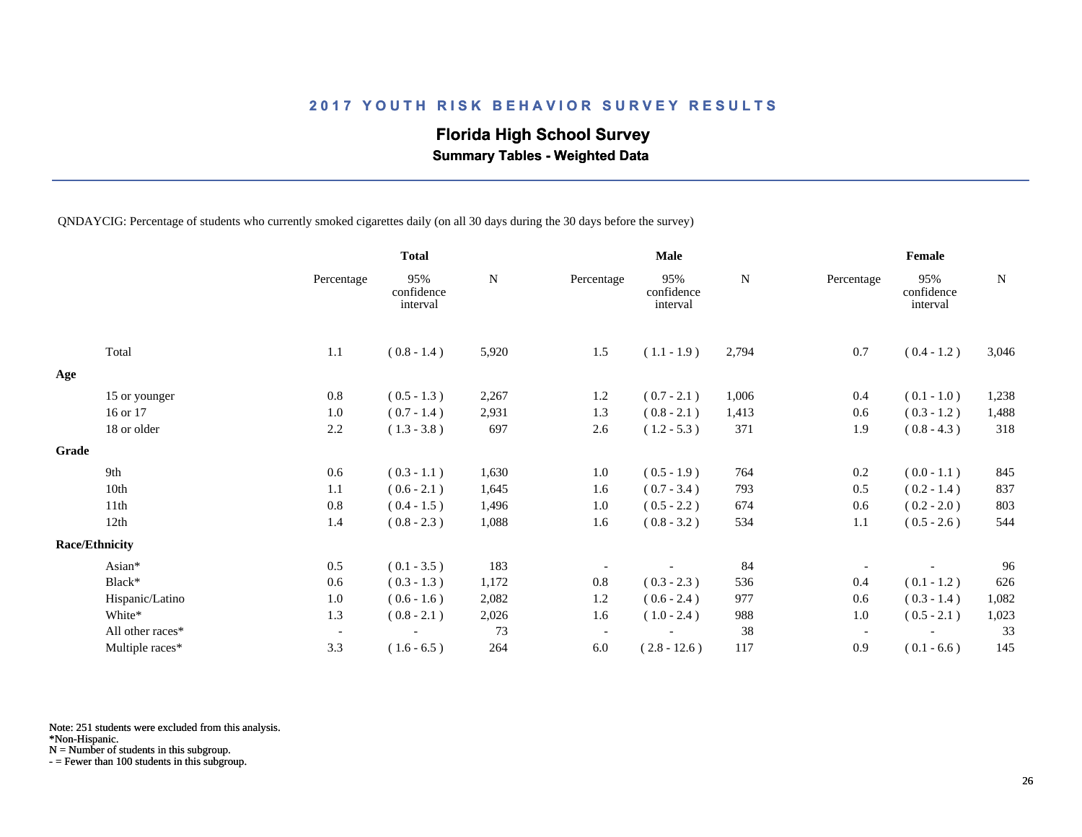## **Florida High School Survey**

 **Summary Tables - Weighted Data**

QNDAYCIG: Percentage of students who currently smoked cigarettes daily (on all 30 days during the 30 days before the survey)

|       |                       |                          | <b>Total</b>                  |           |                          | <b>Male</b>                   |           |                          | Female                        |           |
|-------|-----------------------|--------------------------|-------------------------------|-----------|--------------------------|-------------------------------|-----------|--------------------------|-------------------------------|-----------|
|       |                       | Percentage               | 95%<br>confidence<br>interval | ${\bf N}$ | Percentage               | 95%<br>confidence<br>interval | ${\bf N}$ | Percentage               | 95%<br>confidence<br>interval | ${\bf N}$ |
|       | Total                 | 1.1                      | $(0.8 - 1.4)$                 | 5,920     | 1.5                      | $(1.1 - 1.9)$                 | 2,794     | 0.7                      | $(0.4 - 1.2)$                 | 3,046     |
| Age   |                       |                          |                               |           |                          |                               |           |                          |                               |           |
|       | 15 or younger         | 0.8                      | $(0.5 - 1.3)$                 | 2,267     | $1.2\,$                  | $(0.7 - 2.1)$                 | 1,006     | 0.4                      | $(0.1 - 1.0)$                 | 1,238     |
|       | 16 or 17              | 1.0                      | $(0.7 - 1.4)$                 | 2,931     | 1.3                      | $(0.8 - 2.1)$                 | 1,413     | 0.6                      | $(0.3 - 1.2)$                 | 1,488     |
|       | 18 or older           | 2.2                      | $(1.3 - 3.8)$                 | 697       | 2.6                      | $(1.2 - 5.3)$                 | 371       | 1.9                      | $(0.8 - 4.3)$                 | 318       |
| Grade |                       |                          |                               |           |                          |                               |           |                          |                               |           |
|       | 9th                   | 0.6                      | $(0.3 - 1.1)$                 | 1,630     | 1.0                      | $(0.5 - 1.9)$                 | 764       | 0.2                      | $(0.0 - 1.1)$                 | 845       |
|       | 10th                  | 1.1                      | $(0.6 - 2.1)$                 | 1,645     | 1.6                      | $(0.7 - 3.4)$                 | 793       | 0.5                      | $(0.2 - 1.4)$                 | 837       |
|       | 11th                  | 0.8                      | $(0.4 - 1.5)$                 | 1,496     | 1.0                      | $(0.5 - 2.2)$                 | 674       | 0.6                      | $(0.2 - 2.0)$                 | 803       |
|       | 12th                  | 1.4                      | $(0.8 - 2.3)$                 | 1,088     | 1.6                      | $(0.8 - 3.2)$                 | 534       | 1.1                      | $(0.5 - 2.6)$                 | 544       |
|       | <b>Race/Ethnicity</b> |                          |                               |           |                          |                               |           |                          |                               |           |
|       | Asian*                | 0.5                      | $(0.1 - 3.5)$                 | 183       |                          |                               | 84        |                          |                               | 96        |
|       | Black*                | 0.6                      | $(0.3 - 1.3)$                 | 1,172     | 0.8                      | $(0.3 - 2.3)$                 | 536       | 0.4                      | $(0.1 - 1.2)$                 | 626       |
|       | Hispanic/Latino       | 1.0                      | $(0.6 - 1.6)$                 | 2,082     | 1.2                      | $(0.6 - 2.4)$                 | 977       | 0.6                      | $(0.3 - 1.4)$                 | 1,082     |
|       | White*                | 1.3                      | $(0.8 - 2.1)$                 | 2,026     | 1.6                      | $(1.0 - 2.4)$                 | 988       | 1.0                      | $(0.5 - 2.1)$                 | 1,023     |
|       | All other races*      | $\overline{\phantom{a}}$ |                               | 73        | $\overline{\phantom{a}}$ |                               | 38        | $\overline{\phantom{a}}$ |                               | 33        |
|       | Multiple races*       | 3.3                      | $(1.6 - 6.5)$                 | 264       | 6.0                      | $(2.8 - 12.6)$                | 117       | 0.9                      | $(0.1 - 6.6)$                 | 145       |

Note: 251 students were excluded from this analysis.

\*Non-Hispanic.

N = Number of students in this subgroup.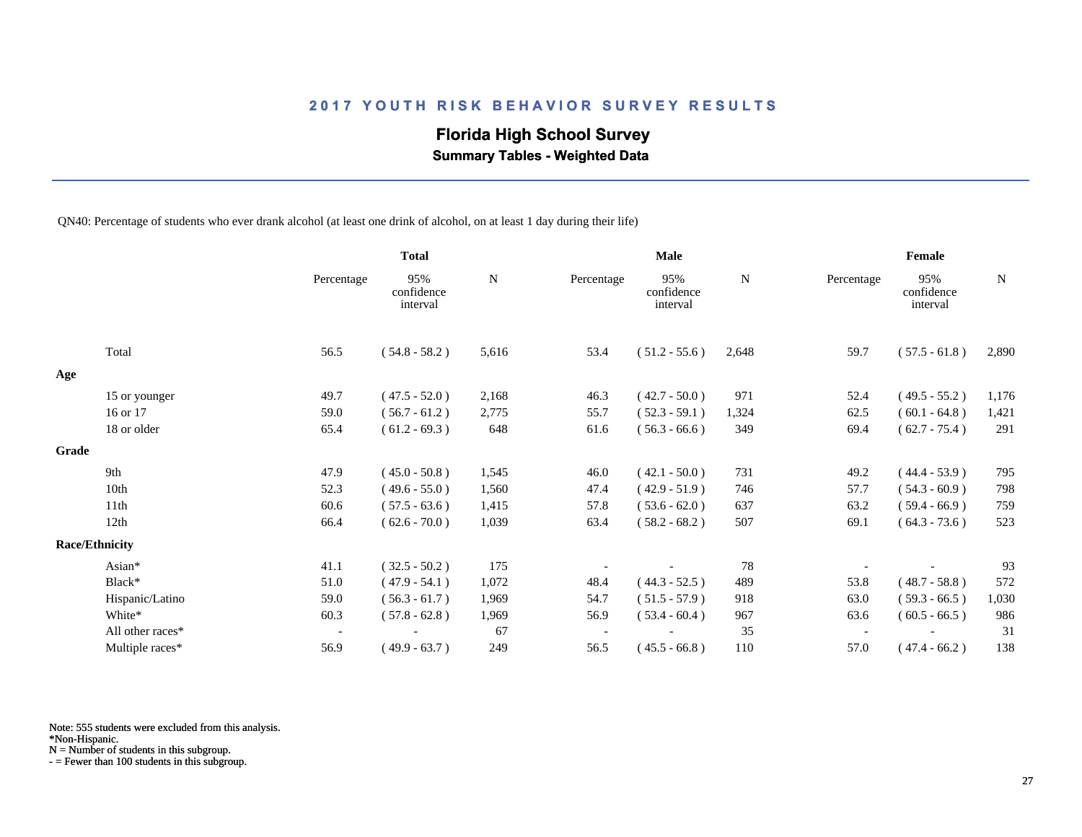## **Florida High School Survey**

 **Summary Tables - Weighted Data**

QN40: Percentage of students who ever drank alcohol (at least one drink of alcohol, on at least 1 day during their life)

|       |                       |                          | <b>Total</b>                  |       |            | <b>Male</b>                   |       |            | Female                        |             |
|-------|-----------------------|--------------------------|-------------------------------|-------|------------|-------------------------------|-------|------------|-------------------------------|-------------|
|       |                       | Percentage               | 95%<br>confidence<br>interval | N     | Percentage | 95%<br>confidence<br>interval | N     | Percentage | 95%<br>confidence<br>interval | $\mathbf N$ |
|       | Total                 | 56.5                     | $(54.8 - 58.2)$               | 5,616 | 53.4       | $(51.2 - 55.6)$               | 2,648 | 59.7       | $(57.5 - 61.8)$               | 2,890       |
| Age   |                       |                          |                               |       |            |                               |       |            |                               |             |
|       | 15 or younger         | 49.7                     | $(47.5 - 52.0)$               | 2,168 | 46.3       | $(42.7 - 50.0)$               | 971   | 52.4       | $(49.5 - 55.2)$               | 1,176       |
|       | 16 or 17              | 59.0                     | $(56.7 - 61.2)$               | 2,775 | 55.7       | $(52.3 - 59.1)$               | 1,324 | 62.5       | $(60.1 - 64.8)$               | 1,421       |
|       | 18 or older           | 65.4                     | $(61.2 - 69.3)$               | 648   | 61.6       | $(56.3 - 66.6)$               | 349   | 69.4       | $(62.7 - 75.4)$               | 291         |
| Grade |                       |                          |                               |       |            |                               |       |            |                               |             |
|       | 9th                   | 47.9                     | $(45.0 - 50.8)$               | 1,545 | 46.0       | $(42.1 - 50.0)$               | 731   | 49.2       | $(44.4 - 53.9)$               | 795         |
|       | 10th                  | 52.3                     | $(49.6 - 55.0)$               | 1,560 | 47.4       | $(42.9 - 51.9)$               | 746   | 57.7       | $(54.3 - 60.9)$               | 798         |
|       | 11th                  | 60.6                     | $(57.5 - 63.6)$               | 1,415 | 57.8       | $(53.6 - 62.0)$               | 637   | 63.2       | $(59.4 - 66.9)$               | 759         |
|       | 12th                  | 66.4                     | $(62.6 - 70.0)$               | 1,039 | 63.4       | $(58.2 - 68.2)$               | 507   | 69.1       | $(64.3 - 73.6)$               | 523         |
|       | <b>Race/Ethnicity</b> |                          |                               |       |            |                               |       |            |                               |             |
|       | Asian*                | 41.1                     | $(32.5 - 50.2)$               | 175   |            |                               | 78    |            |                               | 93          |
|       | Black*                | 51.0                     | $(47.9 - 54.1)$               | 1,072 | 48.4       | $(44.3 - 52.5)$               | 489   | 53.8       | $(48.7 - 58.8)$               | 572         |
|       | Hispanic/Latino       | 59.0                     | $(56.3 - 61.7)$               | 1,969 | 54.7       | $(51.5 - 57.9)$               | 918   | 63.0       | $(59.3 - 66.5)$               | 1,030       |
|       | White*                | 60.3                     | $(57.8 - 62.8)$               | 1,969 | 56.9       | $(53.4 - 60.4)$               | 967   | 63.6       | $(60.5 - 66.5)$               | 986         |
|       | All other races*      | $\overline{\phantom{a}}$ |                               | 67    |            |                               | 35    |            |                               | 31          |
|       | Multiple races*       | 56.9                     | $(49.9 - 63.7)$               | 249   | 56.5       | $(45.5 - 66.8)$               | 110   | 57.0       | $(47.4 - 66.2)$               | 138         |

Note: 555 students were excluded from this analysis.

N = Number of students in this subgroup.

<sup>\*</sup>Non-Hispanic.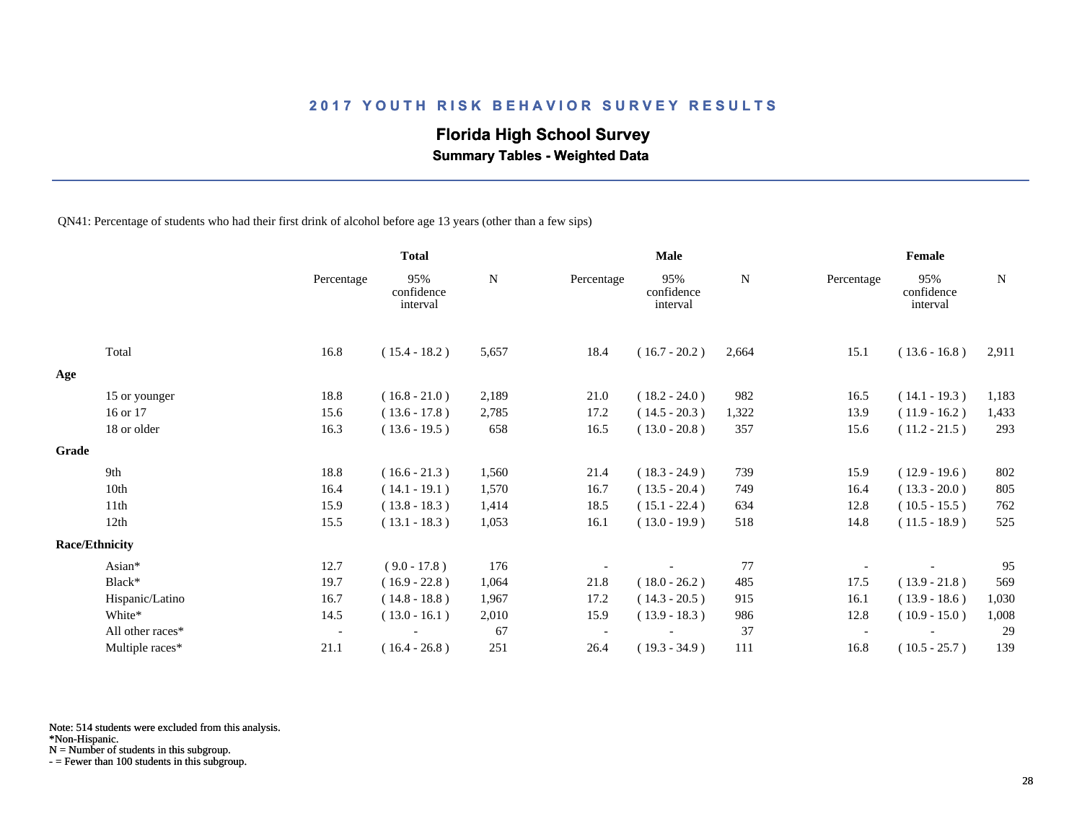## **Florida High School Survey**

 **Summary Tables - Weighted Data**

QN41: Percentage of students who had their first drink of alcohol before age 13 years (other than a few sips)

|       |                       |                          | <b>Total</b>                  |       |            | <b>Male</b>                   |       |            | Female                        |             |
|-------|-----------------------|--------------------------|-------------------------------|-------|------------|-------------------------------|-------|------------|-------------------------------|-------------|
|       |                       | Percentage               | 95%<br>confidence<br>interval | N     | Percentage | 95%<br>confidence<br>interval | N     | Percentage | 95%<br>confidence<br>interval | $\mathbf N$ |
|       | Total                 | 16.8                     | $(15.4 - 18.2)$               | 5,657 | 18.4       | $(16.7 - 20.2)$               | 2,664 | 15.1       | $(13.6 - 16.8)$               | 2,911       |
| Age   |                       |                          |                               |       |            |                               |       |            |                               |             |
|       | 15 or younger         | 18.8                     | $(16.8 - 21.0)$               | 2,189 | 21.0       | $(18.2 - 24.0)$               | 982   | 16.5       | $(14.1 - 19.3)$               | 1,183       |
|       | 16 or 17              | 15.6                     | $(13.6 - 17.8)$               | 2,785 | 17.2       | $(14.5 - 20.3)$               | 1,322 | 13.9       | $(11.9 - 16.2)$               | 1,433       |
|       | 18 or older           | 16.3                     | $(13.6 - 19.5)$               | 658   | 16.5       | $(13.0 - 20.8)$               | 357   | 15.6       | $(11.2 - 21.5)$               | 293         |
| Grade |                       |                          |                               |       |            |                               |       |            |                               |             |
|       | 9th                   | 18.8                     | $(16.6 - 21.3)$               | 1,560 | 21.4       | $(18.3 - 24.9)$               | 739   | 15.9       | $(12.9 - 19.6)$               | 802         |
|       | 10th                  | 16.4                     | $(14.1 - 19.1)$               | 1,570 | 16.7       | $(13.5 - 20.4)$               | 749   | 16.4       | $(13.3 - 20.0)$               | 805         |
|       | 11th                  | 15.9                     | $(13.8 - 18.3)$               | 1,414 | 18.5       | $(15.1 - 22.4)$               | 634   | 12.8       | $(10.5 - 15.5)$               | 762         |
|       | 12th                  | 15.5                     | $(13.1 - 18.3)$               | 1,053 | 16.1       | $(13.0 - 19.9)$               | 518   | 14.8       | $(11.5 - 18.9)$               | 525         |
|       | <b>Race/Ethnicity</b> |                          |                               |       |            |                               |       |            |                               |             |
|       | Asian*                | 12.7                     | $(9.0 - 17.8)$                | 176   |            |                               | 77    |            |                               | 95          |
|       | Black*                | 19.7                     | $(16.9 - 22.8)$               | 1,064 | 21.8       | $(18.0 - 26.2)$               | 485   | 17.5       | $(13.9 - 21.8)$               | 569         |
|       | Hispanic/Latino       | 16.7                     | $(14.8 - 18.8)$               | 1,967 | 17.2       | $(14.3 - 20.5)$               | 915   | 16.1       | $(13.9 - 18.6)$               | 1,030       |
|       | White*                | 14.5                     | $(13.0 - 16.1)$               | 2,010 | 15.9       | $(13.9 - 18.3)$               | 986   | 12.8       | $(10.9 - 15.0)$               | 1,008       |
|       | All other races*      | $\overline{\phantom{a}}$ |                               | 67    |            |                               | 37    |            |                               | 29          |
|       | Multiple races*       | 21.1                     | $(16.4 - 26.8)$               | 251   | 26.4       | $(19.3 - 34.9)$               | 111   | 16.8       | $(10.5 - 25.7)$               | 139         |

Note: 514 students were excluded from this analysis.

\*Non-Hispanic.

N = Number of students in this subgroup.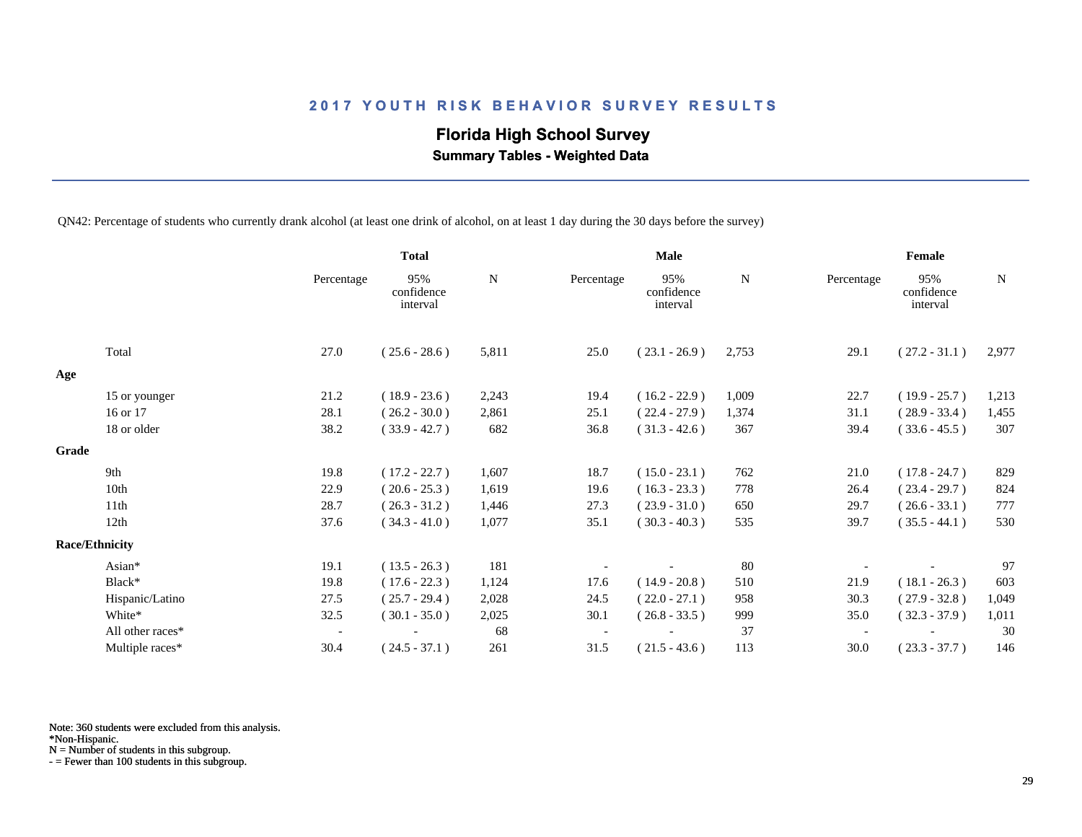# **Florida High School Survey**

 **Summary Tables - Weighted Data**

QN42: Percentage of students who currently drank alcohol (at least one drink of alcohol, on at least 1 day during the 30 days before the survey)

|       |                       |                          | <b>Total</b>                  |           |            | <b>Male</b>                   |       |                          | Female                        |       |
|-------|-----------------------|--------------------------|-------------------------------|-----------|------------|-------------------------------|-------|--------------------------|-------------------------------|-------|
|       |                       | Percentage               | 95%<br>confidence<br>interval | ${\bf N}$ | Percentage | 95%<br>confidence<br>interval | N     | Percentage               | 95%<br>confidence<br>interval | N     |
|       | Total                 | 27.0                     | $(25.6 - 28.6)$               | 5,811     | 25.0       | $(23.1 - 26.9)$               | 2,753 | 29.1                     | $(27.2 - 31.1)$               | 2,977 |
| Age   |                       |                          |                               |           |            |                               |       |                          |                               |       |
|       | 15 or younger         | 21.2                     | $(18.9 - 23.6)$               | 2,243     | 19.4       | $(16.2 - 22.9)$               | 1,009 | 22.7                     | $(19.9 - 25.7)$               | 1,213 |
|       | 16 or 17              | 28.1                     | $(26.2 - 30.0)$               | 2,861     | 25.1       | $(22.4 - 27.9)$               | 1,374 | 31.1                     | $(28.9 - 33.4)$               | 1,455 |
|       | 18 or older           | 38.2                     | $(33.9 - 42.7)$               | 682       | 36.8       | $(31.3 - 42.6)$               | 367   | 39.4                     | $(33.6 - 45.5)$               | 307   |
| Grade |                       |                          |                               |           |            |                               |       |                          |                               |       |
|       | 9th                   | 19.8                     | $(17.2 - 22.7)$               | 1,607     | 18.7       | $(15.0 - 23.1)$               | 762   | 21.0                     | $(17.8 - 24.7)$               | 829   |
|       | 10th                  | 22.9                     | $(20.6 - 25.3)$               | 1,619     | 19.6       | $(16.3 - 23.3)$               | 778   | 26.4                     | $(23.4 - 29.7)$               | 824   |
|       | 11th                  | 28.7                     | $(26.3 - 31.2)$               | 1,446     | 27.3       | $(23.9 - 31.0)$               | 650   | 29.7                     | $(26.6 - 33.1)$               | 777   |
|       | 12th                  | 37.6                     | $(34.3 - 41.0)$               | 1,077     | 35.1       | $(30.3 - 40.3)$               | 535   | 39.7                     | $(35.5 - 44.1)$               | 530   |
|       | <b>Race/Ethnicity</b> |                          |                               |           |            |                               |       |                          |                               |       |
|       | Asian*                | 19.1                     | $(13.5 - 26.3)$               | 181       |            |                               | 80    |                          |                               | 97    |
|       | Black*                | 19.8                     | $(17.6 - 22.3)$               | 1,124     | 17.6       | $(14.9 - 20.8)$               | 510   | 21.9                     | $(18.1 - 26.3)$               | 603   |
|       | Hispanic/Latino       | 27.5                     | $(25.7 - 29.4)$               | 2,028     | 24.5       | $(22.0 - 27.1)$               | 958   | 30.3                     | $(27.9 - 32.8)$               | 1,049 |
|       | White*                | 32.5                     | $(30.1 - 35.0)$               | 2,025     | 30.1       | $(26.8 - 33.5)$               | 999   | 35.0                     | $(32.3 - 37.9)$               | 1,011 |
|       | All other races*      | $\overline{\phantom{a}}$ |                               | 68        |            |                               | 37    | $\overline{\phantom{a}}$ |                               | 30    |
|       | Multiple races*       | 30.4                     | $(24.5 - 37.1)$               | 261       | 31.5       | $(21.5 - 43.6)$               | 113   | 30.0                     | $(23.3 - 37.7)$               | 146   |

Note: 360 students were excluded from this analysis.

N = Number of students in this subgroup.

<sup>\*</sup>Non-Hispanic.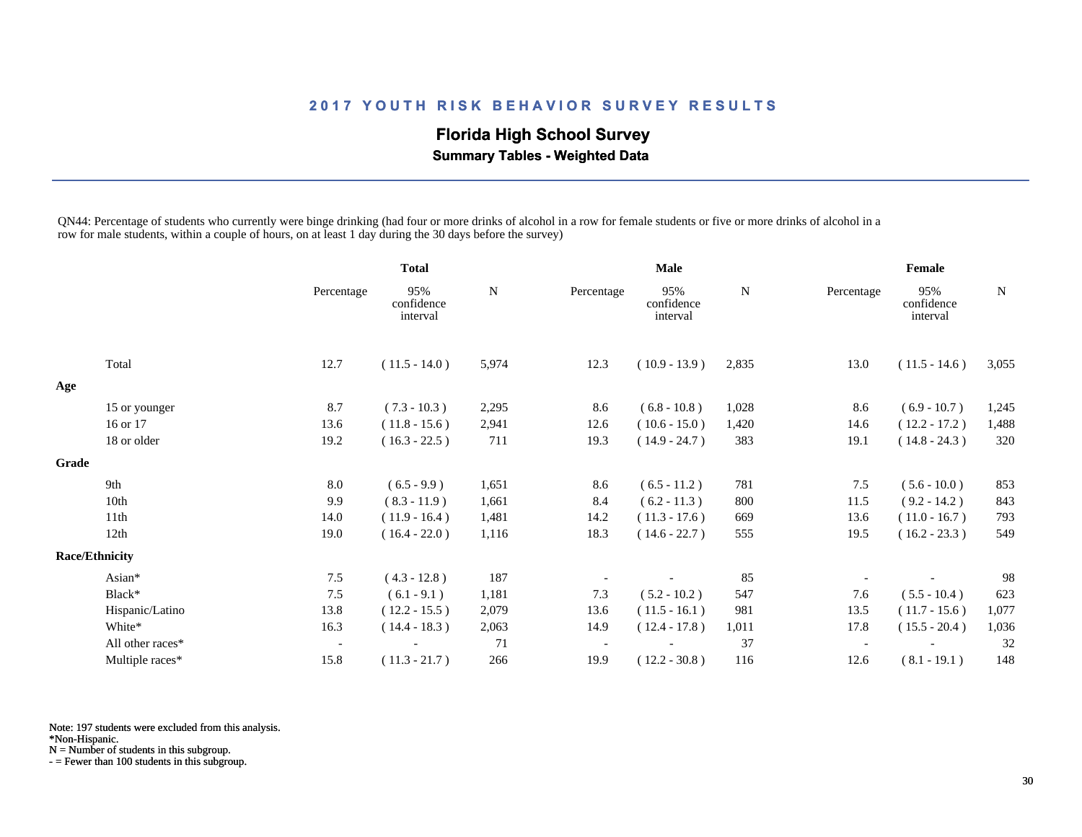# **Florida High School Survey**

 **Summary Tables - Weighted Data**

QN44: Percentage of students who currently were binge drinking (had four or more drinks of alcohol in a row for female students or five or more drinks of alcohol in a row for male students, within a couple of hours, on at least 1 day during the 30 days before the survey)

|       |                       |                          | <b>Total</b>                  |             | <b>Male</b> |                               |             | Female     |                               |       |
|-------|-----------------------|--------------------------|-------------------------------|-------------|-------------|-------------------------------|-------------|------------|-------------------------------|-------|
|       |                       | Percentage               | 95%<br>confidence<br>interval | $\mathbf N$ | Percentage  | 95%<br>confidence<br>interval | $\mathbf N$ | Percentage | 95%<br>confidence<br>interval | N     |
|       | Total                 | 12.7                     | $(11.5 - 14.0)$               | 5,974       | 12.3        | $(10.9 - 13.9)$               | 2,835       | 13.0       | $(11.5 - 14.6)$               | 3,055 |
| Age   |                       |                          |                               |             |             |                               |             |            |                               |       |
|       | 15 or younger         | 8.7                      | $(7.3 - 10.3)$                | 2,295       | 8.6         | $(6.8 - 10.8)$                | 1,028       | 8.6        | $(6.9 - 10.7)$                | 1,245 |
|       | 16 or 17              | 13.6                     | $(11.8 - 15.6)$               | 2,941       | 12.6        | $(10.6 - 15.0)$               | 1,420       | 14.6       | $(12.2 - 17.2)$               | 1,488 |
|       | 18 or older           | 19.2                     | $(16.3 - 22.5)$               | 711         | 19.3        | $(14.9 - 24.7)$               | 383         | 19.1       | $(14.8 - 24.3)$               | 320   |
| Grade |                       |                          |                               |             |             |                               |             |            |                               |       |
|       | 9th                   | 8.0                      | $(6.5 - 9.9)$                 | 1,651       | 8.6         | $(6.5 - 11.2)$                | 781         | 7.5        | $(5.6 - 10.0)$                | 853   |
|       | 10th                  | 9.9                      | $(8.3 - 11.9)$                | 1,661       | 8.4         | $(6.2 - 11.3)$                | 800         | 11.5       | $(9.2 - 14.2)$                | 843   |
|       | 11 <sup>th</sup>      | 14.0                     | $(11.9 - 16.4)$               | 1,481       | 14.2        | $(11.3 - 17.6)$               | 669         | 13.6       | $(11.0 - 16.7)$               | 793   |
|       | 12th                  | 19.0                     | $(16.4 - 22.0)$               | 1,116       | 18.3        | $(14.6 - 22.7)$               | 555         | 19.5       | $(16.2 - 23.3)$               | 549   |
|       | <b>Race/Ethnicity</b> |                          |                               |             |             |                               |             |            |                               |       |
|       | Asian*                | 7.5                      | $(4.3 - 12.8)$                | 187         |             |                               | 85          |            |                               | 98    |
|       | Black*                | 7.5                      | $(6.1 - 9.1)$                 | 1,181       | 7.3         | $(5.2 - 10.2)$                | 547         | 7.6        | $(5.5 - 10.4)$                | 623   |
|       | Hispanic/Latino       | 13.8                     | $(12.2 - 15.5)$               | 2,079       | 13.6        | $(11.5 - 16.1)$               | 981         | 13.5       | $(11.7 - 15.6)$               | 1,077 |
|       | White*                | 16.3                     | $(14.4 - 18.3)$               | 2,063       | 14.9        | $(12.4 - 17.8)$               | 1,011       | 17.8       | $(15.5 - 20.4)$               | 1,036 |
|       | All other races*      | $\overline{\phantom{a}}$ |                               | 71          |             |                               | 37          |            |                               | 32    |
|       | Multiple races*       | 15.8                     | $(11.3 - 21.7)$               | 266         | 19.9        | $(12.2 - 30.8)$               | 116         | 12.6       | $(8.1 - 19.1)$                | 148   |

Note: 197 students were excluded from this analysis.

\*Non-Hispanic.

N = Number of students in this subgroup.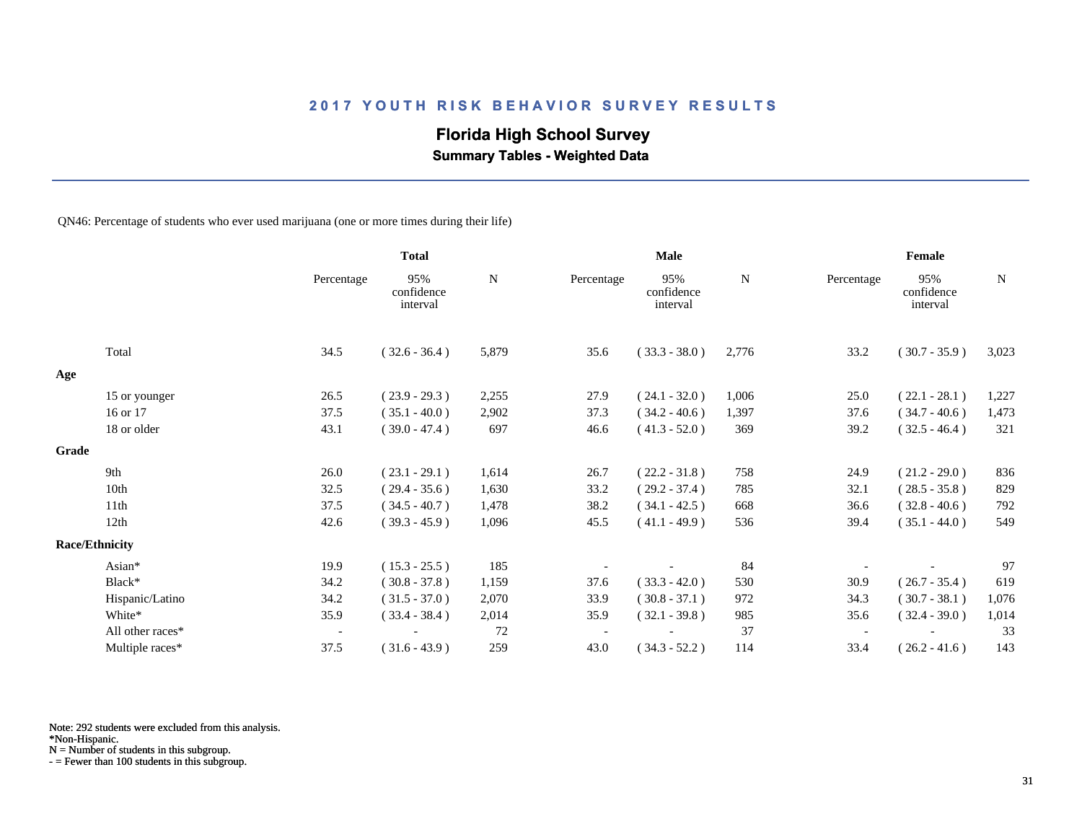## **Florida High School Survey**

 **Summary Tables - Weighted Data**

QN46: Percentage of students who ever used marijuana (one or more times during their life)

|       |                       |                          | <b>Total</b>                  |             | Male       |                               |             | Female     |                               |           |  |
|-------|-----------------------|--------------------------|-------------------------------|-------------|------------|-------------------------------|-------------|------------|-------------------------------|-----------|--|
|       |                       | Percentage               | 95%<br>confidence<br>interval | $\mathbf N$ | Percentage | 95%<br>confidence<br>interval | $\mathbf N$ | Percentage | 95%<br>confidence<br>interval | ${\bf N}$ |  |
|       | Total                 | 34.5                     | $(32.6 - 36.4)$               | 5,879       | 35.6       | $(33.3 - 38.0)$               | 2,776       | 33.2       | $(30.7 - 35.9)$               | 3,023     |  |
| Age   |                       |                          |                               |             |            |                               |             |            |                               |           |  |
|       | 15 or younger         | 26.5                     | $(23.9 - 29.3)$               | 2,255       | 27.9       | $(24.1 - 32.0)$               | 1,006       | 25.0       | $(22.1 - 28.1)$               | 1,227     |  |
|       | 16 or 17              | 37.5                     | $(35.1 - 40.0)$               | 2,902       | 37.3       | $(34.2 - 40.6)$               | 1,397       | 37.6       | $(34.7 - 40.6)$               | 1,473     |  |
|       | 18 or older           | 43.1                     | $(39.0 - 47.4)$               | 697         | 46.6       | $(41.3 - 52.0)$               | 369         | 39.2       | $(32.5 - 46.4)$               | 321       |  |
| Grade |                       |                          |                               |             |            |                               |             |            |                               |           |  |
|       | 9th                   | 26.0                     | $(23.1 - 29.1)$               | 1,614       | 26.7       | $(22.2 - 31.8)$               | 758         | 24.9       | $(21.2 - 29.0)$               | 836       |  |
|       | 10th                  | 32.5                     | $(29.4 - 35.6)$               | 1,630       | 33.2       | $(29.2 - 37.4)$               | 785         | 32.1       | $(28.5 - 35.8)$               | 829       |  |
|       | 11th                  | 37.5                     | $(34.5 - 40.7)$               | 1,478       | 38.2       | $(34.1 - 42.5)$               | 668         | 36.6       | $(32.8 - 40.6)$               | 792       |  |
|       | 12th                  | 42.6                     | $(39.3 - 45.9)$               | 1,096       | 45.5       | $(41.1 - 49.9)$               | 536         | 39.4       | $(35.1 - 44.0)$               | 549       |  |
|       | <b>Race/Ethnicity</b> |                          |                               |             |            |                               |             |            |                               |           |  |
|       | Asian*                | 19.9                     | $(15.3 - 25.5)$               | 185         |            |                               | 84          |            |                               | 97        |  |
|       | Black*                | 34.2                     | $(30.8 - 37.8)$               | 1,159       | 37.6       | $(33.3 - 42.0)$               | 530         | 30.9       | $(26.7 - 35.4)$               | 619       |  |
|       | Hispanic/Latino       | 34.2                     | $(31.5 - 37.0)$               | 2,070       | 33.9       | $(30.8 - 37.1)$               | 972         | 34.3       | $(30.7 - 38.1)$               | 1,076     |  |
|       | White*                | 35.9                     | $(33.4 - 38.4)$               | 2,014       | 35.9       | $(32.1 - 39.8)$               | 985         | 35.6       | $(32.4 - 39.0)$               | 1,014     |  |
|       | All other races*      | $\overline{\phantom{a}}$ |                               | 72          |            |                               | 37          |            |                               | 33        |  |
|       | Multiple races*       | 37.5                     | $(31.6 - 43.9)$               | 259         | 43.0       | $(34.3 - 52.2)$               | 114         | 33.4       | $(26.2 - 41.6)$               | 143       |  |

Note: 292 students were excluded from this analysis.

N = Number of students in this subgroup.

<sup>\*</sup>Non-Hispanic.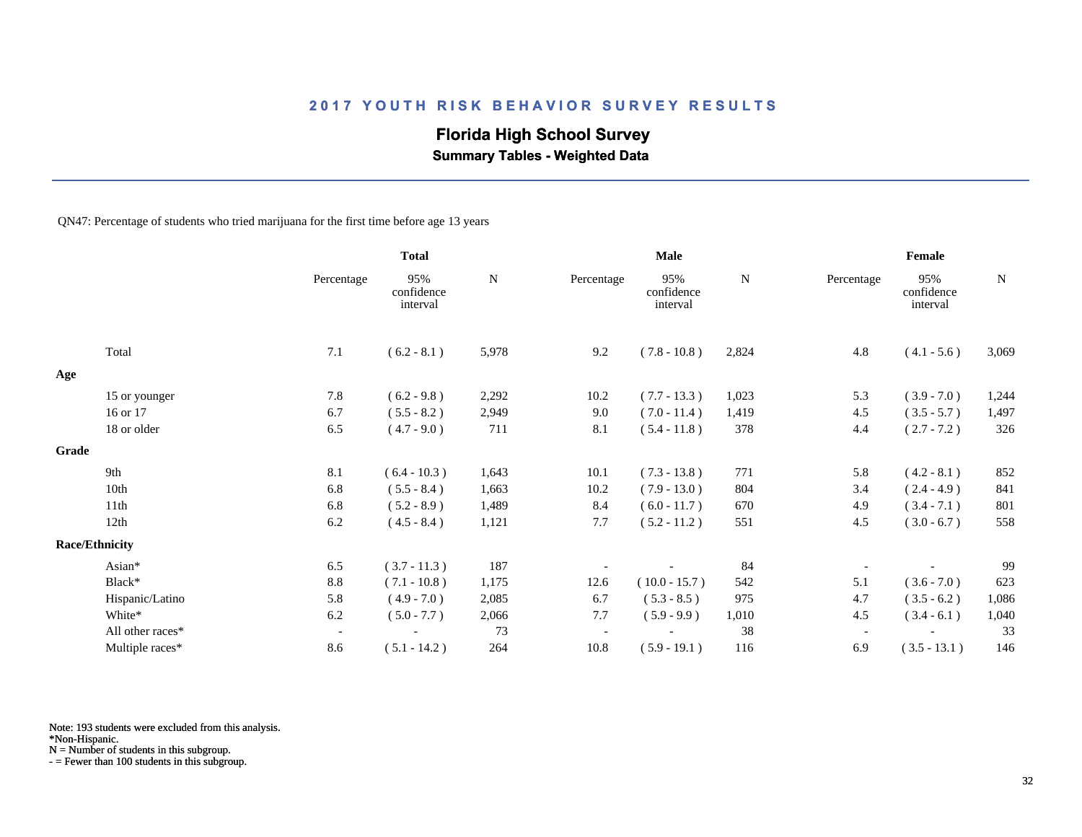## **Florida High School Survey**

 **Summary Tables - Weighted Data**

QN47: Percentage of students who tried marijuana for the first time before age 13 years

|       |                       |                          | <b>Total</b>                  |       |                          | Male                          |       |                          | Female                        |             |
|-------|-----------------------|--------------------------|-------------------------------|-------|--------------------------|-------------------------------|-------|--------------------------|-------------------------------|-------------|
|       |                       | Percentage               | 95%<br>confidence<br>interval | N     | Percentage               | 95%<br>confidence<br>interval | N     | Percentage               | 95%<br>confidence<br>interval | $\mathbf N$ |
|       | Total                 | 7.1                      | $(6.2 - 8.1)$                 | 5,978 | 9.2                      | $(7.8 - 10.8)$                | 2,824 | 4.8                      | $(4.1 - 5.6)$                 | 3,069       |
| Age   |                       |                          |                               |       |                          |                               |       |                          |                               |             |
|       | 15 or younger         | 7.8                      | $(6.2 - 9.8)$                 | 2,292 | 10.2                     | $(7.7 - 13.3)$                | 1,023 | 5.3                      | $(3.9 - 7.0)$                 | 1,244       |
|       | 16 or 17              | 6.7                      | $(5.5 - 8.2)$                 | 2,949 | 9.0                      | $(7.0 - 11.4)$                | 1,419 | 4.5                      | $(3.5 - 5.7)$                 | 1,497       |
|       | 18 or older           | 6.5                      | $(4.7 - 9.0)$                 | 711   | 8.1                      | $(5.4 - 11.8)$                | 378   | 4.4                      | $(2.7 - 7.2)$                 | 326         |
| Grade |                       |                          |                               |       |                          |                               |       |                          |                               |             |
|       | 9th                   | 8.1                      | $(6.4 - 10.3)$                | 1,643 | 10.1                     | $(7.3 - 13.8)$                | 771   | 5.8                      | $(4.2 - 8.1)$                 | 852         |
|       | 10th                  | 6.8                      | $(5.5 - 8.4)$                 | 1,663 | 10.2                     | $(7.9 - 13.0)$                | 804   | 3.4                      | $(2.4 - 4.9)$                 | 841         |
|       | 11th                  | 6.8                      | $(5.2 - 8.9)$                 | 1,489 | 8.4                      | $(6.0 - 11.7)$                | 670   | 4.9                      | $(3.4 - 7.1)$                 | 801         |
|       | 12th                  | 6.2                      | $(4.5 - 8.4)$                 | 1,121 | 7.7                      | $(5.2 - 11.2)$                | 551   | 4.5                      | $(3.0 - 6.7)$                 | 558         |
|       | <b>Race/Ethnicity</b> |                          |                               |       |                          |                               |       |                          |                               |             |
|       | Asian*                | 6.5                      | $(3.7 - 11.3)$                | 187   |                          |                               | 84    |                          |                               | 99          |
|       | Black*                | $8.8\,$                  | $(7.1 - 10.8)$                | 1,175 | 12.6                     | $(10.0 - 15.7)$               | 542   | 5.1                      | $(3.6 - 7.0)$                 | 623         |
|       | Hispanic/Latino       | 5.8                      | $(4.9 - 7.0)$                 | 2,085 | 6.7                      | $(5.3 - 8.5)$                 | 975   | 4.7                      | $(3.5 - 6.2)$                 | 1,086       |
|       | White*                | 6.2                      | $(5.0 - 7.7)$                 | 2,066 | 7.7                      | $(5.9 - 9.9)$                 | 1,010 | 4.5                      | $(3.4 - 6.1)$                 | 1,040       |
|       | All other races*      | $\overline{\phantom{a}}$ |                               | 73    | $\overline{\phantom{a}}$ |                               | 38    | $\overline{\phantom{a}}$ |                               | 33          |
|       | Multiple races*       | 8.6                      | $(5.1 - 14.2)$                | 264   | 10.8                     | $(5.9 - 19.1)$                | 116   | 6.9                      | $(3.5 - 13.1)$                | 146         |

Note: 193 students were excluded from this analysis.

\*Non-Hispanic.

N = Number of students in this subgroup.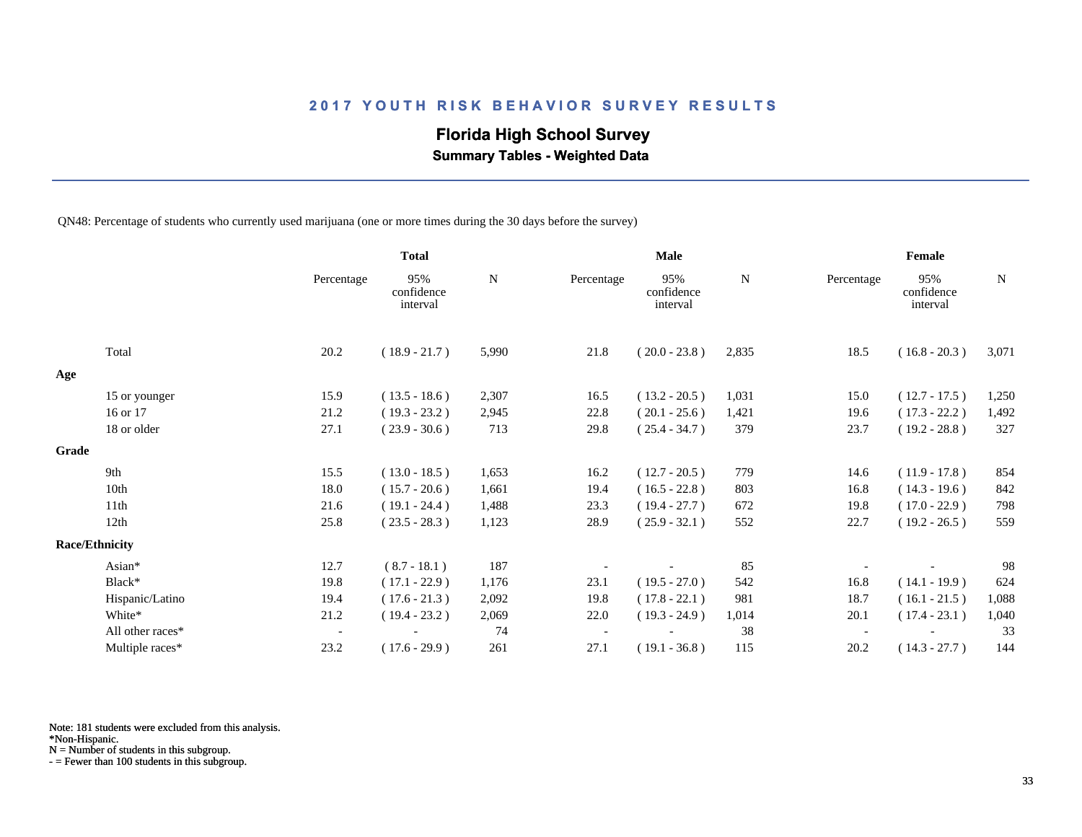## **Florida High School Survey**

 **Summary Tables - Weighted Data**

QN48: Percentage of students who currently used marijuana (one or more times during the 30 days before the survey)

|       |                       |                          | <b>Total</b>                  |       |            | <b>Male</b>                   |       |            | Female                        |             |
|-------|-----------------------|--------------------------|-------------------------------|-------|------------|-------------------------------|-------|------------|-------------------------------|-------------|
|       |                       | Percentage               | 95%<br>confidence<br>interval | N     | Percentage | 95%<br>confidence<br>interval | N     | Percentage | 95%<br>confidence<br>interval | $\mathbf N$ |
|       | Total                 | 20.2                     | $(18.9 - 21.7)$               | 5,990 | 21.8       | $(20.0 - 23.8)$               | 2,835 | 18.5       | $(16.8 - 20.3)$               | 3,071       |
| Age   |                       |                          |                               |       |            |                               |       |            |                               |             |
|       | 15 or younger         | 15.9                     | $(13.5 - 18.6)$               | 2,307 | 16.5       | $(13.2 - 20.5)$               | 1,031 | 15.0       | $(12.7 - 17.5)$               | 1,250       |
|       | 16 or 17              | 21.2                     | $(19.3 - 23.2)$               | 2,945 | 22.8       | $(20.1 - 25.6)$               | 1,421 | 19.6       | $(17.3 - 22.2)$               | 1,492       |
|       | 18 or older           | 27.1                     | $(23.9 - 30.6)$               | 713   | 29.8       | $(25.4 - 34.7)$               | 379   | 23.7       | $(19.2 - 28.8)$               | 327         |
| Grade |                       |                          |                               |       |            |                               |       |            |                               |             |
|       | 9th                   | 15.5                     | $(13.0 - 18.5)$               | 1,653 | 16.2       | $(12.7 - 20.5)$               | 779   | 14.6       | $(11.9 - 17.8)$               | 854         |
|       | 10th                  | 18.0                     | $(15.7 - 20.6)$               | 1,661 | 19.4       | $(16.5 - 22.8)$               | 803   | 16.8       | $(14.3 - 19.6)$               | 842         |
|       | 11th                  | 21.6                     | $(19.1 - 24.4)$               | 1,488 | 23.3       | $(19.4 - 27.7)$               | 672   | 19.8       | $(17.0 - 22.9)$               | 798         |
|       | 12th                  | 25.8                     | $(23.5 - 28.3)$               | 1,123 | 28.9       | $(25.9 - 32.1)$               | 552   | 22.7       | $(19.2 - 26.5)$               | 559         |
|       | <b>Race/Ethnicity</b> |                          |                               |       |            |                               |       |            |                               |             |
|       | Asian*                | 12.7                     | $(8.7 - 18.1)$                | 187   |            |                               | 85    |            |                               | 98          |
|       | Black*                | 19.8                     | $(17.1 - 22.9)$               | 1,176 | 23.1       | $(19.5 - 27.0)$               | 542   | 16.8       | $(14.1 - 19.9)$               | 624         |
|       | Hispanic/Latino       | 19.4                     | $(17.6 - 21.3)$               | 2,092 | 19.8       | $(17.8 - 22.1)$               | 981   | 18.7       | $(16.1 - 21.5)$               | 1,088       |
|       | White*                | 21.2                     | $(19.4 - 23.2)$               | 2,069 | 22.0       | $(19.3 - 24.9)$               | 1,014 | 20.1       | $(17.4 - 23.1)$               | 1,040       |
|       | All other races*      | $\overline{\phantom{a}}$ |                               | 74    |            |                               | 38    |            |                               | 33          |
|       | Multiple races*       | 23.2                     | $(17.6 - 29.9)$               | 261   | 27.1       | $(19.1 - 36.8)$               | 115   | 20.2       | $(14.3 - 27.7)$               | 144         |

Note: 181 students were excluded from this analysis.

N = Number of students in this subgroup.

<sup>\*</sup>Non-Hispanic.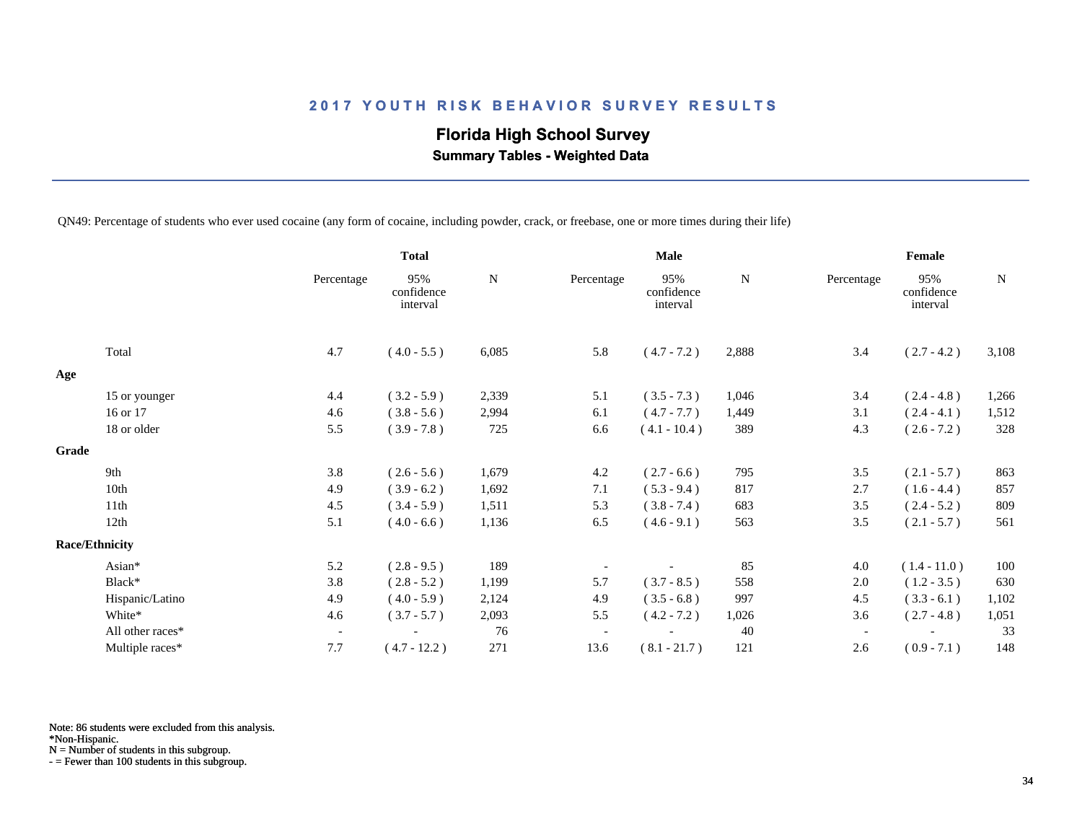## **Florida High School Survey**

 **Summary Tables - Weighted Data**

QN49: Percentage of students who ever used cocaine (any form of cocaine, including powder, crack, or freebase, one or more times during their life)

|       |                       |                          | <b>Total</b>                  |           |                          | <b>Male</b>                   |           |                          | Female                        |           |
|-------|-----------------------|--------------------------|-------------------------------|-----------|--------------------------|-------------------------------|-----------|--------------------------|-------------------------------|-----------|
|       |                       | Percentage               | 95%<br>confidence<br>interval | ${\bf N}$ | Percentage               | 95%<br>confidence<br>interval | ${\bf N}$ | Percentage               | 95%<br>confidence<br>interval | ${\bf N}$ |
|       | Total                 | 4.7                      | $(4.0 - 5.5)$                 | 6,085     | 5.8                      | $(4.7 - 7.2)$                 | 2,888     | 3.4                      | $(2.7 - 4.2)$                 | 3,108     |
| Age   |                       |                          |                               |           |                          |                               |           |                          |                               |           |
|       | 15 or younger         | 4.4                      | $(3.2 - 5.9)$                 | 2,339     | 5.1                      | $(3.5 - 7.3)$                 | 1,046     | 3.4                      | $(2.4 - 4.8)$                 | 1,266     |
|       | 16 or 17              | 4.6                      | $(3.8 - 5.6)$                 | 2,994     | 6.1                      | $(4.7 - 7.7)$                 | 1,449     | 3.1                      | $(2.4 - 4.1)$                 | 1,512     |
|       | 18 or older           | 5.5                      | $(3.9 - 7.8)$                 | 725       | 6.6                      | $(4.1 - 10.4)$                | 389       | 4.3                      | $(2.6 - 7.2)$                 | 328       |
| Grade |                       |                          |                               |           |                          |                               |           |                          |                               |           |
|       | 9th                   | 3.8                      | $(2.6 - 5.6)$                 | 1,679     | 4.2                      | $(2.7 - 6.6)$                 | 795       | 3.5                      | $(2.1 - 5.7)$                 | 863       |
|       | 10th                  | 4.9                      | $(3.9 - 6.2)$                 | 1,692     | 7.1                      | $(5.3 - 9.4)$                 | 817       | 2.7                      | $(1.6 - 4.4)$                 | 857       |
|       | 11th                  | 4.5                      | $(3.4 - 5.9)$                 | 1,511     | 5.3                      | $(3.8 - 7.4)$                 | 683       | 3.5                      | $(2.4 - 5.2)$                 | 809       |
|       | 12th                  | 5.1                      | $(4.0 - 6.6)$                 | 1,136     | 6.5                      | $(4.6 - 9.1)$                 | 563       | 3.5                      | $(2.1 - 5.7)$                 | 561       |
|       | <b>Race/Ethnicity</b> |                          |                               |           |                          |                               |           |                          |                               |           |
|       | Asian*                | 5.2                      | $(2.8 - 9.5)$                 | 189       |                          |                               | 85        | 4.0                      | $(1.4 - 11.0)$                | 100       |
|       | Black*                | 3.8                      | $(2.8 - 5.2)$                 | 1,199     | 5.7                      | $(3.7 - 8.5)$                 | 558       | 2.0                      | $(1.2 - 3.5)$                 | 630       |
|       | Hispanic/Latino       | 4.9                      | $(4.0 - 5.9)$                 | 2,124     | 4.9                      | $(3.5 - 6.8)$                 | 997       | 4.5                      | $(3.3 - 6.1)$                 | 1,102     |
|       | White*                | 4.6                      | $(3.7 - 5.7)$                 | 2,093     | 5.5                      | $(4.2 - 7.2)$                 | 1,026     | 3.6                      | $(2.7 - 4.8)$                 | 1,051     |
|       | All other races*      | $\overline{\phantom{a}}$ |                               | 76        | $\overline{\phantom{a}}$ |                               | 40        | $\overline{\phantom{a}}$ |                               | 33        |
|       | Multiple races*       | 7.7                      | $(4.7 - 12.2)$                | 271       | 13.6                     | $(8.1 - 21.7)$                | 121       | 2.6                      | $(0.9 - 7.1)$                 | 148       |

Note: 86 students were excluded from this analysis.

\*Non-Hispanic.

N = Number of students in this subgroup.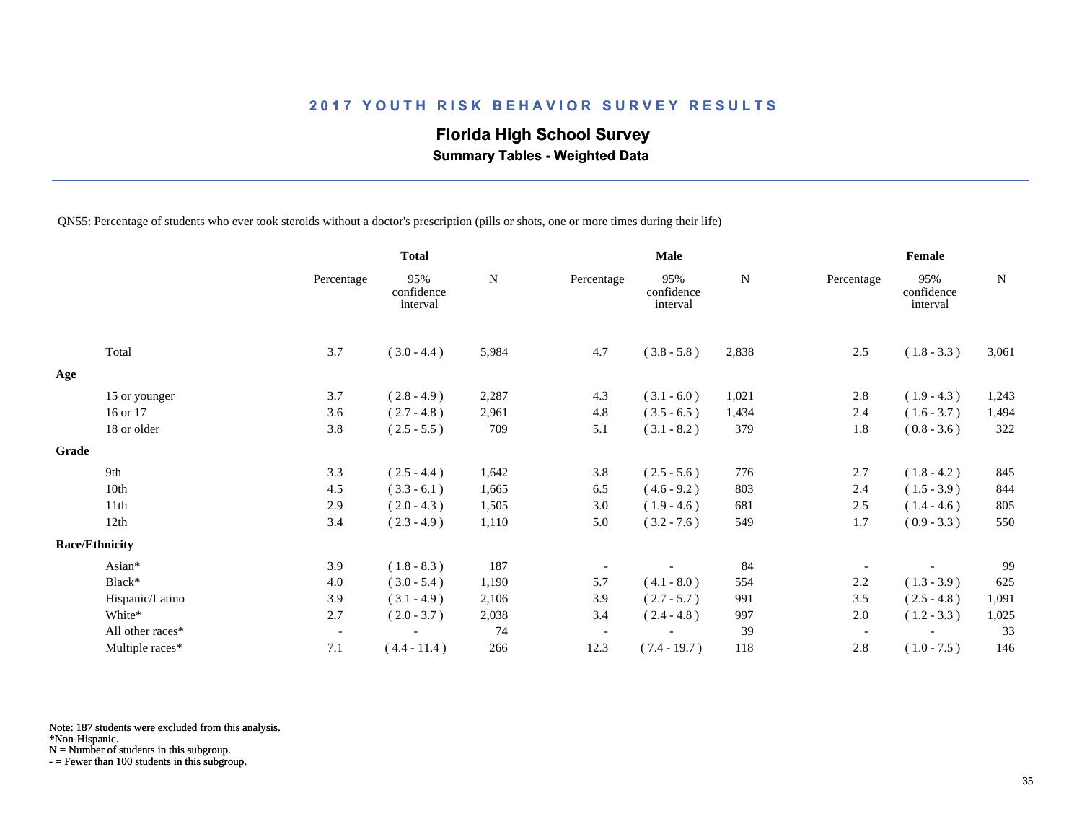## **Florida High School Survey**

 **Summary Tables - Weighted Data**

QN55: Percentage of students who ever took steroids without a doctor's prescription (pills or shots, one or more times during their life)

|                       |                  |                          | <b>Total</b>                  |           |                          | <b>Male</b>                   |           |                          | Female                        |           |
|-----------------------|------------------|--------------------------|-------------------------------|-----------|--------------------------|-------------------------------|-----------|--------------------------|-------------------------------|-----------|
|                       |                  | Percentage               | 95%<br>confidence<br>interval | ${\bf N}$ | Percentage               | 95%<br>confidence<br>interval | ${\bf N}$ | Percentage               | 95%<br>confidence<br>interval | ${\bf N}$ |
|                       | Total            | 3.7                      | $(3.0 - 4.4)$                 | 5,984     | 4.7                      | $(3.8 - 5.8)$                 | 2,838     | 2.5                      | $(1.8 - 3.3)$                 | 3,061     |
| Age                   |                  |                          |                               |           |                          |                               |           |                          |                               |           |
|                       | 15 or younger    | 3.7                      | $(2.8 - 4.9)$                 | 2,287     | 4.3                      | $(3.1 - 6.0)$                 | 1,021     | 2.8                      | $(1.9 - 4.3)$                 | 1,243     |
|                       | 16 or 17         | 3.6                      | $(2.7 - 4.8)$                 | 2,961     | 4.8                      | $(3.5 - 6.5)$                 | 1,434     | 2.4                      | $(1.6 - 3.7)$                 | 1,494     |
|                       | 18 or older      | 3.8                      | $(2.5 - 5.5)$                 | 709       | 5.1                      | $(3.1 - 8.2)$                 | 379       | 1.8                      | $(0.8 - 3.6)$                 | 322       |
| Grade                 |                  |                          |                               |           |                          |                               |           |                          |                               |           |
|                       | 9th              | 3.3                      | $(2.5 - 4.4)$                 | 1,642     | 3.8                      | $(2.5 - 5.6)$                 | 776       | 2.7                      | $(1.8 - 4.2)$                 | 845       |
|                       | 10th             | 4.5                      | $(3.3 - 6.1)$                 | 1,665     | 6.5                      | $(4.6 - 9.2)$                 | 803       | 2.4                      | $(1.5 - 3.9)$                 | 844       |
|                       | 11th             | 2.9                      | $(2.0 - 4.3)$                 | 1,505     | 3.0                      | $(1.9 - 4.6)$                 | 681       | 2.5                      | $(1.4 - 4.6)$                 | 805       |
|                       | 12th             | 3.4                      | $(2.3 - 4.9)$                 | 1,110     | 5.0                      | $(3.2 - 7.6)$                 | 549       | 1.7                      | $(0.9 - 3.3)$                 | 550       |
| <b>Race/Ethnicity</b> |                  |                          |                               |           |                          |                               |           |                          |                               |           |
|                       | Asian*           | 3.9                      | $(1.8 - 8.3)$                 | 187       |                          |                               | 84        |                          |                               | 99        |
|                       | Black*           | 4.0                      | $(3.0 - 5.4)$                 | 1,190     | 5.7                      | $(4.1 - 8.0)$                 | 554       | 2.2                      | $(1.3 - 3.9)$                 | 625       |
|                       | Hispanic/Latino  | 3.9                      | $(3.1 - 4.9)$                 | 2,106     | 3.9                      | $(2.7 - 5.7)$                 | 991       | 3.5                      | $(2.5 - 4.8)$                 | 1,091     |
|                       | White*           | 2.7                      | $(2.0 - 3.7)$                 | 2,038     | 3.4                      | $(2.4 - 4.8)$                 | 997       | 2.0                      | $(1.2 - 3.3)$                 | 1,025     |
|                       | All other races* | $\overline{\phantom{a}}$ |                               | 74        | $\overline{\phantom{a}}$ |                               | 39        | $\overline{\phantom{a}}$ |                               | 33        |
|                       | Multiple races*  | 7.1                      | $(4.4 - 11.4)$                | 266       | 12.3                     | $(7.4 - 19.7)$                | 118       | 2.8                      | $(1.0 - 7.5)$                 | 146       |

Note: 187 students were excluded from this analysis.

\*Non-Hispanic.

N = Number of students in this subgroup.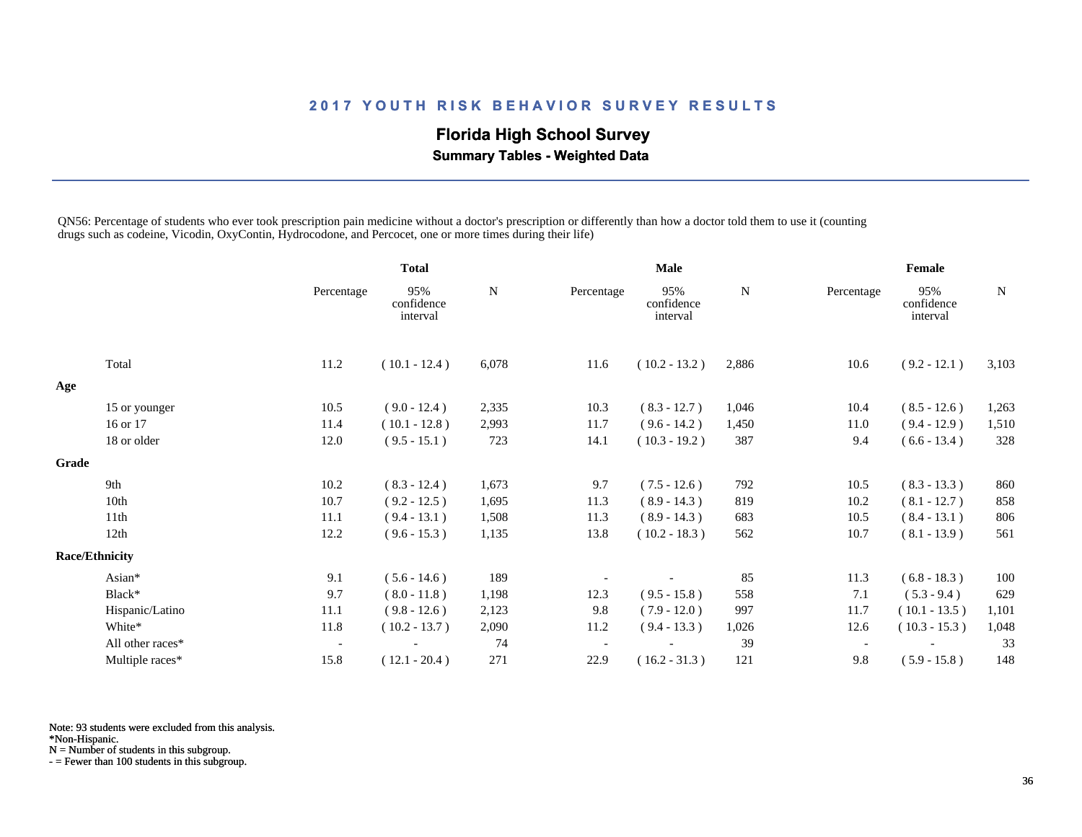## **Florida High School Survey**

 **Summary Tables - Weighted Data**

QN56: Percentage of students who ever took prescription pain medicine without a doctor's prescription or differently than how a doctor told them to use it (counting drugs such as codeine, Vicodin, OxyContin, Hydrocodone, and Percocet, one or more times during their life)

|       |                       |                          | <b>Total</b>                  |       | <b>Male</b>              |                               |             | Female                   |                               |       |
|-------|-----------------------|--------------------------|-------------------------------|-------|--------------------------|-------------------------------|-------------|--------------------------|-------------------------------|-------|
|       |                       | Percentage               | 95%<br>confidence<br>interval | N     | Percentage               | 95%<br>confidence<br>interval | $\mathbf N$ | Percentage               | 95%<br>confidence<br>interval | N     |
|       | Total                 | 11.2                     | $(10.1 - 12.4)$               | 6,078 | 11.6                     | $(10.2 - 13.2)$               | 2,886       | 10.6                     | $(9.2 - 12.1)$                | 3,103 |
| Age   |                       |                          |                               |       |                          |                               |             |                          |                               |       |
|       | 15 or younger         | 10.5                     | $(9.0 - 12.4)$                | 2,335 | 10.3                     | $(8.3 - 12.7)$                | 1,046       | 10.4                     | $(8.5 - 12.6)$                | 1,263 |
|       | 16 or 17              | 11.4                     | $(10.1 - 12.8)$               | 2,993 | 11.7                     | $(9.6 - 14.2)$                | 1,450       | 11.0                     | $(9.4 - 12.9)$                | 1,510 |
|       | 18 or older           | 12.0                     | $(9.5 - 15.1)$                | 723   | 14.1                     | $(10.3 - 19.2)$               | 387         | 9.4                      | $(6.6 - 13.4)$                | 328   |
| Grade |                       |                          |                               |       |                          |                               |             |                          |                               |       |
|       | 9th                   | 10.2                     | $(8.3 - 12.4)$                | 1,673 | 9.7                      | $(7.5 - 12.6)$                | 792         | 10.5                     | $(8.3 - 13.3)$                | 860   |
|       | 10th                  | 10.7                     | $(9.2 - 12.5)$                | 1,695 | 11.3                     | $(8.9 - 14.3)$                | 819         | 10.2                     | $(8.1 - 12.7)$                | 858   |
|       | 11th                  | 11.1                     | $(9.4 - 13.1)$                | 1,508 | 11.3                     | $(8.9 - 14.3)$                | 683         | 10.5                     | $(8.4 - 13.1)$                | 806   |
|       | 12th                  | 12.2                     | $(9.6 - 15.3)$                | 1,135 | 13.8                     | $(10.2 - 18.3)$               | 562         | 10.7                     | $(8.1 - 13.9)$                | 561   |
|       | <b>Race/Ethnicity</b> |                          |                               |       |                          |                               |             |                          |                               |       |
|       | Asian*                | 9.1                      | $(5.6 - 14.6)$                | 189   |                          |                               | 85          | 11.3                     | $(6.8 - 18.3)$                | 100   |
|       | Black*                | 9.7                      | $(8.0 - 11.8)$                | 1,198 | 12.3                     | $(9.5 - 15.8)$                | 558         | 7.1                      | $(5.3 - 9.4)$                 | 629   |
|       | Hispanic/Latino       | 11.1                     | $(9.8 - 12.6)$                | 2,123 | 9.8                      | $(7.9 - 12.0)$                | 997         | 11.7                     | $(10.1 - 13.5)$               | 1,101 |
|       | White*                | 11.8                     | $(10.2 - 13.7)$               | 2,090 | 11.2                     | $(9.4 - 13.3)$                | 1,026       | 12.6                     | $(10.3 - 15.3)$               | 1,048 |
|       | All other races*      | $\overline{\phantom{a}}$ |                               | 74    | $\overline{\phantom{a}}$ |                               | 39          | $\overline{\phantom{a}}$ |                               | 33    |
|       | Multiple races*       | 15.8                     | $(12.1 - 20.4)$               | 271   | 22.9                     | $(16.2 - 31.3)$               | 121         | 9.8                      | $(5.9 - 15.8)$                | 148   |

Note: 93 students were excluded from this analysis.

\*Non-Hispanic.

N = Number of students in this subgroup.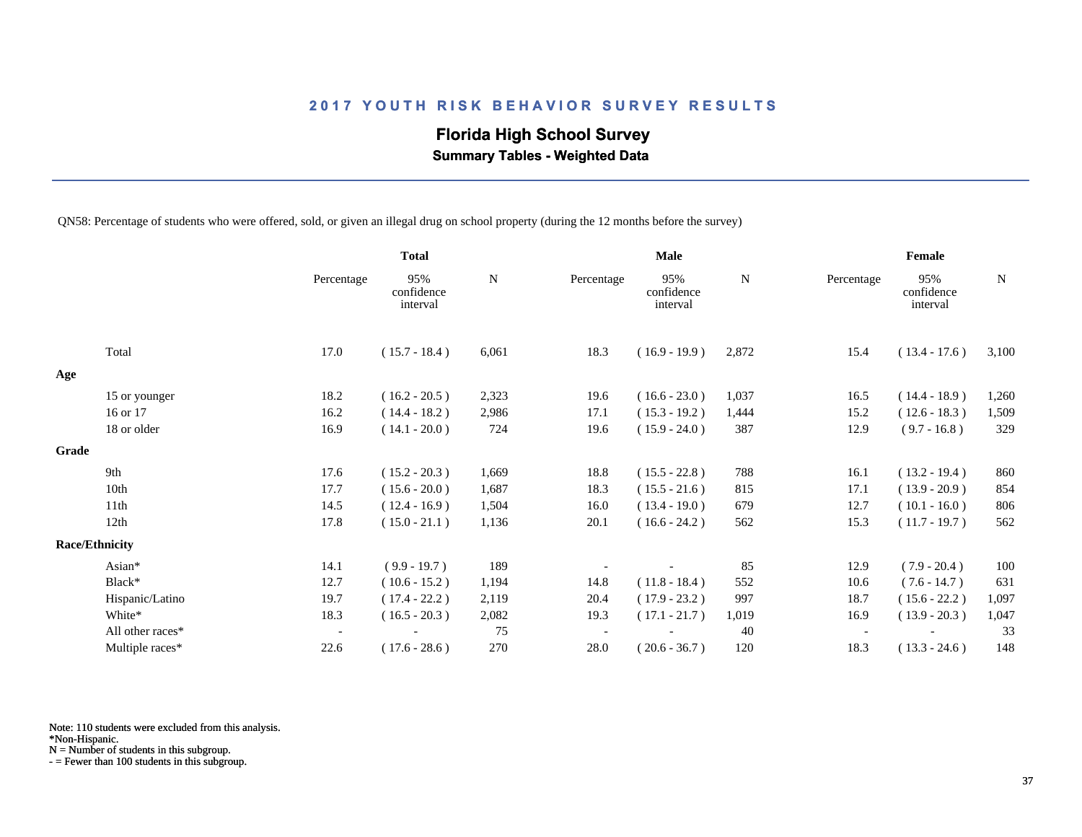# **Florida High School Survey**

 **Summary Tables - Weighted Data**

QN58: Percentage of students who were offered, sold, or given an illegal drug on school property (during the 12 months before the survey)

|       |                       |                          | <b>Total</b>                  |           |            | Male                          |           | Female                   |                               |             |  |
|-------|-----------------------|--------------------------|-------------------------------|-----------|------------|-------------------------------|-----------|--------------------------|-------------------------------|-------------|--|
|       |                       | Percentage               | 95%<br>confidence<br>interval | ${\bf N}$ | Percentage | 95%<br>confidence<br>interval | ${\bf N}$ | Percentage               | 95%<br>confidence<br>interval | $\mathbf N$ |  |
|       | Total                 | 17.0                     | $(15.7 - 18.4)$               | 6,061     | 18.3       | $(16.9 - 19.9)$               | 2,872     | 15.4                     | $(13.4 - 17.6)$               | 3,100       |  |
| Age   |                       |                          |                               |           |            |                               |           |                          |                               |             |  |
|       | 15 or younger         | 18.2                     | $(16.2 - 20.5)$               | 2,323     | 19.6       | $(16.6 - 23.0)$               | 1,037     | 16.5                     | $(14.4 - 18.9)$               | 1,260       |  |
|       | 16 or 17              | 16.2                     | $(14.4 - 18.2)$               | 2,986     | 17.1       | $(15.3 - 19.2)$               | 1,444     | 15.2                     | $(12.6 - 18.3)$               | 1,509       |  |
|       | 18 or older           | 16.9                     | $(14.1 - 20.0)$               | 724       | 19.6       | $(15.9 - 24.0)$               | 387       | 12.9                     | $(9.7 - 16.8)$                | 329         |  |
| Grade |                       |                          |                               |           |            |                               |           |                          |                               |             |  |
|       | 9th                   | 17.6                     | $(15.2 - 20.3)$               | 1,669     | 18.8       | $(15.5 - 22.8)$               | 788       | 16.1                     | $(13.2 - 19.4)$               | 860         |  |
|       | 10th                  | 17.7                     | $(15.6 - 20.0)$               | 1,687     | 18.3       | $(15.5 - 21.6)$               | 815       | 17.1                     | $(13.9 - 20.9)$               | 854         |  |
|       | 11th                  | 14.5                     | $(12.4 - 16.9)$               | 1,504     | 16.0       | $(13.4 - 19.0)$               | 679       | 12.7                     | $(10.1 - 16.0)$               | 806         |  |
|       | 12th                  | 17.8                     | $(15.0 - 21.1)$               | 1,136     | 20.1       | $(16.6 - 24.2)$               | 562       | 15.3                     | $(11.7 - 19.7)$               | 562         |  |
|       | <b>Race/Ethnicity</b> |                          |                               |           |            |                               |           |                          |                               |             |  |
|       | Asian*                | 14.1                     | $(9.9 - 19.7)$                | 189       |            |                               | 85        | 12.9                     | $(7.9 - 20.4)$                | 100         |  |
|       | Black*                | 12.7                     | $(10.6 - 15.2)$               | 1,194     | 14.8       | $(11.8 - 18.4)$               | 552       | 10.6                     | $(7.6 - 14.7)$                | 631         |  |
|       | Hispanic/Latino       | 19.7                     | $(17.4 - 22.2)$               | 2,119     | 20.4       | $(17.9 - 23.2)$               | 997       | 18.7                     | $(15.6 - 22.2)$               | 1,097       |  |
|       | White*                | 18.3                     | $(16.5 - 20.3)$               | 2,082     | 19.3       | $(17.1 - 21.7)$               | 1,019     | 16.9                     | $(13.9 - 20.3)$               | 1,047       |  |
|       | All other races*      | $\overline{\phantom{a}}$ |                               | 75        |            |                               | 40        | $\overline{\phantom{a}}$ |                               | 33          |  |
|       | Multiple races*       | 22.6                     | $(17.6 - 28.6)$               | 270       | 28.0       | $(20.6 - 36.7)$               | 120       | 18.3                     | $(13.3 - 24.6)$               | 148         |  |

Note: 110 students were excluded from this analysis.

N = Number of students in this subgroup.

<sup>\*</sup>Non-Hispanic.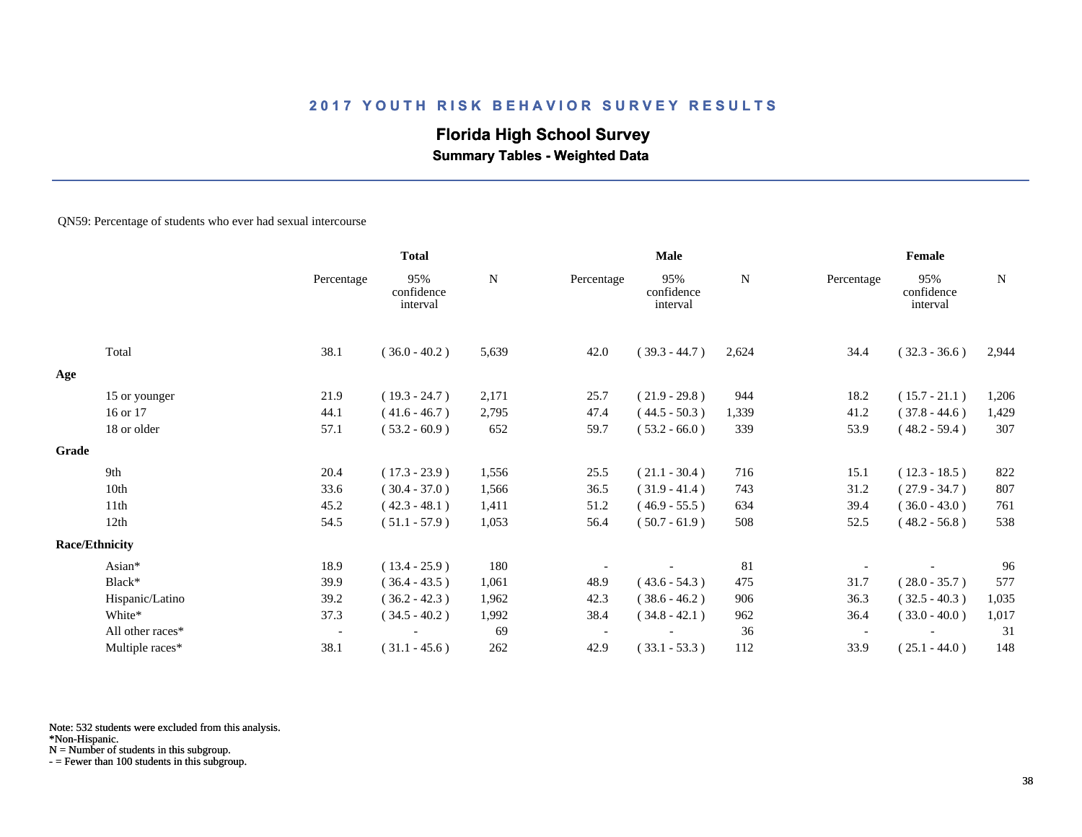# **Florida High School Survey**

 **Summary Tables - Weighted Data**

#### QN59: Percentage of students who ever had sexual intercourse

|       |                       |                          | <b>Total</b>                  |             | Male       |                               |       | Female     |                               |             |
|-------|-----------------------|--------------------------|-------------------------------|-------------|------------|-------------------------------|-------|------------|-------------------------------|-------------|
|       |                       | Percentage               | 95%<br>confidence<br>interval | $\mathbf N$ | Percentage | 95%<br>confidence<br>interval | N     | Percentage | 95%<br>confidence<br>interval | $\mathbf N$ |
|       | Total                 | 38.1                     | $(36.0 - 40.2)$               | 5,639       | 42.0       | $(39.3 - 44.7)$               | 2,624 | 34.4       | $(32.3 - 36.6)$               | 2,944       |
| Age   |                       |                          |                               |             |            |                               |       |            |                               |             |
|       | 15 or younger         | 21.9                     | $(19.3 - 24.7)$               | 2,171       | 25.7       | $(21.9 - 29.8)$               | 944   | 18.2       | $(15.7 - 21.1)$               | 1,206       |
|       | 16 or 17              | 44.1                     | $(41.6 - 46.7)$               | 2,795       | 47.4       | $(44.5 - 50.3)$               | 1,339 | 41.2       | $(37.8 - 44.6)$               | 1,429       |
|       | 18 or older           | 57.1                     | $(53.2 - 60.9)$               | 652         | 59.7       | $(53.2 - 66.0)$               | 339   | 53.9       | $(48.2 - 59.4)$               | 307         |
| Grade |                       |                          |                               |             |            |                               |       |            |                               |             |
|       | 9th                   | 20.4                     | $(17.3 - 23.9)$               | 1,556       | 25.5       | $(21.1 - 30.4)$               | 716   | 15.1       | $(12.3 - 18.5)$               | 822         |
|       | 10th                  | 33.6                     | $(30.4 - 37.0)$               | 1,566       | 36.5       | $(31.9 - 41.4)$               | 743   | 31.2       | $(27.9 - 34.7)$               | 807         |
|       | 11th                  | 45.2                     | $(42.3 - 48.1)$               | 1,411       | 51.2       | $(46.9 - 55.5)$               | 634   | 39.4       | $(36.0 - 43.0)$               | 761         |
|       | 12th                  | 54.5                     | $(51.1 - 57.9)$               | 1,053       | 56.4       | $(50.7 - 61.9)$               | 508   | 52.5       | $(48.2 - 56.8)$               | 538         |
|       | <b>Race/Ethnicity</b> |                          |                               |             |            |                               |       |            |                               |             |
|       | Asian*                | 18.9                     | $(13.4 - 25.9)$               | 180         |            |                               | 81    |            |                               | 96          |
|       | Black*                | 39.9                     | $(36.4 - 43.5)$               | 1,061       | 48.9       | $(43.6 - 54.3)$               | 475   | 31.7       | $(28.0 - 35.7)$               | 577         |
|       | Hispanic/Latino       | 39.2                     | $(36.2 - 42.3)$               | 1,962       | 42.3       | $(38.6 - 46.2)$               | 906   | 36.3       | $(32.5 - 40.3)$               | 1,035       |
|       | White*                | 37.3                     | $(34.5 - 40.2)$               | 1,992       | 38.4       | $(34.8 - 42.1)$               | 962   | 36.4       | $(33.0 - 40.0)$               | 1,017       |
|       | All other races*      | $\overline{\phantom{a}}$ |                               | 69          |            |                               | 36    |            |                               | 31          |
|       | Multiple races*       | 38.1                     | $(31.1 - 45.6)$               | 262         | 42.9       | $(33.1 - 53.3)$               | 112   | 33.9       | $(25.1 - 44.0)$               | 148         |

Note: 532 students were excluded from this analysis.

N = Number of students in this subgroup.

<sup>\*</sup>Non-Hispanic.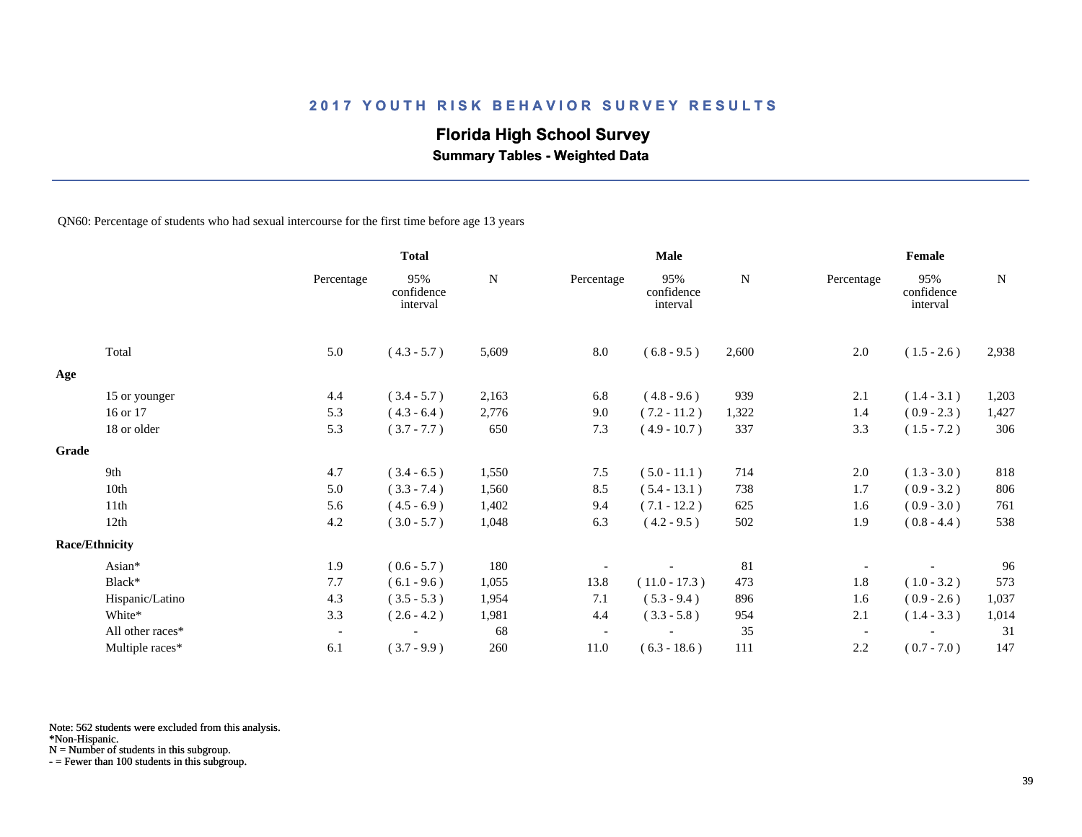# **Florida High School Survey**

 **Summary Tables - Weighted Data**

QN60: Percentage of students who had sexual intercourse for the first time before age 13 years

|                       |                  |                          | <b>Total</b>                  |             |                          | Male                          |             |                          | Female                        |             |  |  |
|-----------------------|------------------|--------------------------|-------------------------------|-------------|--------------------------|-------------------------------|-------------|--------------------------|-------------------------------|-------------|--|--|
|                       |                  | Percentage               | 95%<br>confidence<br>interval | $\mathbf N$ | Percentage               | 95%<br>confidence<br>interval | $\mathbf N$ | Percentage               | 95%<br>confidence<br>interval | $\mathbf N$ |  |  |
| Total                 |                  | 5.0                      | $(4.3 - 5.7)$                 | 5,609       | $8.0\,$                  | $(6.8 - 9.5)$                 | 2,600       | 2.0                      | $(1.5 - 2.6)$                 | 2,938       |  |  |
| Age                   |                  |                          |                               |             |                          |                               |             |                          |                               |             |  |  |
|                       | 15 or younger    | 4.4                      | $(3.4 - 5.7)$                 | 2,163       | 6.8                      | $(4.8 - 9.6)$                 | 939         | 2.1                      | $(1.4 - 3.1)$                 | 1,203       |  |  |
| 16 or 17              |                  | 5.3                      | $(4.3 - 6.4)$                 | 2,776       | 9.0                      | $(7.2 - 11.2)$                | 1,322       | 1.4                      | $(0.9 - 2.3)$                 | 1,427       |  |  |
| 18 or older           |                  | 5.3                      | $(3.7 - 7.7)$                 | 650         | 7.3                      | $(4.9 - 10.7)$                | 337         | 3.3                      | $(1.5 - 7.2)$                 | 306         |  |  |
| Grade                 |                  |                          |                               |             |                          |                               |             |                          |                               |             |  |  |
| 9th                   |                  | 4.7                      | $(3.4 - 6.5)$                 | 1,550       | 7.5                      | $(5.0 - 11.1)$                | 714         | 2.0                      | $(1.3 - 3.0)$                 | $818\,$     |  |  |
| 10th                  |                  | 5.0                      | $(3.3 - 7.4)$                 | 1,560       | 8.5                      | $(5.4 - 13.1)$                | 738         | 1.7                      | $(0.9 - 3.2)$                 | 806         |  |  |
| 11th                  |                  | 5.6                      | $(4.5 - 6.9)$                 | 1,402       | 9.4                      | $(7.1 - 12.2)$                | 625         | 1.6                      | $(0.9 - 3.0)$                 | 761         |  |  |
| 12th                  |                  | 4.2                      | $(3.0 - 5.7)$                 | 1,048       | 6.3                      | $(4.2 - 9.5)$                 | 502         | 1.9                      | $(0.8 - 4.4)$                 | 538         |  |  |
| <b>Race/Ethnicity</b> |                  |                          |                               |             |                          |                               |             |                          |                               |             |  |  |
| Asian*                |                  | 1.9                      | $(0.6 - 5.7)$                 | 180         |                          |                               | 81          |                          |                               | 96          |  |  |
| Black*                |                  | 7.7                      | $(6.1 - 9.6)$                 | 1,055       | 13.8                     | $(11.0 - 17.3)$               | 473         | 1.8                      | $(1.0 - 3.2)$                 | 573         |  |  |
|                       | Hispanic/Latino  | 4.3                      | $(3.5 - 5.3)$                 | 1,954       | 7.1                      | $(5.3 - 9.4)$                 | 896         | 1.6                      | $(0.9 - 2.6)$                 | 1,037       |  |  |
| White*                |                  | 3.3                      | $(2.6 - 4.2)$                 | 1,981       | 4.4                      | $(3.3 - 5.8)$                 | 954         | 2.1                      | $(1.4 - 3.3)$                 | 1,014       |  |  |
|                       | All other races* | $\overline{\phantom{a}}$ |                               | 68          | $\overline{\phantom{a}}$ |                               | 35          | $\overline{\phantom{a}}$ |                               | 31          |  |  |
|                       | Multiple races*  | 6.1                      | $(3.7 - 9.9)$                 | 260         | 11.0                     | $(6.3 - 18.6)$                | 111         | 2.2                      | $(0.7 - 7.0)$                 | 147         |  |  |

Note: 562 students were excluded from this analysis.

\*Non-Hispanic.

N = Number of students in this subgroup.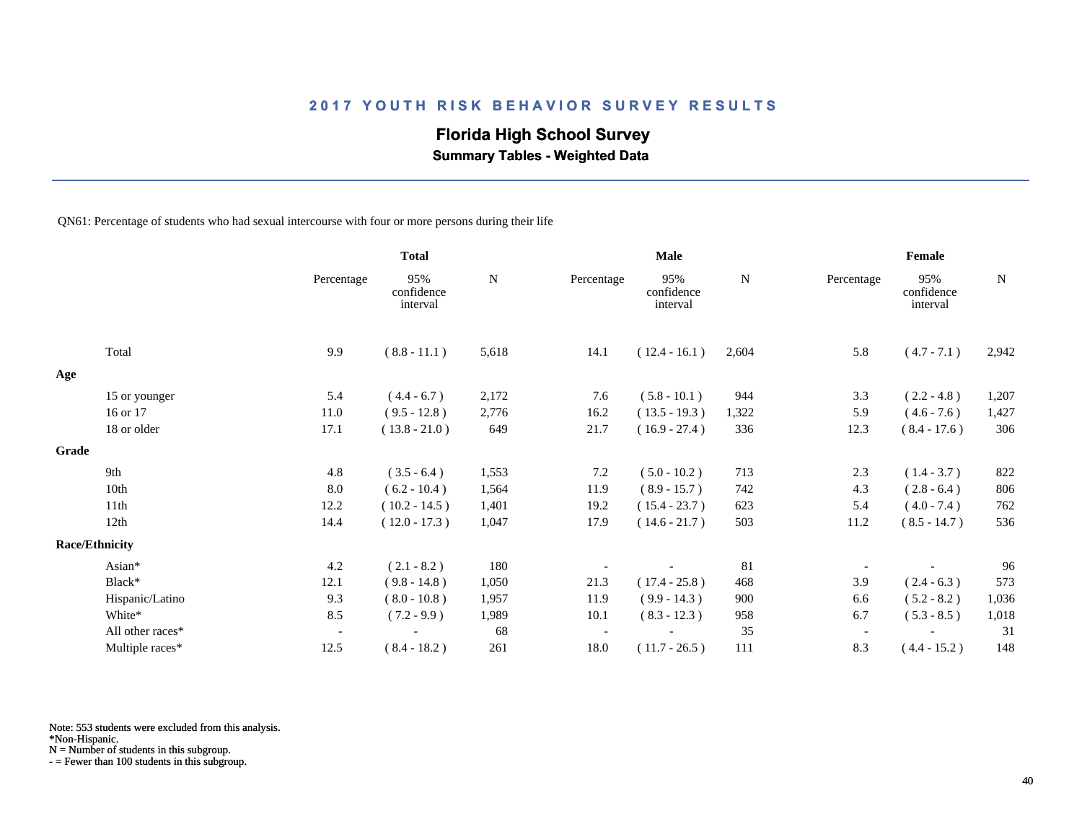# **Florida High School Survey**

 **Summary Tables - Weighted Data**

QN61: Percentage of students who had sexual intercourse with four or more persons during their life

|       |                       |                          | <b>Total</b>                  |             | Male       |                               |       | Female     |                               |             |
|-------|-----------------------|--------------------------|-------------------------------|-------------|------------|-------------------------------|-------|------------|-------------------------------|-------------|
|       |                       | Percentage               | 95%<br>confidence<br>interval | $\mathbf N$ | Percentage | 95%<br>confidence<br>interval | N     | Percentage | 95%<br>confidence<br>interval | $\mathbf N$ |
|       | Total                 | 9.9                      | $(8.8 - 11.1)$                | 5,618       | 14.1       | $(12.4 - 16.1)$               | 2,604 | 5.8        | $(4.7 - 7.1)$                 | 2,942       |
| Age   |                       |                          |                               |             |            |                               |       |            |                               |             |
|       | 15 or younger         | 5.4                      | $(4.4 - 6.7)$                 | 2,172       | 7.6        | $(5.8 - 10.1)$                | 944   | 3.3        | $(2.2 - 4.8)$                 | 1,207       |
|       | 16 or 17              | 11.0                     | $(9.5 - 12.8)$                | 2,776       | 16.2       | $(13.5 - 19.3)$               | 1,322 | 5.9        | $(4.6 - 7.6)$                 | 1,427       |
|       | 18 or older           | 17.1                     | $(13.8 - 21.0)$               | 649         | 21.7       | $(16.9 - 27.4)$               | 336   | 12.3       | $(8.4 - 17.6)$                | 306         |
| Grade |                       |                          |                               |             |            |                               |       |            |                               |             |
|       | 9th                   | 4.8                      | $(3.5 - 6.4)$                 | 1,553       | 7.2        | $(5.0 - 10.2)$                | 713   | 2.3        | $(1.4 - 3.7)$                 | 822         |
|       | 10th                  | 8.0                      | $(6.2 - 10.4)$                | 1,564       | 11.9       | $(8.9 - 15.7)$                | 742   | 4.3        | $(2.8 - 6.4)$                 | 806         |
|       | 11th                  | 12.2                     | $(10.2 - 14.5)$               | 1,401       | 19.2       | $(15.4 - 23.7)$               | 623   | 5.4        | $(4.0 - 7.4)$                 | 762         |
|       | 12th                  | 14.4                     | $(12.0 - 17.3)$               | 1,047       | 17.9       | $(14.6 - 21.7)$               | 503   | 11.2       | $(8.5 - 14.7)$                | 536         |
|       | <b>Race/Ethnicity</b> |                          |                               |             |            |                               |       |            |                               |             |
|       | Asian*                | 4.2                      | $(2.1 - 8.2)$                 | 180         |            |                               | 81    |            |                               | 96          |
|       | Black*                | 12.1                     | $(9.8 - 14.8)$                | 1,050       | 21.3       | $(17.4 - 25.8)$               | 468   | 3.9        | $(2.4 - 6.3)$                 | 573         |
|       | Hispanic/Latino       | 9.3                      | $(8.0 - 10.8)$                | 1,957       | 11.9       | $(9.9 - 14.3)$                | 900   | 6.6        | $(5.2 - 8.2)$                 | 1,036       |
|       | White*                | 8.5                      | $(7.2 - 9.9)$                 | 1,989       | 10.1       | $(8.3 - 12.3)$                | 958   | 6.7        | $(5.3 - 8.5)$                 | 1,018       |
|       | All other races*      | $\overline{\phantom{a}}$ |                               | 68          |            |                               | 35    |            |                               | 31          |
|       | Multiple races*       | 12.5                     | $(8.4 - 18.2)$                | 261         | 18.0       | $(11.7 - 26.5)$               | 111   | 8.3        | $(4.4 - 15.2)$                | 148         |

Note: 553 students were excluded from this analysis.

\*Non-Hispanic.

N = Number of students in this subgroup.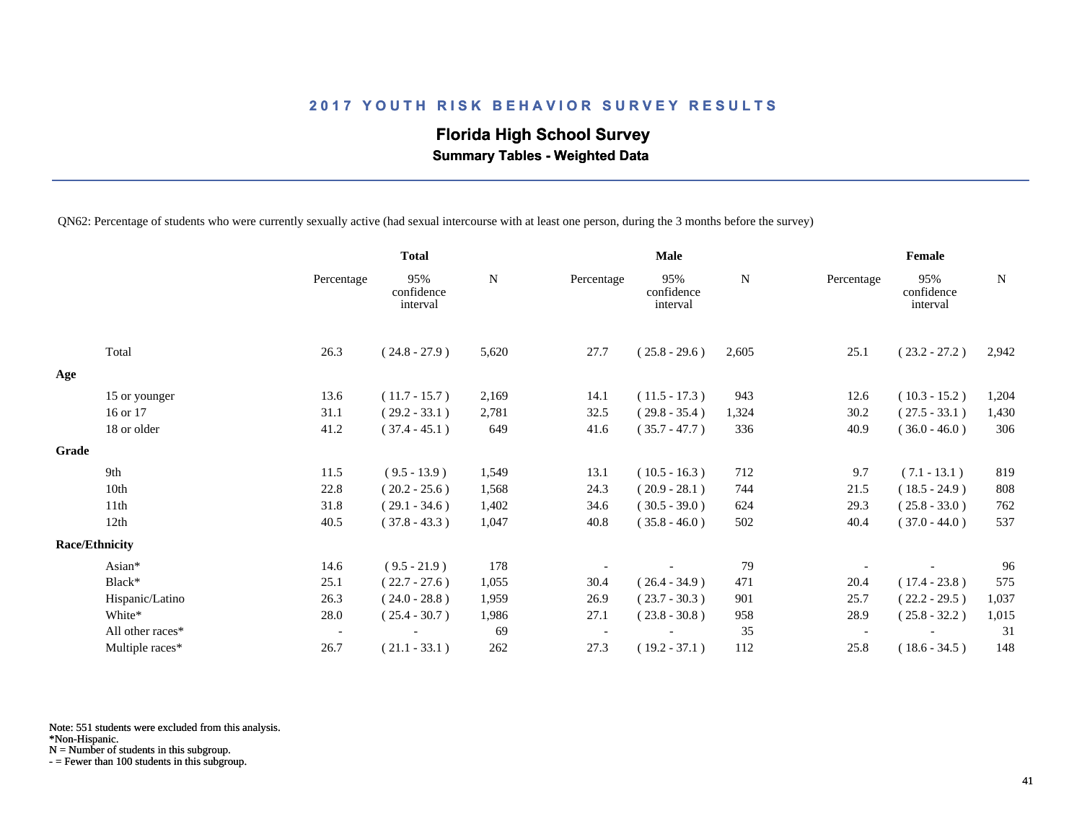# **Florida High School Survey**

 **Summary Tables - Weighted Data**

QN62: Percentage of students who were currently sexually active (had sexual intercourse with at least one person, during the 3 months before the survey)

|       |                       |                          | <b>Total</b>                  |       |            | Male                          |       |                          | Female                        |             |  |
|-------|-----------------------|--------------------------|-------------------------------|-------|------------|-------------------------------|-------|--------------------------|-------------------------------|-------------|--|
|       |                       | Percentage               | 95%<br>confidence<br>interval | N     | Percentage | 95%<br>confidence<br>interval | N     | Percentage               | 95%<br>confidence<br>interval | $\mathbf N$ |  |
|       | Total                 | 26.3                     | $(24.8 - 27.9)$               | 5,620 | 27.7       | $(25.8 - 29.6)$               | 2,605 | 25.1                     | $(23.2 - 27.2)$               | 2,942       |  |
| Age   |                       |                          |                               |       |            |                               |       |                          |                               |             |  |
|       | 15 or younger         | 13.6                     | $(11.7 - 15.7)$               | 2,169 | 14.1       | $(11.5 - 17.3)$               | 943   | 12.6                     | $(10.3 - 15.2)$               | 1,204       |  |
|       | 16 or 17              | 31.1                     | $(29.2 - 33.1)$               | 2,781 | 32.5       | $(29.8 - 35.4)$               | 1,324 | 30.2                     | $(27.5 - 33.1)$               | 1,430       |  |
|       | 18 or older           | 41.2                     | $(37.4 - 45.1)$               | 649   | 41.6       | $(35.7 - 47.7)$               | 336   | 40.9                     | $(36.0 - 46.0)$               | 306         |  |
| Grade |                       |                          |                               |       |            |                               |       |                          |                               |             |  |
|       | 9th                   | 11.5                     | $(9.5 - 13.9)$                | 1,549 | 13.1       | $(10.5 - 16.3)$               | 712   | 9.7                      | $(7.1 - 13.1)$                | 819         |  |
|       | 10th                  | 22.8                     | $(20.2 - 25.6)$               | 1,568 | 24.3       | $(20.9 - 28.1)$               | 744   | 21.5                     | $(18.5 - 24.9)$               | 808         |  |
|       | 11th                  | 31.8                     | $(29.1 - 34.6)$               | 1,402 | 34.6       | $(30.5 - 39.0)$               | 624   | 29.3                     | $(25.8 - 33.0)$               | 762         |  |
|       | 12th                  | 40.5                     | $(37.8 - 43.3)$               | 1,047 | 40.8       | $(35.8 - 46.0)$               | 502   | 40.4                     | $(37.0 - 44.0)$               | 537         |  |
|       | <b>Race/Ethnicity</b> |                          |                               |       |            |                               |       |                          |                               |             |  |
|       | Asian*                | 14.6                     | $(9.5 - 21.9)$                | 178   |            |                               | 79    |                          |                               | 96          |  |
|       | Black*                | 25.1                     | $(22.7 - 27.6)$               | 1,055 | 30.4       | $(26.4 - 34.9)$               | 471   | 20.4                     | $(17.4 - 23.8)$               | 575         |  |
|       | Hispanic/Latino       | 26.3                     | $(24.0 - 28.8)$               | 1,959 | 26.9       | $(23.7 - 30.3)$               | 901   | 25.7                     | $(22.2 - 29.5)$               | 1,037       |  |
|       | White*                | 28.0                     | $(25.4 - 30.7)$               | 1,986 | 27.1       | $(23.8 - 30.8)$               | 958   | 28.9                     | $(25.8 - 32.2)$               | 1,015       |  |
|       | All other races*      | $\overline{\phantom{a}}$ |                               | 69    |            |                               | 35    | $\overline{\phantom{a}}$ |                               | 31          |  |
|       | Multiple races*       | 26.7                     | $(21.1 - 33.1)$               | 262   | 27.3       | $(19.2 - 37.1)$               | 112   | 25.8                     | $(18.6 - 34.5)$               | 148         |  |

Note: 551 students were excluded from this analysis.

N = Number of students in this subgroup.

<sup>\*</sup>Non-Hispanic.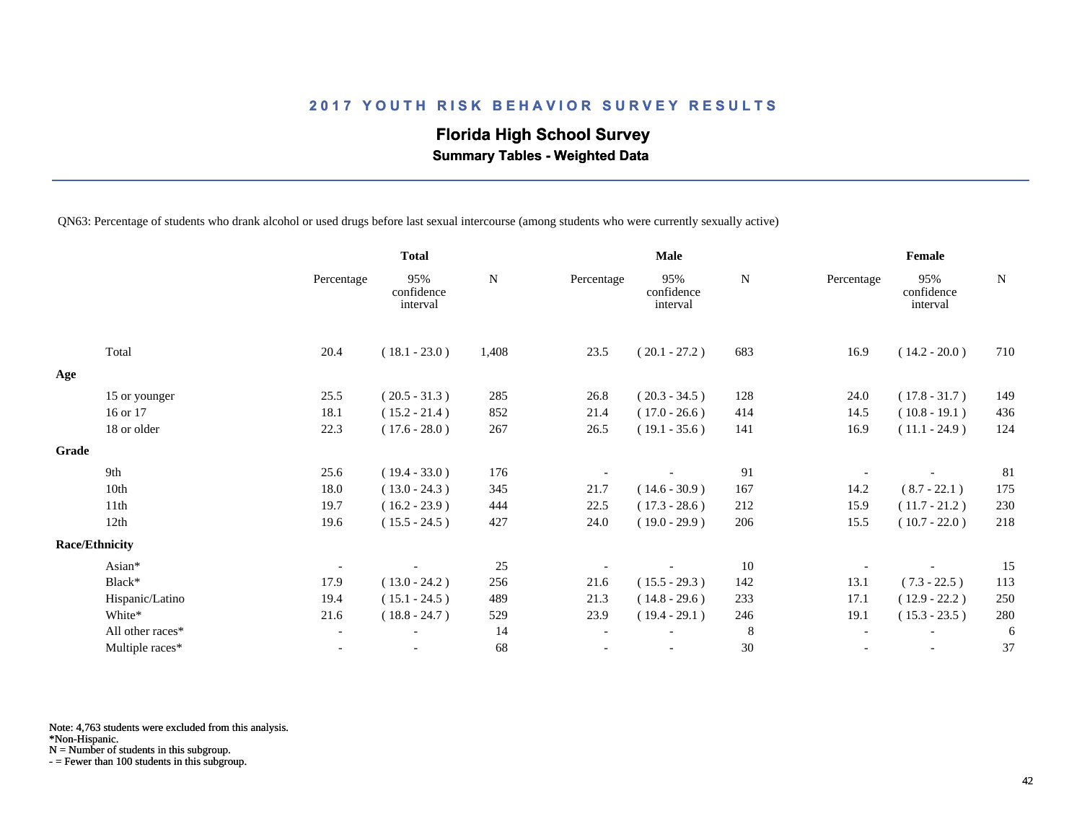# **Florida High School Survey**

 **Summary Tables - Weighted Data**

QN63: Percentage of students who drank alcohol or used drugs before last sexual intercourse (among students who were currently sexually active)

|                  | <b>Total</b>                           |                               |                 | <b>Male</b> |                               |         | Female     |                               |     |
|------------------|----------------------------------------|-------------------------------|-----------------|-------------|-------------------------------|---------|------------|-------------------------------|-----|
|                  | Percentage                             | 95%<br>confidence<br>interval | ${\bf N}$       | Percentage  | 95%<br>confidence<br>interval | N       | Percentage | 95%<br>confidence<br>interval | N   |
| Total            | 20.4                                   | $(18.1 - 23.0)$               | 1,408           | 23.5        | $(20.1 - 27.2)$               | 683     | 16.9       | $(14.2 - 20.0)$               | 710 |
|                  |                                        |                               |                 |             |                               |         |            |                               |     |
|                  | 25.5                                   | $(20.5 - 31.3)$               | 285             | 26.8        | $(20.3 - 34.5)$               | 128     | 24.0       | $(17.8 - 31.7)$               | 149 |
| 16 or 17         | 18.1                                   | $(15.2 - 21.4)$               | 852             | 21.4        | $(17.0 - 26.6)$               | 414     | 14.5       | $(10.8 - 19.1)$               | 436 |
| 18 or older      | 22.3                                   | $(17.6 - 28.0)$               | 267             | 26.5        | $(19.1 - 35.6)$               | 141     | 16.9       | $(11.1 - 24.9)$               | 124 |
|                  |                                        |                               |                 |             |                               |         |            |                               |     |
| 9th              | 25.6                                   |                               | 176             |             |                               | 91      |            |                               | 81  |
| 10th             | 18.0                                   | $(13.0 - 24.3)$               | 345             | 21.7        | $(14.6 - 30.9)$               | 167     | 14.2       | $(8.7 - 22.1)$                | 175 |
| 11th             | 19.7                                   | $(16.2 - 23.9)$               | 444             | 22.5        | $(17.3 - 28.6)$               | 212     | 15.9       | $(11.7 - 21.2)$               | 230 |
| 12th             | 19.6                                   | $(15.5 - 24.5)$               | 427             | 24.0        | $(19.0 - 29.9)$               | 206     | 15.5       | $(10.7 - 22.0)$               | 218 |
|                  |                                        |                               |                 |             |                               |         |            |                               |     |
| Asian*           |                                        |                               | 25              |             |                               | 10      |            |                               | 15  |
| Black*           | 17.9                                   | $(13.0 - 24.2)$               | 256             | 21.6        | $(15.5 - 29.3)$               | 142     | 13.1       | $(7.3 - 22.5)$                | 113 |
| Hispanic/Latino  | 19.4                                   | $(15.1 - 24.5)$               | 489             | 21.3        | $(14.8 - 29.6)$               | 233     | 17.1       | $(12.9 - 22.2)$               | 250 |
| White*           | 21.6                                   | $(18.8 - 24.7)$               | 529             | 23.9        | $(19.4 - 29.1)$               | 246     | 19.1       | $(15.3 - 23.5)$               | 280 |
| All other races* | $\overline{\phantom{a}}$               |                               | 14              |             |                               | $\,8\,$ |            |                               | 6   |
| Multiple races*  | $\overline{\phantom{a}}$               | $\overline{\phantom{a}}$      | 68              |             | $\overline{\phantom{a}}$      | 30      |            | $\overline{\phantom{a}}$      | 37  |
|                  | 15 or younger<br><b>Race/Ethnicity</b> |                               | $(19.4 - 33.0)$ |             |                               |         |            |                               |     |

Note: 4,763 students were excluded from this analysis.

\*Non-Hispanic.

N = Number of students in this subgroup.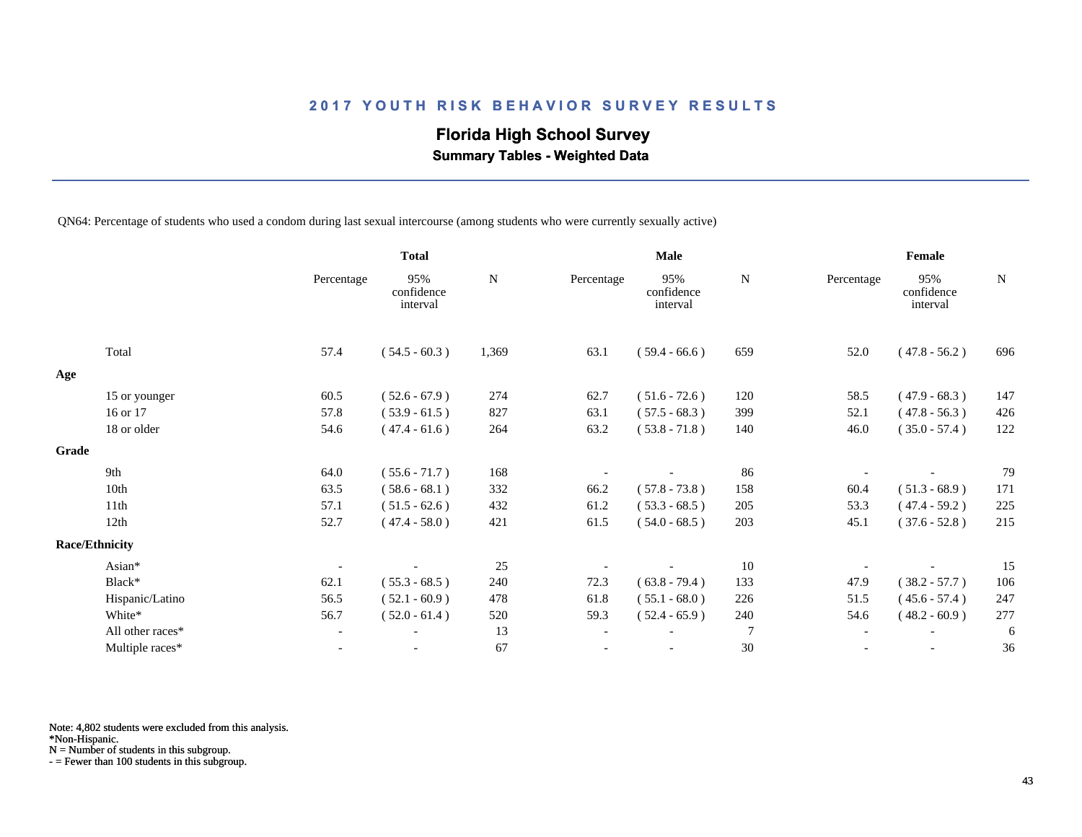# **Florida High School Survey**

 **Summary Tables - Weighted Data**

QN64: Percentage of students who used a condom during last sexual intercourse (among students who were currently sexually active)

|       |                       |                          | <b>Total</b>                  |           |                          | <b>Male</b>                   |                |                          | Female                        |     |  |
|-------|-----------------------|--------------------------|-------------------------------|-----------|--------------------------|-------------------------------|----------------|--------------------------|-------------------------------|-----|--|
|       |                       | Percentage               | 95%<br>confidence<br>interval | ${\bf N}$ | Percentage               | 95%<br>confidence<br>interval | N              | Percentage               | 95%<br>confidence<br>interval | N   |  |
|       | Total                 | 57.4                     | $(54.5 - 60.3)$               | 1,369     | 63.1                     | $(59.4 - 66.6)$               | 659            | 52.0                     | $(47.8 - 56.2)$               | 696 |  |
| Age   |                       |                          |                               |           |                          |                               |                |                          |                               |     |  |
|       | 15 or younger         | 60.5                     | $(52.6 - 67.9)$               | 274       | 62.7                     | $(51.6 - 72.6)$               | 120            | 58.5                     | $(47.9 - 68.3)$               | 147 |  |
|       | 16 or 17              | 57.8                     | $(53.9 - 61.5)$               | 827       | 63.1                     | $(57.5 - 68.3)$               | 399            | 52.1                     | $(47.8 - 56.3)$               | 426 |  |
|       | 18 or older           | 54.6                     | $(47.4 - 61.6)$               | 264       | 63.2                     | $(53.8 - 71.8)$               | 140            | 46.0                     | $(35.0 - 57.4)$               | 122 |  |
| Grade |                       |                          |                               |           |                          |                               |                |                          |                               |     |  |
|       | 9th                   | 64.0                     | $(55.6 - 71.7)$               | 168       |                          |                               | 86             |                          |                               | 79  |  |
|       | 10th                  | 63.5                     | $(58.6 - 68.1)$               | 332       | 66.2                     | $(57.8 - 73.8)$               | 158            | 60.4                     | $(51.3 - 68.9)$               | 171 |  |
|       | 11th                  | 57.1                     | $(51.5 - 62.6)$               | 432       | 61.2                     | $(53.3 - 68.5)$               | 205            | 53.3                     | $(47.4 - 59.2)$               | 225 |  |
|       | 12th                  | 52.7                     | $(47.4 - 58.0)$               | 421       | 61.5                     | $(54.0 - 68.5)$               | 203            | 45.1                     | $(37.6 - 52.8)$               | 215 |  |
|       | <b>Race/Ethnicity</b> |                          |                               |           |                          |                               |                |                          |                               |     |  |
|       | Asian*                |                          |                               | 25        |                          |                               | 10             |                          |                               | 15  |  |
|       | Black*                | 62.1                     | $(55.3 - 68.5)$               | 240       | 72.3                     | $(63.8 - 79.4)$               | 133            | 47.9                     | $(38.2 - 57.7)$               | 106 |  |
|       | Hispanic/Latino       | 56.5                     | $(52.1 - 60.9)$               | 478       | 61.8                     | $(55.1 - 68.0)$               | 226            | 51.5                     | $(45.6 - 57.4)$               | 247 |  |
|       | White*                | 56.7                     | $(52.0 - 61.4)$               | 520       | 59.3                     | $(52.4 - 65.9)$               | 240            | 54.6                     | $(48.2 - 60.9)$               | 277 |  |
|       | All other races*      | $\overline{\phantom{a}}$ |                               | 13        | $\overline{\phantom{a}}$ |                               | $\overline{7}$ | $\overline{\phantom{a}}$ |                               | 6   |  |
|       | Multiple races*       | $\overline{\phantom{a}}$ |                               | 67        |                          |                               | $30\,$         |                          | $\overline{\phantom{a}}$      | 36  |  |

Note: 4,802 students were excluded from this analysis.

\*Non-Hispanic.

N = Number of students in this subgroup.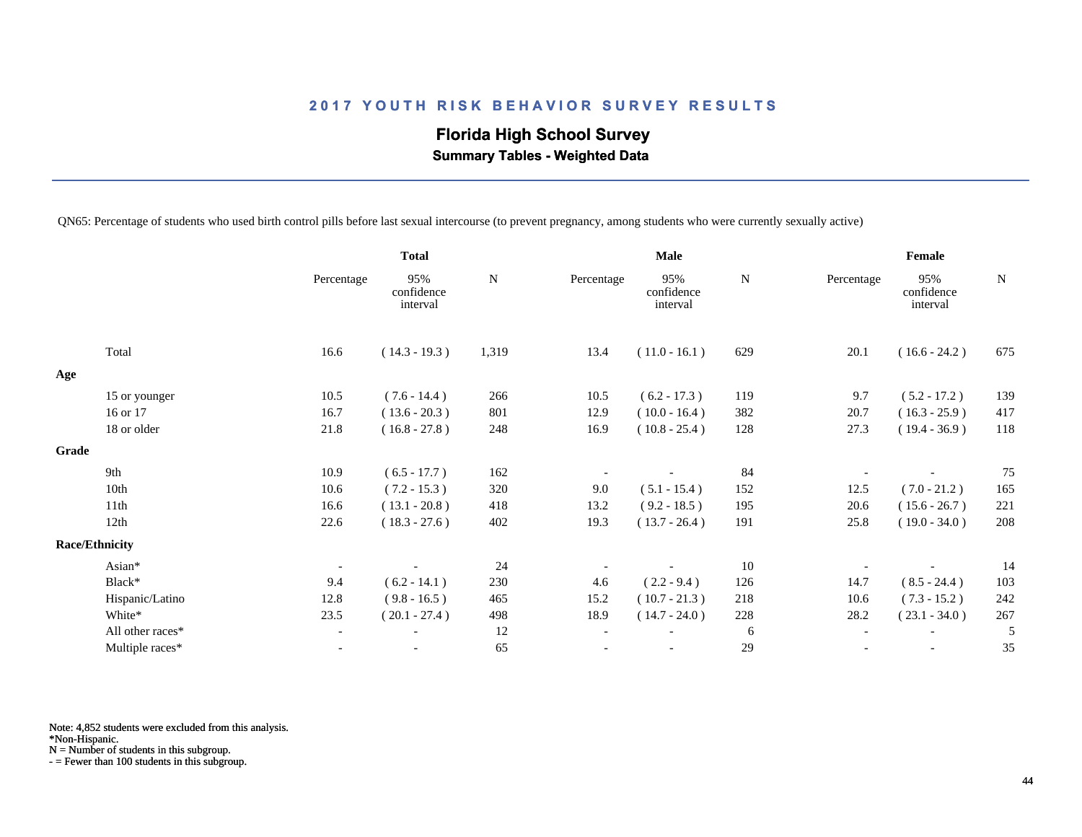# **Florida High School Survey Summary Tables - Weighted Data**

QN65: Percentage of students who used birth control pills before last sexual intercourse (to prevent pregnancy, among students who were currently sexually active)

|                       |                          | <b>Total</b>                  |       |                          | <b>Male</b>                   |             | Female                   |                               |     |
|-----------------------|--------------------------|-------------------------------|-------|--------------------------|-------------------------------|-------------|--------------------------|-------------------------------|-----|
|                       | Percentage               | 95%<br>confidence<br>interval | N     | Percentage               | 95%<br>confidence<br>interval | $\mathbf N$ | Percentage               | 95%<br>confidence<br>interval | N   |
| Total                 | 16.6                     | $(14.3 - 19.3)$               | 1,319 | 13.4                     | $(11.0 - 16.1)$               | 629         | 20.1                     | $(16.6 - 24.2)$               | 675 |
| Age                   |                          |                               |       |                          |                               |             |                          |                               |     |
| 15 or younger         | 10.5                     | $(7.6 - 14.4)$                | 266   | 10.5                     | $(6.2 - 17.3)$                | 119         | 9.7                      | $(5.2 - 17.2)$                | 139 |
| 16 or 17              | 16.7                     | $(13.6 - 20.3)$               | 801   | 12.9                     | $(10.0 - 16.4)$               | 382         | 20.7                     | $(16.3 - 25.9)$               | 417 |
| 18 or older           | 21.8                     | $(16.8 - 27.8)$               | 248   | 16.9                     | $(10.8 - 25.4)$               | 128         | 27.3                     | $(19.4 - 36.9)$               | 118 |
| Grade                 |                          |                               |       |                          |                               |             |                          |                               |     |
| 9th                   | 10.9                     | $(6.5 - 17.7)$                | 162   |                          |                               | 84          |                          |                               | 75  |
| 10th                  | 10.6                     | $(7.2 - 15.3)$                | 320   | 9.0                      | $(5.1 - 15.4)$                | 152         | 12.5                     | $(7.0 - 21.2)$                | 165 |
| 11th                  | 16.6                     | $(13.1 - 20.8)$               | 418   | 13.2                     | $(9.2 - 18.5)$                | 195         | 20.6                     | $(15.6 - 26.7)$               | 221 |
| 12th                  | 22.6                     | $(18.3 - 27.6)$               | 402   | 19.3                     | $(13.7 - 26.4)$               | 191         | 25.8                     | $(19.0 - 34.0)$               | 208 |
| <b>Race/Ethnicity</b> |                          |                               |       |                          |                               |             |                          |                               |     |
| Asian*                | $\overline{\phantom{a}}$ |                               | 24    |                          |                               | 10          |                          |                               | 14  |
| Black*                | 9.4                      | $(6.2 - 14.1)$                | 230   | 4.6                      | $(2.2 - 9.4)$                 | 126         | 14.7                     | $(8.5 - 24.4)$                | 103 |
| Hispanic/Latino       | 12.8                     | $(9.8 - 16.5)$                | 465   | 15.2                     | $(10.7 - 21.3)$               | 218         | 10.6                     | $(7.3 - 15.2)$                | 242 |
| White*                | 23.5                     | $(20.1 - 27.4)$               | 498   | 18.9                     | $(14.7 - 24.0)$               | 228         | 28.2                     | $(23.1 - 34.0)$               | 267 |
| All other races*      | $\overline{\phantom{a}}$ |                               | 12    | $\overline{\phantom{a}}$ |                               | 6           | $\overline{\phantom{a}}$ | $\overline{\phantom{a}}$      | 5   |
| Multiple races*       | $\overline{\phantom{a}}$ |                               | 65    |                          |                               | 29          |                          | $\overline{\phantom{a}}$      | 35  |

Note: 4,852 students were excluded from this analysis.

\*Non-Hispanic.

N = Number of students in this subgroup.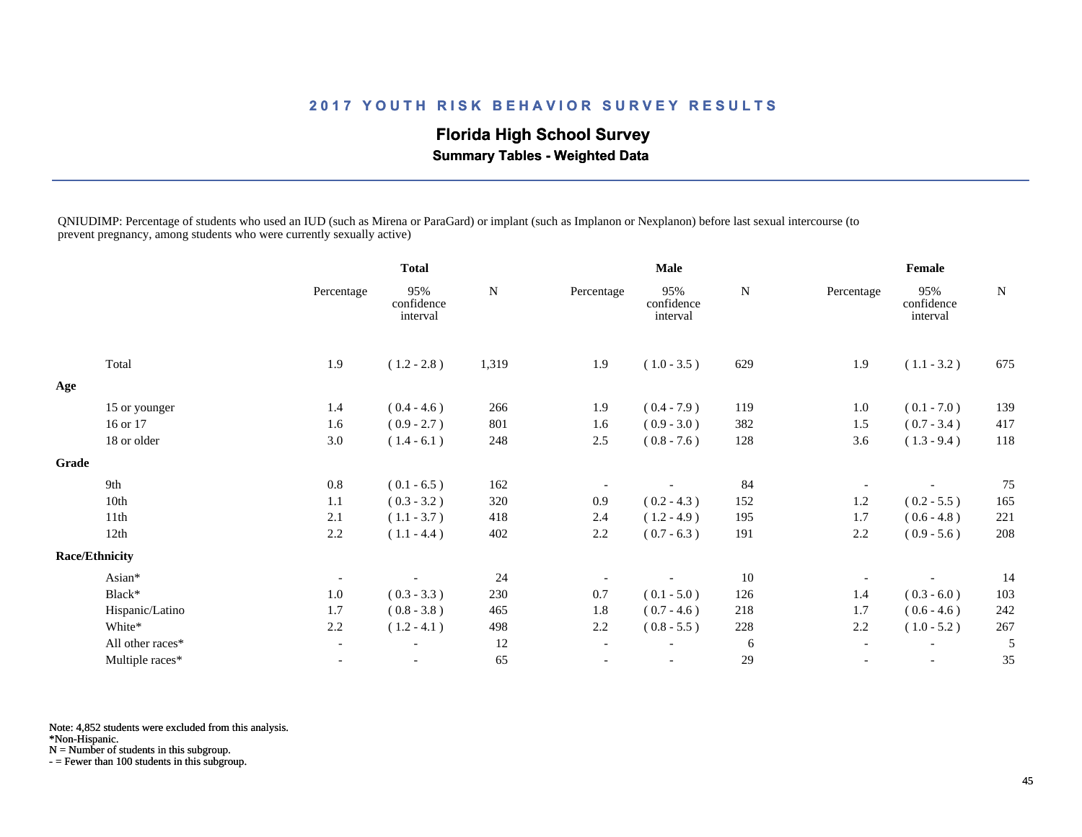# **Florida High School Survey**

 **Summary Tables - Weighted Data**

QNIUDIMP: Percentage of students who used an IUD (such as Mirena or ParaGard) or implant (such as Implanon or Nexplanon) before last sexual intercourse (to prevent pregnancy, among students who were currently sexually active)

|              |                       |                          | <b>Total</b>                  |           | <b>Male</b>              |                               |           | Female                   |                               |           |
|--------------|-----------------------|--------------------------|-------------------------------|-----------|--------------------------|-------------------------------|-----------|--------------------------|-------------------------------|-----------|
|              |                       | Percentage               | 95%<br>confidence<br>interval | ${\bf N}$ | Percentage               | 95%<br>confidence<br>interval | ${\bf N}$ | Percentage               | 95%<br>confidence<br>interval | ${\bf N}$ |
|              | Total                 | 1.9                      | $(1.2 - 2.8)$                 | 1,319     | 1.9                      | $(1.0 - 3.5)$                 | 629       | 1.9                      | $(1.1 - 3.2)$                 | 675       |
| Age          |                       |                          |                               |           |                          |                               |           |                          |                               |           |
|              | 15 or younger         | 1.4                      | $(0.4 - 4.6)$                 | 266       | 1.9                      | $(0.4 - 7.9)$                 | 119       | 1.0                      | $(0.1 - 7.0)$                 | 139       |
|              | 16 or 17              | 1.6                      | $(0.9 - 2.7)$                 | 801       | 1.6                      | $(0.9 - 3.0)$                 | 382       | 1.5                      | $(0.7 - 3.4)$                 | 417       |
|              | 18 or older           | 3.0                      | $(1.4 - 6.1)$                 | 248       | 2.5                      | $(0.8 - 7.6)$                 | 128       | 3.6                      | $(1.3 - 9.4)$                 | 118       |
| <b>Grade</b> |                       |                          |                               |           |                          |                               |           |                          |                               |           |
|              | 9th                   | 0.8                      | $(0.1 - 6.5)$                 | 162       |                          |                               | 84        |                          |                               | 75        |
|              | 10th                  | 1.1                      | $(0.3 - 3.2)$                 | 320       | 0.9                      | $(0.2 - 4.3)$                 | 152       | 1.2                      | $(0.2 - 5.5)$                 | 165       |
|              | 11th                  | 2.1                      | $(1.1 - 3.7)$                 | 418       | 2.4                      | $(1.2 - 4.9)$                 | 195       | 1.7                      | $(0.6 - 4.8)$                 | 221       |
|              | 12th                  | 2.2                      | $(1.1 - 4.4)$                 | 402       | 2.2                      | $(0.7 - 6.3)$                 | 191       | 2.2                      | $(0.9 - 5.6)$                 | 208       |
|              | <b>Race/Ethnicity</b> |                          |                               |           |                          |                               |           |                          |                               |           |
|              | Asian*                | $\overline{\phantom{a}}$ |                               | 24        |                          |                               | 10        |                          |                               | 14        |
|              | Black*                | 1.0                      | $(0.3 - 3.3)$                 | 230       | 0.7                      | $(0.1 - 5.0)$                 | 126       | 1.4                      | $(0.3 - 6.0)$                 | 103       |
|              | Hispanic/Latino       | 1.7                      | $(0.8 - 3.8)$                 | 465       | 1.8                      | $(0.7 - 4.6)$                 | 218       | 1.7                      | $(0.6 - 4.6)$                 | 242       |
|              | White*                | 2.2                      | $(1.2 - 4.1)$                 | 498       | 2.2                      | $(0.8 - 5.5)$                 | 228       | 2.2                      | $(1.0 - 5.2)$                 | 267       |
|              | All other races*      | $\overline{\phantom{a}}$ |                               | 12        | $\overline{\phantom{a}}$ |                               | 6         | $\overline{\phantom{a}}$ | $\overline{\phantom{a}}$      | 5         |
|              | Multiple races*       | $\overline{\phantom{a}}$ | $\overline{\phantom{a}}$      | 65        | $\overline{\phantom{a}}$ | $\overline{\phantom{a}}$      | 29        | $\overline{\phantom{a}}$ | $\overline{\phantom{a}}$      | 35        |

Note: 4,852 students were excluded from this analysis.

\*Non-Hispanic.

N = Number of students in this subgroup.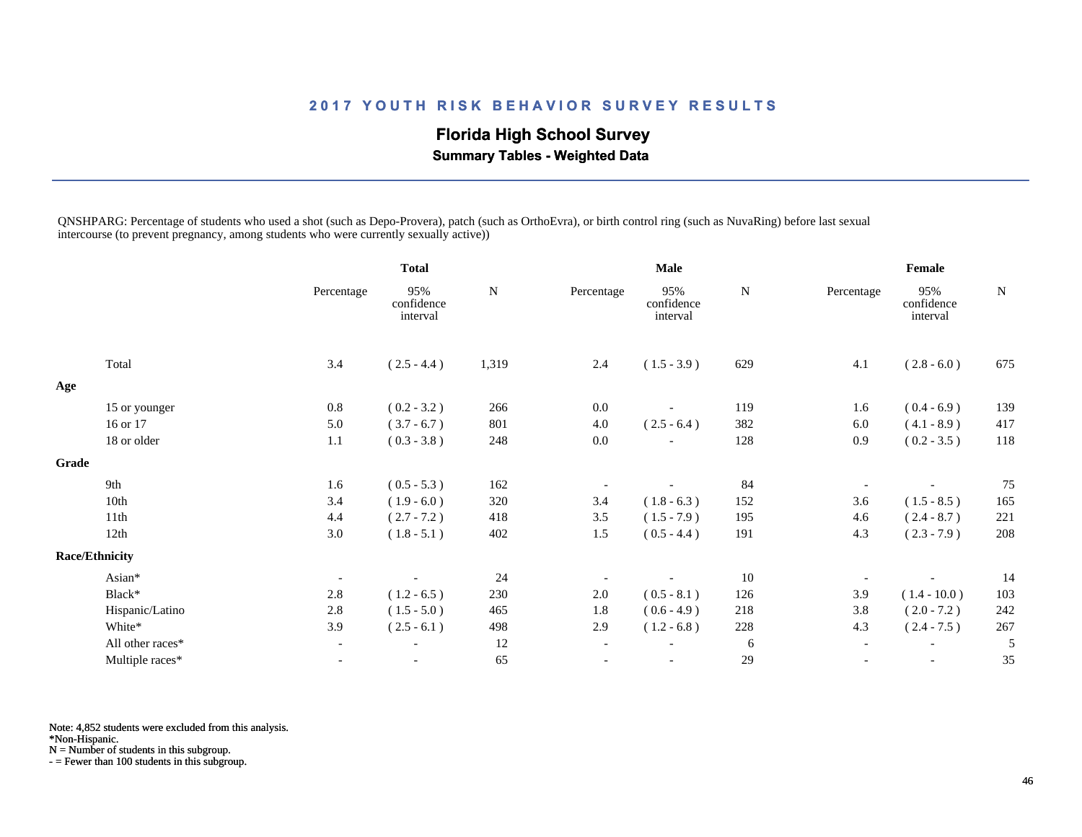# **Florida High School Survey**

 **Summary Tables - Weighted Data**

QNSHPARG: Percentage of students who used a shot (such as Depo-Provera), patch (such as OrthoEvra), or birth control ring (such as NuvaRing) before last sexual intercourse (to prevent pregnancy, among students who were currently sexually active))

|              |                       |                          | <b>Total</b>                  |             | <b>Male</b>              |                               |           | Female                   |                               |           |
|--------------|-----------------------|--------------------------|-------------------------------|-------------|--------------------------|-------------------------------|-----------|--------------------------|-------------------------------|-----------|
|              |                       | Percentage               | 95%<br>confidence<br>interval | $\mathbf N$ | Percentage               | 95%<br>confidence<br>interval | ${\bf N}$ | Percentage               | 95%<br>confidence<br>interval | ${\bf N}$ |
|              | Total                 | 3.4                      | $(2.5 - 4.4)$                 | 1,319       | 2.4                      | $(1.5 - 3.9)$                 | 629       | 4.1                      | $(2.8 - 6.0)$                 | 675       |
| Age          |                       |                          |                               |             |                          |                               |           |                          |                               |           |
|              | 15 or younger         | 0.8                      | $(0.2 - 3.2)$                 | 266         | 0.0                      |                               | 119       | 1.6                      | $(0.4 - 6.9)$                 | 139       |
|              | 16 or 17              | 5.0                      | $(3.7 - 6.7)$                 | 801         | 4.0                      | $(2.5 - 6.4)$                 | 382       | 6.0                      | $(4.1 - 8.9)$                 | 417       |
|              | 18 or older           | 1.1                      | $(0.3 - 3.8)$                 | 248         | 0.0                      |                               | 128       | 0.9                      | $(0.2 - 3.5)$                 | 118       |
| <b>Grade</b> |                       |                          |                               |             |                          |                               |           |                          |                               |           |
|              | 9th                   | 1.6                      | $(0.5 - 5.3)$                 | 162         |                          |                               | 84        |                          |                               | 75        |
|              | 10th                  | 3.4                      | $(1.9 - 6.0)$                 | 320         | 3.4                      | $(1.8 - 6.3)$                 | 152       | 3.6                      | $(1.5 - 8.5)$                 | 165       |
|              | 11th                  | 4.4                      | $(2.7 - 7.2)$                 | 418         | 3.5                      | $(1.5 - 7.9)$                 | 195       | 4.6                      | $(2.4 - 8.7)$                 | 221       |
|              | 12th                  | 3.0                      | $(1.8 - 5.1)$                 | 402         | 1.5                      | $(0.5 - 4.4)$                 | 191       | 4.3                      | $(2.3 - 7.9)$                 | 208       |
|              | <b>Race/Ethnicity</b> |                          |                               |             |                          |                               |           |                          |                               |           |
|              | Asian*                | $\overline{\phantom{a}}$ |                               | 24          |                          |                               | 10        |                          |                               | 14        |
|              | Black*                | 2.8                      | $(1.2 - 6.5)$                 | 230         | $2.0\,$                  | $(0.5 - 8.1)$                 | 126       | 3.9                      | $(1.4 - 10.0)$                | 103       |
|              | Hispanic/Latino       | 2.8                      | $(1.5 - 5.0)$                 | 465         | 1.8                      | $(0.6 - 4.9)$                 | 218       | 3.8                      | $(2.0 - 7.2)$                 | 242       |
|              | White*                | 3.9                      | $(2.5 - 6.1)$                 | 498         | 2.9                      | $(1.2 - 6.8)$                 | 228       | 4.3                      | $(2.4 - 7.5)$                 | 267       |
|              | All other races*      | $\overline{\phantom{a}}$ |                               | 12          | $\overline{\phantom{a}}$ |                               | 6         | $\overline{\phantom{a}}$ | $\overline{\phantom{a}}$      | 5         |
|              | Multiple races*       | $\overline{\phantom{a}}$ | $\overline{\phantom{a}}$      | 65          | $\overline{\phantom{a}}$ | $\overline{\phantom{a}}$      | 29        | $\overline{\phantom{a}}$ | $\overline{\phantom{a}}$      | 35        |

Note: 4,852 students were excluded from this analysis.

\*Non-Hispanic.

N = Number of students in this subgroup.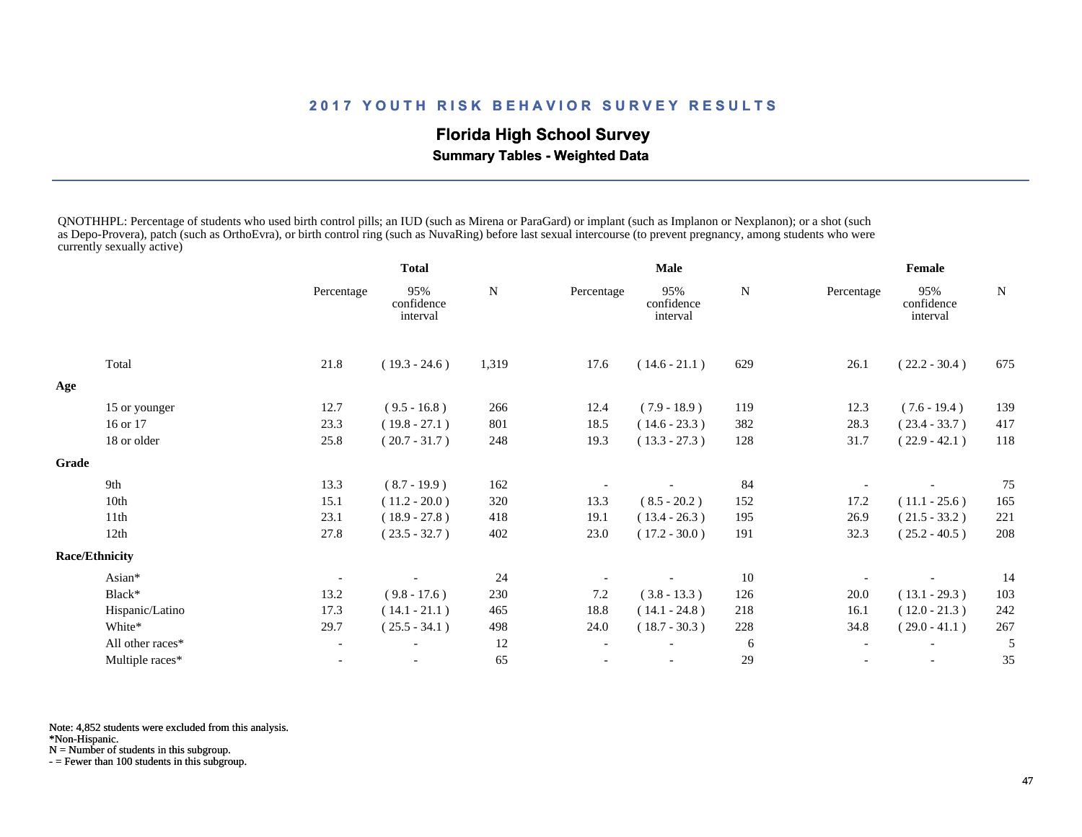# **Florida High School Survey**

 **Summary Tables - Weighted Data**

QNOTHHPL: Percentage of students who used birth control pills; an IUD (such as Mirena or ParaGard) or implant (such as Implanon or Nexplanon); or a shot (such as Depo-Provera), patch (such as OrthoEvra), or birth control ring (such as NuvaRing) before last sexual intercourse (to prevent pregnancy, among students who were currently sexually active)

|       |                       | <b>Total</b> |                               |       | Male       |                               | Female |            |                               |        |
|-------|-----------------------|--------------|-------------------------------|-------|------------|-------------------------------|--------|------------|-------------------------------|--------|
|       |                       | Percentage   | 95%<br>confidence<br>interval | N     | Percentage | 95%<br>confidence<br>interval | N      | Percentage | 95%<br>confidence<br>interval | $\,$ N |
|       | Total                 | 21.8         | $(19.3 - 24.6)$               | 1,319 | 17.6       | $(14.6 - 21.1)$               | 629    | 26.1       | $(22.2 - 30.4)$               | 675    |
| Age   |                       |              |                               |       |            |                               |        |            |                               |        |
|       | 15 or younger         | 12.7         | $(9.5 - 16.8)$                | 266   | 12.4       | $(7.9 - 18.9)$                | 119    | 12.3       | $(7.6 - 19.4)$                | 139    |
|       | 16 or 17              | 23.3         | $(19.8 - 27.1)$               | 801   | 18.5       | $(14.6 - 23.3)$               | 382    | 28.3       | $(23.4 - 33.7)$               | 417    |
|       | 18 or older           | 25.8         | $(20.7 - 31.7)$               | 248   | 19.3       | $(13.3 - 27.3)$               | 128    | 31.7       | $(22.9 - 42.1)$               | 118    |
| Grade |                       |              |                               |       |            |                               |        |            |                               |        |
|       | 9th                   | 13.3         | $(8.7 - 19.9)$                | 162   |            |                               | 84     |            |                               | 75     |
|       | 10th                  | 15.1         | $(11.2 - 20.0)$               | 320   | 13.3       | $(8.5 - 20.2)$                | 152    | 17.2       | $(11.1 - 25.6)$               | 165    |
|       | 11th                  | 23.1         | $(18.9 - 27.8)$               | 418   | 19.1       | $(13.4 - 26.3)$               | 195    | 26.9       | $(21.5 - 33.2)$               | 221    |
|       | 12th                  | 27.8         | $(23.5 - 32.7)$               | 402   | 23.0       | $(17.2 - 30.0)$               | 191    | 32.3       | $(25.2 - 40.5)$               | 208    |
|       | <b>Race/Ethnicity</b> |              |                               |       |            |                               |        |            |                               |        |
|       | Asian*                |              |                               | 24    |            |                               | 10     |            |                               | 14     |
|       | Black*                | 13.2         | $(9.8 - 17.6)$                | 230   | 7.2        | $(3.8 - 13.3)$                | 126    | 20.0       | $(13.1 - 29.3)$               | 103    |
|       | Hispanic/Latino       | 17.3         | $(14.1 - 21.1)$               | 465   | 18.8       | $(14.1 - 24.8)$               | 218    | 16.1       | $(12.0 - 21.3)$               | 242    |
|       | White*                | 29.7         | $(25.5 - 34.1)$               | 498   | 24.0       | $(18.7 - 30.3)$               | 228    | 34.8       | $(29.0 - 41.1)$               | 267    |
|       | All other races*      |              |                               | 12    |            |                               | 6      |            |                               | 5      |
|       | Multiple races*       |              |                               | 65    |            |                               | 29     |            |                               | 35     |
|       |                       |              |                               |       |            |                               |        |            |                               |        |

Note: 4,852 students were excluded from this analysis.

\*Non-Hispanic.

N = Number of students in this subgroup.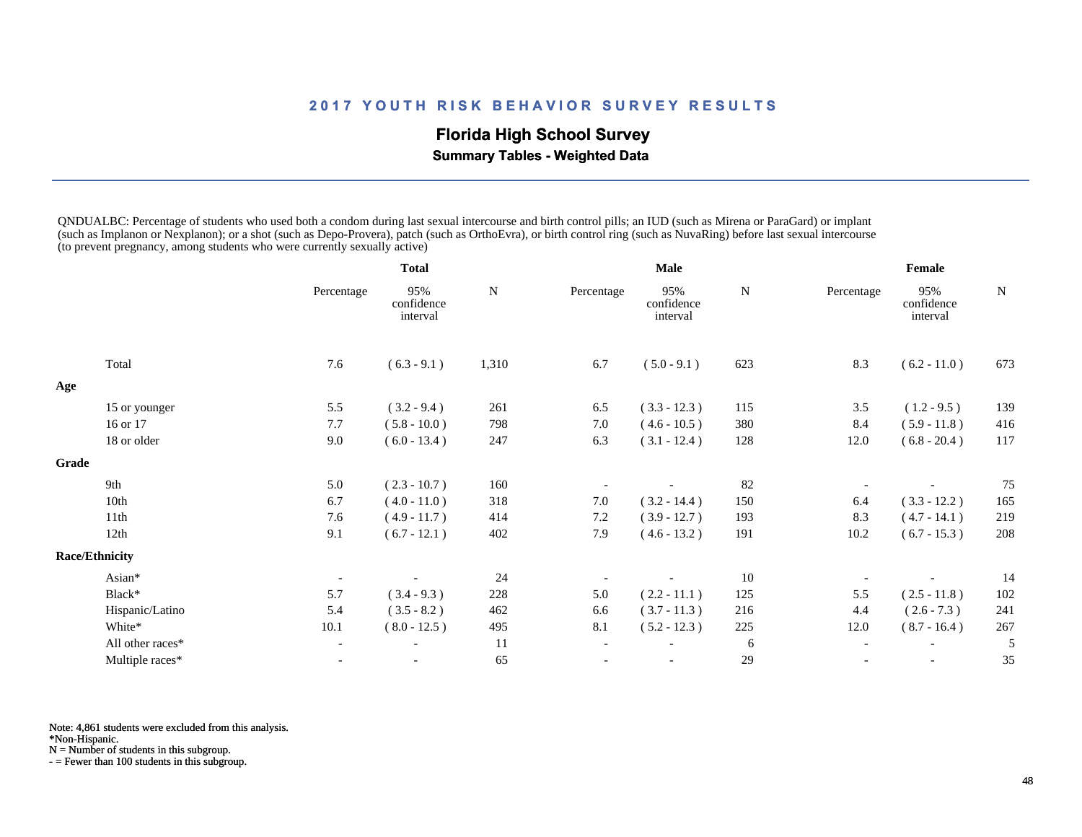# **Florida High School Survey**

 **Summary Tables - Weighted Data**

QNDUALBC: Percentage of students who used both a condom during last sexual intercourse and birth control pills; an IUD (such as Mirena or ParaGard) or implant (such as Implanon or Nexplanon); or a shot (such as Depo-Provera), patch (such as OrthoEvra), or birth control ring (such as NuvaRing) before last sexual intercourse (to prevent pregnancy, among students who were currently sexually active)

|       |                       | <b>Total</b>             |                               |       | <b>Male</b>              |                               | Female |                          |                               |           |
|-------|-----------------------|--------------------------|-------------------------------|-------|--------------------------|-------------------------------|--------|--------------------------|-------------------------------|-----------|
|       |                       | Percentage               | 95%<br>confidence<br>interval | N     | Percentage               | 95%<br>confidence<br>interval | N      | Percentage               | 95%<br>confidence<br>interval | ${\bf N}$ |
|       | Total                 | 7.6                      | $(6.3 - 9.1)$                 | 1,310 | 6.7                      | $(5.0 - 9.1)$                 | 623    | 8.3                      | $(6.2 - 11.0)$                | 673       |
| Age   |                       |                          |                               |       |                          |                               |        |                          |                               |           |
|       | 15 or younger         | 5.5                      | $(3.2 - 9.4)$                 | 261   | 6.5                      | $(3.3 - 12.3)$                | 115    | 3.5                      | $(1.2 - 9.5)$                 | 139       |
|       | 16 or 17              | 7.7                      | $(5.8 - 10.0)$                | 798   | 7.0                      | $(4.6 - 10.5)$                | 380    | 8.4                      | $(5.9 - 11.8)$                | 416       |
|       | 18 or older           | 9.0                      | $(6.0 - 13.4)$                | 247   | 6.3                      | $(3.1 - 12.4)$                | 128    | 12.0                     | $(6.8 - 20.4)$                | 117       |
| Grade |                       |                          |                               |       |                          |                               |        |                          |                               |           |
|       | 9th                   | 5.0                      | $(2.3 - 10.7)$                | 160   |                          |                               | 82     |                          |                               | 75        |
|       | 10th                  | 6.7                      | $(4.0 - 11.0)$                | 318   | 7.0                      | $(3.2 - 14.4)$                | 150    | 6.4                      | $(3.3 - 12.2)$                | 165       |
|       | 11th                  | 7.6                      | $(4.9 - 11.7)$                | 414   | 7.2                      | $(3.9 - 12.7)$                | 193    | 8.3                      | $(4.7 - 14.1)$                | 219       |
|       | 12th                  | 9.1                      | $(6.7 - 12.1)$                | 402   | 7.9                      | $(4.6 - 13.2)$                | 191    | 10.2                     | $(6.7 - 15.3)$                | 208       |
|       | <b>Race/Ethnicity</b> |                          |                               |       |                          |                               |        |                          |                               |           |
|       | Asian*                |                          |                               | 24    |                          |                               | 10     |                          |                               | 14        |
|       | Black*                | 5.7                      | $(3.4 - 9.3)$                 | 228   | 5.0                      | $(2.2 - 11.1)$                | 125    | 5.5                      | $(2.5 - 11.8)$                | 102       |
|       | Hispanic/Latino       | 5.4                      | $(3.5 - 8.2)$                 | 462   | 6.6                      | $(3.7 - 11.3)$                | 216    | 4.4                      | $(2.6 - 7.3)$                 | 241       |
|       | White*                | 10.1                     | $(8.0 - 12.5)$                | 495   | 8.1                      | $(5.2 - 12.3)$                | 225    | 12.0                     | $(8.7 - 16.4)$                | 267       |
|       | All other races*      | $\overline{\phantom{a}}$ |                               | 11    | $\overline{\phantom{a}}$ |                               | 6      | $\overline{\phantom{a}}$ | $\overline{\phantom{a}}$      | 5         |
|       | Multiple races*       | $\overline{\phantom{a}}$ | $\overline{\phantom{a}}$      | 65    |                          | $\overline{\phantom{a}}$      | 29     |                          | $\overline{\phantom{a}}$      | 35        |

Note: 4,861 students were excluded from this analysis.

\*Non-Hispanic.

N = Number of students in this subgroup.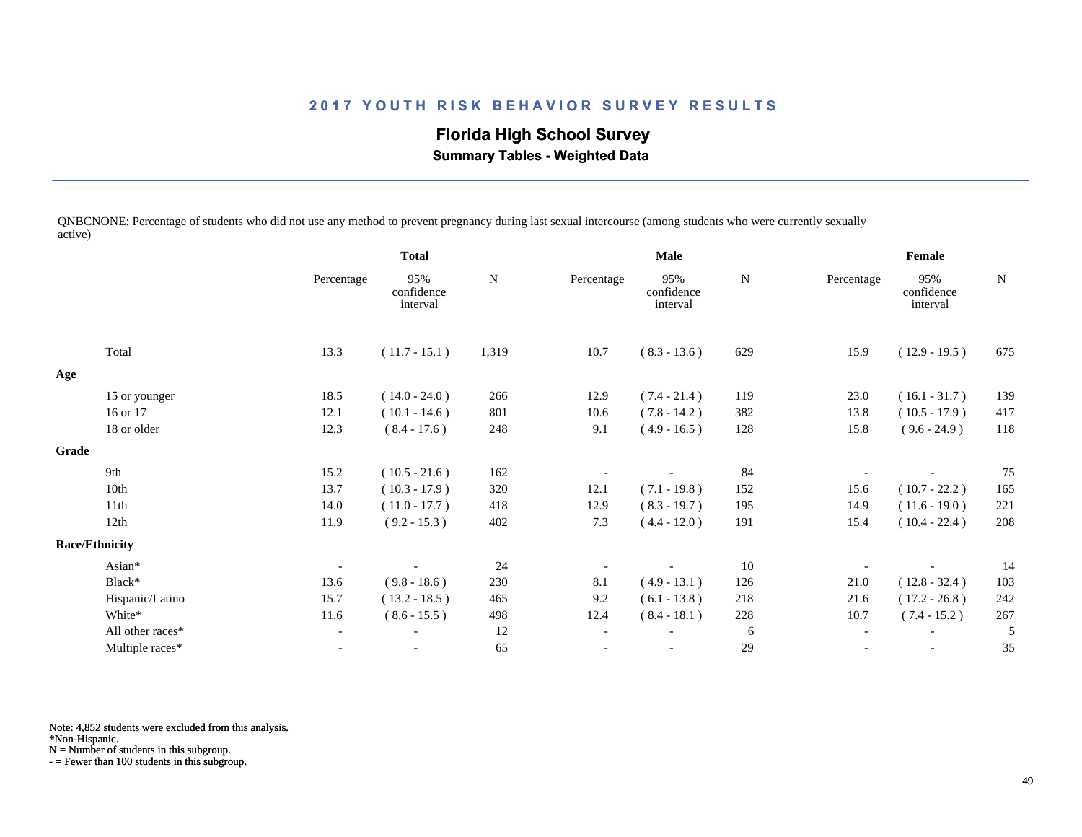**Florida High School Survey**

 **Summary Tables - Weighted Data**

QNBCNONE: Percentage of students who did not use any method to prevent pregnancy during last sexual intercourse (among students who were currently sexually active)

|       |                       |            | <b>Total</b>                  |       | Male       |                               |     | Female     |                               |             |  |
|-------|-----------------------|------------|-------------------------------|-------|------------|-------------------------------|-----|------------|-------------------------------|-------------|--|
|       |                       | Percentage | 95%<br>confidence<br>interval | N     | Percentage | 95%<br>confidence<br>interval | N   | Percentage | 95%<br>confidence<br>interval | $\mathbf N$ |  |
|       | Total                 | 13.3       | $(11.7 - 15.1)$               | 1,319 | 10.7       | $(8.3 - 13.6)$                | 629 | 15.9       | $(12.9 - 19.5)$               | 675         |  |
| Age   |                       |            |                               |       |            |                               |     |            |                               |             |  |
|       | 15 or younger         | 18.5       | $(14.0 - 24.0)$               | 266   | 12.9       | $(7.4 - 21.4)$                | 119 | 23.0       | $(16.1 - 31.7)$               | 139         |  |
|       | 16 or 17              | 12.1       | $(10.1 - 14.6)$               | 801   | 10.6       | $(7.8 - 14.2)$                | 382 | 13.8       | $(10.5 - 17.9)$               | 417         |  |
|       | 18 or older           | 12.3       | $(8.4 - 17.6)$                | 248   | 9.1        | $(4.9 - 16.5)$                | 128 | 15.8       | $(9.6 - 24.9)$                | 118         |  |
| Grade |                       |            |                               |       |            |                               |     |            |                               |             |  |
|       | 9th                   | 15.2       | $(10.5 - 21.6)$               | 162   |            |                               | 84  |            |                               | 75          |  |
|       | 10th                  | 13.7       | $(10.3 - 17.9)$               | 320   | 12.1       | $(7.1 - 19.8)$                | 152 | 15.6       | $(10.7 - 22.2)$               | 165         |  |
|       | 11th                  | 14.0       | $(11.0 - 17.7)$               | 418   | 12.9       | $(8.3 - 19.7)$                | 195 | 14.9       | $(11.6 - 19.0)$               | 221         |  |
|       | 12th                  | 11.9       | $(9.2 - 15.3)$                | 402   | 7.3        | $(4.4 - 12.0)$                | 191 | 15.4       | $(10.4 - 22.4)$               | 208         |  |
|       | <b>Race/Ethnicity</b> |            |                               |       |            |                               |     |            |                               |             |  |
|       | Asian*                |            |                               | 24    |            |                               | 10  |            |                               | 14          |  |
|       | Black*                | 13.6       | $(9.8 - 18.6)$                | 230   | 8.1        | $(4.9 - 13.1)$                | 126 | 21.0       | $(12.8 - 32.4)$               | 103         |  |
|       | Hispanic/Latino       | 15.7       | $(13.2 - 18.5)$               | 465   | 9.2        | $(6.1 - 13.8)$                | 218 | 21.6       | $(17.2 - 26.8)$               | 242         |  |
|       | White*                | 11.6       | $(8.6 - 15.5)$                | 498   | 12.4       | $(8.4 - 18.1)$                | 228 | 10.7       | $(7.4 - 15.2)$                | 267         |  |
|       | All other races*      |            |                               | 12    |            |                               | 6   |            |                               | 5           |  |
|       | Multiple races*       |            |                               | 65    |            |                               | 29  |            |                               | 35          |  |

Note: 4,852 students were excluded from this analysis.

\*Non-Hispanic.

N = Number of students in this subgroup.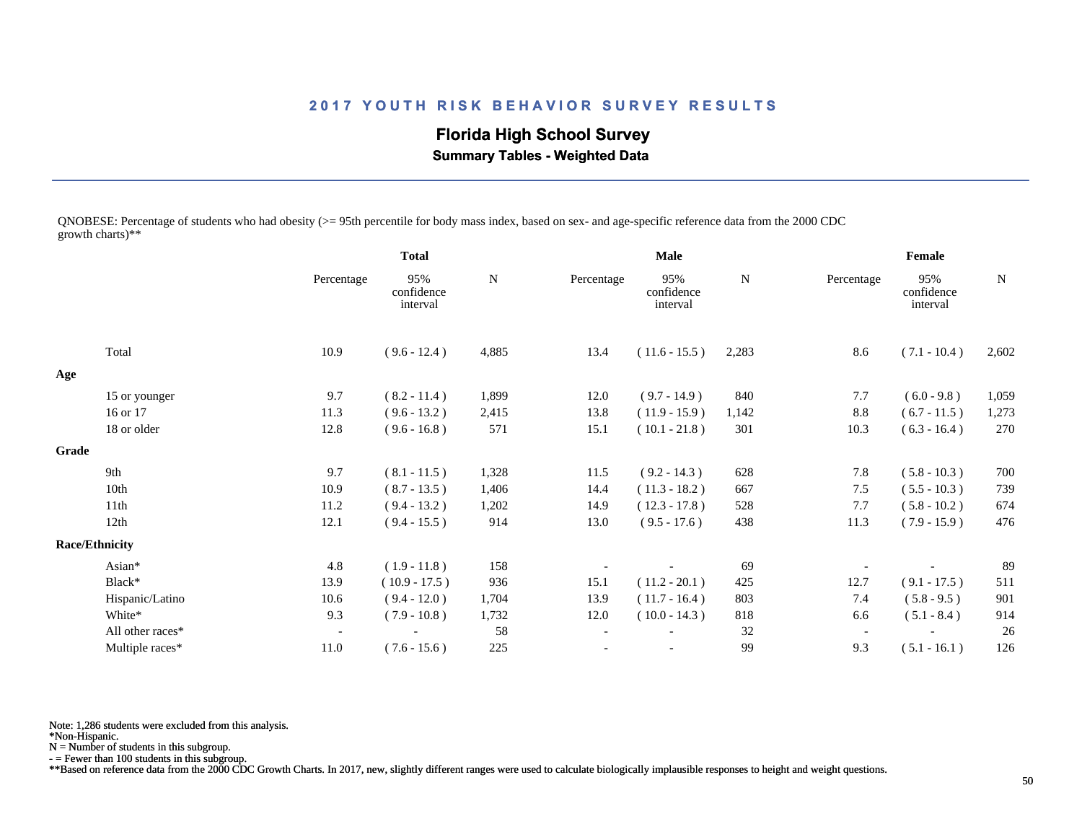**Florida High School Survey**

 **Summary Tables - Weighted Data**

QNOBESE: Percentage of students who had obesity (>= 95th percentile for body mass index, based on sex- and age-specific reference data from the 2000 CDC growth charts)\*\*

|       |                       |                          | <b>Total</b>                  |           |                          | <b>Male</b>                   |           |            | Female                        |           |
|-------|-----------------------|--------------------------|-------------------------------|-----------|--------------------------|-------------------------------|-----------|------------|-------------------------------|-----------|
|       |                       | Percentage               | 95%<br>confidence<br>interval | ${\bf N}$ | Percentage               | 95%<br>confidence<br>interval | ${\bf N}$ | Percentage | 95%<br>confidence<br>interval | ${\bf N}$ |
|       | Total                 | 10.9                     | $(9.6 - 12.4)$                | 4,885     | 13.4                     | $(11.6 - 15.5)$               | 2,283     | 8.6        | $(7.1 - 10.4)$                | 2,602     |
| Age   |                       |                          |                               |           |                          |                               |           |            |                               |           |
|       | 15 or younger         | 9.7                      | $(8.2 - 11.4)$                | 1,899     | 12.0                     | $(9.7 - 14.9)$                | 840       | 7.7        | $(6.0 - 9.8)$                 | 1,059     |
|       | 16 or 17              | 11.3                     | $(9.6 - 13.2)$                | 2,415     | 13.8                     | $(11.9 - 15.9)$               | 1,142     | 8.8        | $(6.7 - 11.5)$                | 1,273     |
|       | 18 or older           | 12.8                     | $(9.6 - 16.8)$                | 571       | 15.1                     | $(10.1 - 21.8)$               | 301       | 10.3       | $(6.3 - 16.4)$                | 270       |
| Grade |                       |                          |                               |           |                          |                               |           |            |                               |           |
|       | 9th                   | 9.7                      | $(8.1 - 11.5)$                | 1,328     | 11.5                     | $(9.2 - 14.3)$                | 628       | 7.8        | $(5.8 - 10.3)$                | 700       |
|       | 10th                  | 10.9                     | $(8.7 - 13.5)$                | 1,406     | 14.4                     | $(11.3 - 18.2)$               | 667       | 7.5        | $(5.5 - 10.3)$                | 739       |
|       | 11th                  | 11.2                     | $(9.4 - 13.2)$                | 1,202     | 14.9                     | $(12.3 - 17.8)$               | 528       | 7.7        | $(5.8 - 10.2)$                | 674       |
|       | 12th                  | 12.1                     | $(9.4 - 15.5)$                | 914       | 13.0                     | $(9.5 - 17.6)$                | 438       | 11.3       | $(7.9 - 15.9)$                | 476       |
|       | <b>Race/Ethnicity</b> |                          |                               |           |                          |                               |           |            |                               |           |
|       | Asian*                | 4.8                      | $(1.9 - 11.8)$                | 158       |                          |                               | 69        |            |                               | 89        |
|       | Black*                | 13.9                     | $(10.9 - 17.5)$               | 936       | 15.1                     | $(11.2 - 20.1)$               | 425       | 12.7       | $(9.1 - 17.5)$                | 511       |
|       | Hispanic/Latino       | 10.6                     | $(9.4 - 12.0)$                | 1,704     | 13.9                     | $(11.7 - 16.4)$               | 803       | 7.4        | $(5.8 - 9.5)$                 | 901       |
|       | White*                | 9.3                      | $(7.9 - 10.8)$                | 1,732     | 12.0                     | $(10.0 - 14.3)$               | 818       | 6.6        | $(5.1 - 8.4)$                 | 914       |
|       | All other races*      | $\overline{\phantom{a}}$ |                               | 58        | $\overline{\phantom{a}}$ |                               | 32        |            |                               | 26        |
|       | Multiple races*       | 11.0                     | $(7.6 - 15.6)$                | 225       |                          | $\overline{\phantom{a}}$      | 99        | 9.3        | $(5.1 - 16.1)$                | 126       |

Note: 1,286 students were excluded from this analysis.

\*Non-Hispanic.

N = Number of students in this subgroup.

- = Fewer than 100 students in this subgroup.

\*\*Based on reference data from the 2000 CDC Growth Charts. In 2017, new, slightly different ranges were used to calculate biologically implausible responses to height and weight questions.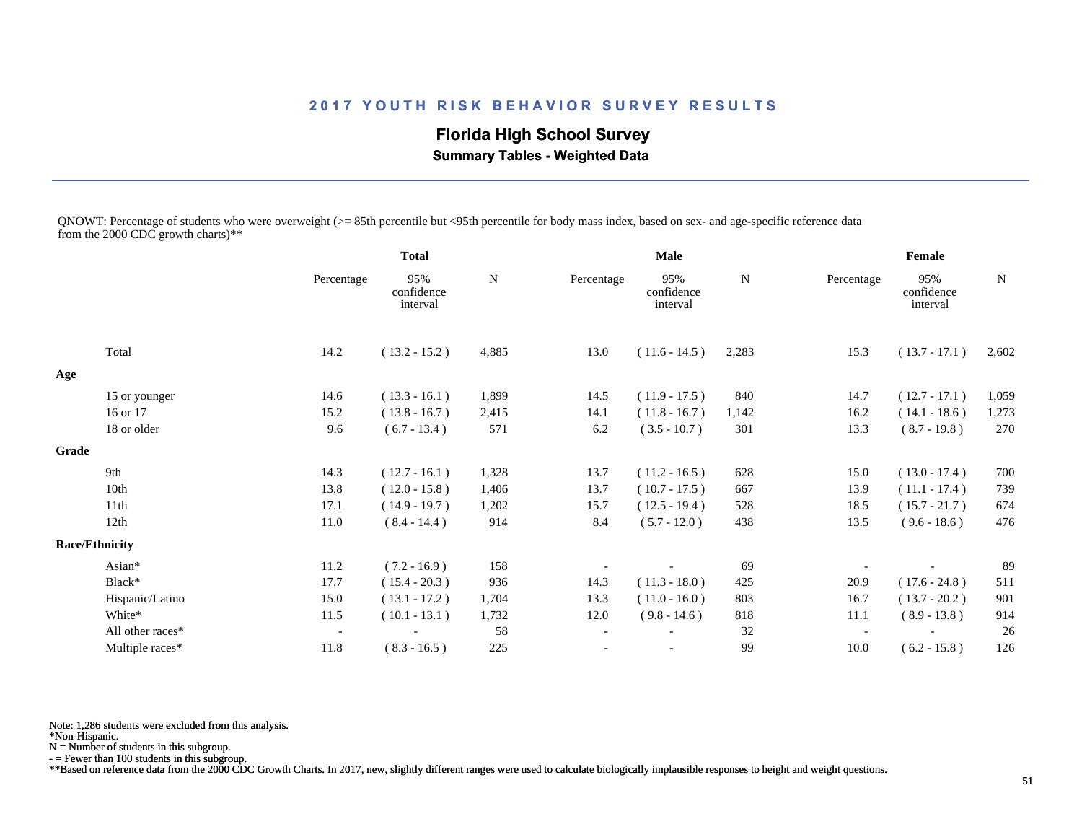# **Florida High School Survey**

 **Summary Tables - Weighted Data**

QNOWT: Percentage of students who were overweight (>= 85th percentile but <95th percentile for body mass index, based on sex- and age-specific reference data from the 2000 CDC growth charts)\*\*

|       |                       |                          | <b>Total</b>                  |             |                          | <b>Male</b>                   |       |                          | Female                        |             |
|-------|-----------------------|--------------------------|-------------------------------|-------------|--------------------------|-------------------------------|-------|--------------------------|-------------------------------|-------------|
|       |                       | Percentage               | 95%<br>confidence<br>interval | $\mathbf N$ | Percentage               | 95%<br>confidence<br>interval | N     | Percentage               | 95%<br>confidence<br>interval | $\mathbf N$ |
|       | Total                 | 14.2                     | $(13.2 - 15.2)$               | 4,885       | 13.0                     | $(11.6 - 14.5)$               | 2,283 | 15.3                     | $(13.7 - 17.1)$               | 2,602       |
| Age   |                       |                          |                               |             |                          |                               |       |                          |                               |             |
|       | 15 or younger         | 14.6                     | $(13.3 - 16.1)$               | 1,899       | 14.5                     | $(11.9 - 17.5)$               | 840   | 14.7                     | $(12.7 - 17.1)$               | 1,059       |
|       | 16 or 17              | 15.2                     | $(13.8 - 16.7)$               | 2,415       | 14.1                     | $(11.8 - 16.7)$               | 1,142 | 16.2                     | $(14.1 - 18.6)$               | 1,273       |
|       | 18 or older           | 9.6                      | $(6.7 - 13.4)$                | 571         | 6.2                      | $(3.5 - 10.7)$                | 301   | 13.3                     | $(8.7 - 19.8)$                | 270         |
| Grade |                       |                          |                               |             |                          |                               |       |                          |                               |             |
|       | 9th                   | 14.3                     | $(12.7 - 16.1)$               | 1,328       | 13.7                     | $(11.2 - 16.5)$               | 628   | 15.0                     | $(13.0 - 17.4)$               | 700         |
|       | 10th                  | 13.8                     | $(12.0 - 15.8)$               | 1,406       | 13.7                     | $(10.7 - 17.5)$               | 667   | 13.9                     | $(11.1 - 17.4)$               | 739         |
|       | 11 <sup>th</sup>      | 17.1                     | $(14.9 - 19.7)$               | 1,202       | 15.7                     | $(12.5 - 19.4)$               | 528   | 18.5                     | $(15.7 - 21.7)$               | 674         |
|       | 12th                  | 11.0                     | $(8.4 - 14.4)$                | 914         | 8.4                      | $(5.7 - 12.0)$                | 438   | 13.5                     | $(9.6 - 18.6)$                | 476         |
|       | <b>Race/Ethnicity</b> |                          |                               |             |                          |                               |       |                          |                               |             |
|       | Asian*                | 11.2                     | $(7.2 - 16.9)$                | 158         |                          |                               | 69    |                          |                               | 89          |
|       | Black*                | 17.7                     | $(15.4 - 20.3)$               | 936         | 14.3                     | $(11.3 - 18.0)$               | 425   | 20.9                     | $(17.6 - 24.8)$               | 511         |
|       | Hispanic/Latino       | 15.0                     | $(13.1 - 17.2)$               | 1,704       | 13.3                     | $(11.0 - 16.0)$               | 803   | 16.7                     | $(13.7 - 20.2)$               | 901         |
|       | White*                | 11.5                     | $(10.1 - 13.1)$               | 1,732       | 12.0                     | $(9.8 - 14.6)$                | 818   | 11.1                     | $(8.9 - 13.8)$                | 914         |
|       | All other races*      | $\overline{\phantom{a}}$ |                               | 58          | $\overline{\phantom{a}}$ |                               | 32    | $\overline{\phantom{a}}$ |                               | 26          |
|       | Multiple races*       | 11.8                     | $(8.3 - 16.5)$                | 225         |                          |                               | 99    | 10.0                     | $(6.2 - 15.8)$                | 126         |

Note: 1,286 students were excluded from this analysis.

N = Number of students in this subgroup.

- = Fewer than 100 students in this subgroup.

\*\*Based on reference data from the 2000 CDC Growth Charts. In 2017, new, slightly different ranges were used to calculate biologically implausible responses to height and weight questions.

<sup>\*</sup>Non-Hispanic.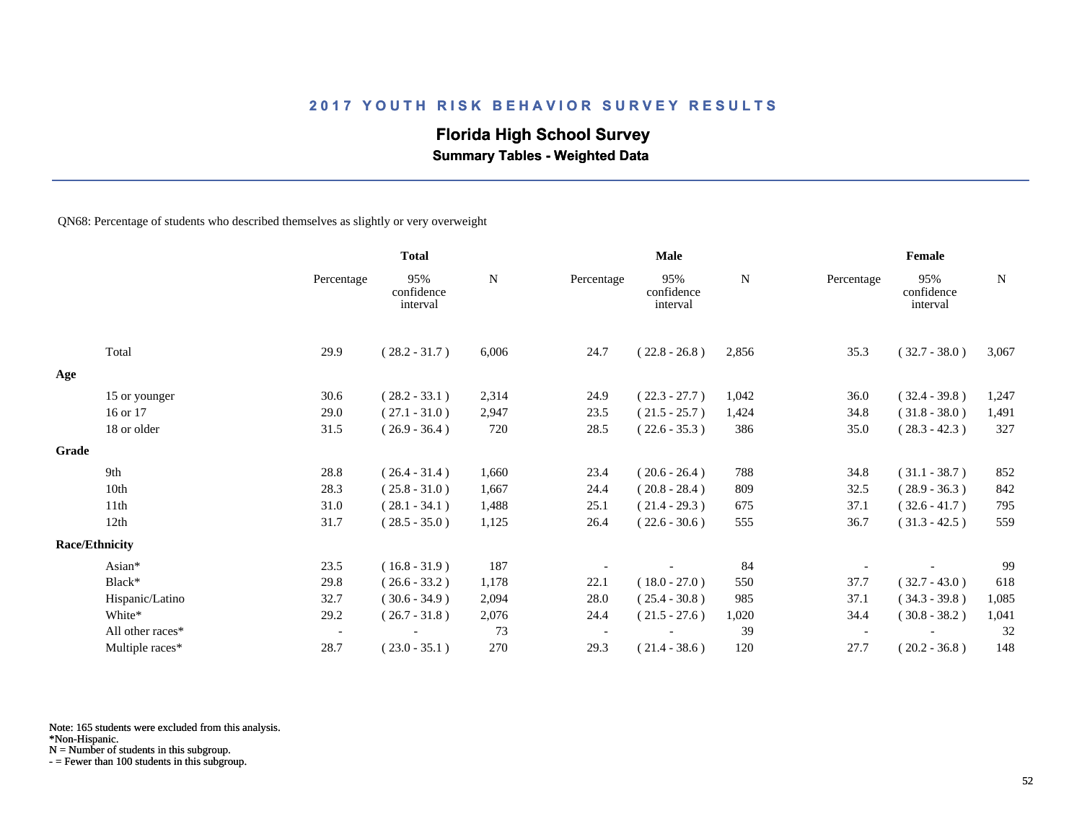# **Florida High School Survey**

 **Summary Tables - Weighted Data**

QN68: Percentage of students who described themselves as slightly or very overweight

|       |                       |                          | <b>Total</b>                  |       | <b>Male</b> |                               |       | Female     |                               |             |  |
|-------|-----------------------|--------------------------|-------------------------------|-------|-------------|-------------------------------|-------|------------|-------------------------------|-------------|--|
|       |                       | Percentage               | 95%<br>confidence<br>interval | N     | Percentage  | 95%<br>confidence<br>interval | N     | Percentage | 95%<br>confidence<br>interval | $\mathbf N$ |  |
|       | Total                 | 29.9                     | $(28.2 - 31.7)$               | 6,006 | 24.7        | $(22.8 - 26.8)$               | 2,856 | 35.3       | $(32.7 - 38.0)$               | 3,067       |  |
| Age   |                       |                          |                               |       |             |                               |       |            |                               |             |  |
|       | 15 or younger         | 30.6                     | $(28.2 - 33.1)$               | 2,314 | 24.9        | $(22.3 - 27.7)$               | 1,042 | 36.0       | $(32.4 - 39.8)$               | 1,247       |  |
|       | 16 or 17              | 29.0                     | $(27.1 - 31.0)$               | 2,947 | 23.5        | $(21.5 - 25.7)$               | 1,424 | 34.8       | $(31.8 - 38.0)$               | 1,491       |  |
|       | 18 or older           | 31.5                     | $(26.9 - 36.4)$               | 720   | 28.5        | $(22.6 - 35.3)$               | 386   | 35.0       | $(28.3 - 42.3)$               | 327         |  |
| Grade |                       |                          |                               |       |             |                               |       |            |                               |             |  |
|       | 9th                   | 28.8                     | $(26.4 - 31.4)$               | 1,660 | 23.4        | $(20.6 - 26.4)$               | 788   | 34.8       | $(31.1 - 38.7)$               | 852         |  |
|       | 10th                  | 28.3                     | $(25.8 - 31.0)$               | 1,667 | 24.4        | $(20.8 - 28.4)$               | 809   | 32.5       | $(28.9 - 36.3)$               | 842         |  |
|       | 11th                  | 31.0                     | $(28.1 - 34.1)$               | 1,488 | 25.1        | $(21.4 - 29.3)$               | 675   | 37.1       | $(32.6 - 41.7)$               | 795         |  |
|       | 12th                  | 31.7                     | $(28.5 - 35.0)$               | 1,125 | 26.4        | $(22.6 - 30.6)$               | 555   | 36.7       | $(31.3 - 42.5)$               | 559         |  |
|       | <b>Race/Ethnicity</b> |                          |                               |       |             |                               |       |            |                               |             |  |
|       | Asian*                | 23.5                     | $(16.8 - 31.9)$               | 187   |             |                               | 84    |            |                               | 99          |  |
|       | Black*                | 29.8                     | $(26.6 - 33.2)$               | 1,178 | 22.1        | $(18.0 - 27.0)$               | 550   | 37.7       | $(32.7 - 43.0)$               | 618         |  |
|       | Hispanic/Latino       | 32.7                     | $(30.6 - 34.9)$               | 2,094 | 28.0        | $(25.4 - 30.8)$               | 985   | 37.1       | $(34.3 - 39.8)$               | 1,085       |  |
|       | White*                | 29.2                     | $(26.7 - 31.8)$               | 2,076 | 24.4        | $(21.5 - 27.6)$               | 1,020 | 34.4       | $(30.8 - 38.2)$               | 1,041       |  |
|       | All other races*      | $\overline{\phantom{a}}$ |                               | 73    |             |                               | 39    |            |                               | 32          |  |
|       | Multiple races*       | 28.7                     | $(23.0 - 35.1)$               | 270   | 29.3        | $(21.4 - 38.6)$               | 120   | 27.7       | $(20.2 - 36.8)$               | 148         |  |

Note: 165 students were excluded from this analysis.

N = Number of students in this subgroup.

<sup>\*</sup>Non-Hispanic.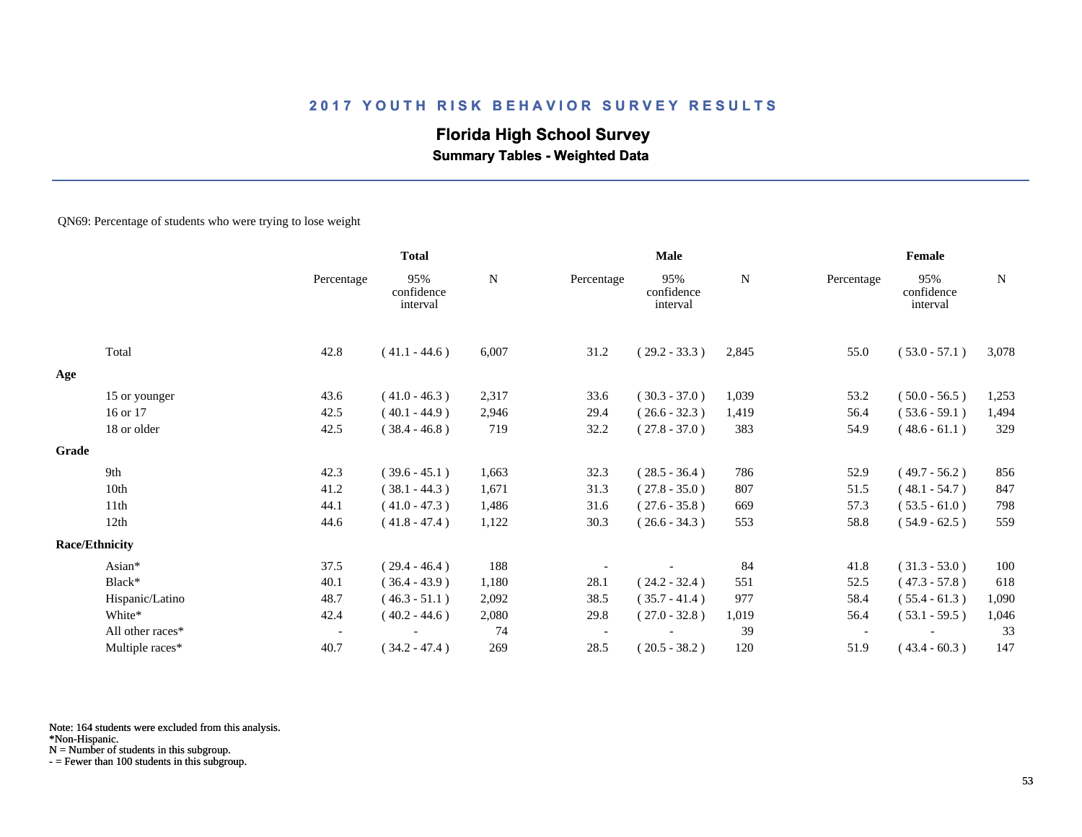# **Florida High School Survey Summary Tables - Weighted Data**

QN69: Percentage of students who were trying to lose weight

|       |                       |                          | <b>Total</b>                  |       | <b>Male</b> |                               |       | Female     |                               |             |  |
|-------|-----------------------|--------------------------|-------------------------------|-------|-------------|-------------------------------|-------|------------|-------------------------------|-------------|--|
|       |                       | Percentage               | 95%<br>confidence<br>interval | N     | Percentage  | 95%<br>confidence<br>interval | N     | Percentage | 95%<br>confidence<br>interval | $\mathbf N$ |  |
|       | Total                 | 42.8                     | $(41.1 - 44.6)$               | 6,007 | 31.2        | $(29.2 - 33.3)$               | 2,845 | 55.0       | $(53.0 - 57.1)$               | 3,078       |  |
| Age   |                       |                          |                               |       |             |                               |       |            |                               |             |  |
|       | 15 or younger         | 43.6                     | $(41.0 - 46.3)$               | 2,317 | 33.6        | $(30.3 - 37.0)$               | 1,039 | 53.2       | $(50.0 - 56.5)$               | 1,253       |  |
|       | 16 or 17              | 42.5                     | $(40.1 - 44.9)$               | 2,946 | 29.4        | $(26.6 - 32.3)$               | 1,419 | 56.4       | $(53.6 - 59.1)$               | 1,494       |  |
|       | 18 or older           | 42.5                     | $(38.4 - 46.8)$               | 719   | 32.2        | $(27.8 - 37.0)$               | 383   | 54.9       | $(48.6 - 61.1)$               | 329         |  |
| Grade |                       |                          |                               |       |             |                               |       |            |                               |             |  |
|       | 9th                   | 42.3                     | $(39.6 - 45.1)$               | 1,663 | 32.3        | $(28.5 - 36.4)$               | 786   | 52.9       | $(49.7 - 56.2)$               | 856         |  |
|       | 10th                  | 41.2                     | $(38.1 - 44.3)$               | 1,671 | 31.3        | $(27.8 - 35.0)$               | 807   | 51.5       | $(48.1 - 54.7)$               | 847         |  |
|       | 11th                  | 44.1                     | $(41.0 - 47.3)$               | 1,486 | 31.6        | $(27.6 - 35.8)$               | 669   | 57.3       | $(53.5 - 61.0)$               | 798         |  |
|       | 12th                  | 44.6                     | $(41.8 - 47.4)$               | 1,122 | 30.3        | $(26.6 - 34.3)$               | 553   | 58.8       | $(54.9 - 62.5)$               | 559         |  |
|       | <b>Race/Ethnicity</b> |                          |                               |       |             |                               |       |            |                               |             |  |
|       | Asian*                | 37.5                     | $(29.4 - 46.4)$               | 188   |             |                               | 84    | 41.8       | $(31.3 - 53.0)$               | 100         |  |
|       | Black*                | 40.1                     | $(36.4 - 43.9)$               | 1,180 | 28.1        | $(24.2 - 32.4)$               | 551   | 52.5       | $(47.3 - 57.8)$               | 618         |  |
|       | Hispanic/Latino       | 48.7                     | $(46.3 - 51.1)$               | 2,092 | 38.5        | $(35.7 - 41.4)$               | 977   | 58.4       | $(55.4 - 61.3)$               | 1,090       |  |
|       | White*                | 42.4                     | $(40.2 - 44.6)$               | 2,080 | 29.8        | $(27.0 - 32.8)$               | 1,019 | 56.4       | $(53.1 - 59.5)$               | 1,046       |  |
|       | All other races*      | $\overline{\phantom{a}}$ |                               | 74    |             |                               | 39    |            |                               | 33          |  |
|       | Multiple races*       | 40.7                     | $(34.2 - 47.4)$               | 269   | 28.5        | $(20.5 - 38.2)$               | 120   | 51.9       | $(43.4 - 60.3)$               | 147         |  |

Note: 164 students were excluded from this analysis.

N = Number of students in this subgroup.

<sup>\*</sup>Non-Hispanic.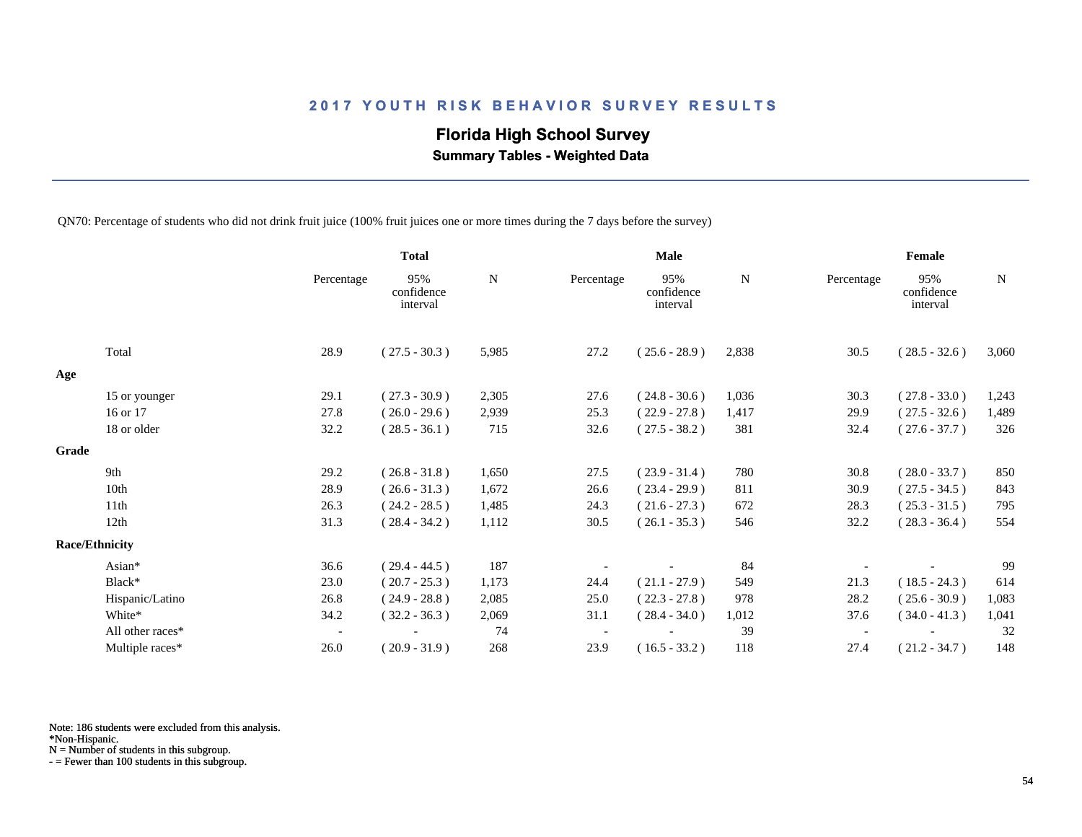# **Florida High School Survey**

 **Summary Tables - Weighted Data**

QN70: Percentage of students who did not drink fruit juice (100% fruit juices one or more times during the 7 days before the survey)

|                       |                  |                          | <b>Total</b>                  |       |            | Male                          |       |                          | Female                        |             |
|-----------------------|------------------|--------------------------|-------------------------------|-------|------------|-------------------------------|-------|--------------------------|-------------------------------|-------------|
|                       |                  | Percentage               | 95%<br>confidence<br>interval | N     | Percentage | 95%<br>confidence<br>interval | N     | Percentage               | 95%<br>confidence<br>interval | $\mathbf N$ |
|                       | Total            | 28.9                     | $(27.5 - 30.3)$               | 5,985 | 27.2       | $(25.6 - 28.9)$               | 2,838 | 30.5                     | $(28.5 - 32.6)$               | 3,060       |
| Age                   |                  |                          |                               |       |            |                               |       |                          |                               |             |
|                       | 15 or younger    | 29.1                     | $(27.3 - 30.9)$               | 2,305 | 27.6       | $(24.8 - 30.6)$               | 1,036 | 30.3                     | $(27.8 - 33.0)$               | 1,243       |
|                       | 16 or 17         | 27.8                     | $(26.0 - 29.6)$               | 2,939 | 25.3       | $(22.9 - 27.8)$               | 1,417 | 29.9                     | $(27.5 - 32.6)$               | 1,489       |
|                       | 18 or older      | 32.2                     | $(28.5 - 36.1)$               | 715   | 32.6       | $(27.5 - 38.2)$               | 381   | 32.4                     | $(27.6 - 37.7)$               | 326         |
| Grade                 |                  |                          |                               |       |            |                               |       |                          |                               |             |
|                       | 9th              | 29.2                     | $(26.8 - 31.8)$               | 1,650 | 27.5       | $(23.9 - 31.4)$               | 780   | 30.8                     | $(28.0 - 33.7)$               | 850         |
|                       | 10th             | 28.9                     | $(26.6 - 31.3)$               | 1,672 | 26.6       | $(23.4 - 29.9)$               | 811   | 30.9                     | $(27.5 - 34.5)$               | 843         |
|                       | 11th             | 26.3                     | $(24.2 - 28.5)$               | 1,485 | 24.3       | $(21.6 - 27.3)$               | 672   | 28.3                     | $(25.3 - 31.5)$               | 795         |
|                       | 12th             | 31.3                     | $(28.4 - 34.2)$               | 1,112 | 30.5       | $(26.1 - 35.3)$               | 546   | 32.2                     | $(28.3 - 36.4)$               | 554         |
| <b>Race/Ethnicity</b> |                  |                          |                               |       |            |                               |       |                          |                               |             |
|                       | Asian*           | 36.6                     | $(29.4 - 44.5)$               | 187   |            |                               | 84    |                          |                               | 99          |
|                       | Black*           | 23.0                     | $(20.7 - 25.3)$               | 1,173 | 24.4       | $(21.1 - 27.9)$               | 549   | 21.3                     | $(18.5 - 24.3)$               | 614         |
|                       | Hispanic/Latino  | 26.8                     | $(24.9 - 28.8)$               | 2,085 | 25.0       | $(22.3 - 27.8)$               | 978   | 28.2                     | $(25.6 - 30.9)$               | 1,083       |
|                       | White*           | 34.2                     | $(32.2 - 36.3)$               | 2,069 | 31.1       | $(28.4 - 34.0)$               | 1,012 | 37.6                     | $(34.0 - 41.3)$               | 1,041       |
|                       | All other races* | $\overline{\phantom{a}}$ |                               | 74    |            |                               | 39    | $\overline{\phantom{a}}$ |                               | 32          |
|                       | Multiple races*  | 26.0                     | $(20.9 - 31.9)$               | 268   | 23.9       | $(16.5 - 33.2)$               | 118   | 27.4                     | $(21.2 - 34.7)$               | 148         |

Note: 186 students were excluded from this analysis.

N = Number of students in this subgroup.

<sup>\*</sup>Non-Hispanic.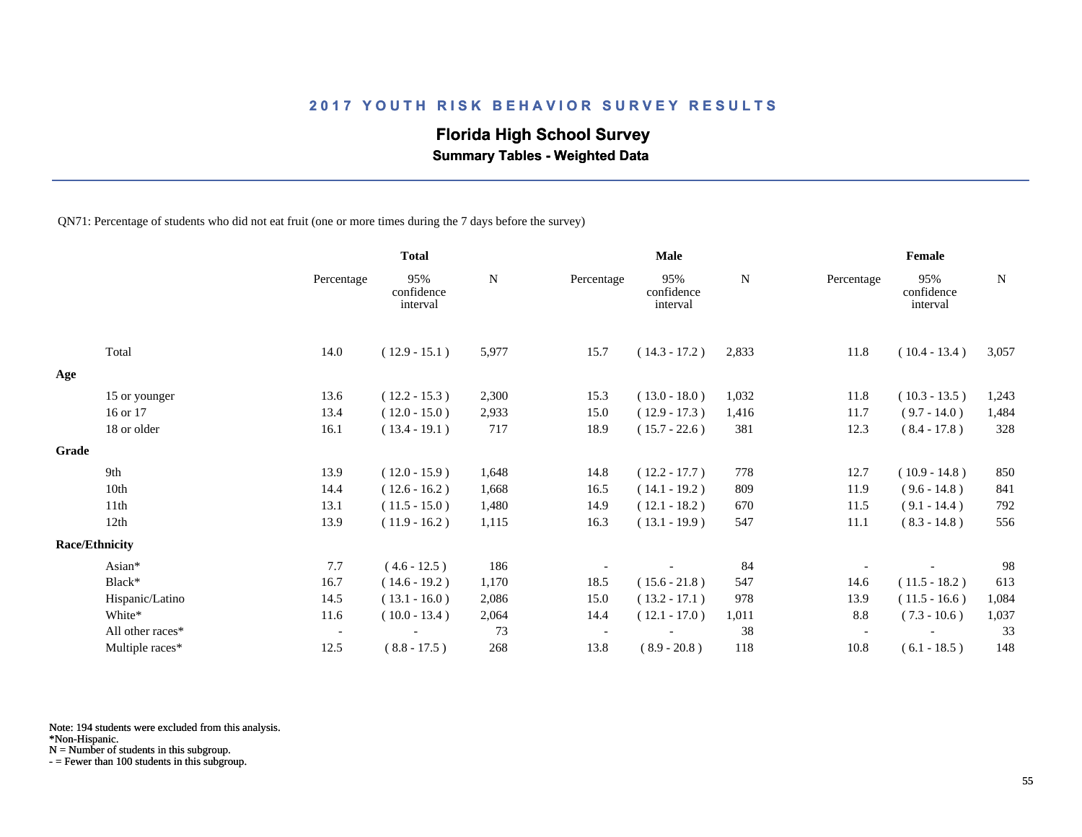# **Florida High School Survey**

 **Summary Tables - Weighted Data**

QN71: Percentage of students who did not eat fruit (one or more times during the 7 days before the survey)

|       |                       |                          | <b>Total</b>                  |       |            | <b>Male</b>                   |       |            | Female                        |             |
|-------|-----------------------|--------------------------|-------------------------------|-------|------------|-------------------------------|-------|------------|-------------------------------|-------------|
|       |                       | Percentage               | 95%<br>confidence<br>interval | N     | Percentage | 95%<br>confidence<br>interval | N     | Percentage | 95%<br>confidence<br>interval | $\mathbf N$ |
|       | Total                 | 14.0                     | $(12.9 - 15.1)$               | 5,977 | 15.7       | $(14.3 - 17.2)$               | 2,833 | 11.8       | $(10.4 - 13.4)$               | 3,057       |
| Age   |                       |                          |                               |       |            |                               |       |            |                               |             |
|       | 15 or younger         | 13.6                     | $(12.2 - 15.3)$               | 2,300 | 15.3       | $(13.0 - 18.0)$               | 1,032 | 11.8       | $(10.3 - 13.5)$               | 1,243       |
|       | 16 or 17              | 13.4                     | $(12.0 - 15.0)$               | 2,933 | 15.0       | $(12.9 - 17.3)$               | 1,416 | 11.7       | $(9.7 - 14.0)$                | 1,484       |
|       | 18 or older           | 16.1                     | $(13.4 - 19.1)$               | 717   | 18.9       | $(15.7 - 22.6)$               | 381   | 12.3       | $(8.4 - 17.8)$                | 328         |
| Grade |                       |                          |                               |       |            |                               |       |            |                               |             |
|       | 9th                   | 13.9                     | $(12.0 - 15.9)$               | 1,648 | 14.8       | $(12.2 - 17.7)$               | 778   | 12.7       | $(10.9 - 14.8)$               | 850         |
|       | 10th                  | 14.4                     | $(12.6 - 16.2)$               | 1,668 | 16.5       | $(14.1 - 19.2)$               | 809   | 11.9       | $(9.6 - 14.8)$                | 841         |
|       | 11th                  | 13.1                     | $(11.5 - 15.0)$               | 1,480 | 14.9       | $(12.1 - 18.2)$               | 670   | 11.5       | $(9.1 - 14.4)$                | 792         |
|       | 12th                  | 13.9                     | $(11.9 - 16.2)$               | 1,115 | 16.3       | $(13.1 - 19.9)$               | 547   | 11.1       | $(8.3 - 14.8)$                | 556         |
|       | <b>Race/Ethnicity</b> |                          |                               |       |            |                               |       |            |                               |             |
|       | Asian*                | 7.7                      | $(4.6 - 12.5)$                | 186   |            |                               | 84    |            |                               | 98          |
|       | Black*                | 16.7                     | $(14.6 - 19.2)$               | 1,170 | 18.5       | $(15.6 - 21.8)$               | 547   | 14.6       | $(11.5 - 18.2)$               | 613         |
|       | Hispanic/Latino       | 14.5                     | $(13.1 - 16.0)$               | 2,086 | 15.0       | $(13.2 - 17.1)$               | 978   | 13.9       | $(11.5 - 16.6)$               | 1,084       |
|       | White*                | 11.6                     | $(10.0 - 13.4)$               | 2,064 | 14.4       | $(12.1 - 17.0)$               | 1,011 | 8.8        | $(7.3 - 10.6)$                | 1,037       |
|       | All other races*      | $\overline{\phantom{a}}$ |                               | 73    |            |                               | 38    |            |                               | 33          |
|       | Multiple races*       | 12.5                     | $(8.8 - 17.5)$                | 268   | 13.8       | $(8.9 - 20.8)$                | 118   | 10.8       | $(6.1 - 18.5)$                | 148         |

Note: 194 students were excluded from this analysis.

N = Number of students in this subgroup.

<sup>\*</sup>Non-Hispanic.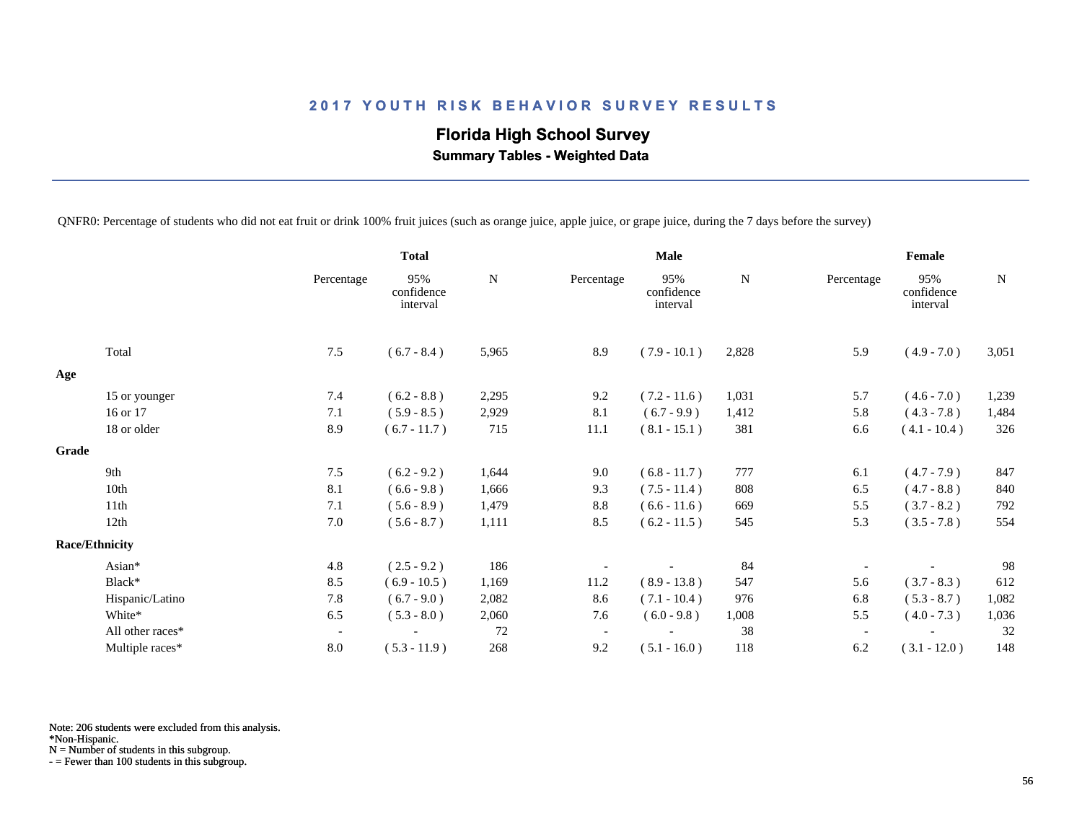# **Florida High School Survey Summary Tables - Weighted Data**

QNFR0: Percentage of students who did not eat fruit or drink 100% fruit juices (such as orange juice, apple juice, or grape juice, during the 7 days before the survey)

|       |                       |                          | <b>Total</b>                  |       |            | <b>Male</b>                   |             |            | Female                        |             |
|-------|-----------------------|--------------------------|-------------------------------|-------|------------|-------------------------------|-------------|------------|-------------------------------|-------------|
|       |                       | Percentage               | 95%<br>confidence<br>interval | N     | Percentage | 95%<br>confidence<br>interval | $\mathbf N$ | Percentage | 95%<br>confidence<br>interval | $\mathbf N$ |
|       | Total                 | 7.5                      | $(6.7 - 8.4)$                 | 5,965 | 8.9        | $(7.9 - 10.1)$                | 2,828       | 5.9        | $(4.9 - 7.0)$                 | 3,051       |
| Age   |                       |                          |                               |       |            |                               |             |            |                               |             |
|       | 15 or younger         | 7.4                      | $(6.2 - 8.8)$                 | 2,295 | 9.2        | $(7.2 - 11.6)$                | 1,031       | 5.7        | $(4.6 - 7.0)$                 | 1,239       |
|       | 16 or 17              | 7.1                      | $(5.9 - 8.5)$                 | 2,929 | 8.1        | $(6.7 - 9.9)$                 | 1,412       | 5.8        | $(4.3 - 7.8)$                 | 1,484       |
|       | 18 or older           | 8.9                      | $(6.7 - 11.7)$                | 715   | 11.1       | $(8.1 - 15.1)$                | 381         | 6.6        | $(4.1 - 10.4)$                | 326         |
| Grade |                       |                          |                               |       |            |                               |             |            |                               |             |
|       | 9th                   | 7.5                      | $(6.2 - 9.2)$                 | 1,644 | 9.0        | $(6.8 - 11.7)$                | 777         | 6.1        | $(4.7 - 7.9)$                 | 847         |
|       | 10th                  | 8.1                      | $(6.6 - 9.8)$                 | 1,666 | 9.3        | $(7.5 - 11.4)$                | 808         | 6.5        | $(4.7 - 8.8)$                 | 840         |
|       | 11th                  | 7.1                      | $(5.6 - 8.9)$                 | 1,479 | 8.8        | $(6.6 - 11.6)$                | 669         | 5.5        | $(3.7 - 8.2)$                 | 792         |
|       | 12th                  | 7.0                      | $(5.6 - 8.7)$                 | 1,111 | 8.5        | $(6.2 - 11.5)$                | 545         | 5.3        | $(3.5 - 7.8)$                 | 554         |
|       | <b>Race/Ethnicity</b> |                          |                               |       |            |                               |             |            |                               |             |
|       | Asian*                | 4.8                      | $(2.5 - 9.2)$                 | 186   |            |                               | 84          |            |                               | 98          |
|       | Black*                | 8.5                      | $(6.9 - 10.5)$                | 1,169 | 11.2       | $(8.9 - 13.8)$                | 547         | 5.6        | $(3.7 - 8.3)$                 | 612         |
|       | Hispanic/Latino       | 7.8                      | $(6.7 - 9.0)$                 | 2,082 | 8.6        | $(7.1 - 10.4)$                | 976         | 6.8        | $(5.3 - 8.7)$                 | 1,082       |
|       | White*                | 6.5                      | $(5.3 - 8.0)$                 | 2,060 | 7.6        | $(6.0 - 9.8)$                 | 1,008       | 5.5        | $(4.0 - 7.3)$                 | 1,036       |
|       | All other races*      | $\overline{\phantom{a}}$ |                               | 72    |            |                               | 38          |            |                               | 32          |
|       | Multiple races*       | $8.0\,$                  | $(5.3 - 11.9)$                | 268   | 9.2        | $(5.1 - 16.0)$                | 118         | 6.2        | $(3.1 - 12.0)$                | 148         |

Note: 206 students were excluded from this analysis.

\*Non-Hispanic.

N = Number of students in this subgroup.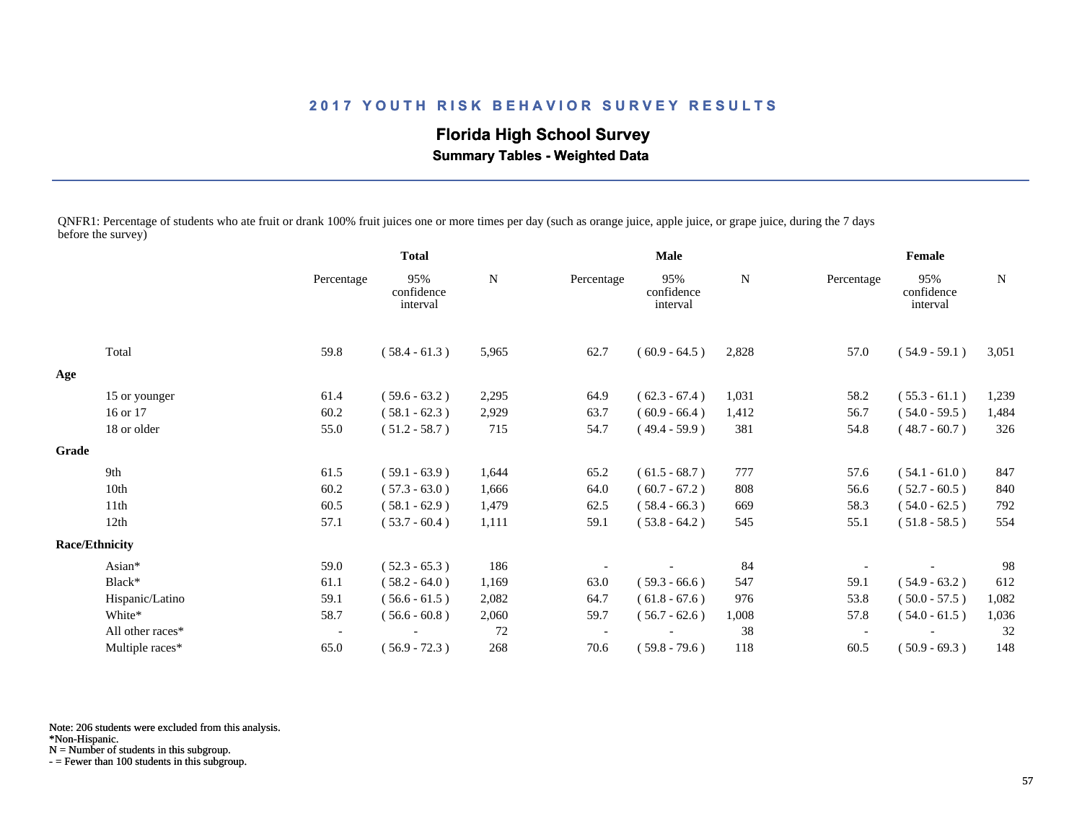**Florida High School Survey Summary Tables - Weighted Data**

QNFR1: Percentage of students who ate fruit or drank 100% fruit juices one or more times per day (such as orange juice, apple juice, or grape juice, during the 7 days before the survey)

|       |                       |                          | <b>Total</b>                  |       | <b>Male</b> |                               |       | Female     |                               |       |
|-------|-----------------------|--------------------------|-------------------------------|-------|-------------|-------------------------------|-------|------------|-------------------------------|-------|
|       |                       | Percentage               | 95%<br>confidence<br>interval | N     | Percentage  | 95%<br>confidence<br>interval | N     | Percentage | 95%<br>confidence<br>interval | N     |
|       | Total                 | 59.8                     | $(58.4 - 61.3)$               | 5,965 | 62.7        | $(60.9 - 64.5)$               | 2,828 | 57.0       | $(54.9 - 59.1)$               | 3,051 |
| Age   |                       |                          |                               |       |             |                               |       |            |                               |       |
|       | 15 or younger         | 61.4                     | $(59.6 - 63.2)$               | 2,295 | 64.9        | $(62.3 - 67.4)$               | 1,031 | 58.2       | $(55.3 - 61.1)$               | 1,239 |
|       | 16 or 17              | 60.2                     | $(58.1 - 62.3)$               | 2,929 | 63.7        | $(60.9 - 66.4)$               | 1,412 | 56.7       | $(54.0 - 59.5)$               | 1,484 |
|       | 18 or older           | 55.0                     | $(51.2 - 58.7)$               | 715   | 54.7        | $(49.4 - 59.9)$               | 381   | 54.8       | $(48.7 - 60.7)$               | 326   |
| Grade |                       |                          |                               |       |             |                               |       |            |                               |       |
|       | 9th                   | 61.5                     | $(59.1 - 63.9)$               | 1,644 | 65.2        | $(61.5 - 68.7)$               | 777   | 57.6       | $(54.1 - 61.0)$               | 847   |
|       | 10th                  | 60.2                     | $(57.3 - 63.0)$               | 1,666 | 64.0        | $(60.7 - 67.2)$               | 808   | 56.6       | $(52.7 - 60.5)$               | 840   |
|       | 11 <sup>th</sup>      | 60.5                     | $(58.1 - 62.9)$               | 1,479 | 62.5        | $(58.4 - 66.3)$               | 669   | 58.3       | $(54.0 - 62.5)$               | 792   |
|       | 12th                  | 57.1                     | $(53.7 - 60.4)$               | 1,111 | 59.1        | $(53.8 - 64.2)$               | 545   | 55.1       | $(51.8 - 58.5)$               | 554   |
|       | <b>Race/Ethnicity</b> |                          |                               |       |             |                               |       |            |                               |       |
|       | Asian*                | 59.0                     | $(52.3 - 65.3)$               | 186   |             |                               | 84    |            |                               | 98    |
|       | Black*                | 61.1                     | $(58.2 - 64.0)$               | 1,169 | 63.0        | $(59.3 - 66.6)$               | 547   | 59.1       | $(54.9 - 63.2)$               | 612   |
|       | Hispanic/Latino       | 59.1                     | $(56.6 - 61.5)$               | 2,082 | 64.7        | $(61.8 - 67.6)$               | 976   | 53.8       | $(50.0 - 57.5)$               | 1,082 |
|       | White*                | 58.7                     | $(56.6 - 60.8)$               | 2,060 | 59.7        | $(56.7 - 62.6)$               | 1,008 | 57.8       | $(54.0 - 61.5)$               | 1,036 |
|       | All other races*      | $\overline{\phantom{a}}$ |                               | 72    |             |                               | 38    |            |                               | 32    |
|       | Multiple races*       | 65.0                     | $(56.9 - 72.3)$               | 268   | 70.6        | $(59.8 - 79.6)$               | 118   | 60.5       | $(50.9 - 69.3)$               | 148   |

Note: 206 students were excluded from this analysis.

\*Non-Hispanic.

N = Number of students in this subgroup.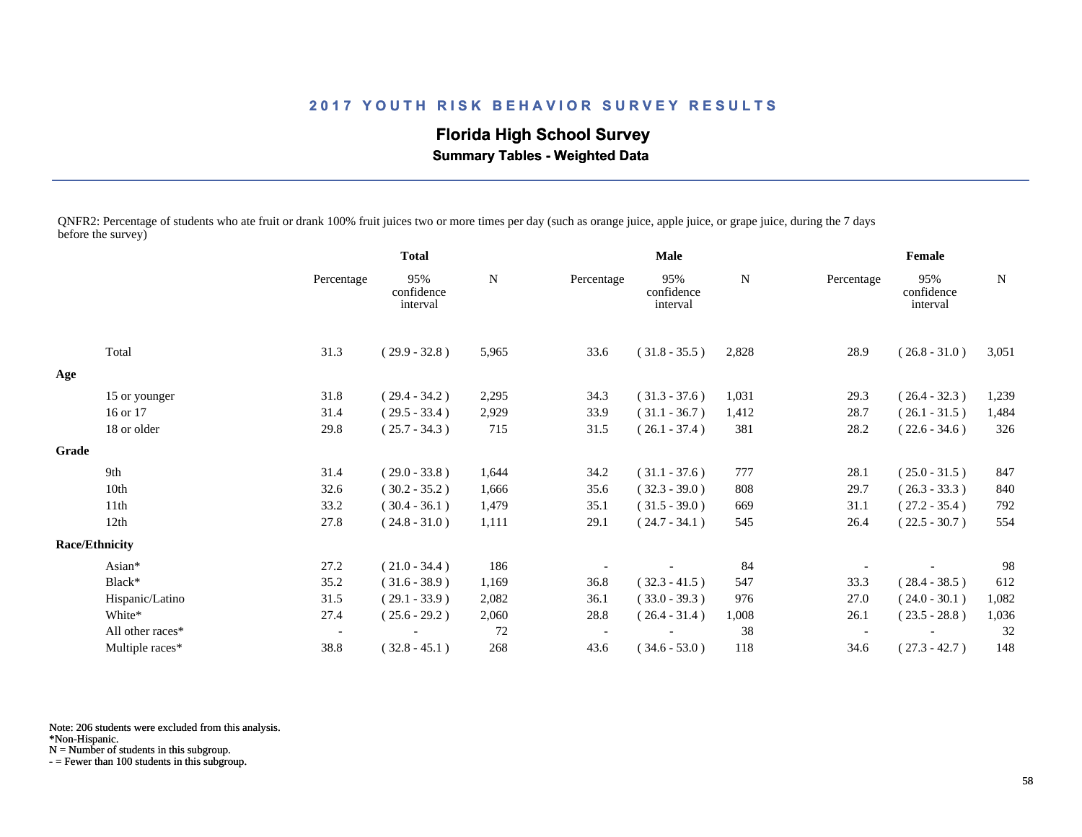**Florida High School Survey Summary Tables - Weighted Data**

QNFR2: Percentage of students who ate fruit or drank 100% fruit juices two or more times per day (such as orange juice, apple juice, or grape juice, during the 7 days before the survey)

|       |                       |                          | <b>Total</b>                  |       | <b>Male</b> |                               |       | Female                   |                               |       |
|-------|-----------------------|--------------------------|-------------------------------|-------|-------------|-------------------------------|-------|--------------------------|-------------------------------|-------|
|       |                       | Percentage               | 95%<br>confidence<br>interval | N     | Percentage  | 95%<br>confidence<br>interval | N     | Percentage               | 95%<br>confidence<br>interval | N     |
|       | Total                 | 31.3                     | $(29.9 - 32.8)$               | 5,965 | 33.6        | $(31.8 - 35.5)$               | 2,828 | 28.9                     | $(26.8 - 31.0)$               | 3,051 |
| Age   |                       |                          |                               |       |             |                               |       |                          |                               |       |
|       | 15 or younger         | 31.8                     | $(29.4 - 34.2)$               | 2,295 | 34.3        | $(31.3 - 37.6)$               | 1,031 | 29.3                     | $(26.4 - 32.3)$               | 1,239 |
|       | 16 or 17              | 31.4                     | $(29.5 - 33.4)$               | 2,929 | 33.9        | $(31.1 - 36.7)$               | 1,412 | 28.7                     | $(26.1 - 31.5)$               | 1,484 |
|       | 18 or older           | 29.8                     | $(25.7 - 34.3)$               | 715   | 31.5        | $(26.1 - 37.4)$               | 381   | 28.2                     | $(22.6 - 34.6)$               | 326   |
| Grade |                       |                          |                               |       |             |                               |       |                          |                               |       |
|       | 9th                   | 31.4                     | $(29.0 - 33.8)$               | 1,644 | 34.2        | $(31.1 - 37.6)$               | 777   | 28.1                     | $(25.0 - 31.5)$               | 847   |
|       | 10th                  | 32.6                     | $(30.2 - 35.2)$               | 1,666 | 35.6        | $(32.3 - 39.0)$               | 808   | 29.7                     | $(26.3 - 33.3)$               | 840   |
|       | 11th                  | 33.2                     | $(30.4 - 36.1)$               | 1,479 | 35.1        | $(31.5 - 39.0)$               | 669   | 31.1                     | $(27.2 - 35.4)$               | 792   |
|       | 12th                  | 27.8                     | $(24.8 - 31.0)$               | 1,111 | 29.1        | $(24.7 - 34.1)$               | 545   | 26.4                     | $(22.5 - 30.7)$               | 554   |
|       | <b>Race/Ethnicity</b> |                          |                               |       |             |                               |       |                          |                               |       |
|       | Asian*                | 27.2                     | $(21.0 - 34.4)$               | 186   |             |                               | 84    |                          |                               | 98    |
|       | Black*                | 35.2                     | $(31.6 - 38.9)$               | 1,169 | 36.8        | $(32.3 - 41.5)$               | 547   | 33.3                     | $(28.4 - 38.5)$               | 612   |
|       | Hispanic/Latino       | 31.5                     | $(29.1 - 33.9)$               | 2,082 | 36.1        | $(33.0 - 39.3)$               | 976   | 27.0                     | $(24.0 - 30.1)$               | 1,082 |
|       | White*                | 27.4                     | $(25.6 - 29.2)$               | 2,060 | 28.8        | $(26.4 - 31.4)$               | 1,008 | 26.1                     | $(23.5 - 28.8)$               | 1,036 |
|       | All other races*      | $\overline{\phantom{a}}$ |                               | 72    |             |                               | 38    | $\overline{\phantom{a}}$ |                               | 32    |
|       | Multiple races*       | 38.8                     | $(32.8 - 45.1)$               | 268   | 43.6        | $(34.6 - 53.0)$               | 118   | 34.6                     | $(27.3 - 42.7)$               | 148   |

Note: 206 students were excluded from this analysis.

\*Non-Hispanic.

N = Number of students in this subgroup.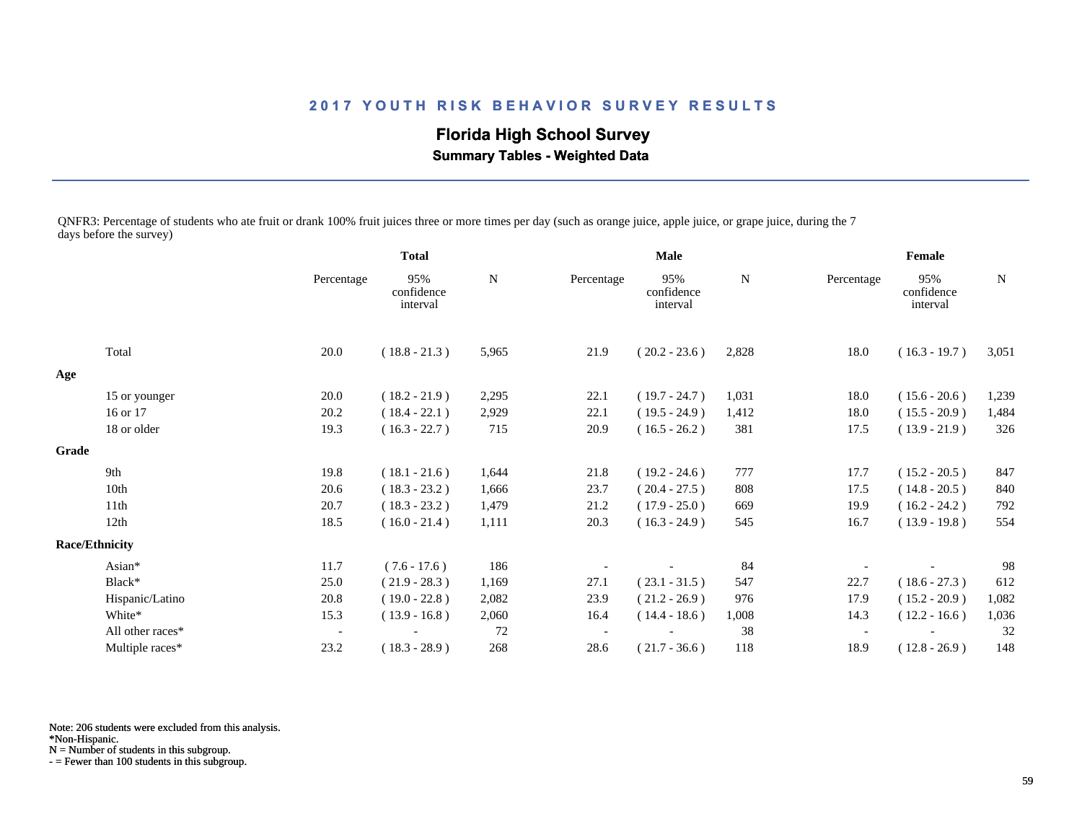**Florida High School Survey Summary Tables - Weighted Data**

QNFR3: Percentage of students who ate fruit or drank 100% fruit juices three or more times per day (such as orange juice, apple juice, or grape juice, during the 7 days before the survey)

|       |                       |                          | <b>Total</b>                  |       | <b>Male</b> |                               |       | Female                   |                               |       |
|-------|-----------------------|--------------------------|-------------------------------|-------|-------------|-------------------------------|-------|--------------------------|-------------------------------|-------|
|       |                       | Percentage               | 95%<br>confidence<br>interval | N     | Percentage  | 95%<br>confidence<br>interval | N     | Percentage               | 95%<br>confidence<br>interval | N     |
|       | Total                 | 20.0                     | $(18.8 - 21.3)$               | 5,965 | 21.9        | $(20.2 - 23.6)$               | 2,828 | 18.0                     | $(16.3 - 19.7)$               | 3,051 |
| Age   |                       |                          |                               |       |             |                               |       |                          |                               |       |
|       | 15 or younger         | 20.0                     | $(18.2 - 21.9)$               | 2,295 | 22.1        | $(19.7 - 24.7)$               | 1,031 | 18.0                     | $(15.6 - 20.6)$               | 1,239 |
|       | 16 or 17              | 20.2                     | $(18.4 - 22.1)$               | 2,929 | 22.1        | $(19.5 - 24.9)$               | 1,412 | 18.0                     | $(15.5 - 20.9)$               | 1,484 |
|       | 18 or older           | 19.3                     | $(16.3 - 22.7)$               | 715   | 20.9        | $(16.5 - 26.2)$               | 381   | 17.5                     | $(13.9 - 21.9)$               | 326   |
| Grade |                       |                          |                               |       |             |                               |       |                          |                               |       |
|       | 9th                   | 19.8                     | $(18.1 - 21.6)$               | 1,644 | 21.8        | $(19.2 - 24.6)$               | 777   | 17.7                     | $(15.2 - 20.5)$               | 847   |
|       | 10th                  | 20.6                     | $(18.3 - 23.2)$               | 1,666 | 23.7        | $(20.4 - 27.5)$               | 808   | 17.5                     | $(14.8 - 20.5)$               | 840   |
|       | 11 <sup>th</sup>      | 20.7                     | $(18.3 - 23.2)$               | 1,479 | 21.2        | $(17.9 - 25.0)$               | 669   | 19.9                     | $(16.2 - 24.2)$               | 792   |
|       | 12th                  | 18.5                     | $(16.0 - 21.4)$               | 1,111 | 20.3        | $(16.3 - 24.9)$               | 545   | 16.7                     | $(13.9 - 19.8)$               | 554   |
|       | <b>Race/Ethnicity</b> |                          |                               |       |             |                               |       |                          |                               |       |
|       | Asian*                | 11.7                     | $(7.6 - 17.6)$                | 186   |             |                               | 84    |                          |                               | 98    |
|       | Black*                | 25.0                     | $(21.9 - 28.3)$               | 1,169 | 27.1        | $(23.1 - 31.5)$               | 547   | 22.7                     | $(18.6 - 27.3)$               | 612   |
|       | Hispanic/Latino       | 20.8                     | $(19.0 - 22.8)$               | 2,082 | 23.9        | $(21.2 - 26.9)$               | 976   | 17.9                     | $(15.2 - 20.9)$               | 1,082 |
|       | White*                | 15.3                     | $(13.9 - 16.8)$               | 2,060 | 16.4        | $(14.4 - 18.6)$               | 1,008 | 14.3                     | $(12.2 - 16.6)$               | 1,036 |
|       | All other races*      | $\overline{\phantom{a}}$ |                               | 72    |             |                               | 38    | $\overline{\phantom{a}}$ |                               | 32    |
|       | Multiple races*       | 23.2                     | $(18.3 - 28.9)$               | 268   | 28.6        | $(21.7 - 36.6)$               | 118   | 18.9                     | $(12.8 - 26.9)$               | 148   |

Note: 206 students were excluded from this analysis.

N = Number of students in this subgroup.

<sup>\*</sup>Non-Hispanic.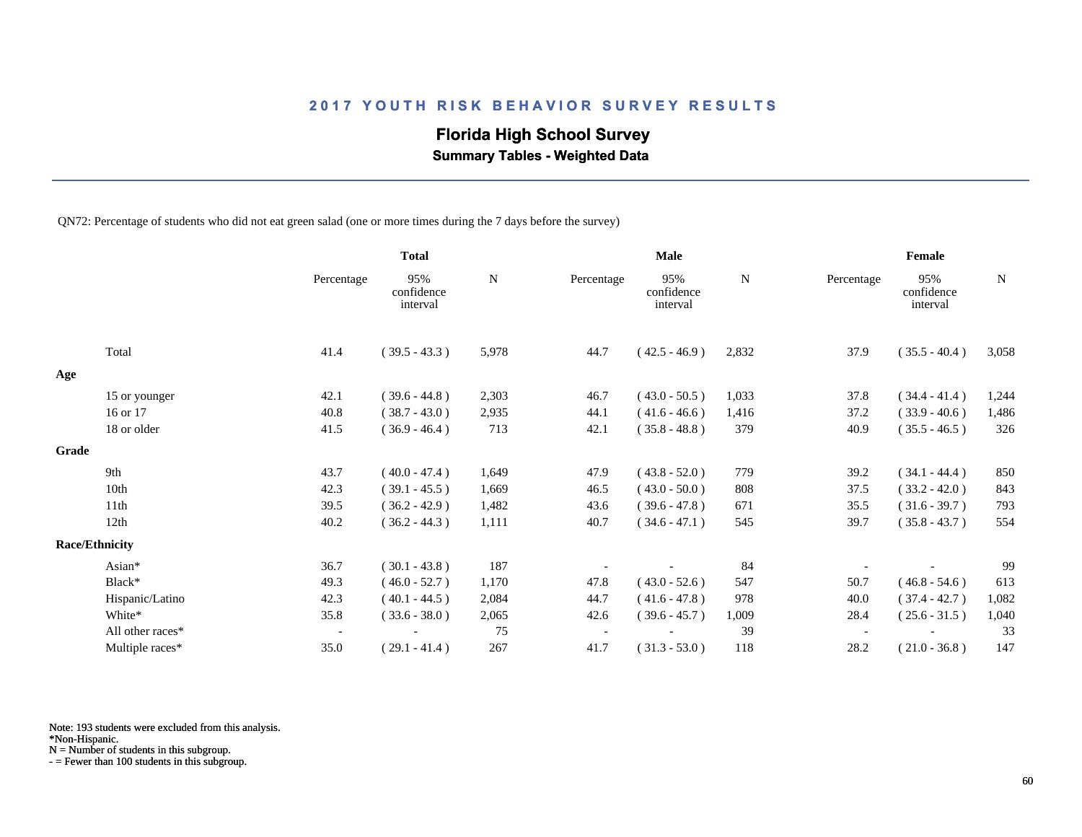# **Florida High School Survey**

 **Summary Tables - Weighted Data**

QN72: Percentage of students who did not eat green salad (one or more times during the 7 days before the survey)

|       |                       |                          | <b>Total</b>                  |       |            | <b>Male</b>                   |       |                          | Female                        |             |
|-------|-----------------------|--------------------------|-------------------------------|-------|------------|-------------------------------|-------|--------------------------|-------------------------------|-------------|
|       |                       | Percentage               | 95%<br>confidence<br>interval | N     | Percentage | 95%<br>confidence<br>interval | N     | Percentage               | 95%<br>confidence<br>interval | $\mathbf N$ |
|       | Total                 | 41.4                     | $(39.5 - 43.3)$               | 5,978 | 44.7       | $(42.5 - 46.9)$               | 2,832 | 37.9                     | $(35.5 - 40.4)$               | 3,058       |
| Age   |                       |                          |                               |       |            |                               |       |                          |                               |             |
|       | 15 or younger         | 42.1                     | $(39.6 - 44.8)$               | 2,303 | 46.7       | $(43.0 - 50.5)$               | 1,033 | 37.8                     | $(34.4 - 41.4)$               | 1,244       |
|       | 16 or 17              | 40.8                     | $(38.7 - 43.0)$               | 2,935 | 44.1       | $(41.6 - 46.6)$               | 1,416 | 37.2                     | $(33.9 - 40.6)$               | 1,486       |
|       | 18 or older           | 41.5                     | $(36.9 - 46.4)$               | 713   | 42.1       | $(35.8 - 48.8)$               | 379   | 40.9                     | $(35.5 - 46.5)$               | 326         |
| Grade |                       |                          |                               |       |            |                               |       |                          |                               |             |
|       | 9th                   | 43.7                     | $(40.0 - 47.4)$               | 1,649 | 47.9       | $(43.8 - 52.0)$               | 779   | 39.2                     | $(34.1 - 44.4)$               | 850         |
|       | 10 <sub>th</sub>      | 42.3                     | $(39.1 - 45.5)$               | 1,669 | 46.5       | $(43.0 - 50.0)$               | 808   | 37.5                     | $(33.2 - 42.0)$               | 843         |
|       | 11th                  | 39.5                     | $(36.2 - 42.9)$               | 1,482 | 43.6       | $(39.6 - 47.8)$               | 671   | 35.5                     | $(31.6 - 39.7)$               | 793         |
|       | 12th                  | 40.2                     | $(36.2 - 44.3)$               | 1,111 | 40.7       | $(34.6 - 47.1)$               | 545   | 39.7                     | $(35.8 - 43.7)$               | 554         |
|       | <b>Race/Ethnicity</b> |                          |                               |       |            |                               |       |                          |                               |             |
|       | Asian*                | 36.7                     | $(30.1 - 43.8)$               | 187   |            |                               | 84    |                          |                               | 99          |
|       | Black*                | 49.3                     | $(46.0 - 52.7)$               | 1,170 | 47.8       | $(43.0 - 52.6)$               | 547   | 50.7                     | $(46.8 - 54.6)$               | 613         |
|       | Hispanic/Latino       | 42.3                     | $(40.1 - 44.5)$               | 2,084 | 44.7       | $(41.6 - 47.8)$               | 978   | 40.0                     | $(37.4 - 42.7)$               | 1,082       |
|       | White*                | 35.8                     | $(33.6 - 38.0)$               | 2,065 | 42.6       | $(39.6 - 45.7)$               | 1,009 | 28.4                     | $(25.6 - 31.5)$               | 1,040       |
|       | All other races*      | $\overline{\phantom{a}}$ |                               | 75    |            |                               | 39    | $\overline{\phantom{a}}$ |                               | 33          |
|       | Multiple races*       | 35.0                     | $(29.1 - 41.4)$               | 267   | 41.7       | $(31.3 - 53.0)$               | 118   | 28.2                     | $(21.0 - 36.8)$               | 147         |

Note: 193 students were excluded from this analysis.

N = Number of students in this subgroup.

<sup>\*</sup>Non-Hispanic.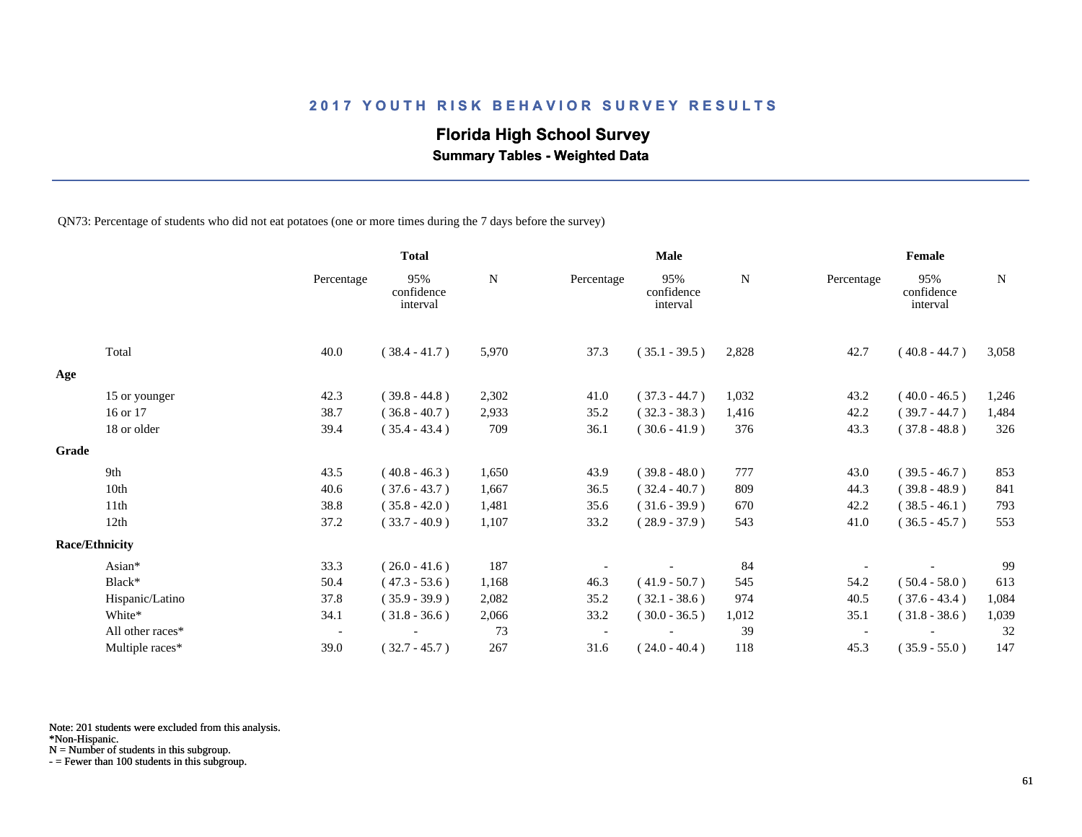# **Florida High School Survey**

 **Summary Tables - Weighted Data**

QN73: Percentage of students who did not eat potatoes (one or more times during the 7 days before the survey)

|       |                       |                          | <b>Total</b>                  |           |            | Male                          | Female    |            |                               |             |
|-------|-----------------------|--------------------------|-------------------------------|-----------|------------|-------------------------------|-----------|------------|-------------------------------|-------------|
|       |                       | Percentage               | 95%<br>confidence<br>interval | ${\bf N}$ | Percentage | 95%<br>confidence<br>interval | ${\bf N}$ | Percentage | 95%<br>confidence<br>interval | $\mathbf N$ |
|       | Total                 | 40.0                     | $(38.4 - 41.7)$               | 5,970     | 37.3       | $(35.1 - 39.5)$               | 2,828     | 42.7       | $(40.8 - 44.7)$               | 3,058       |
| Age   |                       |                          |                               |           |            |                               |           |            |                               |             |
|       | 15 or younger         | 42.3                     | $(39.8 - 44.8)$               | 2,302     | 41.0       | $(37.3 - 44.7)$               | 1,032     | 43.2       | $(40.0 - 46.5)$               | 1,246       |
|       | 16 or 17              | 38.7                     | $(36.8 - 40.7)$               | 2,933     | 35.2       | $(32.3 - 38.3)$               | 1,416     | 42.2       | $(39.7 - 44.7)$               | 1,484       |
|       | 18 or older           | 39.4                     | $(35.4 - 43.4)$               | 709       | 36.1       | $(30.6 - 41.9)$               | 376       | 43.3       | $(37.8 - 48.8)$               | 326         |
| Grade |                       |                          |                               |           |            |                               |           |            |                               |             |
|       | 9th                   | 43.5                     | $(40.8 - 46.3)$               | 1,650     | 43.9       | $(39.8 - 48.0)$               | 777       | 43.0       | $(39.5 - 46.7)$               | 853         |
|       | 10th                  | 40.6                     | $(37.6 - 43.7)$               | 1,667     | 36.5       | $(32.4 - 40.7)$               | 809       | 44.3       | $(39.8 - 48.9)$               | 841         |
|       | 11th                  | 38.8                     | $(35.8 - 42.0)$               | 1,481     | 35.6       | $(31.6 - 39.9)$               | 670       | 42.2       | $(38.5 - 46.1)$               | 793         |
|       | 12th                  | 37.2                     | $(33.7 - 40.9)$               | 1,107     | 33.2       | $(28.9 - 37.9)$               | 543       | 41.0       | $(36.5 - 45.7)$               | 553         |
|       | <b>Race/Ethnicity</b> |                          |                               |           |            |                               |           |            |                               |             |
|       | Asian*                | 33.3                     | $(26.0 - 41.6)$               | 187       |            |                               | 84        |            |                               | 99          |
|       | Black*                | 50.4                     | $(47.3 - 53.6)$               | 1,168     | 46.3       | $(41.9 - 50.7)$               | 545       | 54.2       | $(50.4 - 58.0)$               | 613         |
|       | Hispanic/Latino       | 37.8                     | $(35.9 - 39.9)$               | 2,082     | 35.2       | $(32.1 - 38.6)$               | 974       | 40.5       | $(37.6 - 43.4)$               | 1,084       |
|       | White*                | 34.1                     | $(31.8 - 36.6)$               | 2,066     | 33.2       | $(30.0 - 36.5)$               | 1,012     | 35.1       | $(31.8 - 38.6)$               | 1,039       |
|       | All other races*      | $\overline{\phantom{a}}$ |                               | 73        |            |                               | 39        |            |                               | 32          |
|       | Multiple races*       | 39.0                     | $(32.7 - 45.7)$               | 267       | 31.6       | $(24.0 - 40.4)$               | 118       | 45.3       | $(35.9 - 55.0)$               | 147         |

Note: 201 students were excluded from this analysis.

N = Number of students in this subgroup.

<sup>\*</sup>Non-Hispanic.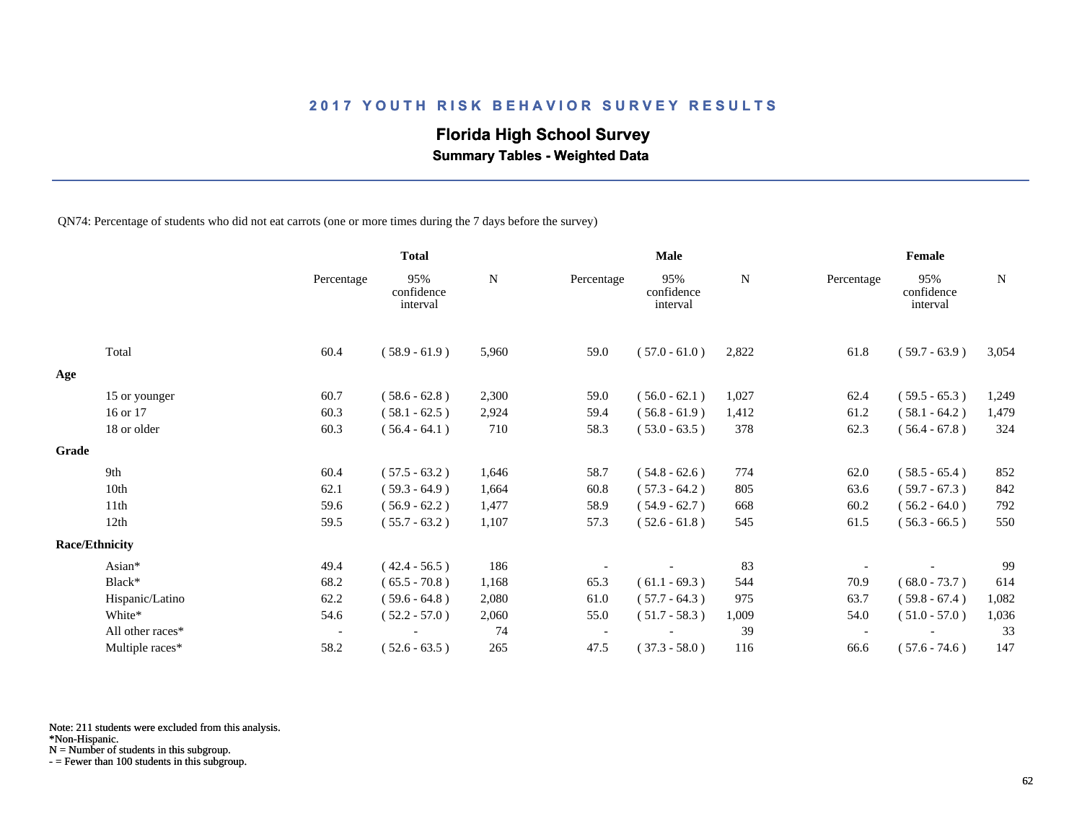# **Florida High School Survey**

 **Summary Tables - Weighted Data**

QN74: Percentage of students who did not eat carrots (one or more times during the 7 days before the survey)

|       |                       |                          | <b>Total</b>                  |       |            | <b>Male</b>                   |       | Female     |                               |             |  |
|-------|-----------------------|--------------------------|-------------------------------|-------|------------|-------------------------------|-------|------------|-------------------------------|-------------|--|
|       |                       | Percentage               | 95%<br>confidence<br>interval | N     | Percentage | 95%<br>confidence<br>interval | N     | Percentage | 95%<br>confidence<br>interval | $\mathbf N$ |  |
|       | Total                 | 60.4                     | $(58.9 - 61.9)$               | 5,960 | 59.0       | $(57.0 - 61.0)$               | 2,822 | 61.8       | $(59.7 - 63.9)$               | 3,054       |  |
| Age   |                       |                          |                               |       |            |                               |       |            |                               |             |  |
|       | 15 or younger         | 60.7                     | $(58.6 - 62.8)$               | 2,300 | 59.0       | $(56.0 - 62.1)$               | 1,027 | 62.4       | $(59.5 - 65.3)$               | 1,249       |  |
|       | 16 or 17              | 60.3                     | $(58.1 - 62.5)$               | 2,924 | 59.4       | $(56.8 - 61.9)$               | 1,412 | 61.2       | $(58.1 - 64.2)$               | 1,479       |  |
|       | 18 or older           | 60.3                     | $(56.4 - 64.1)$               | 710   | 58.3       | $(53.0 - 63.5)$               | 378   | 62.3       | $(56.4 - 67.8)$               | 324         |  |
| Grade |                       |                          |                               |       |            |                               |       |            |                               |             |  |
|       | 9th                   | 60.4                     | $(57.5 - 63.2)$               | 1,646 | 58.7       | $(54.8 - 62.6)$               | 774   | 62.0       | $(58.5 - 65.4)$               | 852         |  |
|       | 10th                  | 62.1                     | $(59.3 - 64.9)$               | 1,664 | 60.8       | $(57.3 - 64.2)$               | 805   | 63.6       | $(59.7 - 67.3)$               | 842         |  |
|       | 11th                  | 59.6                     | $(56.9 - 62.2)$               | 1,477 | 58.9       | $(54.9 - 62.7)$               | 668   | 60.2       | $(56.2 - 64.0)$               | 792         |  |
|       | 12th                  | 59.5                     | $(55.7 - 63.2)$               | 1,107 | 57.3       | $(52.6 - 61.8)$               | 545   | 61.5       | $(56.3 - 66.5)$               | 550         |  |
|       | <b>Race/Ethnicity</b> |                          |                               |       |            |                               |       |            |                               |             |  |
|       | Asian*                | 49.4                     | $(42.4 - 56.5)$               | 186   |            |                               | 83    |            |                               | 99          |  |
|       | Black*                | 68.2                     | $(65.5 - 70.8)$               | 1,168 | 65.3       | $(61.1 - 69.3)$               | 544   | 70.9       | $(68.0 - 73.7)$               | 614         |  |
|       | Hispanic/Latino       | 62.2                     | $(59.6 - 64.8)$               | 2,080 | 61.0       | $(57.7 - 64.3)$               | 975   | 63.7       | $(59.8 - 67.4)$               | 1,082       |  |
|       | White*                | 54.6                     | $(52.2 - 57.0)$               | 2,060 | 55.0       | $(51.7 - 58.3)$               | 1,009 | 54.0       | $(51.0 - 57.0)$               | 1,036       |  |
|       | All other races*      | $\overline{\phantom{a}}$ |                               | 74    |            |                               | 39    |            |                               | 33          |  |
|       | Multiple races*       | 58.2                     | $(52.6 - 63.5)$               | 265   | 47.5       | $(37.3 - 58.0)$               | 116   | 66.6       | $(57.6 - 74.6)$               | 147         |  |

Note: 211 students were excluded from this analysis.

N = Number of students in this subgroup.

<sup>\*</sup>Non-Hispanic.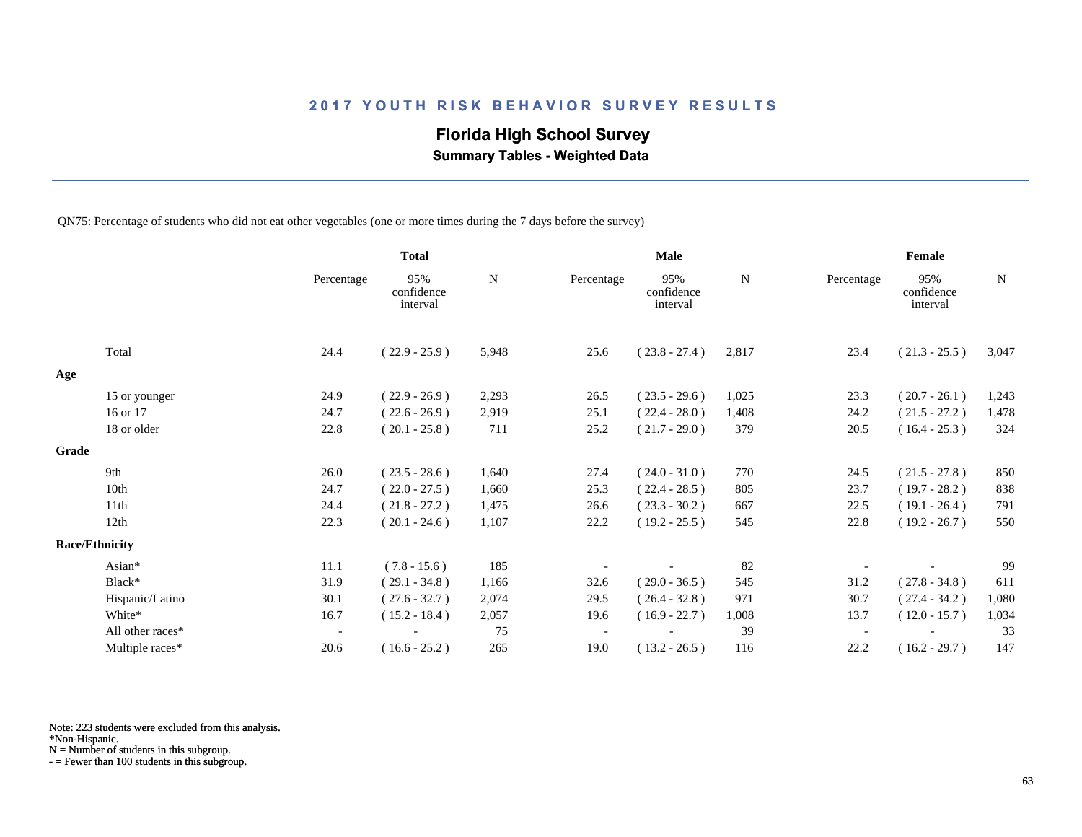# **Florida High School Survey**

 **Summary Tables - Weighted Data**

QN75: Percentage of students who did not eat other vegetables (one or more times during the 7 days before the survey)

|       |                       |                          | <b>Total</b>                  |       |            | <b>Male</b>                   |       | Female     |                               |             |  |
|-------|-----------------------|--------------------------|-------------------------------|-------|------------|-------------------------------|-------|------------|-------------------------------|-------------|--|
|       |                       | Percentage               | 95%<br>confidence<br>interval | N     | Percentage | 95%<br>confidence<br>interval | N     | Percentage | 95%<br>confidence<br>interval | $\mathbf N$ |  |
|       | Total                 | 24.4                     | $(22.9 - 25.9)$               | 5,948 | 25.6       | $(23.8 - 27.4)$               | 2,817 | 23.4       | $(21.3 - 25.5)$               | 3,047       |  |
| Age   |                       |                          |                               |       |            |                               |       |            |                               |             |  |
|       | 15 or younger         | 24.9                     | $(22.9 - 26.9)$               | 2,293 | 26.5       | $(23.5 - 29.6)$               | 1,025 | 23.3       | $(20.7 - 26.1)$               | 1,243       |  |
|       | 16 or 17              | 24.7                     | $(22.6 - 26.9)$               | 2,919 | 25.1       | $(22.4 - 28.0)$               | 1,408 | 24.2       | $(21.5 - 27.2)$               | 1,478       |  |
|       | 18 or older           | 22.8                     | $(20.1 - 25.8)$               | 711   | 25.2       | $(21.7 - 29.0)$               | 379   | 20.5       | $(16.4 - 25.3)$               | 324         |  |
| Grade |                       |                          |                               |       |            |                               |       |            |                               |             |  |
|       | 9th                   | 26.0                     | $(23.5 - 28.6)$               | 1,640 | 27.4       | $(24.0 - 31.0)$               | 770   | 24.5       | $(21.5 - 27.8)$               | 850         |  |
|       | 10th                  | 24.7                     | $(22.0 - 27.5)$               | 1,660 | 25.3       | $(22.4 - 28.5)$               | 805   | 23.7       | $(19.7 - 28.2)$               | 838         |  |
|       | 11th                  | 24.4                     | $(21.8 - 27.2)$               | 1,475 | 26.6       | $(23.3 - 30.2)$               | 667   | 22.5       | $(19.1 - 26.4)$               | 791         |  |
|       | 12th                  | 22.3                     | $(20.1 - 24.6)$               | 1,107 | 22.2       | $(19.2 - 25.5)$               | 545   | 22.8       | $(19.2 - 26.7)$               | 550         |  |
|       | <b>Race/Ethnicity</b> |                          |                               |       |            |                               |       |            |                               |             |  |
|       | Asian*                | 11.1                     | $(7.8 - 15.6)$                | 185   |            |                               | 82    |            |                               | 99          |  |
|       | Black*                | 31.9                     | $(29.1 - 34.8)$               | 1,166 | 32.6       | $(29.0 - 36.5)$               | 545   | 31.2       | $(27.8 - 34.8)$               | 611         |  |
|       | Hispanic/Latino       | 30.1                     | $(27.6 - 32.7)$               | 2,074 | 29.5       | $(26.4 - 32.8)$               | 971   | 30.7       | $(27.4 - 34.2)$               | 1,080       |  |
|       | White*                | 16.7                     | $(15.2 - 18.4)$               | 2,057 | 19.6       | $(16.9 - 22.7)$               | 1,008 | 13.7       | $(12.0 - 15.7)$               | 1,034       |  |
|       | All other races*      | $\overline{\phantom{a}}$ |                               | 75    |            |                               | 39    |            |                               | 33          |  |
|       | Multiple races*       | 20.6                     | $(16.6 - 25.2)$               | 265   | 19.0       | $(13.2 - 26.5)$               | 116   | 22.2       | $(16.2 - 29.7)$               | 147         |  |

Note: 223 students were excluded from this analysis.

N = Number of students in this subgroup.

<sup>\*</sup>Non-Hispanic.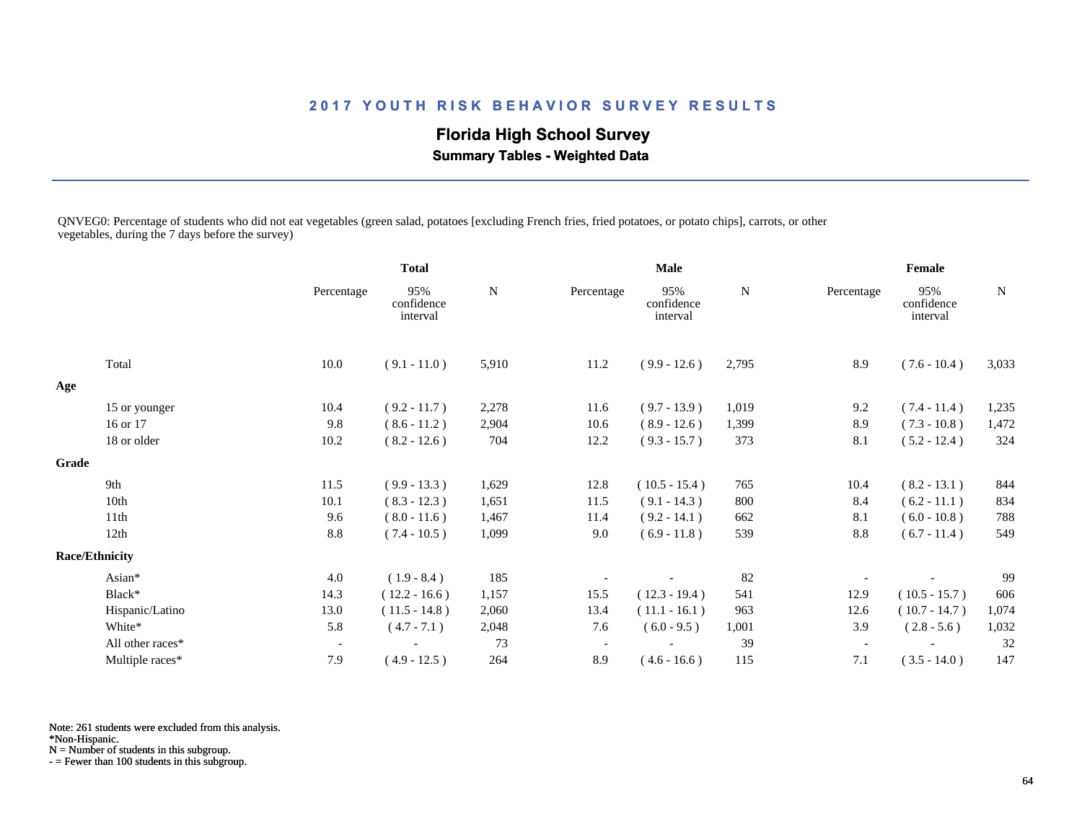# **Florida High School Survey**

 **Summary Tables - Weighted Data**

QNVEG0: Percentage of students who did not eat vegetables (green salad, potatoes [excluding French fries, fried potatoes, or potato chips], carrots, or other vegetables, during the 7 days before the survey)

|       |                       |                          | <b>Total</b>                  |           |                          | <b>Male</b>                   |           |            | Female                        |             |  |
|-------|-----------------------|--------------------------|-------------------------------|-----------|--------------------------|-------------------------------|-----------|------------|-------------------------------|-------------|--|
|       |                       | Percentage               | 95%<br>confidence<br>interval | ${\bf N}$ | Percentage               | 95%<br>confidence<br>interval | ${\bf N}$ | Percentage | 95%<br>confidence<br>interval | $\mathbf N$ |  |
|       | Total                 | 10.0                     | $(9.1 - 11.0)$                | 5,910     | 11.2                     | $(9.9 - 12.6)$                | 2,795     | 8.9        | $(7.6 - 10.4)$                | 3,033       |  |
| Age   |                       |                          |                               |           |                          |                               |           |            |                               |             |  |
|       | 15 or younger         | 10.4                     | $(9.2 - 11.7)$                | 2,278     | 11.6                     | $(9.7 - 13.9)$                | 1,019     | 9.2        | $(7.4 - 11.4)$                | 1,235       |  |
|       | 16 or 17              | 9.8                      | $(8.6 - 11.2)$                | 2,904     | 10.6                     | $(8.9 - 12.6)$                | 1,399     | 8.9        | $(7.3 - 10.8)$                | 1,472       |  |
|       | 18 or older           | 10.2                     | $(8.2 - 12.6)$                | 704       | 12.2                     | $(9.3 - 15.7)$                | 373       | 8.1        | $(5.2 - 12.4)$                | 324         |  |
| Grade |                       |                          |                               |           |                          |                               |           |            |                               |             |  |
|       | 9th                   | 11.5                     | $(9.9 - 13.3)$                | 1,629     | 12.8                     | $(10.5 - 15.4)$               | 765       | 10.4       | $(8.2 - 13.1)$                | 844         |  |
|       | 10th                  | 10.1                     | $(8.3 - 12.3)$                | 1,651     | 11.5                     | $(9.1 - 14.3)$                | 800       | 8.4        | $(6.2 - 11.1)$                | 834         |  |
|       | 11th                  | 9.6                      | $(8.0 - 11.6)$                | 1,467     | 11.4                     | $(9.2 - 14.1)$                | 662       | 8.1        | $(6.0 - 10.8)$                | 788         |  |
|       | 12th                  | 8.8                      | $(7.4 - 10.5)$                | 1,099     | 9.0                      | $(6.9 - 11.8)$                | 539       | 8.8        | $(6.7 - 11.4)$                | 549         |  |
|       | <b>Race/Ethnicity</b> |                          |                               |           |                          |                               |           |            |                               |             |  |
|       | Asian*                | 4.0                      | $(1.9 - 8.4)$                 | 185       |                          |                               | 82        |            |                               | 99          |  |
|       | Black*                | 14.3                     | $(12.2 - 16.6)$               | 1,157     | 15.5                     | $(12.3 - 19.4)$               | 541       | 12.9       | $(10.5 - 15.7)$               | 606         |  |
|       | Hispanic/Latino       | 13.0                     | $(11.5 - 14.8)$               | 2,060     | 13.4                     | $(11.1 - 16.1)$               | 963       | 12.6       | $(10.7 - 14.7)$               | 1,074       |  |
|       | White*                | 5.8                      | $(4.7 - 7.1)$                 | 2,048     | 7.6                      | $(6.0 - 9.5)$                 | 1,001     | 3.9        | $(2.8 - 5.6)$                 | 1,032       |  |
|       | All other races*      | $\overline{\phantom{a}}$ |                               | 73        | $\overline{\phantom{a}}$ |                               | 39        |            |                               | 32          |  |
|       | Multiple races*       | 7.9                      | $(4.9 - 12.5)$                | 264       | 8.9                      | $(4.6 - 16.6)$                | 115       | 7.1        | $(3.5 - 14.0)$                | 147         |  |
|       |                       |                          |                               |           |                          |                               |           |            |                               |             |  |

Note: 261 students were excluded from this analysis.

\*Non-Hispanic.

N = Number of students in this subgroup.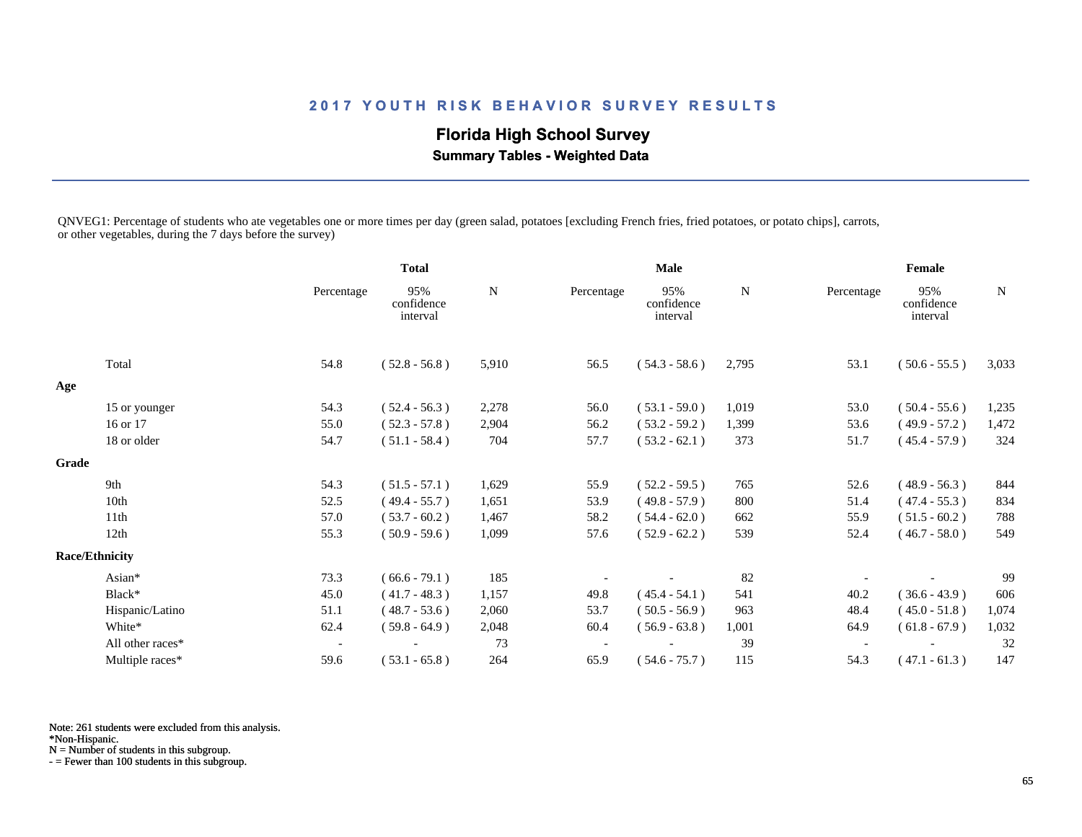# **Florida High School Survey**

 **Summary Tables - Weighted Data**

QNVEG1: Percentage of students who ate vegetables one or more times per day (green salad, potatoes [excluding French fries, fried potatoes, or potato chips], carrots, or other vegetables, during the 7 days before the survey)

|                       |                          |                               |              |                          | <b>Male</b>                   | Female |            |                               |             |
|-----------------------|--------------------------|-------------------------------|--------------|--------------------------|-------------------------------|--------|------------|-------------------------------|-------------|
|                       | Percentage               | 95%<br>confidence<br>interval | $\mathbf N$  | Percentage               | 95%<br>confidence<br>interval | N      | Percentage | 95%<br>confidence<br>interval | $\mathbf N$ |
| Total                 | 54.8                     | $(52.8 - 56.8)$               | 5,910        | 56.5                     | $(54.3 - 58.6)$               | 2,795  | 53.1       | $(50.6 - 55.5)$               | 3,033       |
|                       |                          |                               |              |                          |                               |        |            |                               |             |
|                       | 54.3                     | $(52.4 - 56.3)$               | 2,278        | 56.0                     | $(53.1 - 59.0)$               | 1,019  | 53.0       | $(50.4 - 55.6)$               | 1,235       |
| 16 or 17              | 55.0                     | $(52.3 - 57.8)$               | 2,904        | 56.2                     | $(53.2 - 59.2)$               | 1,399  | 53.6       | $(49.9 - 57.2)$               | 1,472       |
| 18 or older           | 54.7                     | $(51.1 - 58.4)$               | 704          | 57.7                     | $(53.2 - 62.1)$               | 373    | 51.7       | $(45.4 - 57.9)$               | 324         |
| Grade                 |                          |                               |              |                          |                               |        |            |                               |             |
| 9th                   | 54.3                     | $(51.5 - 57.1)$               | 1,629        | 55.9                     | $(52.2 - 59.5)$               | 765    | 52.6       | $(48.9 - 56.3)$               | 844         |
| 10th                  | 52.5                     | $(49.4 - 55.7)$               | 1,651        | 53.9                     | $(49.8 - 57.9)$               | 800    | 51.4       | $(47.4 - 55.3)$               | 834         |
| 11th                  | 57.0                     | $(53.7 - 60.2)$               | 1,467        | 58.2                     | $(54.4 - 62.0)$               | 662    | 55.9       | $(51.5 - 60.2)$               | 788         |
| 12th                  | 55.3                     | $(50.9 - 59.6)$               | 1,099        | 57.6                     | $(52.9 - 62.2)$               | 539    | 52.4       | $(46.7 - 58.0)$               | 549         |
| <b>Race/Ethnicity</b> |                          |                               |              |                          |                               |        |            |                               |             |
| Asian*                | 73.3                     | $(66.6 - 79.1)$               | 185          |                          |                               | 82     |            |                               | 99          |
| Black*                | 45.0                     | $(41.7 - 48.3)$               | 1,157        | 49.8                     | $(45.4 - 54.1)$               | 541    | 40.2       | $(36.6 - 43.9)$               | 606         |
| Hispanic/Latino       | 51.1                     | $(48.7 - 53.6)$               | 2,060        | 53.7                     | $(50.5 - 56.9)$               | 963    | 48.4       | $(45.0 - 51.8)$               | 1,074       |
| White*                | 62.4                     | $(59.8 - 64.9)$               | 2,048        | 60.4                     | $(56.9 - 63.8)$               | 1,001  | 64.9       | $(61.8 - 67.9)$               | 1,032       |
| All other races*      | $\overline{\phantom{a}}$ |                               | 73           | $\overline{\phantom{a}}$ |                               | 39     |            |                               | 32          |
| Multiple races*       | 59.6                     | $(53.1 - 65.8)$               | 264          | 65.9                     | $(54.6 - 75.7)$               | 115    | 54.3       | $(47.1 - 61.3)$               | 147         |
|                       | 15 or younger            |                               | <b>Total</b> |                          |                               |        |            |                               |             |

Note: 261 students were excluded from this analysis.

\*Non-Hispanic.

N = Number of students in this subgroup.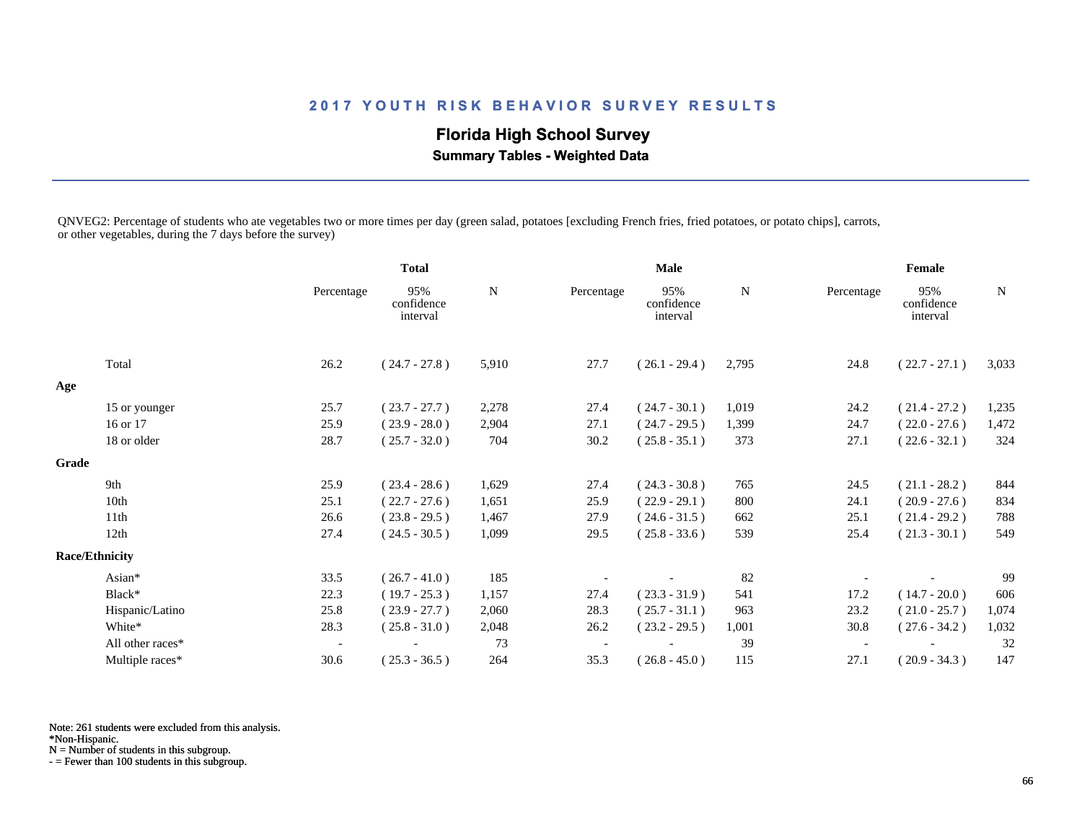# **Florida High School Survey**

 **Summary Tables - Weighted Data**

QNVEG2: Percentage of students who ate vegetables two or more times per day (green salad, potatoes [excluding French fries, fried potatoes, or potato chips], carrots, or other vegetables, during the 7 days before the survey)

|       |                       |                          | <b>Total</b>                  |       |                          | <b>Male</b>                   | Female      |            |                               |             |
|-------|-----------------------|--------------------------|-------------------------------|-------|--------------------------|-------------------------------|-------------|------------|-------------------------------|-------------|
|       |                       | Percentage               | 95%<br>confidence<br>interval | N     | Percentage               | 95%<br>confidence<br>interval | $\mathbf N$ | Percentage | 95%<br>confidence<br>interval | $\mathbf N$ |
|       | Total                 | 26.2                     | $(24.7 - 27.8)$               | 5,910 | 27.7                     | $(26.1 - 29.4)$               | 2,795       | 24.8       | $(22.7 - 27.1)$               | 3,033       |
| Age   |                       |                          |                               |       |                          |                               |             |            |                               |             |
|       | 15 or younger         | 25.7                     | $(23.7 - 27.7)$               | 2,278 | 27.4                     | $(24.7 - 30.1)$               | 1,019       | 24.2       | $(21.4 - 27.2)$               | 1,235       |
|       | 16 or 17              | 25.9                     | $(23.9 - 28.0)$               | 2,904 | 27.1                     | $(24.7 - 29.5)$               | 1,399       | 24.7       | $(22.0 - 27.6)$               | 1,472       |
|       | 18 or older           | 28.7                     | $(25.7 - 32.0)$               | 704   | 30.2                     | $(25.8 - 35.1)$               | 373         | 27.1       | $(22.6 - 32.1)$               | 324         |
| Grade |                       |                          |                               |       |                          |                               |             |            |                               |             |
|       | 9th                   | 25.9                     | $(23.4 - 28.6)$               | 1,629 | 27.4                     | $(24.3 - 30.8)$               | 765         | 24.5       | $(21.1 - 28.2)$               | 844         |
|       | 10th                  | 25.1                     | $(22.7 - 27.6)$               | 1,651 | 25.9                     | $(22.9 - 29.1)$               | 800         | 24.1       | $(20.9 - 27.6)$               | 834         |
|       | 11th                  | 26.6                     | $(23.8 - 29.5)$               | 1,467 | 27.9                     | $(24.6 - 31.5)$               | 662         | 25.1       | $(21.4 - 29.2)$               | 788         |
|       | 12th                  | 27.4                     | $(24.5 - 30.5)$               | 1,099 | 29.5                     | $(25.8 - 33.6)$               | 539         | 25.4       | $(21.3 - 30.1)$               | 549         |
|       | <b>Race/Ethnicity</b> |                          |                               |       |                          |                               |             |            |                               |             |
|       | Asian*                | 33.5                     | $(26.7 - 41.0)$               | 185   |                          |                               | 82          |            |                               | 99          |
|       | Black*                | 22.3                     | $(19.7 - 25.3)$               | 1,157 | 27.4                     | $(23.3 - 31.9)$               | 541         | 17.2       | $(14.7 - 20.0)$               | 606         |
|       | Hispanic/Latino       | 25.8                     | $(23.9 - 27.7)$               | 2,060 | 28.3                     | $(25.7 - 31.1)$               | 963         | 23.2       | $(21.0 - 25.7)$               | 1,074       |
|       | White*                | 28.3                     | $(25.8 - 31.0)$               | 2,048 | 26.2                     | $(23.2 - 29.5)$               | 1,001       | 30.8       | $(27.6 - 34.2)$               | 1,032       |
|       | All other races*      | $\overline{\phantom{a}}$ |                               | 73    | $\overline{\phantom{a}}$ |                               | 39          |            |                               | 32          |
|       | Multiple races*       | 30.6                     | $(25.3 - 36.5)$               | 264   | 35.3                     | $(26.8 - 45.0)$               | 115         | 27.1       | $(20.9 - 34.3)$               | 147         |

Note: 261 students were excluded from this analysis.

\*Non-Hispanic.

N = Number of students in this subgroup.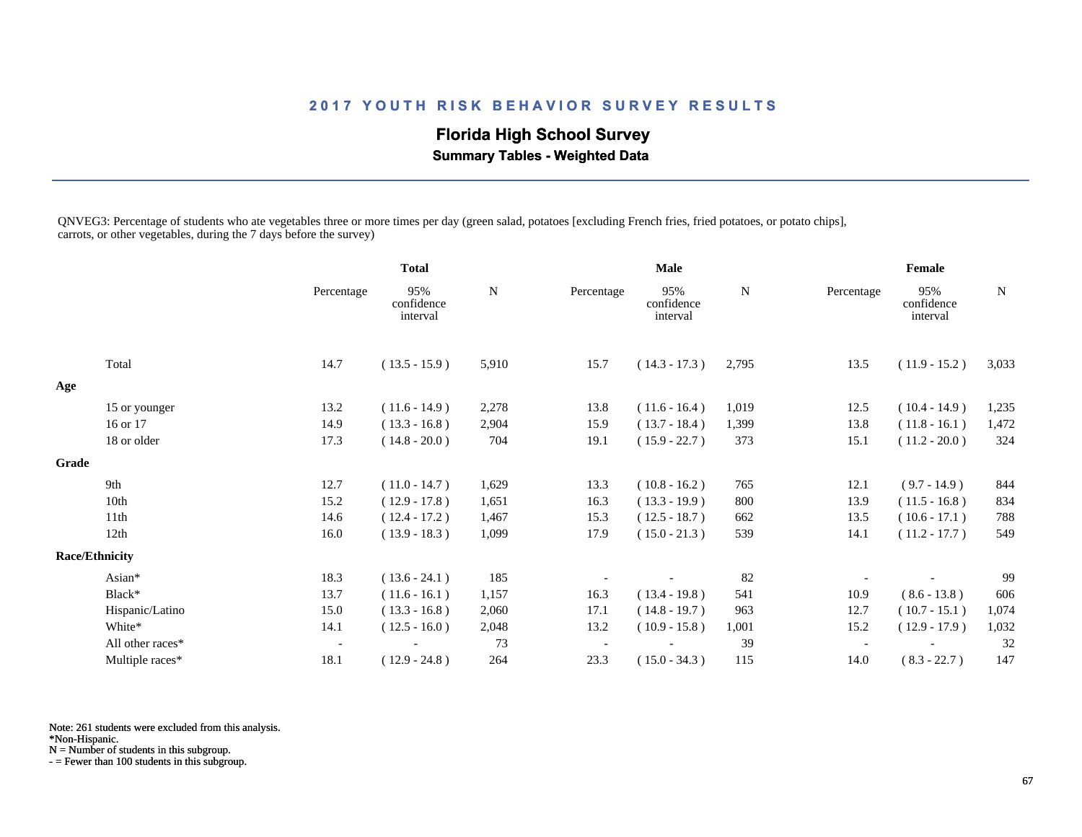# **Florida High School Survey Summary Tables - Weighted Data**

QNVEG3: Percentage of students who ate vegetables three or more times per day (green salad, potatoes [excluding French fries, fried potatoes, or potato chips], carrots, or other vegetables, during the 7 days before the survey)

|                  |                                        |                               |              |                          | <b>Male</b>                   |             |            | Female                        |             |  |
|------------------|----------------------------------------|-------------------------------|--------------|--------------------------|-------------------------------|-------------|------------|-------------------------------|-------------|--|
|                  | Percentage                             | 95%<br>confidence<br>interval | $\mathbf N$  | Percentage               | 95%<br>confidence<br>interval | $\mathbf N$ | Percentage | 95%<br>confidence<br>interval | $\mathbf N$ |  |
| Total            | 14.7                                   | $(13.5 - 15.9)$               | 5,910        | 15.7                     | $(14.3 - 17.3)$               | 2,795       | 13.5       | $(11.9 - 15.2)$               | 3,033       |  |
|                  |                                        |                               |              |                          |                               |             |            |                               |             |  |
|                  | 13.2                                   | $(11.6 - 14.9)$               | 2,278        | 13.8                     | $(11.6 - 16.4)$               | 1,019       | 12.5       | $(10.4 - 14.9)$               | 1,235       |  |
| 16 or 17         | 14.9                                   | $(13.3 - 16.8)$               | 2,904        | 15.9                     | $(13.7 - 18.4)$               | 1,399       | 13.8       | $(11.8 - 16.1)$               | 1,472       |  |
| 18 or older      | 17.3                                   | $(14.8 - 20.0)$               | 704          | 19.1                     | $(15.9 - 22.7)$               | 373         | 15.1       | $(11.2 - 20.0)$               | 324         |  |
|                  |                                        |                               |              |                          |                               |             |            |                               |             |  |
| 9th              | 12.7                                   | $(11.0 - 14.7)$               | 1,629        | 13.3                     | $(10.8 - 16.2)$               | 765         | 12.1       | $(9.7 - 14.9)$                | 844         |  |
| 10th             | 15.2                                   | $(12.9 - 17.8)$               | 1,651        | 16.3                     | $(13.3 - 19.9)$               | 800         | 13.9       | $(11.5 - 16.8)$               | 834         |  |
| 11th             | 14.6                                   | $(12.4 - 17.2)$               | 1,467        | 15.3                     | $(12.5 - 18.7)$               | 662         | 13.5       | $(10.6 - 17.1)$               | 788         |  |
| 12th             | 16.0                                   | $(13.9 - 18.3)$               | 1,099        | 17.9                     | $(15.0 - 21.3)$               | 539         | 14.1       | $(11.2 - 17.7)$               | 549         |  |
|                  |                                        |                               |              |                          |                               |             |            |                               |             |  |
| Asian*           | 18.3                                   | $(13.6 - 24.1)$               | 185          |                          |                               | 82          |            |                               | 99          |  |
| Black*           | 13.7                                   | $(11.6 - 16.1)$               | 1,157        | 16.3                     | $(13.4 - 19.8)$               | 541         | 10.9       | $(8.6 - 13.8)$                | 606         |  |
| Hispanic/Latino  | 15.0                                   | $(13.3 - 16.8)$               | 2,060        | 17.1                     | $(14.8 - 19.7)$               | 963         | 12.7       | $(10.7 - 15.1)$               | 1,074       |  |
| White*           | 14.1                                   | $(12.5 - 16.0)$               | 2,048        | 13.2                     | $(10.9 - 15.8)$               | 1,001       | 15.2       | $(12.9 - 17.9)$               | 1,032       |  |
| All other races* | $\overline{\phantom{a}}$               |                               | 73           | $\overline{\phantom{a}}$ |                               | 39          |            |                               | 32          |  |
| Multiple races*  | 18.1                                   | $(12.9 - 24.8)$               | 264          | 23.3                     | $(15.0 - 34.3)$               | 115         | 14.0       | $(8.3 - 22.7)$                | 147         |  |
|                  | 15 or younger<br><b>Race/Ethnicity</b> |                               | <b>Total</b> |                          |                               |             |            |                               |             |  |

Note: 261 students were excluded from this analysis.

\*Non-Hispanic.

N = Number of students in this subgroup.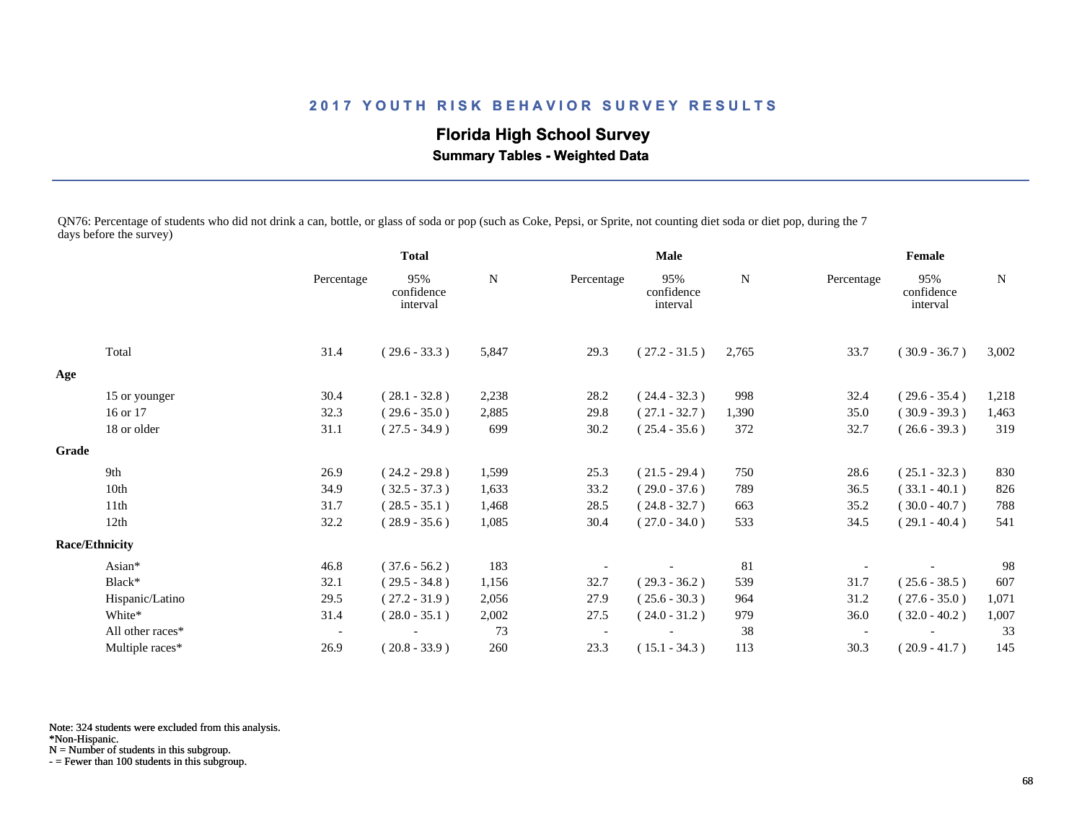**Florida High School Survey Summary Tables - Weighted Data**

QN76: Percentage of students who did not drink a can, bottle, or glass of soda or pop (such as Coke, Pepsi, or Sprite, not counting diet soda or diet pop, during the 7 days before the survey)

|       |                       |                          | <b>Total</b>                  |       |            | <b>Male</b>                   | Female |                          |                               |       |
|-------|-----------------------|--------------------------|-------------------------------|-------|------------|-------------------------------|--------|--------------------------|-------------------------------|-------|
|       |                       | Percentage               | 95%<br>confidence<br>interval | N     | Percentage | 95%<br>confidence<br>interval | N      | Percentage               | 95%<br>confidence<br>interval | N     |
|       | Total                 | 31.4                     | $(29.6 - 33.3)$               | 5,847 | 29.3       | $(27.2 - 31.5)$               | 2,765  | 33.7                     | $(30.9 - 36.7)$               | 3,002 |
| Age   |                       |                          |                               |       |            |                               |        |                          |                               |       |
|       | 15 or younger         | 30.4                     | $(28.1 - 32.8)$               | 2,238 | 28.2       | $(24.4 - 32.3)$               | 998    | 32.4                     | $(29.6 - 35.4)$               | 1,218 |
|       | 16 or 17              | 32.3                     | $(29.6 - 35.0)$               | 2,885 | 29.8       | $(27.1 - 32.7)$               | 1,390  | 35.0                     | $(30.9 - 39.3)$               | 1,463 |
|       | 18 or older           | 31.1                     | $(27.5 - 34.9)$               | 699   | 30.2       | $(25.4 - 35.6)$               | 372    | 32.7                     | $(26.6 - 39.3)$               | 319   |
| Grade |                       |                          |                               |       |            |                               |        |                          |                               |       |
|       | 9th                   | 26.9                     | $(24.2 - 29.8)$               | 1,599 | 25.3       | $(21.5 - 29.4)$               | 750    | 28.6                     | $(25.1 - 32.3)$               | 830   |
|       | 10th                  | 34.9                     | $(32.5 - 37.3)$               | 1,633 | 33.2       | $(29.0 - 37.6)$               | 789    | 36.5                     | $(33.1 - 40.1)$               | 826   |
|       | 11th                  | 31.7                     | $(28.5 - 35.1)$               | 1,468 | 28.5       | $(24.8 - 32.7)$               | 663    | 35.2                     | $(30.0 - 40.7)$               | 788   |
|       | 12th                  | 32.2                     | $(28.9 - 35.6)$               | 1,085 | 30.4       | $(27.0 - 34.0)$               | 533    | 34.5                     | $(29.1 - 40.4)$               | 541   |
|       | <b>Race/Ethnicity</b> |                          |                               |       |            |                               |        |                          |                               |       |
|       | Asian*                | 46.8                     | $(37.6 - 56.2)$               | 183   |            |                               | 81     |                          |                               | 98    |
|       | Black*                | 32.1                     | $(29.5 - 34.8)$               | 1,156 | 32.7       | $(29.3 - 36.2)$               | 539    | 31.7                     | $(25.6 - 38.5)$               | 607   |
|       | Hispanic/Latino       | 29.5                     | $(27.2 - 31.9)$               | 2,056 | 27.9       | $(25.6 - 30.3)$               | 964    | 31.2                     | $(27.6 - 35.0)$               | 1,071 |
|       | White*                | 31.4                     | $(28.0 - 35.1)$               | 2,002 | 27.5       | $(24.0 - 31.2)$               | 979    | 36.0                     | $(32.0 - 40.2)$               | 1,007 |
|       | All other races*      | $\overline{\phantom{a}}$ |                               | 73    |            |                               | 38     | $\overline{\phantom{a}}$ |                               | 33    |
|       | Multiple races*       | 26.9                     | $(20.8 - 33.9)$               | 260   | 23.3       | $(15.1 - 34.3)$               | 113    | 30.3                     | $(20.9 - 41.7)$               | 145   |

Note: 324 students were excluded from this analysis.

N = Number of students in this subgroup.

<sup>\*</sup>Non-Hispanic.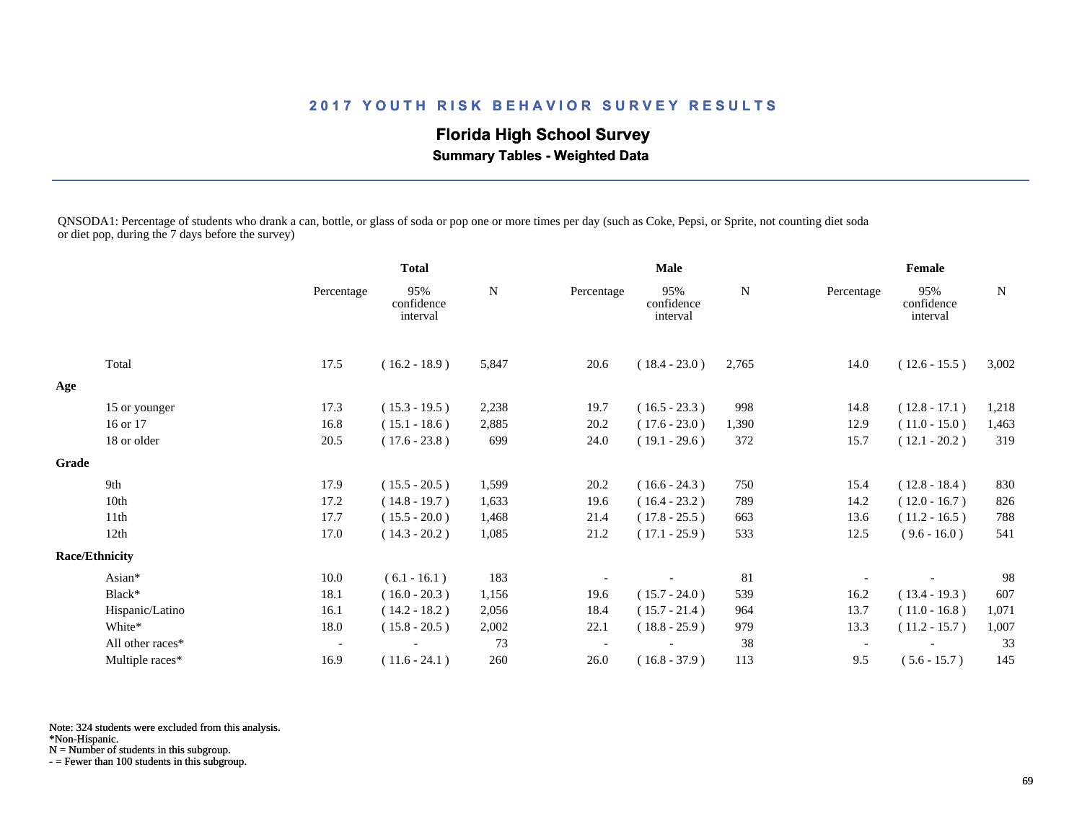**Florida High School Survey**

 **Summary Tables - Weighted Data**

QNSODA1: Percentage of students who drank a can, bottle, or glass of soda or pop one or more times per day (such as Coke, Pepsi, or Sprite, not counting diet soda or diet pop, during the 7 days before the survey)

|       |                       |                          | <b>Total</b>                  |       |                          | <b>Male</b>                   | Female      |                          |                               |             |
|-------|-----------------------|--------------------------|-------------------------------|-------|--------------------------|-------------------------------|-------------|--------------------------|-------------------------------|-------------|
|       |                       | Percentage               | 95%<br>confidence<br>interval | N     | Percentage               | 95%<br>confidence<br>interval | $\mathbf N$ | Percentage               | 95%<br>confidence<br>interval | $\mathbf N$ |
|       | Total                 | 17.5                     | $(16.2 - 18.9)$               | 5,847 | 20.6                     | $(18.4 - 23.0)$               | 2,765       | 14.0                     | $(12.6 - 15.5)$               | 3,002       |
| Age   |                       |                          |                               |       |                          |                               |             |                          |                               |             |
|       | 15 or younger         | 17.3                     | $(15.3 - 19.5)$               | 2,238 | 19.7                     | $(16.5 - 23.3)$               | 998         | 14.8                     | $(12.8 - 17.1)$               | 1,218       |
|       | 16 or 17              | 16.8                     | $(15.1 - 18.6)$               | 2,885 | 20.2                     | $(17.6 - 23.0)$               | 1,390       | 12.9                     | $(11.0 - 15.0)$               | 1,463       |
|       | 18 or older           | 20.5                     | $(17.6 - 23.8)$               | 699   | 24.0                     | $(19.1 - 29.6)$               | 372         | 15.7                     | $(12.1 - 20.2)$               | 319         |
| Grade |                       |                          |                               |       |                          |                               |             |                          |                               |             |
|       | 9th                   | 17.9                     | $(15.5 - 20.5)$               | 1,599 | 20.2                     | $(16.6 - 24.3)$               | 750         | 15.4                     | $(12.8 - 18.4)$               | 830         |
|       | 10th                  | 17.2                     | $(14.8 - 19.7)$               | 1,633 | 19.6                     | $(16.4 - 23.2)$               | 789         | 14.2                     | $(12.0 - 16.7)$               | 826         |
|       | 11th                  | 17.7                     | $(15.5 - 20.0)$               | 1,468 | 21.4                     | $(17.8 - 25.5)$               | 663         | 13.6                     | $(11.2 - 16.5)$               | 788         |
|       | 12th                  | 17.0                     | $(14.3 - 20.2)$               | 1,085 | 21.2                     | $(17.1 - 25.9)$               | 533         | 12.5                     | $(9.6 - 16.0)$                | 541         |
|       | <b>Race/Ethnicity</b> |                          |                               |       |                          |                               |             |                          |                               |             |
|       | Asian*                | 10.0                     | $(6.1 - 16.1)$                | 183   |                          |                               | 81          |                          |                               | 98          |
|       | Black*                | 18.1                     | $(16.0 - 20.3)$               | 1,156 | 19.6                     | $(15.7 - 24.0)$               | 539         | 16.2                     | $(13.4 - 19.3)$               | 607         |
|       | Hispanic/Latino       | 16.1                     | $(14.2 - 18.2)$               | 2,056 | 18.4                     | $(15.7 - 21.4)$               | 964         | 13.7                     | $(11.0 - 16.8)$               | 1,071       |
|       | White*                | 18.0                     | $(15.8 - 20.5)$               | 2,002 | 22.1                     | $(18.8 - 25.9)$               | 979         | 13.3                     | $(11.2 - 15.7)$               | 1,007       |
|       | All other races*      | $\overline{\phantom{a}}$ |                               | 73    | $\overline{\phantom{a}}$ |                               | 38          | $\overline{\phantom{a}}$ |                               | 33          |
|       | Multiple races*       | 16.9                     | $(11.6 - 24.1)$               | 260   | 26.0                     | $(16.8 - 37.9)$               | 113         | 9.5                      | $(5.6 - 15.7)$                | 145         |

Note: 324 students were excluded from this analysis.

\*Non-Hispanic.

N = Number of students in this subgroup.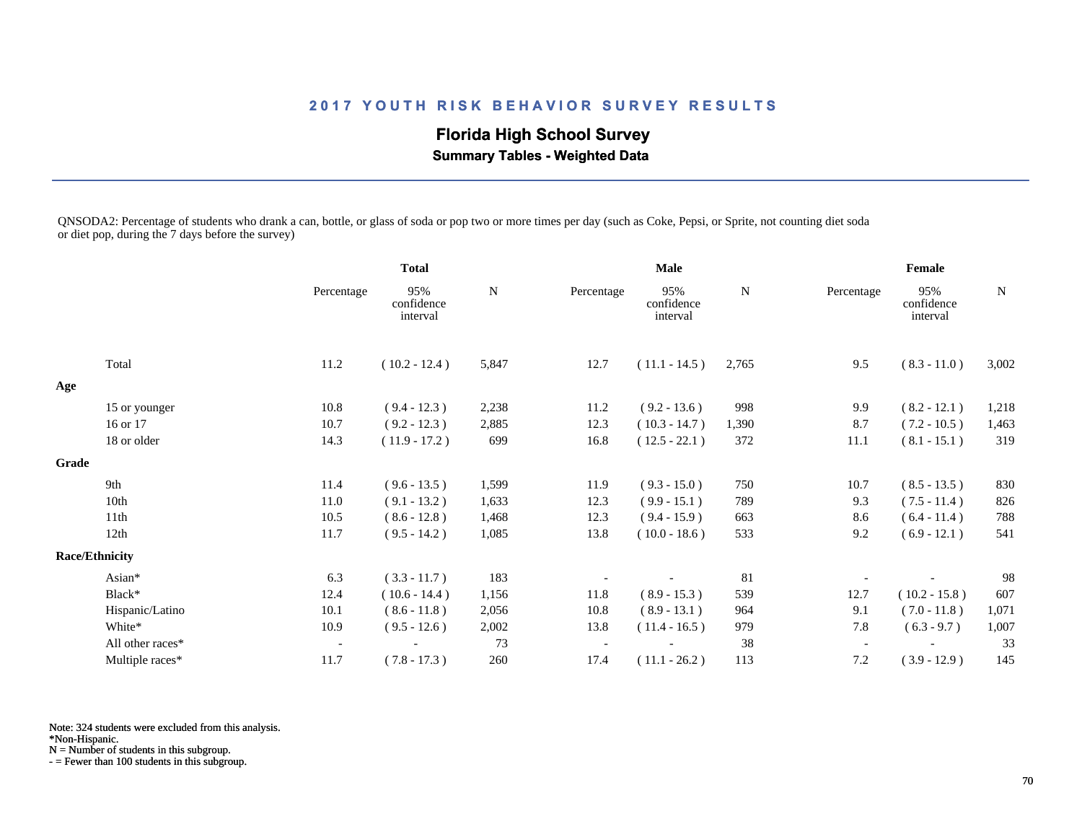# **Florida High School Survey**

 **Summary Tables - Weighted Data**

QNSODA2: Percentage of students who drank a can, bottle, or glass of soda or pop two or more times per day (such as Coke, Pepsi, or Sprite, not counting diet soda or diet pop, during the 7 days before the survey)

|       |                       |                          | <b>Total</b>                  |           |            | <b>Male</b>                   | Female    |                          |                               |           |
|-------|-----------------------|--------------------------|-------------------------------|-----------|------------|-------------------------------|-----------|--------------------------|-------------------------------|-----------|
|       |                       | Percentage               | 95%<br>confidence<br>interval | ${\bf N}$ | Percentage | 95%<br>confidence<br>interval | ${\bf N}$ | Percentage               | 95%<br>confidence<br>interval | ${\bf N}$ |
|       | Total                 | 11.2                     | $(10.2 - 12.4)$               | 5,847     | 12.7       | $(11.1 - 14.5)$               | 2,765     | 9.5                      | $(8.3 - 11.0)$                | 3,002     |
| Age   |                       |                          |                               |           |            |                               |           |                          |                               |           |
|       | 15 or younger         | 10.8                     | $(9.4 - 12.3)$                | 2,238     | 11.2       | $(9.2 - 13.6)$                | 998       | 9.9                      | $(8.2 - 12.1)$                | 1,218     |
|       | 16 or 17              | 10.7                     | $(9.2 - 12.3)$                | 2,885     | 12.3       | $(10.3 - 14.7)$               | 1,390     | 8.7                      | $(7.2 - 10.5)$                | 1,463     |
|       | 18 or older           | 14.3                     | $(11.9 - 17.2)$               | 699       | 16.8       | $(12.5 - 22.1)$               | 372       | 11.1                     | $(8.1 - 15.1)$                | 319       |
| Grade |                       |                          |                               |           |            |                               |           |                          |                               |           |
|       | 9th                   | 11.4                     | $(9.6 - 13.5)$                | 1,599     | 11.9       | $(9.3 - 15.0)$                | 750       | 10.7                     | $(8.5 - 13.5)$                | 830       |
|       | 10th                  | 11.0                     | $(9.1 - 13.2)$                | 1,633     | 12.3       | $(9.9 - 15.1)$                | 789       | 9.3                      | $(7.5 - 11.4)$                | 826       |
|       | 11th                  | 10.5                     | $(8.6 - 12.8)$                | 1,468     | 12.3       | $(9.4 - 15.9)$                | 663       | 8.6                      | $(6.4 - 11.4)$                | 788       |
|       | 12th                  | 11.7                     | $(9.5 - 14.2)$                | 1,085     | 13.8       | $(10.0 - 18.6)$               | 533       | 9.2                      | $(6.9 - 12.1)$                | 541       |
|       | <b>Race/Ethnicity</b> |                          |                               |           |            |                               |           |                          |                               |           |
|       | Asian*                | 6.3                      | $(3.3 - 11.7)$                | 183       |            |                               | 81        |                          |                               | 98        |
|       | Black*                | 12.4                     | $(10.6 - 14.4)$               | 1,156     | 11.8       | $(8.9 - 15.3)$                | 539       | 12.7                     | $(10.2 - 15.8)$               | 607       |
|       | Hispanic/Latino       | 10.1                     | $(8.6 - 11.8)$                | 2,056     | 10.8       | $(8.9 - 13.1)$                | 964       | 9.1                      | $(7.0 - 11.8)$                | 1,071     |
|       | White*                | 10.9                     | $(9.5 - 12.6)$                | 2,002     | 13.8       | $(11.4 - 16.5)$               | 979       | 7.8                      | $(6.3 - 9.7)$                 | 1,007     |
|       | All other races*      | $\overline{\phantom{a}}$ |                               | 73        |            |                               | 38        | $\overline{\phantom{a}}$ |                               | 33        |
|       | Multiple races*       | 11.7                     | $(7.8 - 17.3)$                | 260       | 17.4       | $(11.1 - 26.2)$               | 113       | 7.2                      | $(3.9 - 12.9)$                | 145       |

Note: 324 students were excluded from this analysis.

\*Non-Hispanic.

N = Number of students in this subgroup.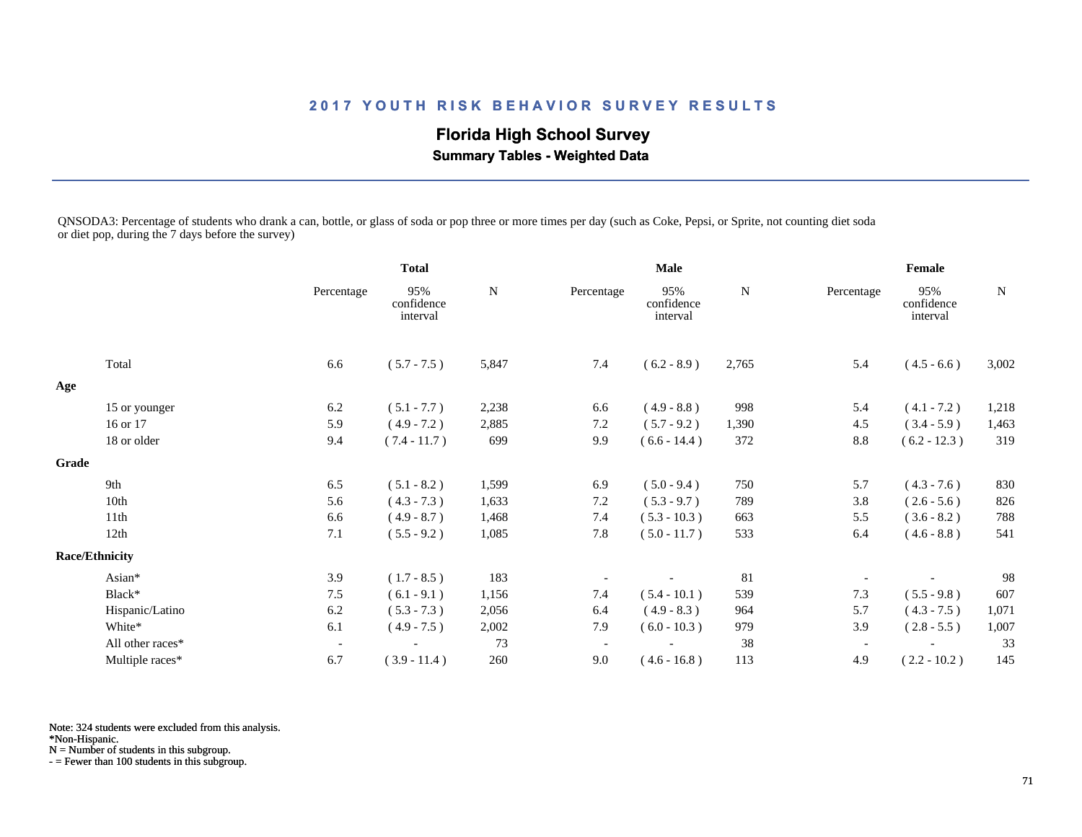# **Florida High School Survey**

 **Summary Tables - Weighted Data**

QNSODA3: Percentage of students who drank a can, bottle, or glass of soda or pop three or more times per day (such as Coke, Pepsi, or Sprite, not counting diet soda or diet pop, during the 7 days before the survey)

| ${\bf N}$<br>95%<br>confidence<br>interval | Percentage               | 95%<br>confidence<br>interval | ${\bf N}$ |
|--------------------------------------------|--------------------------|-------------------------------|-----------|
|                                            |                          |                               |           |
|                                            | 5.4                      | $(4.5 - 6.6)$                 | 3,002     |
|                                            |                          |                               |           |
| 998<br>$(4.9 - 8.8)$                       | 5.4                      | $(4.1 - 7.2)$                 | 1,218     |
| $(5.7 - 9.2)$<br>1,390                     | 4.5                      | $(3.4 - 5.9)$                 | 1,463     |
| 372<br>$(6.6 - 14.4)$                      | 8.8                      | $(6.2 - 12.3)$                | 319       |
|                                            |                          |                               |           |
| 750<br>$(5.0 - 9.4)$                       | 5.7                      | $(4.3 - 7.6)$                 | 830       |
| 789<br>$(5.3 - 9.7)$                       | 3.8                      | $(2.6 - 5.6)$                 | 826       |
| $(5.3 - 10.3)$<br>663                      | 5.5                      | $(3.6 - 8.2)$                 | 788       |
| $(5.0 - 11.7)$<br>533                      | 6.4                      | $(4.6 - 8.8)$                 | 541       |
|                                            |                          |                               |           |
| 81                                         |                          |                               | 98        |
| $(5.4 - 10.1)$<br>539                      | 7.3                      | $(5.5 - 9.8)$                 | 607       |
| $(4.9 - 8.3)$<br>964                       | 5.7                      | $(4.3 - 7.5)$                 | 1,071     |
| 979<br>$(6.0 - 10.3)$                      | 3.9                      | $(2.8 - 5.5)$                 | 1,007     |
| 38                                         | $\overline{\phantom{a}}$ |                               | 33        |
| $(4.6 - 16.8)$<br>113                      | 4.9                      | $(2.2 - 10.2)$                | 145       |
|                                            | 2,765                    | $(6.2 - 8.9)$                 |           |

Note: 324 students were excluded from this analysis.

\*Non-Hispanic.

N = Number of students in this subgroup.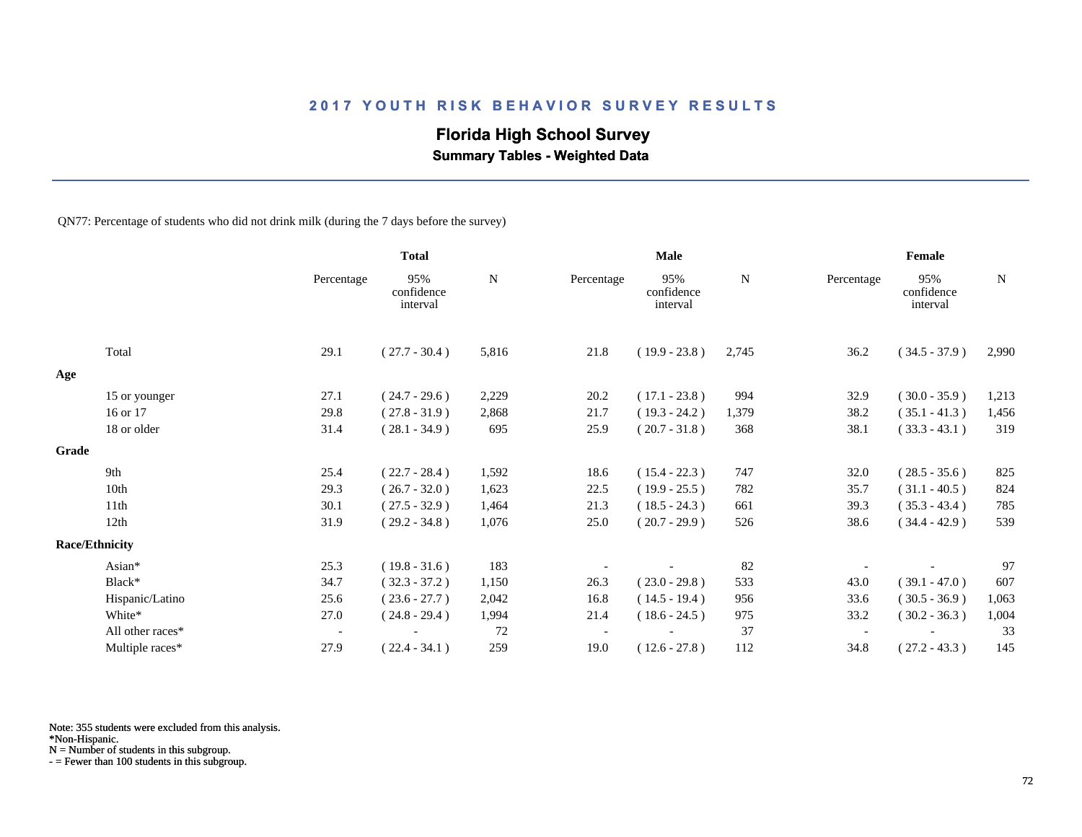# **Florida High School Survey**

 **Summary Tables - Weighted Data**

QN77: Percentage of students who did not drink milk (during the 7 days before the survey)

|       |                       |            | <b>Total</b>                  |       |            | Male                          |       | Female     |                               |             |  |
|-------|-----------------------|------------|-------------------------------|-------|------------|-------------------------------|-------|------------|-------------------------------|-------------|--|
|       |                       | Percentage | 95%<br>confidence<br>interval | N     | Percentage | 95%<br>confidence<br>interval | N     | Percentage | 95%<br>confidence<br>interval | $\mathbf N$ |  |
|       | Total                 | 29.1       | $(27.7 - 30.4)$               | 5,816 | 21.8       | $(19.9 - 23.8)$               | 2,745 | 36.2       | $(34.5 - 37.9)$               | 2,990       |  |
| Age   |                       |            |                               |       |            |                               |       |            |                               |             |  |
|       | 15 or younger         | 27.1       | $(24.7 - 29.6)$               | 2,229 | 20.2       | $(17.1 - 23.8)$               | 994   | 32.9       | $(30.0 - 35.9)$               | 1,213       |  |
|       | 16 or 17              | 29.8       | $(27.8 - 31.9)$               | 2,868 | 21.7       | $(19.3 - 24.2)$               | 1,379 | 38.2       | $(35.1 - 41.3)$               | 1,456       |  |
|       | 18 or older           | 31.4       | $(28.1 - 34.9)$               | 695   | 25.9       | $(20.7 - 31.8)$               | 368   | 38.1       | $(33.3 - 43.1)$               | 319         |  |
| Grade |                       |            |                               |       |            |                               |       |            |                               |             |  |
|       | 9th                   | 25.4       | $(22.7 - 28.4)$               | 1,592 | 18.6       | $(15.4 - 22.3)$               | 747   | 32.0       | $(28.5 - 35.6)$               | 825         |  |
|       | 10th                  | 29.3       | $(26.7 - 32.0)$               | 1,623 | 22.5       | $(19.9 - 25.5)$               | 782   | 35.7       | $(31.1 - 40.5)$               | 824         |  |
|       | 11th                  | 30.1       | $(27.5 - 32.9)$               | 1,464 | 21.3       | $(18.5 - 24.3)$               | 661   | 39.3       | $(35.3 - 43.4)$               | 785         |  |
|       | 12th                  | 31.9       | $(29.2 - 34.8)$               | 1,076 | 25.0       | $(20.7 - 29.9)$               | 526   | 38.6       | $(34.4 - 42.9)$               | 539         |  |
|       | <b>Race/Ethnicity</b> |            |                               |       |            |                               |       |            |                               |             |  |
|       | Asian*                | 25.3       | $(19.8 - 31.6)$               | 183   |            |                               | 82    |            |                               | 97          |  |
|       | Black*                | 34.7       | $(32.3 - 37.2)$               | 1,150 | 26.3       | $(23.0 - 29.8)$               | 533   | 43.0       | $(39.1 - 47.0)$               | 607         |  |
|       | Hispanic/Latino       | 25.6       | $(23.6 - 27.7)$               | 2,042 | 16.8       | $(14.5 - 19.4)$               | 956   | 33.6       | $(30.5 - 36.9)$               | 1,063       |  |
|       | White*                | 27.0       | $(24.8 - 29.4)$               | 1,994 | 21.4       | $(18.6 - 24.5)$               | 975   | 33.2       | $(30.2 - 36.3)$               | 1,004       |  |
|       | All other races*      | $\sim$     |                               | 72    |            |                               | 37    |            |                               | 33          |  |
|       | Multiple races*       | 27.9       | $(22.4 - 34.1)$               | 259   | 19.0       | $(12.6 - 27.8)$               | 112   | 34.8       | $(27.2 - 43.3)$               | 145         |  |

Note: 355 students were excluded from this analysis.

N = Number of students in this subgroup.

<sup>\*</sup>Non-Hispanic.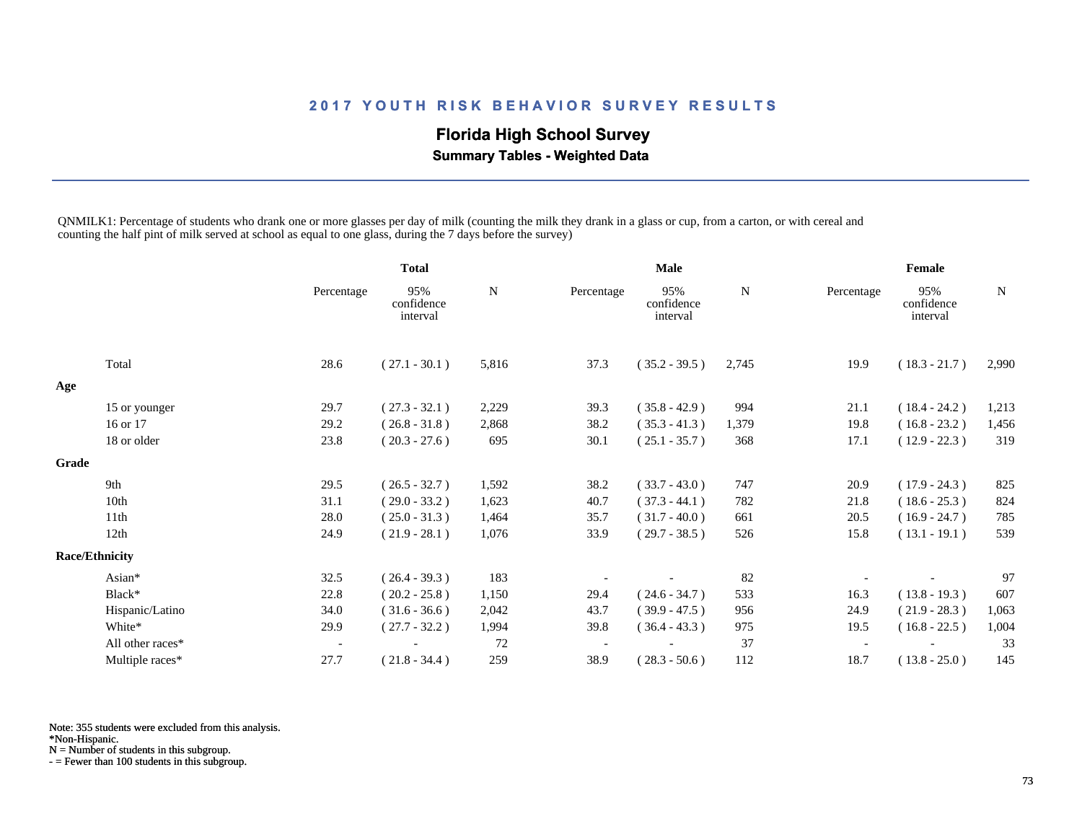# **Florida High School Survey**

 **Summary Tables - Weighted Data**

QNMILK1: Percentage of students who drank one or more glasses per day of milk (counting the milk they drank in a glass or cup, from a carton, or with cereal and counting the half pint of milk served at school as equal to one glass, during the 7 days before the survey)

|       |                       |                          | <b>Total</b>                  |       | <b>Male</b> |                               |       | Female     |                               |             |
|-------|-----------------------|--------------------------|-------------------------------|-------|-------------|-------------------------------|-------|------------|-------------------------------|-------------|
|       |                       | Percentage               | 95%<br>confidence<br>interval | N     | Percentage  | 95%<br>confidence<br>interval | N     | Percentage | 95%<br>confidence<br>interval | $\mathbf N$ |
|       | Total                 | 28.6                     | $(27.1 - 30.1)$               | 5,816 | 37.3        | $(35.2 - 39.5)$               | 2,745 | 19.9       | $(18.3 - 21.7)$               | 2,990       |
| Age   |                       |                          |                               |       |             |                               |       |            |                               |             |
|       | 15 or younger         | 29.7                     | $(27.3 - 32.1)$               | 2,229 | 39.3        | $(35.8 - 42.9)$               | 994   | 21.1       | $(18.4 - 24.2)$               | 1,213       |
|       | 16 or 17              | 29.2                     | $(26.8 - 31.8)$               | 2,868 | 38.2        | $(35.3 - 41.3)$               | 1,379 | 19.8       | $(16.8 - 23.2)$               | 1,456       |
|       | 18 or older           | 23.8                     | $(20.3 - 27.6)$               | 695   | 30.1        | $(25.1 - 35.7)$               | 368   | 17.1       | $(12.9 - 22.3)$               | 319         |
| Grade |                       |                          |                               |       |             |                               |       |            |                               |             |
|       | 9th                   | 29.5                     | $(26.5 - 32.7)$               | 1,592 | 38.2        | $(33.7 - 43.0)$               | 747   | 20.9       | $(17.9 - 24.3)$               | 825         |
|       | 10th                  | 31.1                     | $(29.0 - 33.2)$               | 1,623 | 40.7        | $(37.3 - 44.1)$               | 782   | 21.8       | $(18.6 - 25.3)$               | 824         |
|       | 11th                  | 28.0                     | $(25.0 - 31.3)$               | 1,464 | 35.7        | $(31.7 - 40.0)$               | 661   | 20.5       | $(16.9 - 24.7)$               | 785         |
|       | 12th                  | 24.9                     | $(21.9 - 28.1)$               | 1,076 | 33.9        | $(29.7 - 38.5)$               | 526   | 15.8       | $(13.1 - 19.1)$               | 539         |
|       | <b>Race/Ethnicity</b> |                          |                               |       |             |                               |       |            |                               |             |
|       | Asian*                | 32.5                     | $(26.4 - 39.3)$               | 183   |             |                               | 82    |            |                               | 97          |
|       | Black*                | 22.8                     | $(20.2 - 25.8)$               | 1,150 | 29.4        | $(24.6 - 34.7)$               | 533   | 16.3       | $(13.8 - 19.3)$               | 607         |
|       | Hispanic/Latino       | 34.0                     | $(31.6 - 36.6)$               | 2,042 | 43.7        | $(39.9 - 47.5)$               | 956   | 24.9       | $(21.9 - 28.3)$               | 1,063       |
|       | White*                | 29.9                     | $(27.7 - 32.2)$               | 1,994 | 39.8        | $(36.4 - 43.3)$               | 975   | 19.5       | $(16.8 - 22.5)$               | 1,004       |
|       | All other races*      | $\overline{\phantom{a}}$ |                               | 72    |             |                               | 37    |            |                               | 33          |
|       | Multiple races*       | 27.7                     | $(21.8 - 34.4)$               | 259   | 38.9        | $(28.3 - 50.6)$               | 112   | 18.7       | $(13.8 - 25.0)$               | 145         |

Note: 355 students were excluded from this analysis.

\*Non-Hispanic.

N = Number of students in this subgroup.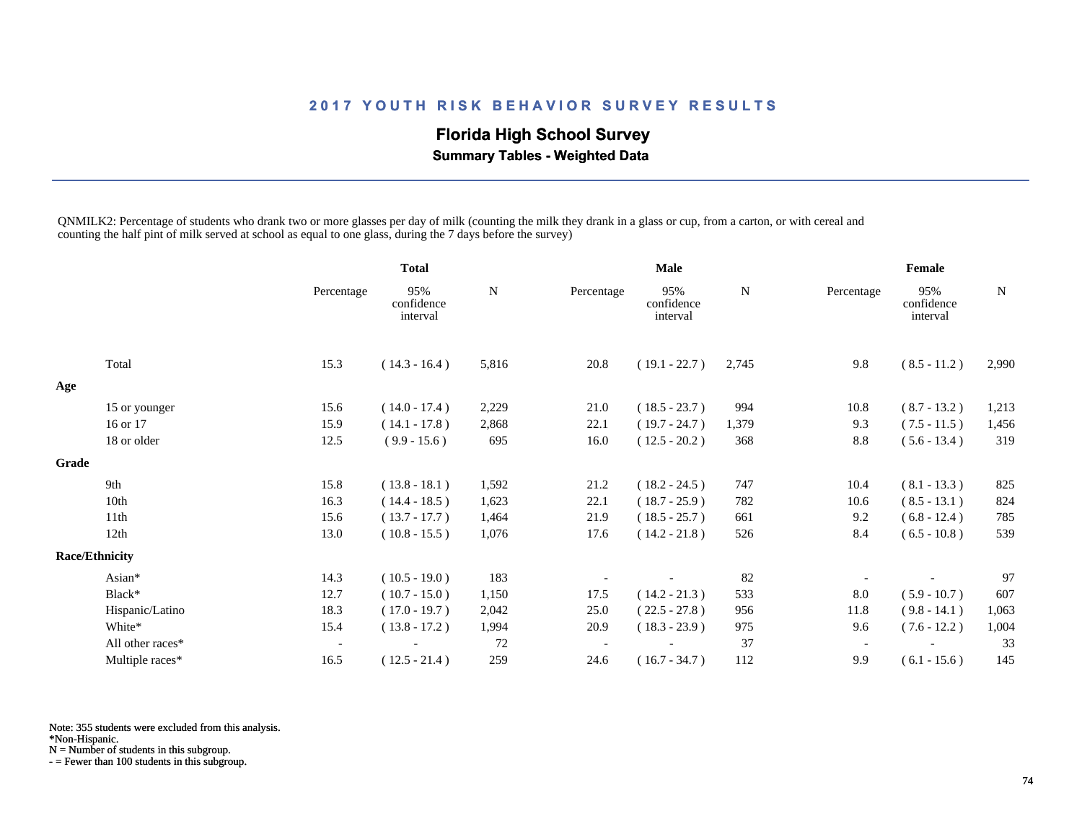# **Florida High School Survey**

 **Summary Tables - Weighted Data**

QNMILK2: Percentage of students who drank two or more glasses per day of milk (counting the milk they drank in a glass or cup, from a carton, or with cereal and counting the half pint of milk served at school as equal to one glass, during the 7 days before the survey)

|                  |                          | <b>Total</b>                  |       |            |                               |             |            |                               |             |
|------------------|--------------------------|-------------------------------|-------|------------|-------------------------------|-------------|------------|-------------------------------|-------------|
|                  | Percentage               | 95%<br>confidence<br>interval | N     | Percentage | 95%<br>confidence<br>interval | N           | Percentage | 95%<br>confidence<br>interval | $\mathbf N$ |
| Total            | 15.3                     | $(14.3 - 16.4)$               | 5,816 | 20.8       | $(19.1 - 22.7)$               | 2,745       | 9.8        | $(8.5 - 11.2)$                | 2,990       |
|                  |                          |                               |       |            |                               |             |            |                               |             |
| 15 or younger    | 15.6                     | $(14.0 - 17.4)$               | 2,229 | 21.0       | $(18.5 - 23.7)$               | 994         | 10.8       | $(8.7 - 13.2)$                | 1,213       |
| 16 or 17         | 15.9                     | $(14.1 - 17.8)$               | 2,868 | 22.1       | $(19.7 - 24.7)$               | 1,379       | 9.3        | $(7.5 - 11.5)$                | 1,456       |
| 18 or older      | 12.5                     | $(9.9 - 15.6)$                | 695   | 16.0       | $(12.5 - 20.2)$               | 368         | 8.8        | $(5.6 - 13.4)$                | 319         |
|                  |                          |                               |       |            |                               |             |            |                               |             |
| 9th              | 15.8                     | $(13.8 - 18.1)$               | 1,592 | 21.2       | $(18.2 - 24.5)$               | 747         | 10.4       | $(8.1 - 13.3)$                | 825         |
| 10th             | 16.3                     | $(14.4 - 18.5)$               | 1,623 | 22.1       | $(18.7 - 25.9)$               | 782         | 10.6       | $(8.5 - 13.1)$                | 824         |
| 11th             | 15.6                     | $(13.7 - 17.7)$               | 1,464 | 21.9       | $(18.5 - 25.7)$               | 661         | 9.2        | $(6.8 - 12.4)$                | 785         |
| 12th             | 13.0                     | $(10.8 - 15.5)$               | 1,076 | 17.6       | $(14.2 - 21.8)$               | 526         | 8.4        | $(6.5 - 10.8)$                | 539         |
|                  |                          |                               |       |            |                               |             |            |                               |             |
| Asian*           | 14.3                     | $(10.5 - 19.0)$               | 183   |            |                               | 82          |            |                               | 97          |
| Black*           | 12.7                     | $(10.7 - 15.0)$               | 1,150 | 17.5       | $(14.2 - 21.3)$               | 533         | 8.0        | $(5.9 - 10.7)$                | 607         |
| Hispanic/Latino  | 18.3                     | $(17.0 - 19.7)$               | 2,042 | 25.0       | $(22.5 - 27.8)$               | 956         | 11.8       | $(9.8 - 14.1)$                | 1,063       |
| White*           | 15.4                     | $(13.8 - 17.2)$               | 1,994 | 20.9       | $(18.3 - 23.9)$               | 975         | 9.6        | $(7.6 - 12.2)$                | 1,004       |
| All other races* | $\overline{\phantom{a}}$ |                               | 72    |            |                               | 37          |            |                               | 33          |
| Multiple races*  | 16.5                     | $(12.5 - 21.4)$               | 259   | 24.6       | $(16.7 - 34.7)$               | 112         | 9.9        | $(6.1 - 15.6)$                | 145         |
| Grade            | <b>Race/Ethnicity</b>    |                               |       |            |                               | <b>Male</b> |            |                               | Female      |

Note: 355 students were excluded from this analysis.

\*Non-Hispanic.

N = Number of students in this subgroup.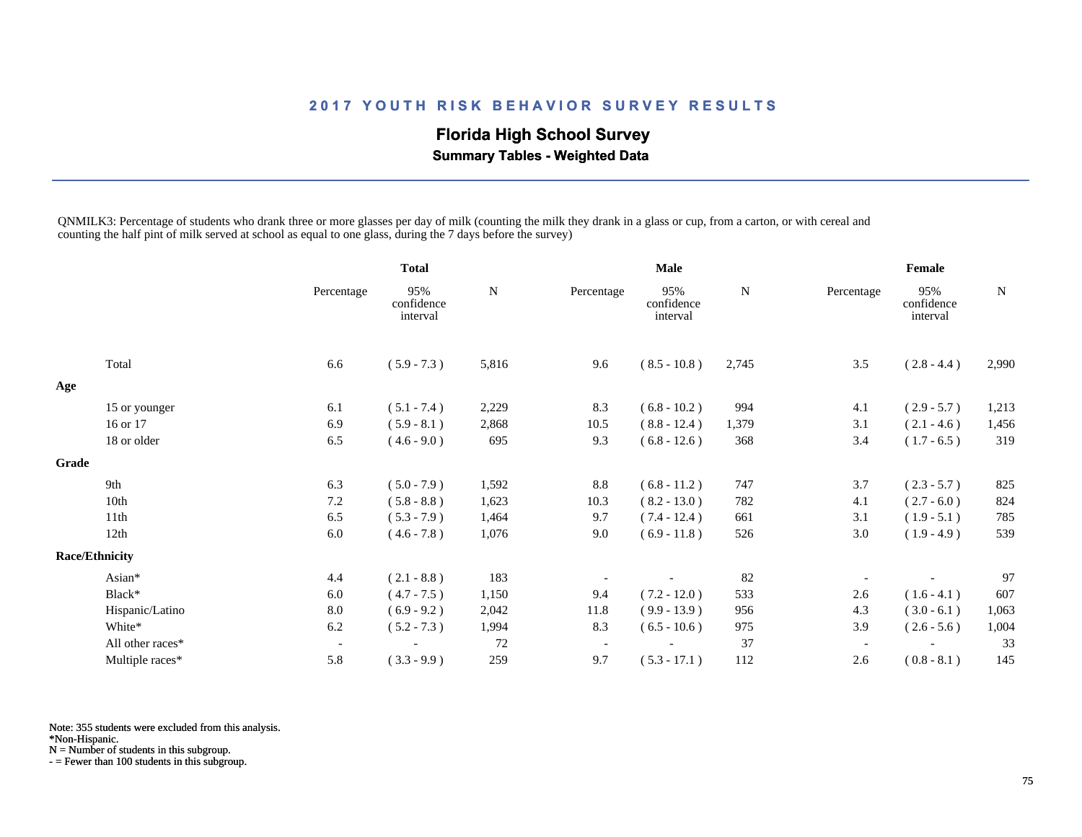# **Florida High School Survey**

 **Summary Tables - Weighted Data**

QNMILK3: Percentage of students who drank three or more glasses per day of milk (counting the milk they drank in a glass or cup, from a carton, or with cereal and counting the half pint of milk served at school as equal to one glass, during the 7 days before the survey)

|       |                       |                          | <b>Total</b>                  |       | <b>Male</b>              |                               |       | Female                   |                               |       |
|-------|-----------------------|--------------------------|-------------------------------|-------|--------------------------|-------------------------------|-------|--------------------------|-------------------------------|-------|
|       |                       | Percentage               | 95%<br>confidence<br>interval | N     | Percentage               | 95%<br>confidence<br>interval | N     | Percentage               | 95%<br>confidence<br>interval | N     |
|       | Total                 | 6.6                      | $(5.9 - 7.3)$                 | 5,816 | 9.6                      | $(8.5 - 10.8)$                | 2,745 | 3.5                      | $(2.8 - 4.4)$                 | 2,990 |
| Age   |                       |                          |                               |       |                          |                               |       |                          |                               |       |
|       | 15 or younger         | 6.1                      | $(5.1 - 7.4)$                 | 2,229 | 8.3                      | $(6.8 - 10.2)$                | 994   | 4.1                      | $(2.9 - 5.7)$                 | 1,213 |
|       | 16 or 17              | 6.9                      | $(5.9 - 8.1)$                 | 2,868 | 10.5                     | $(8.8 - 12.4)$                | 1,379 | 3.1                      | $(2.1 - 4.6)$                 | 1,456 |
|       | 18 or older           | 6.5                      | $(4.6 - 9.0)$                 | 695   | 9.3                      | $(6.8 - 12.6)$                | 368   | 3.4                      | $(1.7 - 6.5)$                 | 319   |
| Grade |                       |                          |                               |       |                          |                               |       |                          |                               |       |
|       | 9th                   | 6.3                      | $(5.0 - 7.9)$                 | 1,592 | 8.8                      | $(6.8 - 11.2)$                | 747   | 3.7                      | $(2.3 - 5.7)$                 | 825   |
|       | 10th                  | 7.2                      | $(5.8 - 8.8)$                 | 1,623 | 10.3                     | $(8.2 - 13.0)$                | 782   | 4.1                      | $(2.7 - 6.0)$                 | 824   |
|       | 11th                  | 6.5                      | $(5.3 - 7.9)$                 | 1,464 | 9.7                      | $(7.4 - 12.4)$                | 661   | 3.1                      | $(1.9 - 5.1)$                 | 785   |
|       | 12th                  | 6.0                      | $(4.6 - 7.8)$                 | 1,076 | 9.0                      | $(6.9 - 11.8)$                | 526   | 3.0                      | $(1.9 - 4.9)$                 | 539   |
|       | <b>Race/Ethnicity</b> |                          |                               |       |                          |                               |       |                          |                               |       |
|       | Asian*                | 4.4                      | $(2.1 - 8.8)$                 | 183   |                          |                               | 82    |                          |                               | 97    |
|       | Black*                | 6.0                      | $(4.7 - 7.5)$                 | 1,150 | 9.4                      | $(7.2 - 12.0)$                | 533   | 2.6                      | $(1.6 - 4.1)$                 | 607   |
|       | Hispanic/Latino       | 8.0                      | $(6.9 - 9.2)$                 | 2,042 | 11.8                     | $(9.9 - 13.9)$                | 956   | 4.3                      | $(3.0 - 6.1)$                 | 1,063 |
|       | White*                | 6.2                      | $(5.2 - 7.3)$                 | 1,994 | 8.3                      | $(6.5 - 10.6)$                | 975   | 3.9                      | $(2.6 - 5.6)$                 | 1,004 |
|       | All other races*      | $\overline{\phantom{a}}$ |                               | 72    | $\overline{\phantom{a}}$ |                               | 37    | $\overline{\phantom{a}}$ |                               | 33    |
|       | Multiple races*       | 5.8                      | $(3.3 - 9.9)$                 | 259   | 9.7                      | $(5.3 - 17.1)$                | 112   | 2.6                      | $(0.8 - 8.1)$                 | 145   |

Note: 355 students were excluded from this analysis.

\*Non-Hispanic.

N = Number of students in this subgroup.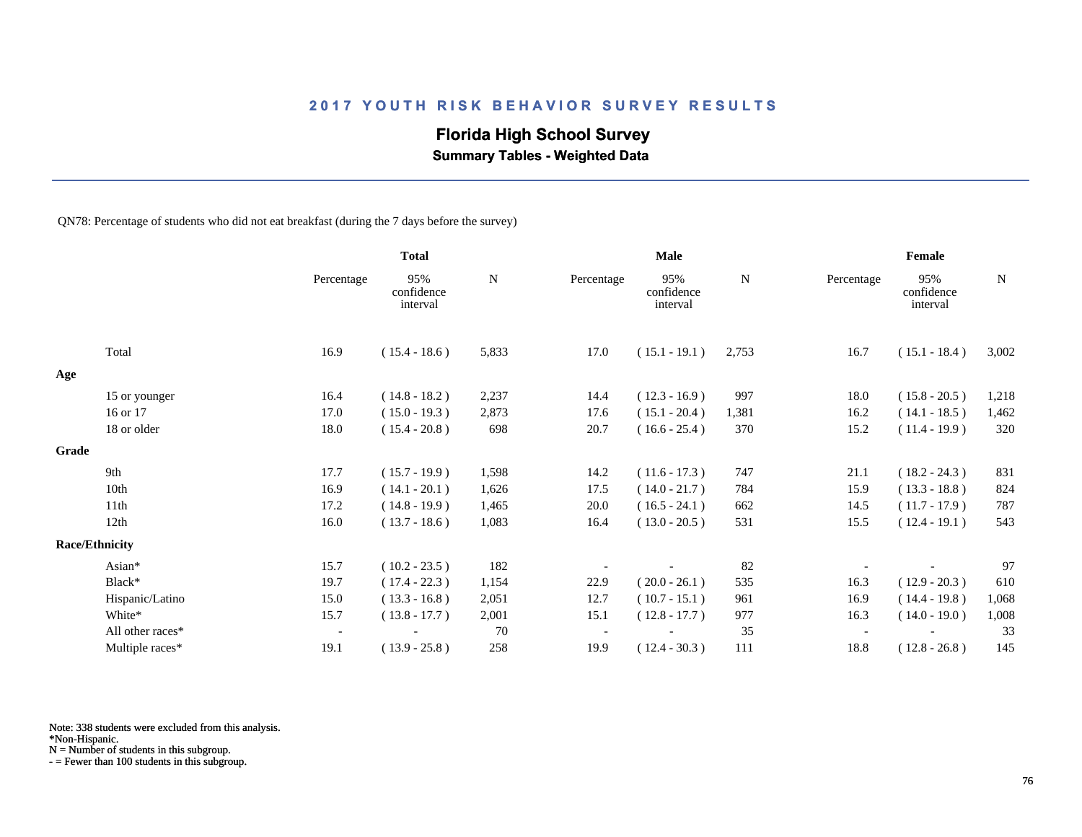## **Florida High School Survey**

 **Summary Tables - Weighted Data**

QN78: Percentage of students who did not eat breakfast (during the 7 days before the survey)

|       |                       |            | <b>Total</b>                  |       | Male       |                               |             | Female     |                               |             |  |
|-------|-----------------------|------------|-------------------------------|-------|------------|-------------------------------|-------------|------------|-------------------------------|-------------|--|
|       |                       | Percentage | 95%<br>confidence<br>interval | N     | Percentage | 95%<br>confidence<br>interval | $\mathbf N$ | Percentage | 95%<br>confidence<br>interval | $\mathbf N$ |  |
|       | Total                 | 16.9       | $(15.4 - 18.6)$               | 5,833 | 17.0       | $(15.1 - 19.1)$               | 2,753       | 16.7       | $(15.1 - 18.4)$               | 3,002       |  |
| Age   |                       |            |                               |       |            |                               |             |            |                               |             |  |
|       | 15 or younger         | 16.4       | $(14.8 - 18.2)$               | 2,237 | 14.4       | $(12.3 - 16.9)$               | 997         | 18.0       | $(15.8 - 20.5)$               | 1,218       |  |
|       | 16 or 17              | 17.0       | $(15.0 - 19.3)$               | 2,873 | 17.6       | $(15.1 - 20.4)$               | 1,381       | 16.2       | $(14.1 - 18.5)$               | 1,462       |  |
|       | 18 or older           | 18.0       | $(15.4 - 20.8)$               | 698   | 20.7       | $(16.6 - 25.4)$               | 370         | 15.2       | $(11.4 - 19.9)$               | 320         |  |
| Grade |                       |            |                               |       |            |                               |             |            |                               |             |  |
|       | 9th                   | 17.7       | $(15.7 - 19.9)$               | 1,598 | 14.2       | $(11.6 - 17.3)$               | 747         | 21.1       | $(18.2 - 24.3)$               | 831         |  |
|       | 10th                  | 16.9       | $(14.1 - 20.1)$               | 1,626 | 17.5       | $(14.0 - 21.7)$               | 784         | 15.9       | $(13.3 - 18.8)$               | 824         |  |
|       | 11 <sup>th</sup>      | 17.2       | $(14.8 - 19.9)$               | 1,465 | 20.0       | $(16.5 - 24.1)$               | 662         | 14.5       | $(11.7 - 17.9)$               | 787         |  |
|       | 12th                  | 16.0       | $(13.7 - 18.6)$               | 1,083 | 16.4       | $(13.0 - 20.5)$               | 531         | 15.5       | $(12.4 - 19.1)$               | 543         |  |
|       | <b>Race/Ethnicity</b> |            |                               |       |            |                               |             |            |                               |             |  |
|       | Asian*                | 15.7       | $(10.2 - 23.5)$               | 182   |            |                               | 82          |            |                               | 97          |  |
|       | Black*                | 19.7       | $(17.4 - 22.3)$               | 1,154 | 22.9       | $(20.0 - 26.1)$               | 535         | 16.3       | $(12.9 - 20.3)$               | 610         |  |
|       | Hispanic/Latino       | 15.0       | $(13.3 - 16.8)$               | 2,051 | 12.7       | $(10.7 - 15.1)$               | 961         | 16.9       | $(14.4 - 19.8)$               | 1,068       |  |
|       | White*                | 15.7       | $(13.8 - 17.7)$               | 2,001 | 15.1       | $(12.8 - 17.7)$               | 977         | 16.3       | $(14.0 - 19.0)$               | 1,008       |  |
|       | All other races*      | $\sim$     |                               | 70    |            |                               | 35          |            |                               | 33          |  |
|       | Multiple races*       | 19.1       | $(13.9 - 25.8)$               | 258   | 19.9       | $(12.4 - 30.3)$               | 111         | 18.8       | $(12.8 - 26.8)$               | 145         |  |

Note: 338 students were excluded from this analysis.

N = Number of students in this subgroup.

<sup>\*</sup>Non-Hispanic.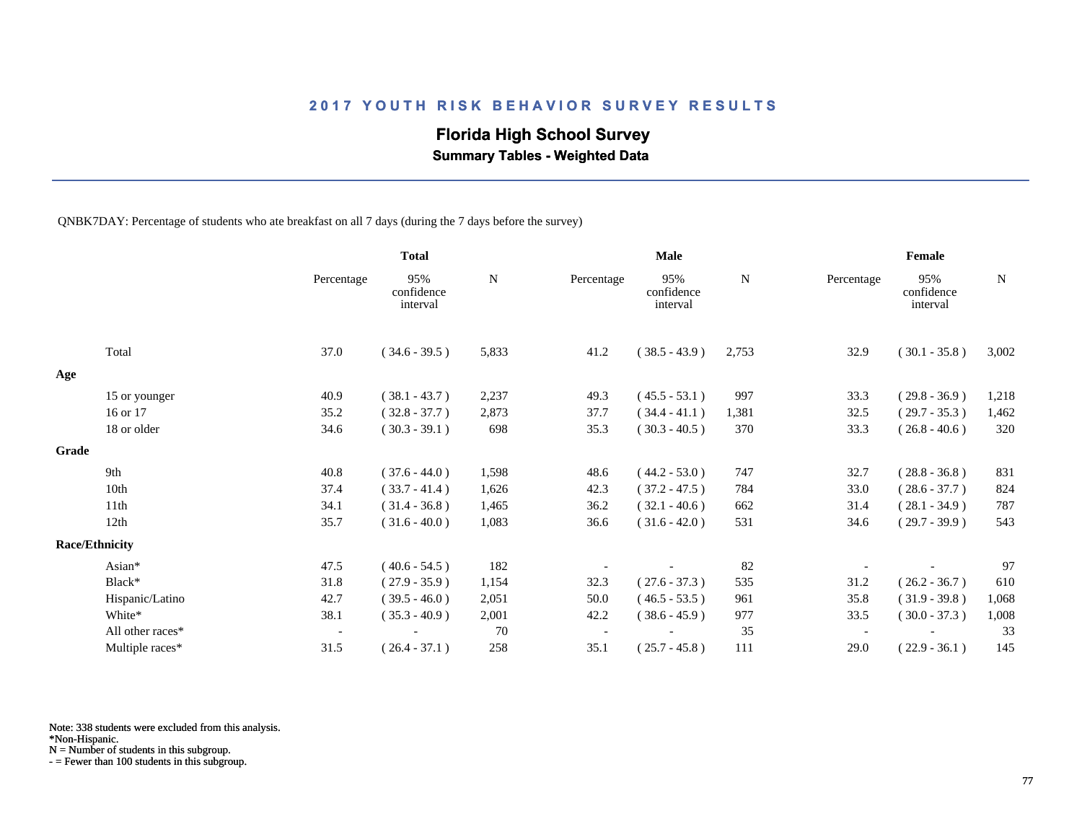## **Florida High School Survey**

 **Summary Tables - Weighted Data**

QNBK7DAY: Percentage of students who ate breakfast on all 7 days (during the 7 days before the survey)

|                       |                  |                          | <b>Total</b>                  |             |            | Male                          |           |            | Female                        |           |
|-----------------------|------------------|--------------------------|-------------------------------|-------------|------------|-------------------------------|-----------|------------|-------------------------------|-----------|
|                       |                  | Percentage               | 95%<br>confidence<br>interval | $\mathbf N$ | Percentage | 95%<br>confidence<br>interval | ${\bf N}$ | Percentage | 95%<br>confidence<br>interval | ${\bf N}$ |
|                       | Total            | 37.0                     | $(34.6 - 39.5)$               | 5,833       | 41.2       | $(38.5 - 43.9)$               | 2,753     | 32.9       | $(30.1 - 35.8)$               | 3,002     |
| Age                   |                  |                          |                               |             |            |                               |           |            |                               |           |
|                       | 15 or younger    | 40.9                     | $(38.1 - 43.7)$               | 2,237       | 49.3       | $(45.5 - 53.1)$               | 997       | 33.3       | $(29.8 - 36.9)$               | 1,218     |
|                       | 16 or 17         | 35.2                     | $(32.8 - 37.7)$               | 2,873       | 37.7       | $(34.4 - 41.1)$               | 1,381     | 32.5       | $(29.7 - 35.3)$               | 1,462     |
|                       | 18 or older      | 34.6                     | $(30.3 - 39.1)$               | 698         | 35.3       | $(30.3 - 40.5)$               | 370       | 33.3       | $(26.8 - 40.6)$               | 320       |
| Grade                 |                  |                          |                               |             |            |                               |           |            |                               |           |
|                       | 9th              | 40.8                     | $(37.6 - 44.0)$               | 1,598       | 48.6       | $(44.2 - 53.0)$               | 747       | 32.7       | $(28.8 - 36.8)$               | 831       |
|                       | 10th             | 37.4                     | $(33.7 - 41.4)$               | 1,626       | 42.3       | $(37.2 - 47.5)$               | 784       | 33.0       | $(28.6 - 37.7)$               | 824       |
|                       | 11th             | 34.1                     | $(31.4 - 36.8)$               | 1,465       | 36.2       | $(32.1 - 40.6)$               | 662       | 31.4       | $(28.1 - 34.9)$               | 787       |
|                       | 12th             | 35.7                     | $(31.6 - 40.0)$               | 1,083       | 36.6       | $(31.6 - 42.0)$               | 531       | 34.6       | $(29.7 - 39.9)$               | 543       |
| <b>Race/Ethnicity</b> |                  |                          |                               |             |            |                               |           |            |                               |           |
|                       | Asian*           | 47.5                     | $(40.6 - 54.5)$               | 182         |            |                               | 82        |            |                               | 97        |
|                       | Black*           | 31.8                     | $(27.9 - 35.9)$               | 1,154       | 32.3       | $(27.6 - 37.3)$               | 535       | 31.2       | $(26.2 - 36.7)$               | 610       |
|                       | Hispanic/Latino  | 42.7                     | $(39.5 - 46.0)$               | 2,051       | 50.0       | $(46.5 - 53.5)$               | 961       | 35.8       | $(31.9 - 39.8)$               | 1,068     |
|                       | White*           | 38.1                     | $(35.3 - 40.9)$               | 2,001       | 42.2       | $(38.6 - 45.9)$               | 977       | 33.5       | $(30.0 - 37.3)$               | 1,008     |
|                       | All other races* | $\overline{\phantom{a}}$ |                               | 70          |            |                               | 35        |            |                               | 33        |
|                       | Multiple races*  | 31.5                     | $(26.4 - 37.1)$               | 258         | 35.1       | $(25.7 - 45.8)$               | 111       | 29.0       | $(22.9 - 36.1)$               | 145       |

Note: 338 students were excluded from this analysis.

N = Number of students in this subgroup.

<sup>\*</sup>Non-Hispanic.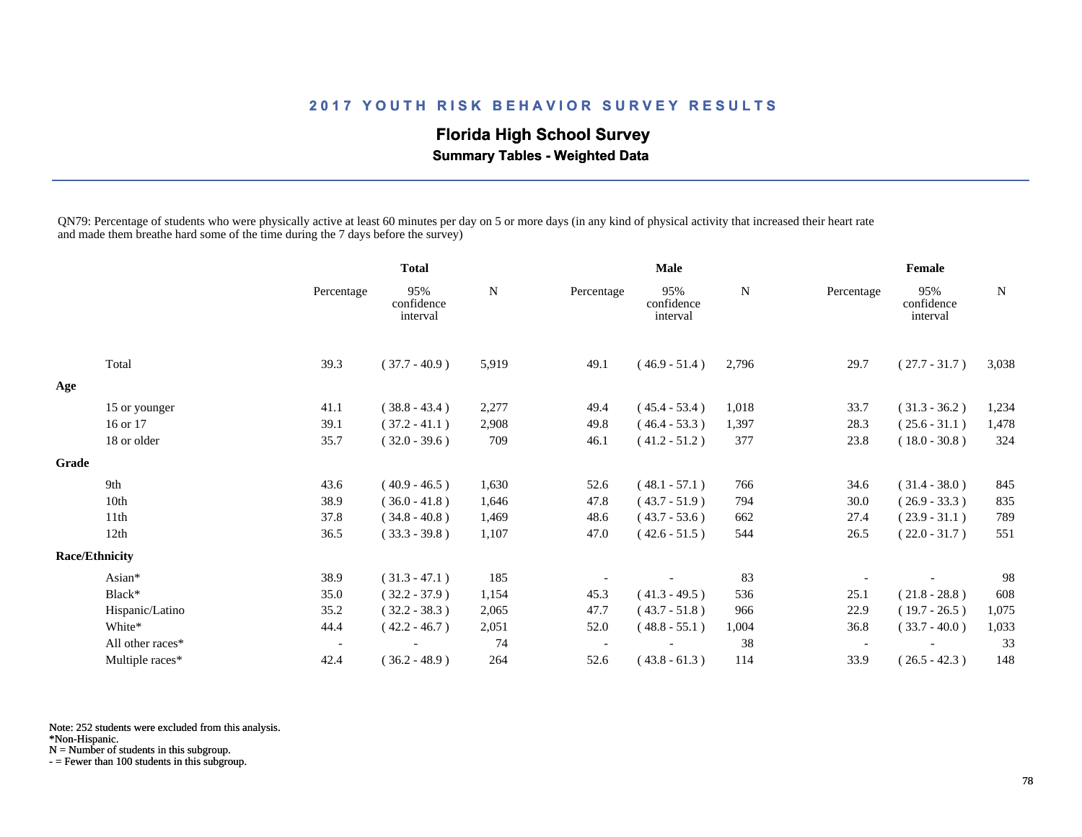# **Florida High School Survey**

 **Summary Tables - Weighted Data**

QN79: Percentage of students who were physically active at least 60 minutes per day on 5 or more days (in any kind of physical activity that increased their heart rate and made them breathe hard some of the time during the 7 days before the survey)

|       |                       |                          | <b>Total</b>                  |       | <b>Male</b> |                               |       | Female     |                               |       |
|-------|-----------------------|--------------------------|-------------------------------|-------|-------------|-------------------------------|-------|------------|-------------------------------|-------|
|       |                       | Percentage               | 95%<br>confidence<br>interval | N     | Percentage  | 95%<br>confidence<br>interval | N     | Percentage | 95%<br>confidence<br>interval | N     |
|       | Total                 | 39.3                     | $(37.7 - 40.9)$               | 5,919 | 49.1        | $(46.9 - 51.4)$               | 2,796 | 29.7       | $(27.7 - 31.7)$               | 3,038 |
| Age   |                       |                          |                               |       |             |                               |       |            |                               |       |
|       | 15 or younger         | 41.1                     | $(38.8 - 43.4)$               | 2,277 | 49.4        | $(45.4 - 53.4)$               | 1,018 | 33.7       | $(31.3 - 36.2)$               | 1,234 |
|       | 16 or 17              | 39.1                     | $(37.2 - 41.1)$               | 2,908 | 49.8        | $(46.4 - 53.3)$               | 1,397 | 28.3       | $(25.6 - 31.1)$               | 1,478 |
|       | 18 or older           | 35.7                     | $(32.0 - 39.6)$               | 709   | 46.1        | $(41.2 - 51.2)$               | 377   | 23.8       | $(18.0 - 30.8)$               | 324   |
| Grade |                       |                          |                               |       |             |                               |       |            |                               |       |
|       | 9th                   | 43.6                     | $(40.9 - 46.5)$               | 1,630 | 52.6        | $(48.1 - 57.1)$               | 766   | 34.6       | $(31.4 - 38.0)$               | 845   |
|       | 10th                  | 38.9                     | $(36.0 - 41.8)$               | 1,646 | 47.8        | $(43.7 - 51.9)$               | 794   | 30.0       | $(26.9 - 33.3)$               | 835   |
|       | 11th                  | 37.8                     | $(34.8 - 40.8)$               | 1,469 | 48.6        | $(43.7 - 53.6)$               | 662   | 27.4       | $(23.9 - 31.1)$               | 789   |
|       | 12th                  | 36.5                     | $(33.3 - 39.8)$               | 1,107 | 47.0        | $(42.6 - 51.5)$               | 544   | 26.5       | $(22.0 - 31.7)$               | 551   |
|       | <b>Race/Ethnicity</b> |                          |                               |       |             |                               |       |            |                               |       |
|       | Asian*                | 38.9                     | $(31.3 - 47.1)$               | 185   |             |                               | 83    |            |                               | 98    |
|       | Black*                | 35.0                     | $(32.2 - 37.9)$               | 1,154 | 45.3        | $(41.3 - 49.5)$               | 536   | 25.1       | $(21.8 - 28.8)$               | 608   |
|       | Hispanic/Latino       | 35.2                     | $(32.2 - 38.3)$               | 2,065 | 47.7        | $(43.7 - 51.8)$               | 966   | 22.9       | $(19.7 - 26.5)$               | 1,075 |
|       | White*                | 44.4                     | $(42.2 - 46.7)$               | 2,051 | 52.0        | $(48.8 - 55.1)$               | 1,004 | 36.8       | $(33.7 - 40.0)$               | 1,033 |
|       | All other races*      | $\overline{\phantom{a}}$ |                               | 74    |             |                               | 38    |            |                               | 33    |
|       | Multiple races*       | 42.4                     | $(36.2 - 48.9)$               | 264   | 52.6        | $(43.8 - 61.3)$               | 114   | 33.9       | $(26.5 - 42.3)$               | 148   |

Note: 252 students were excluded from this analysis.

\*Non-Hispanic.

N = Number of students in this subgroup.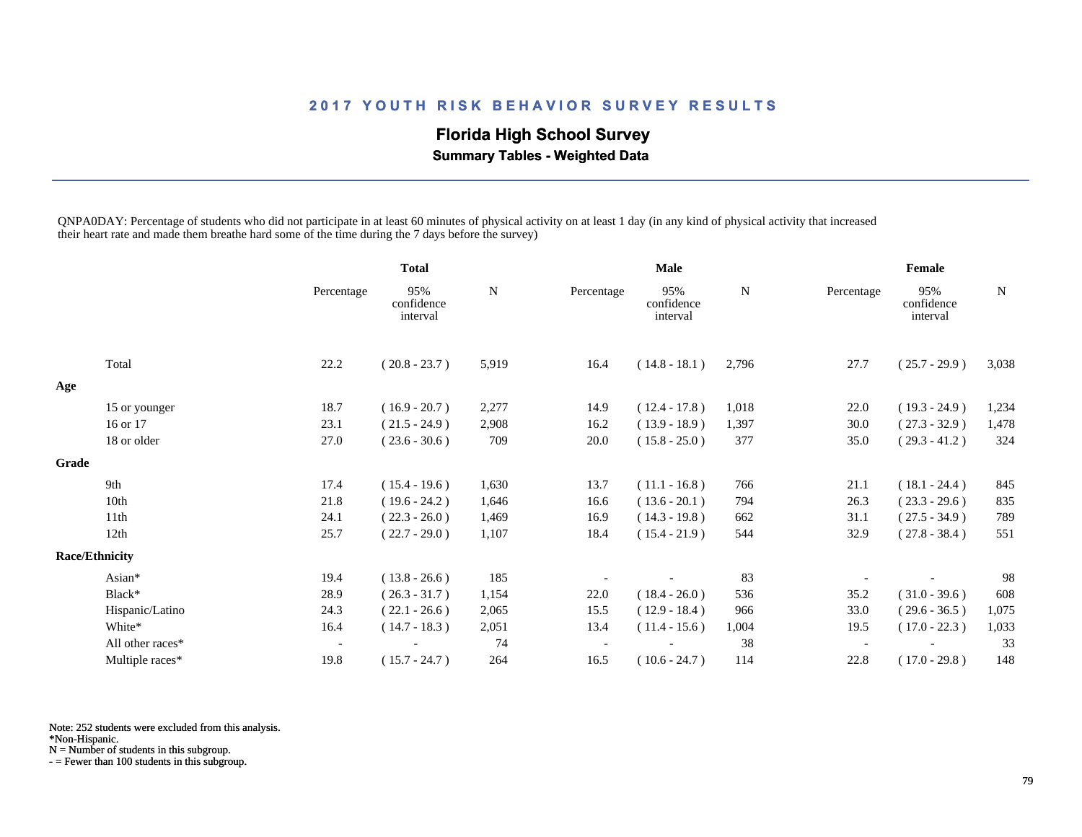# **Florida High School Survey**

 **Summary Tables - Weighted Data**

QNPA0DAY: Percentage of students who did not participate in at least 60 minutes of physical activity on at least 1 day (in any kind of physical activity that increased their heart rate and made them breathe hard some of the time during the 7 days before the survey)

|       |                       |                          | <b>Total</b>                  |           | <b>Male</b> |                               |           | Female     |                               |             |
|-------|-----------------------|--------------------------|-------------------------------|-----------|-------------|-------------------------------|-----------|------------|-------------------------------|-------------|
|       |                       | Percentage               | 95%<br>confidence<br>interval | ${\bf N}$ | Percentage  | 95%<br>confidence<br>interval | ${\bf N}$ | Percentage | 95%<br>confidence<br>interval | $\mathbf N$ |
|       | Total                 | 22.2                     | $(20.8 - 23.7)$               | 5,919     | 16.4        | $(14.8 - 18.1)$               | 2,796     | 27.7       | $(25.7 - 29.9)$               | 3,038       |
| Age   |                       |                          |                               |           |             |                               |           |            |                               |             |
|       | 15 or younger         | 18.7                     | $(16.9 - 20.7)$               | 2,277     | 14.9        | $(12.4 - 17.8)$               | 1,018     | 22.0       | $(19.3 - 24.9)$               | 1,234       |
|       | 16 or 17              | 23.1                     | $(21.5 - 24.9)$               | 2,908     | 16.2        | $(13.9 - 18.9)$               | 1,397     | 30.0       | $(27.3 - 32.9)$               | 1,478       |
|       | 18 or older           | 27.0                     | $(23.6 - 30.6)$               | 709       | 20.0        | $(15.8 - 25.0)$               | 377       | 35.0       | $(29.3 - 41.2)$               | 324         |
| Grade |                       |                          |                               |           |             |                               |           |            |                               |             |
|       | 9th                   | 17.4                     | $(15.4 - 19.6)$               | 1,630     | 13.7        | $(11.1 - 16.8)$               | 766       | 21.1       | $(18.1 - 24.4)$               | 845         |
|       | 10th                  | 21.8                     | $(19.6 - 24.2)$               | 1,646     | 16.6        | $(13.6 - 20.1)$               | 794       | 26.3       | $(23.3 - 29.6)$               | 835         |
|       | 11th                  | 24.1                     | $(22.3 - 26.0)$               | 1,469     | 16.9        | $(14.3 - 19.8)$               | 662       | 31.1       | $(27.5 - 34.9)$               | 789         |
|       | 12th                  | 25.7                     | $(22.7 - 29.0)$               | 1,107     | 18.4        | $(15.4 - 21.9)$               | 544       | 32.9       | $(27.8 - 38.4)$               | 551         |
|       | <b>Race/Ethnicity</b> |                          |                               |           |             |                               |           |            |                               |             |
|       | Asian*                | 19.4                     | $(13.8 - 26.6)$               | 185       |             |                               | 83        |            |                               | 98          |
|       | Black*                | 28.9                     | $(26.3 - 31.7)$               | 1,154     | 22.0        | $(18.4 - 26.0)$               | 536       | 35.2       | $(31.0 - 39.6)$               | 608         |
|       | Hispanic/Latino       | 24.3                     | $(22.1 - 26.6)$               | 2,065     | 15.5        | $(12.9 - 18.4)$               | 966       | 33.0       | $(29.6 - 36.5)$               | 1,075       |
|       | White*                | 16.4                     | $(14.7 - 18.3)$               | 2,051     | 13.4        | $(11.4 - 15.6)$               | 1,004     | 19.5       | $(17.0 - 22.3)$               | 1,033       |
|       | All other races*      | $\overline{\phantom{a}}$ |                               | 74        |             |                               | 38        |            |                               | 33          |
|       | Multiple races*       | 19.8                     | $(15.7 - 24.7)$               | 264       | 16.5        | $(10.6 - 24.7)$               | 114       | 22.8       | $(17.0 - 29.8)$               | 148         |

Note: 252 students were excluded from this analysis.

\*Non-Hispanic.

N = Number of students in this subgroup.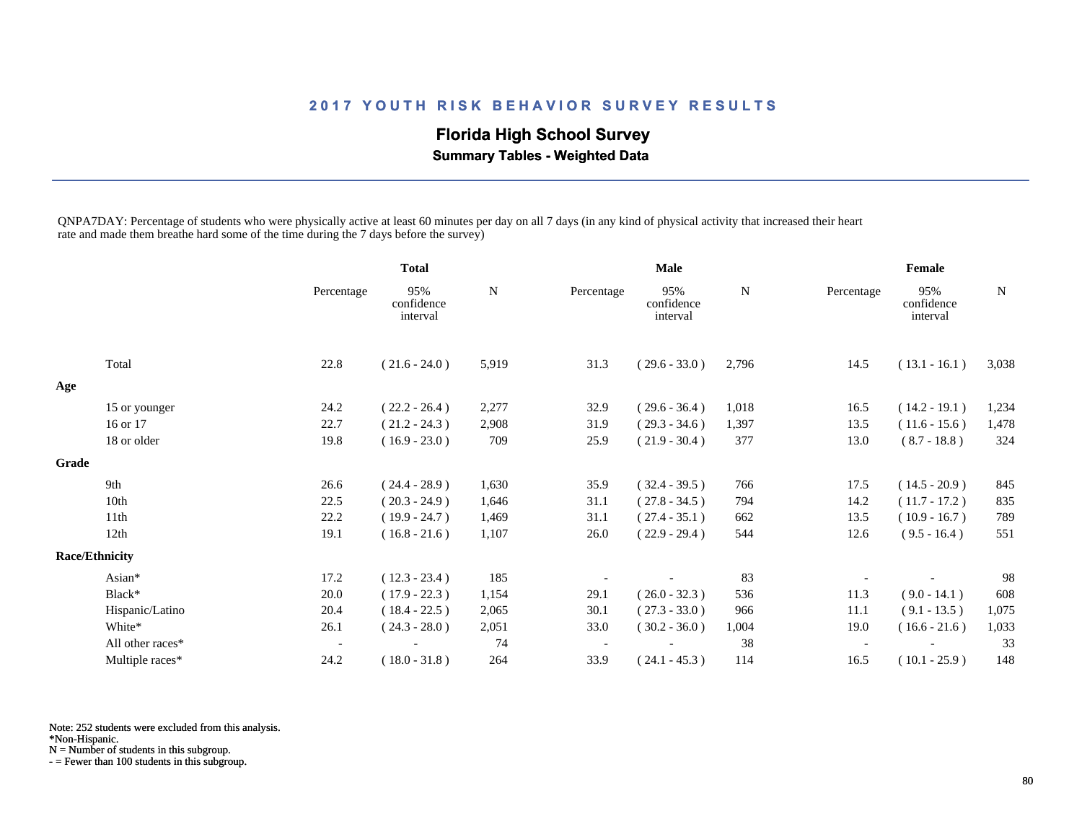# **Florida High School Survey**

 **Summary Tables - Weighted Data**

QNPA7DAY: Percentage of students who were physically active at least 60 minutes per day on all 7 days (in any kind of physical activity that increased their heart rate and made them breathe hard some of the time during the 7 days before the survey)

|       |                       |                          | <b>Total</b>                  |       | <b>Male</b> |                               |       | Female     |                               |       |
|-------|-----------------------|--------------------------|-------------------------------|-------|-------------|-------------------------------|-------|------------|-------------------------------|-------|
|       |                       | Percentage               | 95%<br>confidence<br>interval | N     | Percentage  | 95%<br>confidence<br>interval | N     | Percentage | 95%<br>confidence<br>interval | N     |
|       | Total                 | 22.8                     | $(21.6 - 24.0)$               | 5,919 | 31.3        | $(29.6 - 33.0)$               | 2,796 | 14.5       | $(13.1 - 16.1)$               | 3,038 |
| Age   |                       |                          |                               |       |             |                               |       |            |                               |       |
|       | 15 or younger         | 24.2                     | $(22.2 - 26.4)$               | 2,277 | 32.9        | $(29.6 - 36.4)$               | 1,018 | 16.5       | $(14.2 - 19.1)$               | 1,234 |
|       | 16 or 17              | 22.7                     | $(21.2 - 24.3)$               | 2,908 | 31.9        | $(29.3 - 34.6)$               | 1,397 | 13.5       | $(11.6 - 15.6)$               | 1,478 |
|       | 18 or older           | 19.8                     | $(16.9 - 23.0)$               | 709   | 25.9        | $(21.9 - 30.4)$               | 377   | 13.0       | $(8.7 - 18.8)$                | 324   |
| Grade |                       |                          |                               |       |             |                               |       |            |                               |       |
|       | 9th                   | 26.6                     | $(24.4 - 28.9)$               | 1,630 | 35.9        | $(32.4 - 39.5)$               | 766   | 17.5       | $(14.5 - 20.9)$               | 845   |
|       | 10th                  | 22.5                     | $(20.3 - 24.9)$               | 1,646 | 31.1        | $(27.8 - 34.5)$               | 794   | 14.2       | $(11.7 - 17.2)$               | 835   |
|       | 11th                  | 22.2                     | $(19.9 - 24.7)$               | 1,469 | 31.1        | $(27.4 - 35.1)$               | 662   | 13.5       | $(10.9 - 16.7)$               | 789   |
|       | 12th                  | 19.1                     | $(16.8 - 21.6)$               | 1,107 | 26.0        | $(22.9 - 29.4)$               | 544   | 12.6       | $(9.5 - 16.4)$                | 551   |
|       | <b>Race/Ethnicity</b> |                          |                               |       |             |                               |       |            |                               |       |
|       | Asian*                | 17.2                     | $(12.3 - 23.4)$               | 185   |             |                               | 83    |            |                               | 98    |
|       | Black*                | 20.0                     | $(17.9 - 22.3)$               | 1,154 | 29.1        | $(26.0 - 32.3)$               | 536   | 11.3       | $(9.0 - 14.1)$                | 608   |
|       | Hispanic/Latino       | 20.4                     | $(18.4 - 22.5)$               | 2,065 | 30.1        | $(27.3 - 33.0)$               | 966   | 11.1       | $(9.1 - 13.5)$                | 1,075 |
|       | White*                | 26.1                     | $(24.3 - 28.0)$               | 2,051 | 33.0        | $(30.2 - 36.0)$               | 1,004 | 19.0       | $(16.6 - 21.6)$               | 1,033 |
|       | All other races*      | $\overline{\phantom{a}}$ |                               | 74    |             |                               | 38    |            |                               | 33    |
|       | Multiple races*       | 24.2                     | $(18.0 - 31.8)$               | 264   | 33.9        | $(24.1 - 45.3)$               | 114   | 16.5       | $(10.1 - 25.9)$               | 148   |

Note: 252 students were excluded from this analysis.

\*Non-Hispanic.

N = Number of students in this subgroup.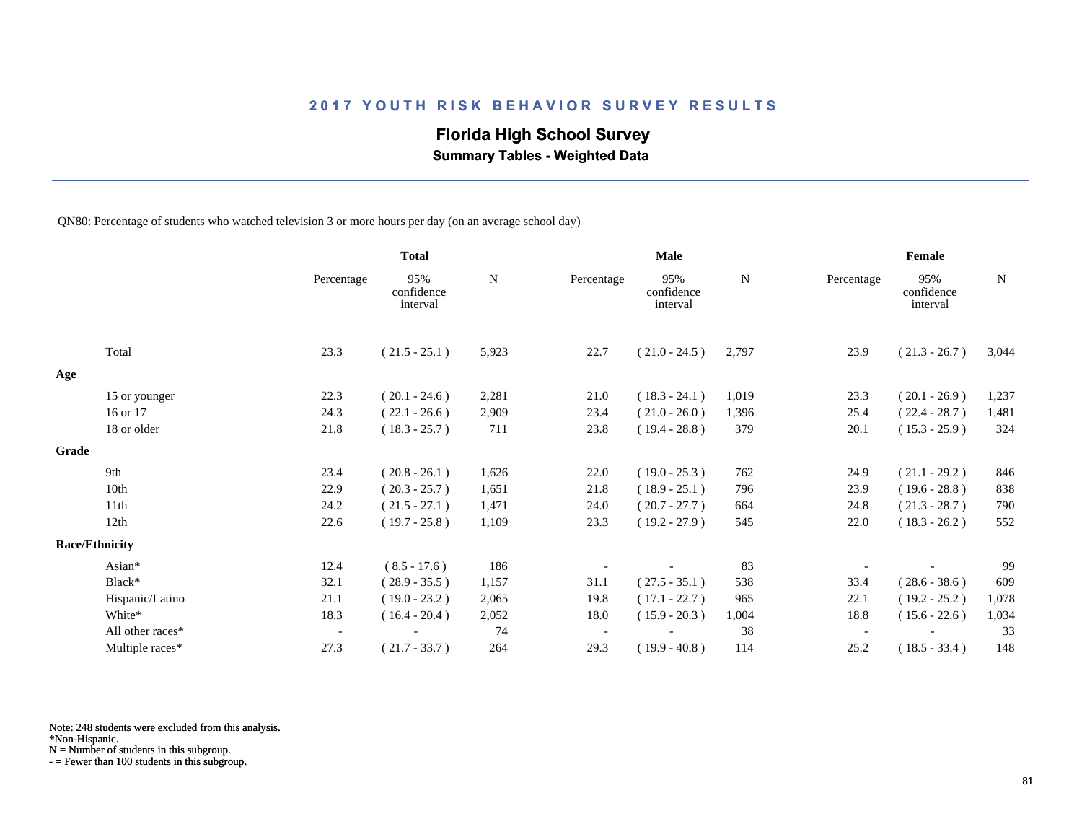## **Florida High School Survey**

 **Summary Tables - Weighted Data**

QN80: Percentage of students who watched television 3 or more hours per day (on an average school day)

|       |                       |                          | <b>Total</b>                  |       | <b>Male</b> |                               |       | Female     |                               |             |  |
|-------|-----------------------|--------------------------|-------------------------------|-------|-------------|-------------------------------|-------|------------|-------------------------------|-------------|--|
|       |                       | Percentage               | 95%<br>confidence<br>interval | N     | Percentage  | 95%<br>confidence<br>interval | N     | Percentage | 95%<br>confidence<br>interval | $\mathbf N$ |  |
|       | Total                 | 23.3                     | $(21.5 - 25.1)$               | 5,923 | 22.7        | $(21.0 - 24.5)$               | 2,797 | 23.9       | $(21.3 - 26.7)$               | 3,044       |  |
| Age   |                       |                          |                               |       |             |                               |       |            |                               |             |  |
|       | 15 or younger         | 22.3                     | $(20.1 - 24.6)$               | 2,281 | 21.0        | $(18.3 - 24.1)$               | 1,019 | 23.3       | $(20.1 - 26.9)$               | 1,237       |  |
|       | 16 or 17              | 24.3                     | $(22.1 - 26.6)$               | 2,909 | 23.4        | $(21.0 - 26.0)$               | 1,396 | 25.4       | $(22.4 - 28.7)$               | 1,481       |  |
|       | 18 or older           | 21.8                     | $(18.3 - 25.7)$               | 711   | 23.8        | $(19.4 - 28.8)$               | 379   | 20.1       | $(15.3 - 25.9)$               | 324         |  |
| Grade |                       |                          |                               |       |             |                               |       |            |                               |             |  |
|       | 9th                   | 23.4                     | $(20.8 - 26.1)$               | 1,626 | 22.0        | $(19.0 - 25.3)$               | 762   | 24.9       | $(21.1 - 29.2)$               | 846         |  |
|       | 10th                  | 22.9                     | $(20.3 - 25.7)$               | 1,651 | 21.8        | $(18.9 - 25.1)$               | 796   | 23.9       | $(19.6 - 28.8)$               | 838         |  |
|       | 11th                  | 24.2                     | $(21.5 - 27.1)$               | 1,471 | 24.0        | $(20.7 - 27.7)$               | 664   | 24.8       | $(21.3 - 28.7)$               | 790         |  |
|       | 12th                  | 22.6                     | $(19.7 - 25.8)$               | 1,109 | 23.3        | $(19.2 - 27.9)$               | 545   | 22.0       | $(18.3 - 26.2)$               | 552         |  |
|       | <b>Race/Ethnicity</b> |                          |                               |       |             |                               |       |            |                               |             |  |
|       | Asian*                | 12.4                     | $(8.5 - 17.6)$                | 186   |             |                               | 83    |            |                               | 99          |  |
|       | Black*                | 32.1                     | $(28.9 - 35.5)$               | 1,157 | 31.1        | $(27.5 - 35.1)$               | 538   | 33.4       | $(28.6 - 38.6)$               | 609         |  |
|       | Hispanic/Latino       | 21.1                     | $(19.0 - 23.2)$               | 2,065 | 19.8        | $(17.1 - 22.7)$               | 965   | 22.1       | $(19.2 - 25.2)$               | 1,078       |  |
|       | White*                | 18.3                     | $(16.4 - 20.4)$               | 2,052 | 18.0        | $(15.9 - 20.3)$               | 1,004 | 18.8       | $(15.6 - 22.6)$               | 1,034       |  |
|       | All other races*      | $\overline{\phantom{a}}$ |                               | 74    |             |                               | 38    |            |                               | 33          |  |
|       | Multiple races*       | 27.3                     | $(21.7 - 33.7)$               | 264   | 29.3        | $(19.9 - 40.8)$               | 114   | 25.2       | $(18.5 - 33.4)$               | 148         |  |

Note: 248 students were excluded from this analysis.

N = Number of students in this subgroup.

<sup>\*</sup>Non-Hispanic.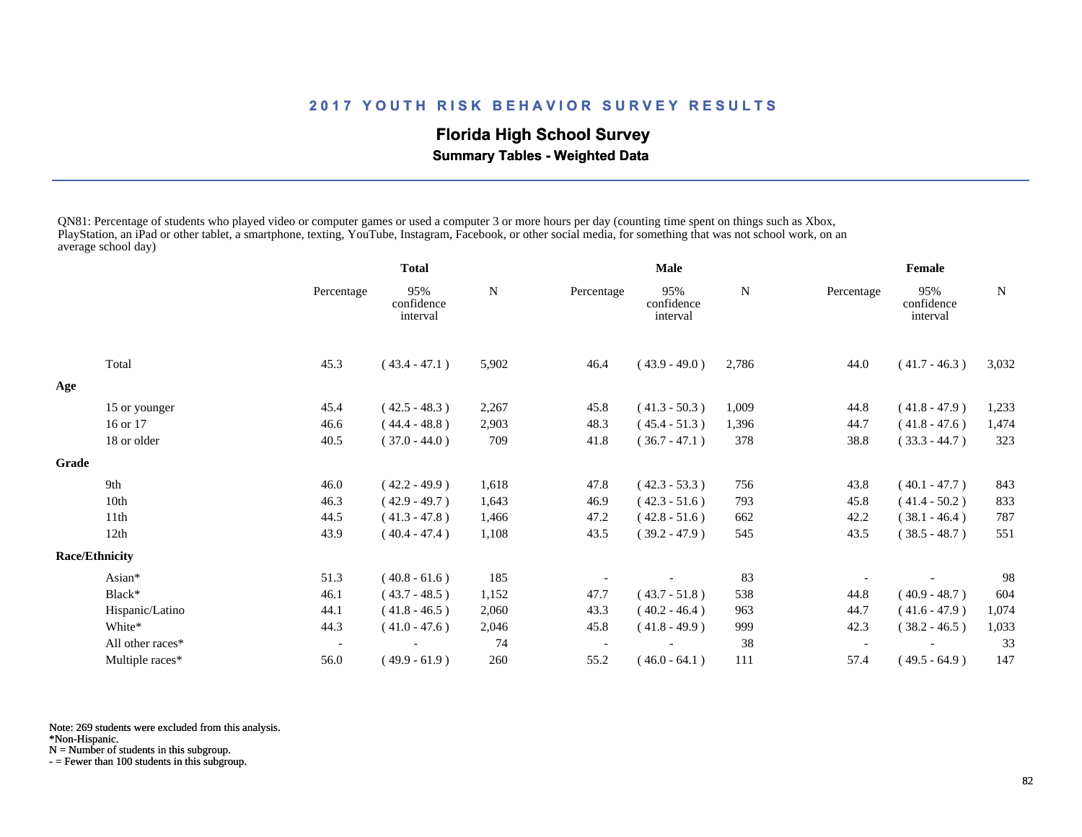# **Florida High School Survey**

 **Summary Tables - Weighted Data**

QN81: Percentage of students who played video or computer games or used a computer 3 or more hours per day (counting time spent on things such as Xbox, PlayStation, an iPad or other tablet, a smartphone, texting, YouTube, Instagram, Facebook, or other social media, for something that was not school work, on an average school day)

|       |                       |                          | <b>Total</b>                  |       | <b>Male</b> |                               |       | Female     |                               |             |
|-------|-----------------------|--------------------------|-------------------------------|-------|-------------|-------------------------------|-------|------------|-------------------------------|-------------|
|       |                       | Percentage               | 95%<br>confidence<br>interval | N     | Percentage  | 95%<br>confidence<br>interval | N     | Percentage | 95%<br>confidence<br>interval | $\mathbf N$ |
|       | Total                 | 45.3                     | $(43.4 - 47.1)$               | 5,902 | 46.4        | $(43.9 - 49.0)$               | 2,786 | 44.0       | $(41.7 - 46.3)$               | 3,032       |
| Age   |                       |                          |                               |       |             |                               |       |            |                               |             |
|       | 15 or younger         | 45.4                     | $(42.5 - 48.3)$               | 2,267 | 45.8        | $(41.3 - 50.3)$               | 1,009 | 44.8       | $(41.8 - 47.9)$               | 1,233       |
|       | 16 or 17              | 46.6                     | $(44.4 - 48.8)$               | 2,903 | 48.3        | $(45.4 - 51.3)$               | 1,396 | 44.7       | $(41.8 - 47.6)$               | 1,474       |
|       | 18 or older           | 40.5                     | $(37.0 - 44.0)$               | 709   | 41.8        | $(36.7 - 47.1)$               | 378   | 38.8       | $(33.3 - 44.7)$               | 323         |
| Grade |                       |                          |                               |       |             |                               |       |            |                               |             |
|       | 9th                   | 46.0                     | $(42.2 - 49.9)$               | 1,618 | 47.8        | $(42.3 - 53.3)$               | 756   | 43.8       | $(40.1 - 47.7)$               | 843         |
|       | 10th                  | 46.3                     | $(42.9 - 49.7)$               | 1,643 | 46.9        | $(42.3 - 51.6)$               | 793   | 45.8       | $(41.4 - 50.2)$               | 833         |
|       | 11 <sup>th</sup>      | 44.5                     | $(41.3 - 47.8)$               | 1,466 | 47.2        | $(42.8 - 51.6)$               | 662   | 42.2       | $(38.1 - 46.4)$               | 787         |
|       | 12th                  | 43.9                     | $(40.4 - 47.4)$               | 1,108 | 43.5        | $(39.2 - 47.9)$               | 545   | 43.5       | $(38.5 - 48.7)$               | 551         |
|       | <b>Race/Ethnicity</b> |                          |                               |       |             |                               |       |            |                               |             |
|       | Asian*                | 51.3                     | $(40.8 - 61.6)$               | 185   |             |                               | 83    |            |                               | 98          |
|       | Black*                | 46.1                     | $(43.7 - 48.5)$               | 1,152 | 47.7        | $(43.7 - 51.8)$               | 538   | 44.8       | $(40.9 - 48.7)$               | 604         |
|       | Hispanic/Latino       | 44.1                     | $(41.8 - 46.5)$               | 2,060 | 43.3        | $(40.2 - 46.4)$               | 963   | 44.7       | $(41.6 - 47.9)$               | 1,074       |
|       | White*                | 44.3                     | $(41.0 - 47.6)$               | 2,046 | 45.8        | $(41.8 - 49.9)$               | 999   | 42.3       | $(38.2 - 46.5)$               | 1,033       |
|       | All other races*      | $\overline{\phantom{a}}$ |                               | 74    |             |                               | 38    |            |                               | 33          |
|       | Multiple races*       | 56.0                     | $(49.9 - 61.9)$               | 260   | 55.2        | $(46.0 - 64.1)$               | 111   | 57.4       | $(49.5 - 64.9)$               | 147         |

Note: 269 students were excluded from this analysis.

\*Non-Hispanic.

N = Number of students in this subgroup.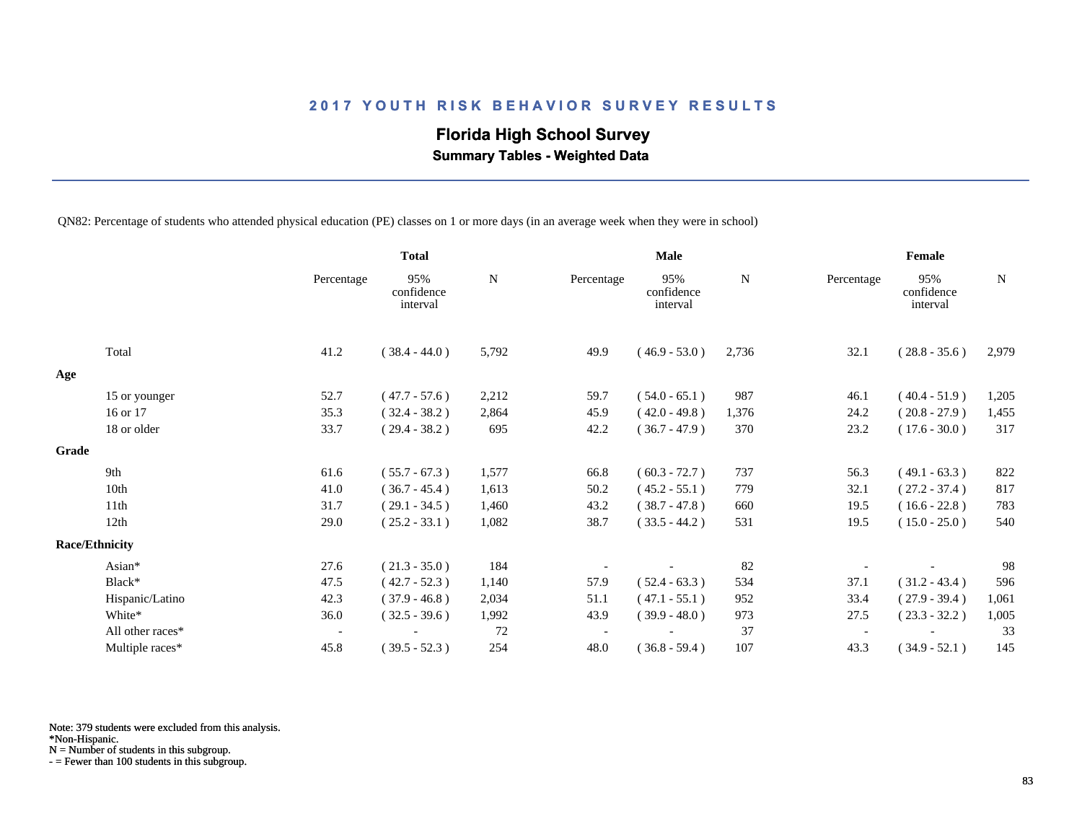# **Florida High School Survey**

 **Summary Tables - Weighted Data**

QN82: Percentage of students who attended physical education (PE) classes on 1 or more days (in an average week when they were in school)

|       |                       |                          | <b>Total</b>                  |             | <b>Male</b> |                               |       | Female                   |                               |             |
|-------|-----------------------|--------------------------|-------------------------------|-------------|-------------|-------------------------------|-------|--------------------------|-------------------------------|-------------|
|       |                       | Percentage               | 95%<br>confidence<br>interval | $\mathbf N$ | Percentage  | 95%<br>confidence<br>interval | N     | Percentage               | 95%<br>confidence<br>interval | $\mathbf N$ |
|       | Total                 | 41.2                     | $(38.4 - 44.0)$               | 5,792       | 49.9        | $(46.9 - 53.0)$               | 2,736 | 32.1                     | $(28.8 - 35.6)$               | 2,979       |
| Age   |                       |                          |                               |             |             |                               |       |                          |                               |             |
|       | 15 or younger         | 52.7                     | $(47.7 - 57.6)$               | 2,212       | 59.7        | $(54.0 - 65.1)$               | 987   | 46.1                     | $(40.4 - 51.9)$               | 1,205       |
|       | 16 or 17              | 35.3                     | $(32.4 - 38.2)$               | 2,864       | 45.9        | $(42.0 - 49.8)$               | 1,376 | 24.2                     | $(20.8 - 27.9)$               | 1,455       |
|       | 18 or older           | 33.7                     | $(29.4 - 38.2)$               | 695         | 42.2        | $(36.7 - 47.9)$               | 370   | 23.2                     | $(17.6 - 30.0)$               | 317         |
| Grade |                       |                          |                               |             |             |                               |       |                          |                               |             |
|       | 9th                   | 61.6                     | $(55.7 - 67.3)$               | 1,577       | 66.8        | $(60.3 - 72.7)$               | 737   | 56.3                     | $(49.1 - 63.3)$               | 822         |
|       | 10th                  | 41.0                     | $(36.7 - 45.4)$               | 1,613       | 50.2        | $(45.2 - 55.1)$               | 779   | 32.1                     | $(27.2 - 37.4)$               | 817         |
|       | 11th                  | 31.7                     | $(29.1 - 34.5)$               | 1,460       | 43.2        | $(38.7 - 47.8)$               | 660   | 19.5                     | $(16.6 - 22.8)$               | 783         |
|       | 12 <sub>th</sub>      | 29.0                     | $(25.2 - 33.1)$               | 1,082       | 38.7        | $(33.5 - 44.2)$               | 531   | 19.5                     | $(15.0 - 25.0)$               | 540         |
|       | <b>Race/Ethnicity</b> |                          |                               |             |             |                               |       |                          |                               |             |
|       | Asian*                | 27.6                     | $(21.3 - 35.0)$               | 184         |             |                               | 82    |                          |                               | 98          |
|       | Black*                | 47.5                     | $(42.7 - 52.3)$               | 1,140       | 57.9        | $(52.4 - 63.3)$               | 534   | 37.1                     | $(31.2 - 43.4)$               | 596         |
|       | Hispanic/Latino       | 42.3                     | $(37.9 - 46.8)$               | 2,034       | 51.1        | $(47.1 - 55.1)$               | 952   | 33.4                     | $(27.9 - 39.4)$               | 1,061       |
|       | White*                | 36.0                     | $(32.5 - 39.6)$               | 1,992       | 43.9        | $(39.9 - 48.0)$               | 973   | 27.5                     | $(23.3 - 32.2)$               | 1,005       |
|       | All other races*      | $\overline{\phantom{a}}$ |                               | 72          |             |                               | 37    | $\overline{\phantom{a}}$ |                               | 33          |
|       | Multiple races*       | 45.8                     | $(39.5 - 52.3)$               | 254         | 48.0        | $(36.8 - 59.4)$               | 107   | 43.3                     | $(34.9 - 52.1)$               | 145         |

Note: 379 students were excluded from this analysis.

N = Number of students in this subgroup.

<sup>\*</sup>Non-Hispanic.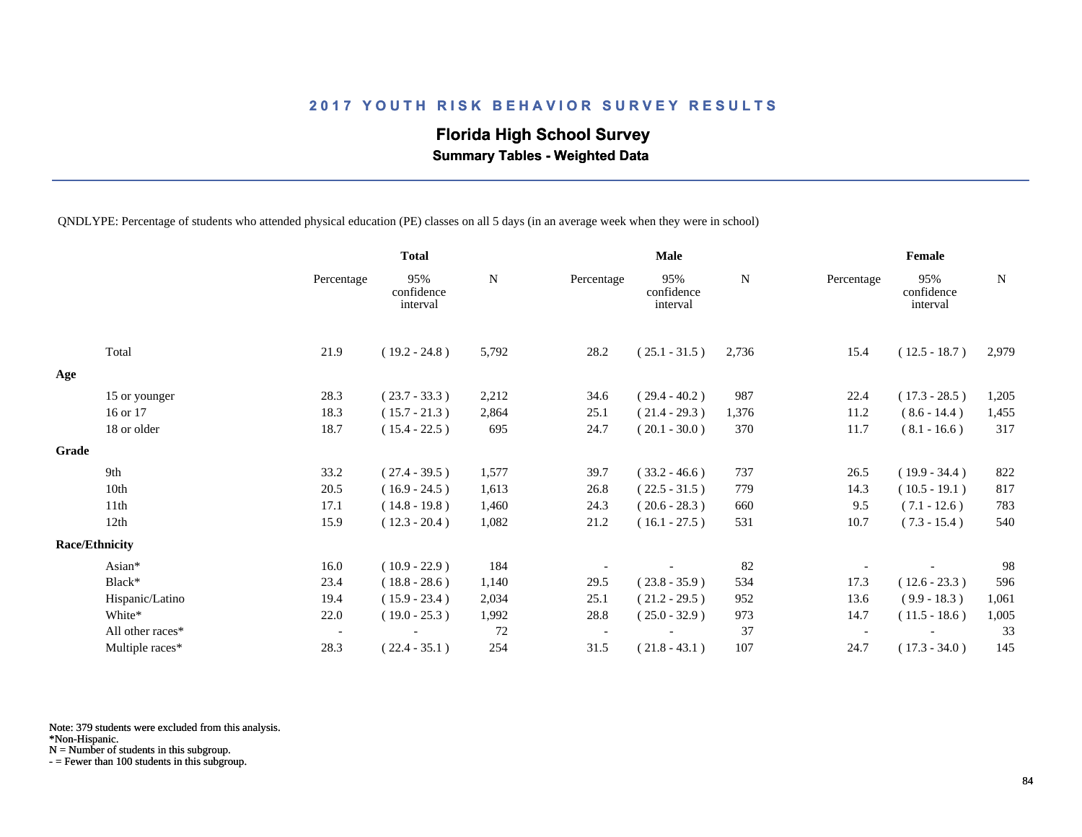# **Florida High School Survey**

 **Summary Tables - Weighted Data**

QNDLYPE: Percentage of students who attended physical education (PE) classes on all 5 days (in an average week when they were in school)

|       |                       |                          | <b>Total</b>                  |           | <b>Male</b> |                               |       | Female                   |                               |       |
|-------|-----------------------|--------------------------|-------------------------------|-----------|-------------|-------------------------------|-------|--------------------------|-------------------------------|-------|
|       |                       | Percentage               | 95%<br>confidence<br>interval | ${\bf N}$ | Percentage  | 95%<br>confidence<br>interval | N     | Percentage               | 95%<br>confidence<br>interval | N     |
|       | Total                 | 21.9                     | $(19.2 - 24.8)$               | 5,792     | 28.2        | $(25.1 - 31.5)$               | 2,736 | 15.4                     | $(12.5 - 18.7)$               | 2,979 |
| Age   |                       |                          |                               |           |             |                               |       |                          |                               |       |
|       | 15 or younger         | 28.3                     | $(23.7 - 33.3)$               | 2,212     | 34.6        | $(29.4 - 40.2)$               | 987   | 22.4                     | $(17.3 - 28.5)$               | 1,205 |
|       | 16 or 17              | 18.3                     | $(15.7 - 21.3)$               | 2,864     | 25.1        | $(21.4 - 29.3)$               | 1,376 | 11.2                     | $(8.6 - 14.4)$                | 1,455 |
|       | 18 or older           | 18.7                     | $(15.4 - 22.5)$               | 695       | 24.7        | $(20.1 - 30.0)$               | 370   | 11.7                     | $(8.1 - 16.6)$                | 317   |
| Grade |                       |                          |                               |           |             |                               |       |                          |                               |       |
|       | 9th                   | 33.2                     | $(27.4 - 39.5)$               | 1,577     | 39.7        | $(33.2 - 46.6)$               | 737   | 26.5                     | $(19.9 - 34.4)$               | 822   |
|       | 10th                  | 20.5                     | $(16.9 - 24.5)$               | 1,613     | 26.8        | $(22.5 - 31.5)$               | 779   | 14.3                     | $(10.5 - 19.1)$               | 817   |
|       | 11th                  | 17.1                     | $(14.8 - 19.8)$               | 1,460     | 24.3        | $(20.6 - 28.3)$               | 660   | 9.5                      | $(7.1 - 12.6)$                | 783   |
|       | 12 <sub>th</sub>      | 15.9                     | $(12.3 - 20.4)$               | 1,082     | 21.2        | $(16.1 - 27.5)$               | 531   | 10.7                     | $(7.3 - 15.4)$                | 540   |
|       | <b>Race/Ethnicity</b> |                          |                               |           |             |                               |       |                          |                               |       |
|       | Asian*                | 16.0                     | $(10.9 - 22.9)$               | 184       |             |                               | 82    |                          |                               | 98    |
|       | Black*                | 23.4                     | $(18.8 - 28.6)$               | 1,140     | 29.5        | $(23.8 - 35.9)$               | 534   | 17.3                     | $(12.6 - 23.3)$               | 596   |
|       | Hispanic/Latino       | 19.4                     | $(15.9 - 23.4)$               | 2,034     | 25.1        | $(21.2 - 29.5)$               | 952   | 13.6                     | $(9.9 - 18.3)$                | 1,061 |
|       | White*                | 22.0                     | $(19.0 - 25.3)$               | 1,992     | 28.8        | $(25.0 - 32.9)$               | 973   | 14.7                     | $(11.5 - 18.6)$               | 1,005 |
|       | All other races*      | $\overline{\phantom{a}}$ |                               | 72        |             |                               | 37    | $\overline{\phantom{a}}$ |                               | 33    |
|       | Multiple races*       | 28.3                     | $(22.4 - 35.1)$               | 254       | 31.5        | $(21.8 - 43.1)$               | 107   | 24.7                     | $(17.3 - 34.0)$               | 145   |

Note: 379 students were excluded from this analysis.

N = Number of students in this subgroup.

<sup>\*</sup>Non-Hispanic.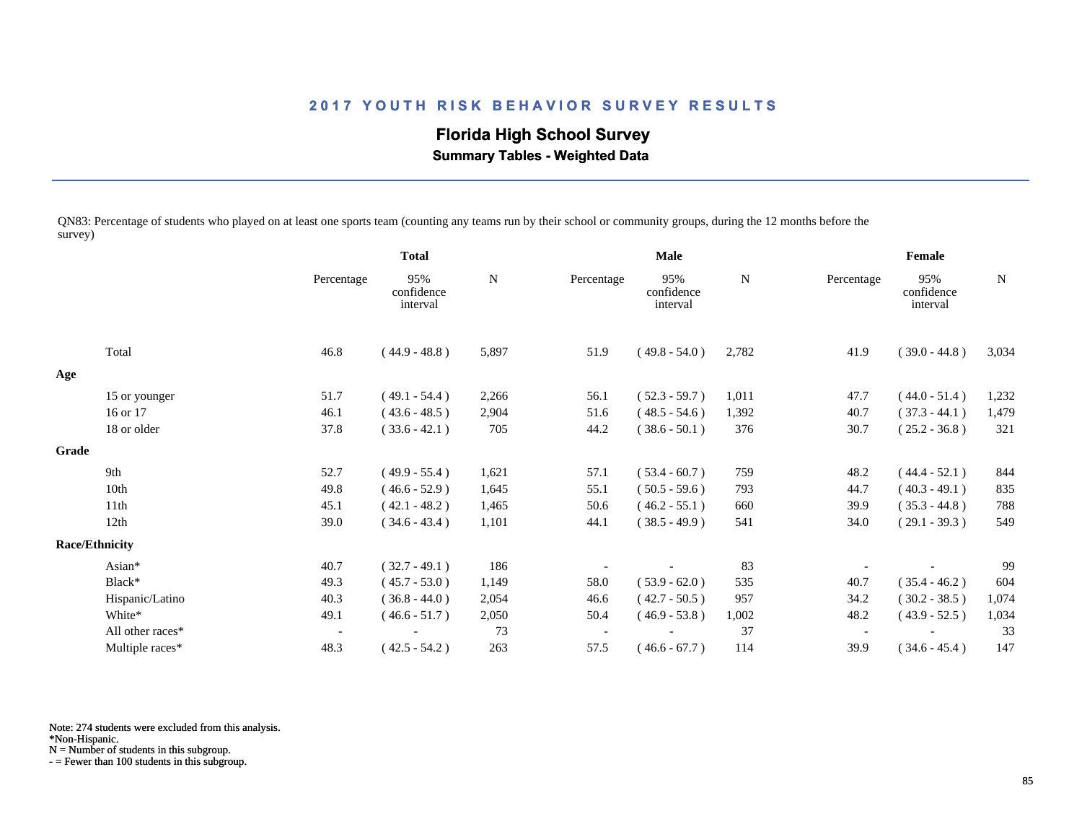# **Florida High School Survey**

 **Summary Tables - Weighted Data**

QN83: Percentage of students who played on at least one sports team (counting any teams run by their school or community groups, during the 12 months before the survey)

|       |                       |                          | <b>Total</b>                  |             | <b>Male</b> |                               |       | Female                   |                               |       |
|-------|-----------------------|--------------------------|-------------------------------|-------------|-------------|-------------------------------|-------|--------------------------|-------------------------------|-------|
|       |                       | Percentage               | 95%<br>confidence<br>interval | $\mathbf N$ | Percentage  | 95%<br>confidence<br>interval | N     | Percentage               | 95%<br>confidence<br>interval | N     |
|       | Total                 | 46.8                     | $(44.9 - 48.8)$               | 5,897       | 51.9        | $(49.8 - 54.0)$               | 2,782 | 41.9                     | $(39.0 - 44.8)$               | 3,034 |
| Age   |                       |                          |                               |             |             |                               |       |                          |                               |       |
|       | 15 or younger         | 51.7                     | $(49.1 - 54.4)$               | 2,266       | 56.1        | $(52.3 - 59.7)$               | 1,011 | 47.7                     | $(44.0 - 51.4)$               | 1,232 |
|       | 16 or 17              | 46.1                     | $(43.6 - 48.5)$               | 2,904       | 51.6        | $(48.5 - 54.6)$               | 1,392 | 40.7                     | $(37.3 - 44.1)$               | 1,479 |
|       | 18 or older           | 37.8                     | $(33.6 - 42.1)$               | 705         | 44.2        | $(38.6 - 50.1)$               | 376   | 30.7                     | $(25.2 - 36.8)$               | 321   |
| Grade |                       |                          |                               |             |             |                               |       |                          |                               |       |
|       | 9th                   | 52.7                     | $(49.9 - 55.4)$               | 1,621       | 57.1        | $(53.4 - 60.7)$               | 759   | 48.2                     | $(44.4 - 52.1)$               | 844   |
|       | 10th                  | 49.8                     | $(46.6 - 52.9)$               | 1,645       | 55.1        | $(50.5 - 59.6)$               | 793   | 44.7                     | $(40.3 - 49.1)$               | 835   |
|       | 11 <sup>th</sup>      | 45.1                     | $(42.1 - 48.2)$               | 1,465       | 50.6        | $(46.2 - 55.1)$               | 660   | 39.9                     | $(35.3 - 44.8)$               | 788   |
|       | 12th                  | 39.0                     | $(34.6 - 43.4)$               | 1,101       | 44.1        | $(38.5 - 49.9)$               | 541   | 34.0                     | $(29.1 - 39.3)$               | 549   |
|       | <b>Race/Ethnicity</b> |                          |                               |             |             |                               |       |                          |                               |       |
|       | Asian*                | 40.7                     | $(32.7 - 49.1)$               | 186         |             |                               | 83    |                          |                               | 99    |
|       | Black*                | 49.3                     | $(45.7 - 53.0)$               | 1,149       | 58.0        | $(53.9 - 62.0)$               | 535   | 40.7                     | $(35.4 - 46.2)$               | 604   |
|       | Hispanic/Latino       | 40.3                     | $(36.8 - 44.0)$               | 2,054       | 46.6        | $(42.7 - 50.5)$               | 957   | 34.2                     | $(30.2 - 38.5)$               | 1,074 |
|       | White*                | 49.1                     | $(46.6 - 51.7)$               | 2,050       | 50.4        | $(46.9 - 53.8)$               | 1,002 | 48.2                     | $(43.9 - 52.5)$               | 1,034 |
|       | All other races*      | $\overline{\phantom{a}}$ |                               | 73          |             |                               | 37    | $\overline{\phantom{a}}$ |                               | 33    |
|       | Multiple races*       | 48.3                     | $(42.5 - 54.2)$               | 263         | 57.5        | $(46.6 - 67.7)$               | 114   | 39.9                     | $(34.6 - 45.4)$               | 147   |

Note: 274 students were excluded from this analysis.

N = Number of students in this subgroup.

<sup>\*</sup>Non-Hispanic.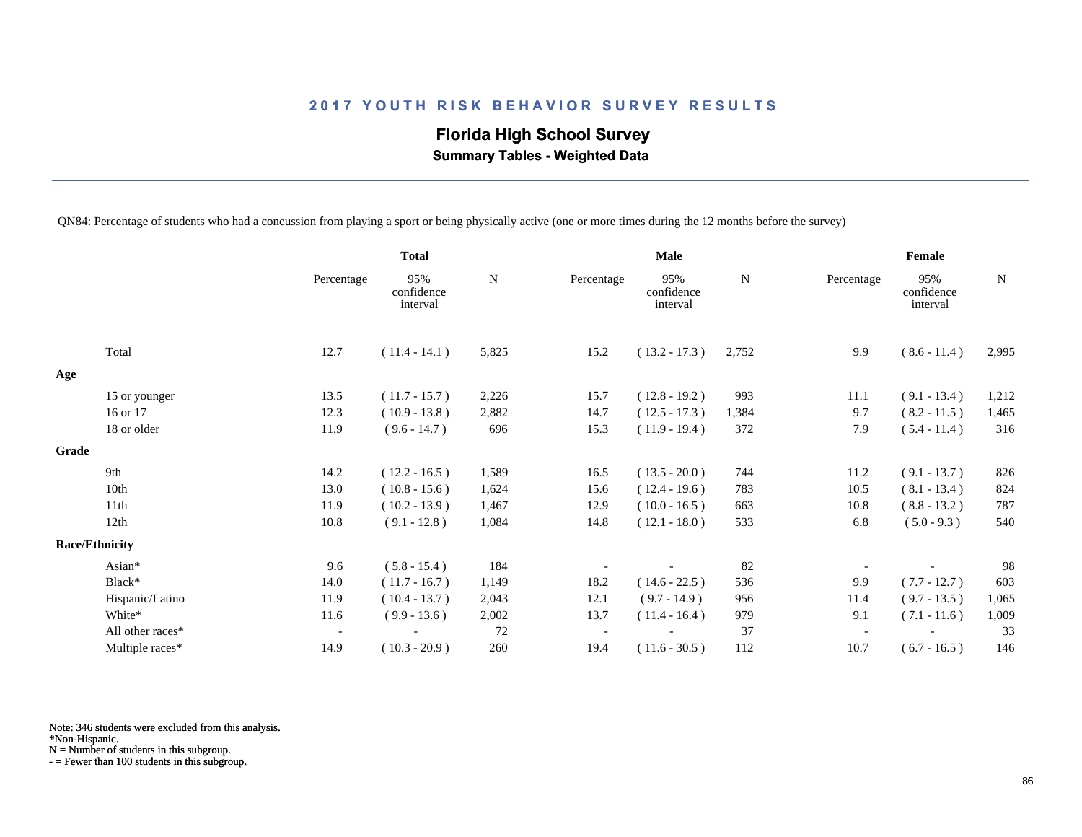# **Florida High School Survey Summary Tables - Weighted Data**

QN84: Percentage of students who had a concussion from playing a sport or being physically active (one or more times during the 12 months before the survey)

|       |                       |                          | <b>Total</b>                  |           |            | <b>Male</b>                   |           |            | Female                        |           |
|-------|-----------------------|--------------------------|-------------------------------|-----------|------------|-------------------------------|-----------|------------|-------------------------------|-----------|
|       |                       | Percentage               | 95%<br>confidence<br>interval | ${\bf N}$ | Percentage | 95%<br>confidence<br>interval | ${\bf N}$ | Percentage | 95%<br>confidence<br>interval | ${\bf N}$ |
|       | Total                 | 12.7                     | $(11.4 - 14.1)$               | 5,825     | 15.2       | $(13.2 - 17.3)$               | 2,752     | 9.9        | $(8.6 - 11.4)$                | 2,995     |
| Age   |                       |                          |                               |           |            |                               |           |            |                               |           |
|       | 15 or younger         | 13.5                     | $(11.7 - 15.7)$               | 2,226     | 15.7       | $(12.8 - 19.2)$               | 993       | 11.1       | $(9.1 - 13.4)$                | 1,212     |
|       | 16 or 17              | 12.3                     | $(10.9 - 13.8)$               | 2,882     | 14.7       | $(12.5 - 17.3)$               | 1,384     | 9.7        | $(8.2 - 11.5)$                | 1,465     |
|       | 18 or older           | 11.9                     | $(9.6 - 14.7)$                | 696       | 15.3       | $(11.9 - 19.4)$               | 372       | 7.9        | $(5.4 - 11.4)$                | 316       |
| Grade |                       |                          |                               |           |            |                               |           |            |                               |           |
|       | 9th                   | 14.2                     | $(12.2 - 16.5)$               | 1,589     | 16.5       | $(13.5 - 20.0)$               | 744       | 11.2       | $(9.1 - 13.7)$                | 826       |
|       | 10th                  | 13.0                     | $(10.8 - 15.6)$               | 1,624     | 15.6       | $(12.4 - 19.6)$               | 783       | 10.5       | $(8.1 - 13.4)$                | 824       |
|       | 11th                  | 11.9                     | $(10.2 - 13.9)$               | 1,467     | 12.9       | $(10.0 - 16.5)$               | 663       | 10.8       | $(8.8 - 13.2)$                | 787       |
|       | 12th                  | 10.8                     | $(9.1 - 12.8)$                | 1,084     | 14.8       | $(12.1 - 18.0)$               | 533       | 6.8        | $(5.0 - 9.3)$                 | 540       |
|       | <b>Race/Ethnicity</b> |                          |                               |           |            |                               |           |            |                               |           |
|       | Asian*                | 9.6                      | $(5.8 - 15.4)$                | 184       |            |                               | 82        |            |                               | 98        |
|       | Black*                | 14.0                     | $(11.7 - 16.7)$               | 1,149     | 18.2       | $(14.6 - 22.5)$               | 536       | 9.9        | $(7.7 - 12.7)$                | 603       |
|       | Hispanic/Latino       | 11.9                     | $(10.4 - 13.7)$               | 2,043     | 12.1       | $(9.7 - 14.9)$                | 956       | 11.4       | $(9.7 - 13.5)$                | 1,065     |
|       | White*                | 11.6                     | $(9.9 - 13.6)$                | 2,002     | 13.7       | $(11.4 - 16.4)$               | 979       | 9.1        | $(7.1 - 11.6)$                | 1,009     |
|       | All other races*      | $\overline{\phantom{a}}$ |                               | 72        |            |                               | 37        |            |                               | 33        |
|       | Multiple races*       | 14.9                     | $(10.3 - 20.9)$               | 260       | 19.4       | $(11.6 - 30.5)$               | 112       | 10.7       | $(6.7 - 16.5)$                | 146       |

Note: 346 students were excluded from this analysis.

N = Number of students in this subgroup.

<sup>\*</sup>Non-Hispanic.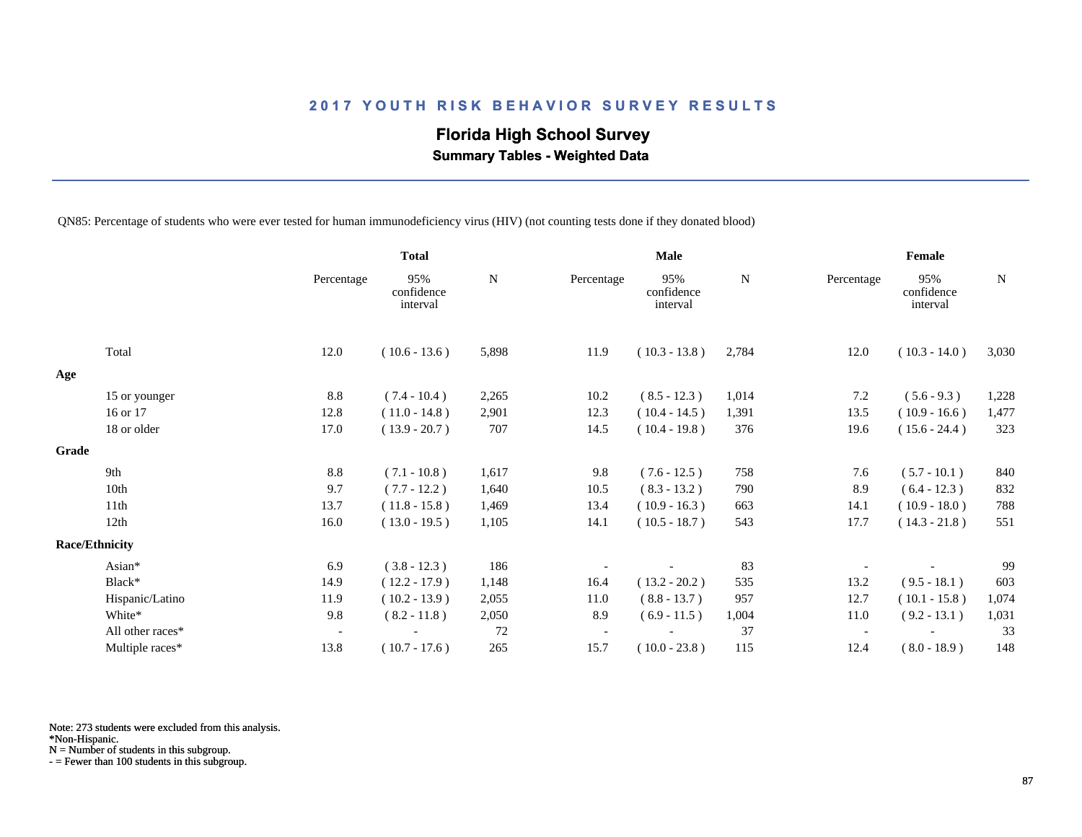# **Florida High School Survey**

 **Summary Tables - Weighted Data**

QN85: Percentage of students who were ever tested for human immunodeficiency virus (HIV) (not counting tests done if they donated blood)

|                       |                  |                          | <b>Total</b>                  |       |            | <b>Male</b>                   |       |            | Female                        |             |
|-----------------------|------------------|--------------------------|-------------------------------|-------|------------|-------------------------------|-------|------------|-------------------------------|-------------|
|                       |                  | Percentage               | 95%<br>confidence<br>interval | N     | Percentage | 95%<br>confidence<br>interval | N     | Percentage | 95%<br>confidence<br>interval | $\mathbf N$ |
|                       | Total            | 12.0                     | $(10.6 - 13.6)$               | 5,898 | 11.9       | $(10.3 - 13.8)$               | 2,784 | 12.0       | $(10.3 - 14.0)$               | 3,030       |
| Age                   |                  |                          |                               |       |            |                               |       |            |                               |             |
|                       | 15 or younger    | 8.8                      | $(7.4 - 10.4)$                | 2,265 | 10.2       | $(8.5 - 12.3)$                | 1,014 | 7.2        | $(5.6 - 9.3)$                 | 1,228       |
|                       | 16 or 17         | 12.8                     | $(11.0 - 14.8)$               | 2,901 | 12.3       | $(10.4 - 14.5)$               | 1,391 | 13.5       | $(10.9 - 16.6)$               | 1,477       |
|                       | 18 or older      | 17.0                     | $(13.9 - 20.7)$               | 707   | 14.5       | $(10.4 - 19.8)$               | 376   | 19.6       | $(15.6 - 24.4)$               | 323         |
| Grade                 |                  |                          |                               |       |            |                               |       |            |                               |             |
|                       | 9th              | 8.8                      | $(7.1 - 10.8)$                | 1,617 | 9.8        | $(7.6 - 12.5)$                | 758   | 7.6        | $(5.7 - 10.1)$                | 840         |
|                       | 10th             | 9.7                      | $(7.7 - 12.2)$                | 1,640 | 10.5       | $(8.3 - 13.2)$                | 790   | 8.9        | $(6.4 - 12.3)$                | 832         |
|                       | 11th             | 13.7                     | $(11.8 - 15.8)$               | 1,469 | 13.4       | $(10.9 - 16.3)$               | 663   | 14.1       | $(10.9 - 18.0)$               | 788         |
|                       | 12th             | 16.0                     | $(13.0 - 19.5)$               | 1,105 | 14.1       | $(10.5 - 18.7)$               | 543   | 17.7       | $(14.3 - 21.8)$               | 551         |
| <b>Race/Ethnicity</b> |                  |                          |                               |       |            |                               |       |            |                               |             |
|                       | Asian*           | 6.9                      | $(3.8 - 12.3)$                | 186   |            |                               | 83    |            |                               | 99          |
|                       | Black*           | 14.9                     | $(12.2 - 17.9)$               | 1,148 | 16.4       | $(13.2 - 20.2)$               | 535   | 13.2       | $(9.5 - 18.1)$                | 603         |
|                       | Hispanic/Latino  | 11.9                     | $(10.2 - 13.9)$               | 2,055 | 11.0       | $(8.8 - 13.7)$                | 957   | 12.7       | $(10.1 - 15.8)$               | 1,074       |
|                       | White*           | 9.8                      | $(8.2 - 11.8)$                | 2,050 | 8.9        | $(6.9 - 11.5)$                | 1,004 | 11.0       | $(9.2 - 13.1)$                | 1,031       |
|                       | All other races* | $\overline{\phantom{a}}$ |                               | 72    |            |                               | 37    |            |                               | 33          |
|                       | Multiple races*  | 13.8                     | $(10.7 - 17.6)$               | 265   | 15.7       | $(10.0 - 23.8)$               | 115   | 12.4       | $(8.0 - 18.9)$                | 148         |

Note: 273 students were excluded from this analysis.

N = Number of students in this subgroup.

<sup>\*</sup>Non-Hispanic.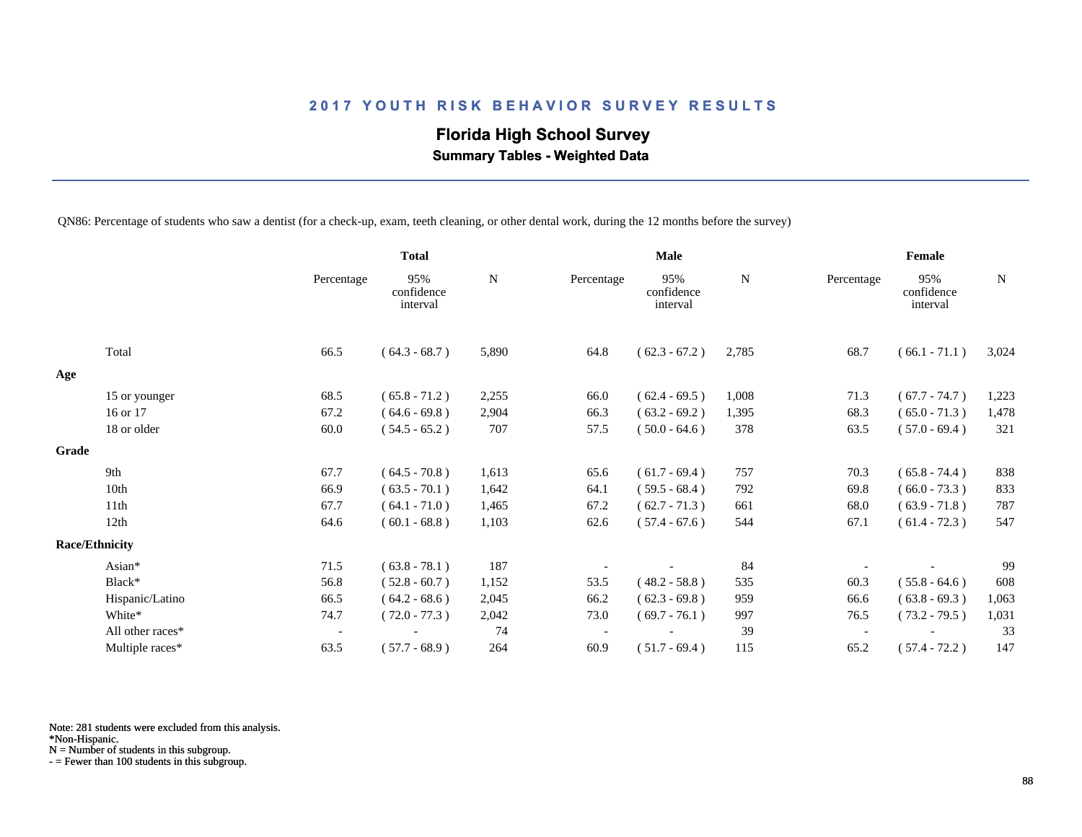# **Florida High School Survey**

 **Summary Tables - Weighted Data**

QN86: Percentage of students who saw a dentist (for a check-up, exam, teeth cleaning, or other dental work, during the 12 months before the survey)

|       |                       |                          | <b>Total</b>                  |       |            | Male                          |             |            | Female                        |       |
|-------|-----------------------|--------------------------|-------------------------------|-------|------------|-------------------------------|-------------|------------|-------------------------------|-------|
|       |                       | Percentage               | 95%<br>confidence<br>interval | N     | Percentage | 95%<br>confidence<br>interval | $\mathbf N$ | Percentage | 95%<br>confidence<br>interval | N     |
|       | Total                 | 66.5                     | $(64.3 - 68.7)$               | 5,890 | 64.8       | $(62.3 - 67.2)$               | 2,785       | 68.7       | $(66.1 - 71.1)$               | 3,024 |
| Age   |                       |                          |                               |       |            |                               |             |            |                               |       |
|       | 15 or younger         | 68.5                     | $(65.8 - 71.2)$               | 2,255 | 66.0       | $(62.4 - 69.5)$               | 1,008       | 71.3       | $(67.7 - 74.7)$               | 1,223 |
|       | 16 or 17              | 67.2                     | $(64.6 - 69.8)$               | 2,904 | 66.3       | $(63.2 - 69.2)$               | 1,395       | 68.3       | $(65.0 - 71.3)$               | 1,478 |
|       | 18 or older           | 60.0                     | $(54.5 - 65.2)$               | 707   | 57.5       | $(50.0 - 64.6)$               | 378         | 63.5       | $(57.0 - 69.4)$               | 321   |
| Grade |                       |                          |                               |       |            |                               |             |            |                               |       |
|       | 9th                   | 67.7                     | $(64.5 - 70.8)$               | 1,613 | 65.6       | $(61.7 - 69.4)$               | 757         | 70.3       | $(65.8 - 74.4)$               | 838   |
|       | 10th                  | 66.9                     | $(63.5 - 70.1)$               | 1,642 | 64.1       | $(59.5 - 68.4)$               | 792         | 69.8       | $(66.0 - 73.3)$               | 833   |
|       | 11th                  | 67.7                     | $(64.1 - 71.0)$               | 1,465 | 67.2       | $(62.7 - 71.3)$               | 661         | 68.0       | $(63.9 - 71.8)$               | 787   |
|       | 12th                  | 64.6                     | $(60.1 - 68.8)$               | 1,103 | 62.6       | $(57.4 - 67.6)$               | 544         | 67.1       | $(61.4 - 72.3)$               | 547   |
|       | <b>Race/Ethnicity</b> |                          |                               |       |            |                               |             |            |                               |       |
|       | Asian*                | 71.5                     | $(63.8 - 78.1)$               | 187   |            |                               | 84          |            |                               | 99    |
|       | Black*                | 56.8                     | $(52.8 - 60.7)$               | 1,152 | 53.5       | $(48.2 - 58.8)$               | 535         | 60.3       | $(55.8 - 64.6)$               | 608   |
|       | Hispanic/Latino       | 66.5                     | $(64.2 - 68.6)$               | 2,045 | 66.2       | $(62.3 - 69.8)$               | 959         | 66.6       | $(63.8 - 69.3)$               | 1,063 |
|       | White*                | 74.7                     | $(72.0 - 77.3)$               | 2,042 | 73.0       | $(69.7 - 76.1)$               | 997         | 76.5       | $(73.2 - 79.5)$               | 1,031 |
|       | All other races*      | $\overline{\phantom{a}}$ |                               | 74    |            |                               | 39          |            |                               | 33    |
|       | Multiple races*       | 63.5                     | $(57.7 - 68.9)$               | 264   | 60.9       | $(51.7 - 69.4)$               | 115         | 65.2       | $(57.4 - 72.2)$               | 147   |

Note: 281 students were excluded from this analysis.

N = Number of students in this subgroup.

<sup>\*</sup>Non-Hispanic.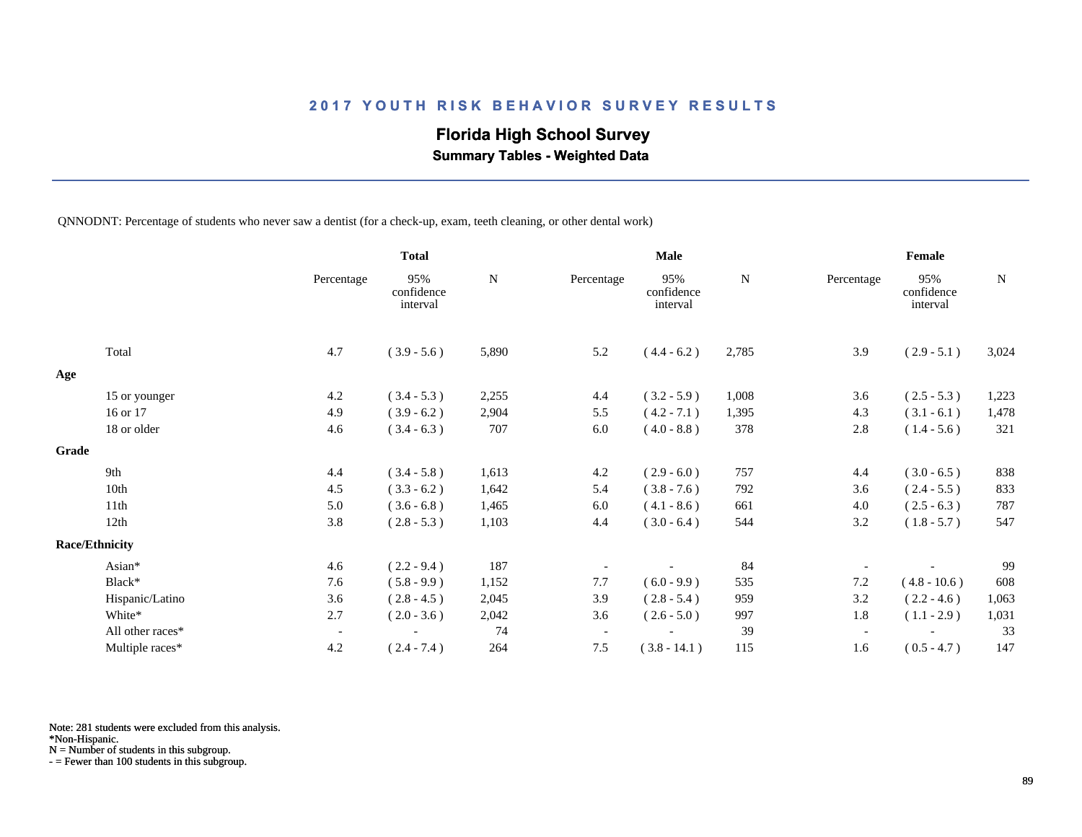## **Florida High School Survey**

 **Summary Tables - Weighted Data**

QNNODNT: Percentage of students who never saw a dentist (for a check-up, exam, teeth cleaning, or other dental work)

|       |                       |                          | <b>Total</b>                  |       |                          | <b>Male</b>                   |       |                          | Female                        |       |
|-------|-----------------------|--------------------------|-------------------------------|-------|--------------------------|-------------------------------|-------|--------------------------|-------------------------------|-------|
|       |                       | Percentage               | 95%<br>confidence<br>interval | N     | Percentage               | 95%<br>confidence<br>interval | N     | Percentage               | 95%<br>confidence<br>interval | N     |
|       | Total                 | 4.7                      | $(3.9 - 5.6)$                 | 5,890 | 5.2                      | $(4.4 - 6.2)$                 | 2,785 | 3.9                      | $(2.9 - 5.1)$                 | 3,024 |
| Age   |                       |                          |                               |       |                          |                               |       |                          |                               |       |
|       | 15 or younger         | 4.2                      | $(3.4 - 5.3)$                 | 2,255 | 4.4                      | $(3.2 - 5.9)$                 | 1,008 | 3.6                      | $(2.5 - 5.3)$                 | 1,223 |
|       | 16 or 17              | 4.9                      | $(3.9 - 6.2)$                 | 2,904 | 5.5                      | $(4.2 - 7.1)$                 | 1,395 | 4.3                      | $(3.1 - 6.1)$                 | 1,478 |
|       | 18 or older           | 4.6                      | $(3.4 - 6.3)$                 | 707   | $6.0\,$                  | $(4.0 - 8.8)$                 | 378   | 2.8                      | $(1.4 - 5.6)$                 | 321   |
| Grade |                       |                          |                               |       |                          |                               |       |                          |                               |       |
|       | 9th                   | 4.4                      | $(3.4 - 5.8)$                 | 1,613 | 4.2                      | $(2.9 - 6.0)$                 | 757   | 4.4                      | $(3.0 - 6.5)$                 | 838   |
|       | 10th                  | 4.5                      | $(3.3 - 6.2)$                 | 1,642 | 5.4                      | $(3.8 - 7.6)$                 | 792   | 3.6                      | $(2.4 - 5.5)$                 | 833   |
|       | 11th                  | 5.0                      | $(3.6 - 6.8)$                 | 1,465 | 6.0                      | $(4.1 - 8.6)$                 | 661   | 4.0                      | $(2.5 - 6.3)$                 | 787   |
|       | 12th                  | 3.8                      | $(2.8 - 5.3)$                 | 1,103 | 4.4                      | $(3.0 - 6.4)$                 | 544   | 3.2                      | $(1.8 - 5.7)$                 | 547   |
|       | <b>Race/Ethnicity</b> |                          |                               |       |                          |                               |       |                          |                               |       |
|       | Asian*                | 4.6                      | $(2.2 - 9.4)$                 | 187   |                          |                               | 84    |                          |                               | 99    |
|       | Black*                | 7.6                      | $(5.8 - 9.9)$                 | 1,152 | 7.7                      | $(6.0 - 9.9)$                 | 535   | 7.2                      | $(4.8 - 10.6)$                | 608   |
|       | Hispanic/Latino       | 3.6                      | $(2.8 - 4.5)$                 | 2,045 | 3.9                      | $(2.8 - 5.4)$                 | 959   | 3.2                      | $(2.2 - 4.6)$                 | 1,063 |
|       | White*                | 2.7                      | $(2.0 - 3.6)$                 | 2,042 | 3.6                      | $(2.6 - 5.0)$                 | 997   | 1.8                      | $(1.1 - 2.9)$                 | 1,031 |
|       | All other races*      | $\overline{\phantom{a}}$ |                               | 74    | $\overline{\phantom{a}}$ |                               | 39    | $\overline{\phantom{a}}$ |                               | 33    |
|       | Multiple races*       | 4.2                      | $(2.4 - 7.4)$                 | 264   | 7.5                      | $(3.8 - 14.1)$                | 115   | 1.6                      | $(0.5 - 4.7)$                 | 147   |

Note: 281 students were excluded from this analysis.

N = Number of students in this subgroup.

<sup>\*</sup>Non-Hispanic.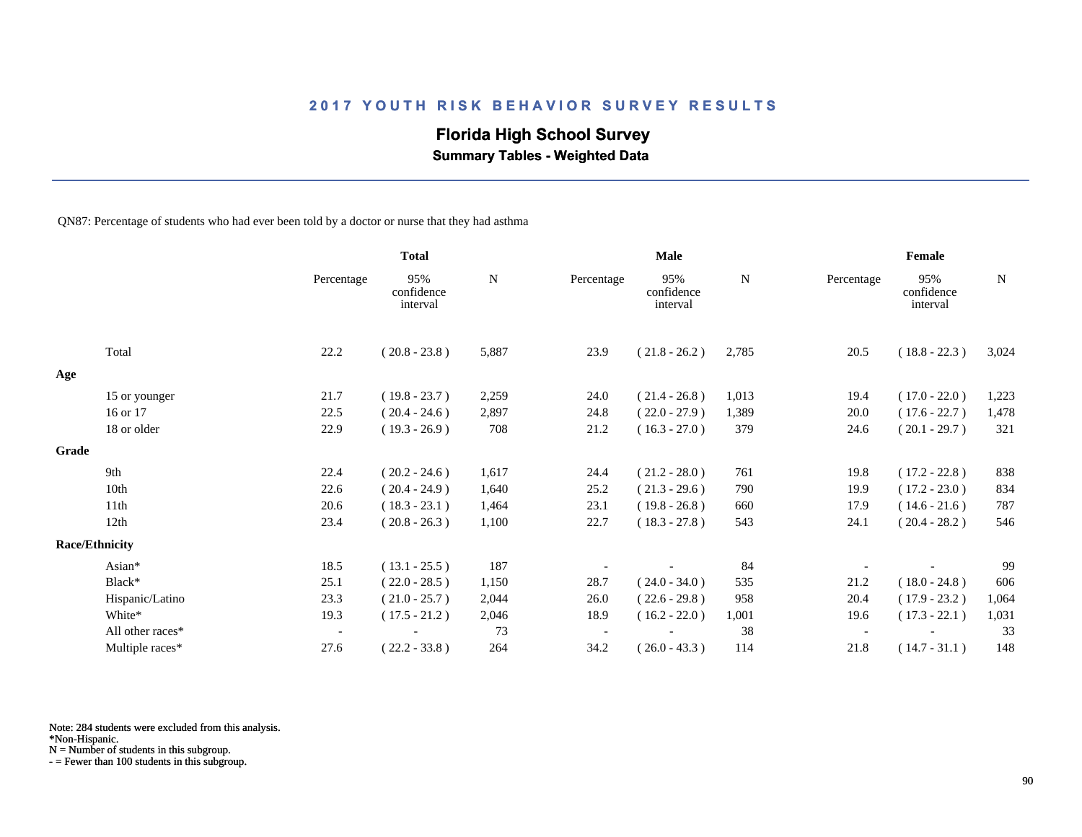## **Florida High School Survey**

 **Summary Tables - Weighted Data**

QN87: Percentage of students who had ever been told by a doctor or nurse that they had asthma

|                       |                  |                          | <b>Total</b>                  |           |            | Male                          |           |            | Female                        |             |
|-----------------------|------------------|--------------------------|-------------------------------|-----------|------------|-------------------------------|-----------|------------|-------------------------------|-------------|
|                       |                  | Percentage               | 95%<br>confidence<br>interval | ${\bf N}$ | Percentage | 95%<br>confidence<br>interval | ${\bf N}$ | Percentage | 95%<br>confidence<br>interval | $\mathbf N$ |
|                       | Total            | 22.2                     | $(20.8 - 23.8)$               | 5,887     | 23.9       | $(21.8 - 26.2)$               | 2,785     | 20.5       | $(18.8 - 22.3)$               | 3,024       |
| Age                   |                  |                          |                               |           |            |                               |           |            |                               |             |
|                       | 15 or younger    | 21.7                     | $(19.8 - 23.7)$               | 2,259     | 24.0       | $(21.4 - 26.8)$               | 1,013     | 19.4       | $(17.0 - 22.0)$               | 1,223       |
|                       | 16 or 17         | 22.5                     | $(20.4 - 24.6)$               | 2,897     | 24.8       | $(22.0 - 27.9)$               | 1,389     | 20.0       | $(17.6 - 22.7)$               | 1,478       |
|                       | 18 or older      | 22.9                     | $(19.3 - 26.9)$               | 708       | 21.2       | $(16.3 - 27.0)$               | 379       | 24.6       | $(20.1 - 29.7)$               | 321         |
| Grade                 |                  |                          |                               |           |            |                               |           |            |                               |             |
|                       | 9th              | 22.4                     | $(20.2 - 24.6)$               | 1,617     | 24.4       | $(21.2 - 28.0)$               | 761       | 19.8       | $(17.2 - 22.8)$               | 838         |
|                       | 10th             | 22.6                     | $(20.4 - 24.9)$               | 1,640     | 25.2       | $(21.3 - 29.6)$               | 790       | 19.9       | $(17.2 - 23.0)$               | 834         |
|                       | 11th             | 20.6                     | $(18.3 - 23.1)$               | 1,464     | 23.1       | $(19.8 - 26.8)$               | 660       | 17.9       | $(14.6 - 21.6)$               | 787         |
|                       | 12th             | 23.4                     | $(20.8 - 26.3)$               | 1,100     | 22.7       | $(18.3 - 27.8)$               | 543       | 24.1       | $(20.4 - 28.2)$               | 546         |
| <b>Race/Ethnicity</b> |                  |                          |                               |           |            |                               |           |            |                               |             |
|                       | Asian*           | 18.5                     | $(13.1 - 25.5)$               | 187       |            |                               | 84        |            |                               | 99          |
|                       | Black*           | 25.1                     | $(22.0 - 28.5)$               | 1,150     | 28.7       | $(24.0 - 34.0)$               | 535       | 21.2       | $(18.0 - 24.8)$               | 606         |
|                       | Hispanic/Latino  | 23.3                     | $(21.0 - 25.7)$               | 2,044     | 26.0       | $(22.6 - 29.8)$               | 958       | 20.4       | $(17.9 - 23.2)$               | 1,064       |
|                       | White*           | 19.3                     | $(17.5 - 21.2)$               | 2,046     | 18.9       | $(16.2 - 22.0)$               | 1,001     | 19.6       | $(17.3 - 22.1)$               | 1,031       |
|                       | All other races* | $\overline{\phantom{a}}$ |                               | 73        |            |                               | 38        |            |                               | 33          |
|                       | Multiple races*  | 27.6                     | $(22.2 - 33.8)$               | 264       | 34.2       | $(26.0 - 43.3)$               | 114       | 21.8       | $(14.7 - 31.1)$               | 148         |

Note: 284 students were excluded from this analysis.

N = Number of students in this subgroup.

<sup>\*</sup>Non-Hispanic.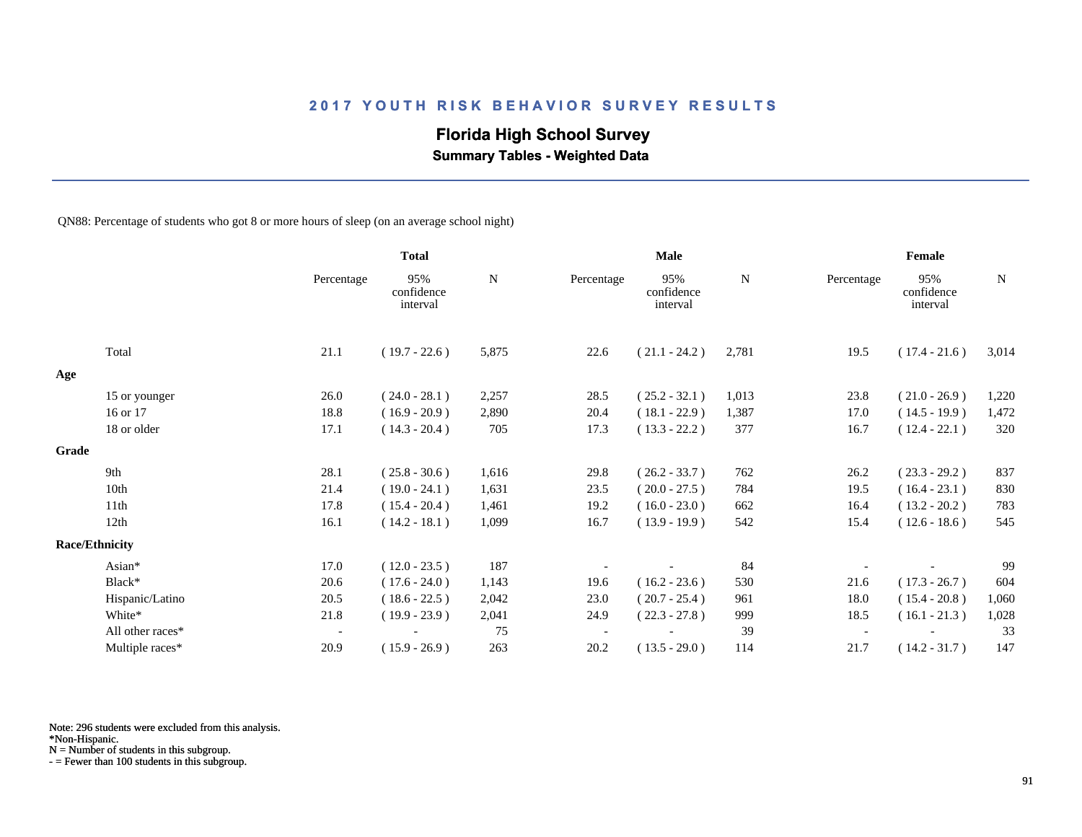## **Florida High School Survey**

 **Summary Tables - Weighted Data**

QN88: Percentage of students who got 8 or more hours of sleep (on an average school night)

|       |                       |                          | <b>Total</b>                  |       |            | Male                          |             |            | Female                        |             |
|-------|-----------------------|--------------------------|-------------------------------|-------|------------|-------------------------------|-------------|------------|-------------------------------|-------------|
|       |                       | Percentage               | 95%<br>confidence<br>interval | N     | Percentage | 95%<br>confidence<br>interval | $\mathbf N$ | Percentage | 95%<br>confidence<br>interval | $\mathbf N$ |
|       | Total                 | 21.1                     | $(19.7 - 22.6)$               | 5,875 | 22.6       | $(21.1 - 24.2)$               | 2,781       | 19.5       | $(17.4 - 21.6)$               | 3,014       |
| Age   |                       |                          |                               |       |            |                               |             |            |                               |             |
|       | 15 or younger         | 26.0                     | $(24.0 - 28.1)$               | 2,257 | 28.5       | $(25.2 - 32.1)$               | 1,013       | 23.8       | $(21.0 - 26.9)$               | 1,220       |
|       | 16 or 17              | 18.8                     | $(16.9 - 20.9)$               | 2,890 | 20.4       | $(18.1 - 22.9)$               | 1,387       | 17.0       | $(14.5 - 19.9)$               | 1,472       |
|       | 18 or older           | 17.1                     | $(14.3 - 20.4)$               | 705   | 17.3       | $(13.3 - 22.2)$               | 377         | 16.7       | $(12.4 - 22.1)$               | 320         |
| Grade |                       |                          |                               |       |            |                               |             |            |                               |             |
|       | 9th                   | 28.1                     | $(25.8 - 30.6)$               | 1,616 | 29.8       | $(26.2 - 33.7)$               | 762         | 26.2       | $(23.3 - 29.2)$               | 837         |
|       | 10th                  | 21.4                     | $(19.0 - 24.1)$               | 1,631 | 23.5       | $(20.0 - 27.5)$               | 784         | 19.5       | $(16.4 - 23.1)$               | 830         |
|       | 11th                  | 17.8                     | $(15.4 - 20.4)$               | 1,461 | 19.2       | $(16.0 - 23.0)$               | 662         | 16.4       | $(13.2 - 20.2)$               | 783         |
|       | 12th                  | 16.1                     | $(14.2 - 18.1)$               | 1,099 | 16.7       | $(13.9 - 19.9)$               | 542         | 15.4       | $(12.6 - 18.6)$               | 545         |
|       | <b>Race/Ethnicity</b> |                          |                               |       |            |                               |             |            |                               |             |
|       | Asian*                | 17.0                     | $(12.0 - 23.5)$               | 187   |            |                               | 84          |            |                               | 99          |
|       | Black*                | 20.6                     | $(17.6 - 24.0)$               | 1,143 | 19.6       | $(16.2 - 23.6)$               | 530         | 21.6       | $(17.3 - 26.7)$               | 604         |
|       | Hispanic/Latino       | 20.5                     | $(18.6 - 22.5)$               | 2,042 | 23.0       | $(20.7 - 25.4)$               | 961         | 18.0       | $(15.4 - 20.8)$               | 1,060       |
|       | White*                | 21.8                     | $(19.9 - 23.9)$               | 2,041 | 24.9       | $(22.3 - 27.8)$               | 999         | 18.5       | $(16.1 - 21.3)$               | 1,028       |
|       | All other races*      | $\overline{\phantom{a}}$ |                               | 75    |            |                               | 39          |            |                               | 33          |
|       | Multiple races*       | 20.9                     | $(15.9 - 26.9)$               | 263   | 20.2       | $(13.5 - 29.0)$               | 114         | 21.7       | $(14.2 - 31.7)$               | 147         |

Note: 296 students were excluded from this analysis.

N = Number of students in this subgroup.

<sup>\*</sup>Non-Hispanic.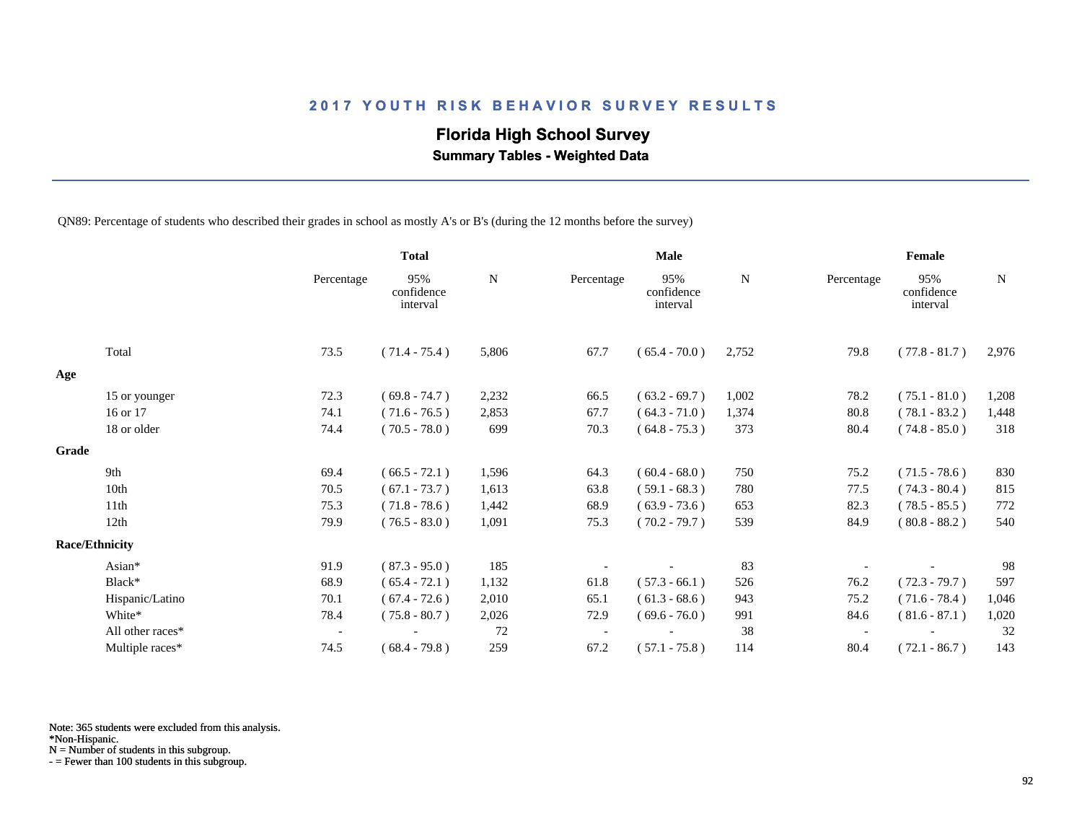## **Florida High School Survey**

 **Summary Tables - Weighted Data**

QN89: Percentage of students who described their grades in school as mostly A's or B's (during the 12 months before the survey)

|       |                       |                          | <b>Total</b>                  |       |            | <b>Male</b>                   |       |            | Female                        |       |
|-------|-----------------------|--------------------------|-------------------------------|-------|------------|-------------------------------|-------|------------|-------------------------------|-------|
|       |                       | Percentage               | 95%<br>confidence<br>interval | N     | Percentage | 95%<br>confidence<br>interval | N     | Percentage | 95%<br>confidence<br>interval | N     |
|       | Total                 | 73.5                     | $(71.4 - 75.4)$               | 5,806 | 67.7       | $(65.4 - 70.0)$               | 2,752 | 79.8       | $(77.8 - 81.7)$               | 2,976 |
| Age   |                       |                          |                               |       |            |                               |       |            |                               |       |
|       | 15 or younger         | 72.3                     | $(69.8 - 74.7)$               | 2,232 | 66.5       | $(63.2 - 69.7)$               | 1,002 | 78.2       | $(75.1 - 81.0)$               | 1,208 |
|       | 16 or 17              | 74.1                     | $(71.6 - 76.5)$               | 2,853 | 67.7       | $(64.3 - 71.0)$               | 1,374 | 80.8       | $(78.1 - 83.2)$               | 1,448 |
|       | 18 or older           | 74.4                     | $(70.5 - 78.0)$               | 699   | 70.3       | $(64.8 - 75.3)$               | 373   | 80.4       | $(74.8 - 85.0)$               | 318   |
| Grade |                       |                          |                               |       |            |                               |       |            |                               |       |
|       | 9th                   | 69.4                     | $(66.5 - 72.1)$               | 1,596 | 64.3       | $(60.4 - 68.0)$               | 750   | 75.2       | $(71.5 - 78.6)$               | 830   |
|       | 10th                  | 70.5                     | $(67.1 - 73.7)$               | 1,613 | 63.8       | $(59.1 - 68.3)$               | 780   | 77.5       | $(74.3 - 80.4)$               | 815   |
|       | 11th                  | 75.3                     | $(71.8 - 78.6)$               | 1,442 | 68.9       | $(63.9 - 73.6)$               | 653   | 82.3       | $(78.5 - 85.5)$               | 772   |
|       | 12th                  | 79.9                     | $(76.5 - 83.0)$               | 1,091 | 75.3       | $(70.2 - 79.7)$               | 539   | 84.9       | $(80.8 - 88.2)$               | 540   |
|       | <b>Race/Ethnicity</b> |                          |                               |       |            |                               |       |            |                               |       |
|       | Asian*                | 91.9                     | $(87.3 - 95.0)$               | 185   |            |                               | 83    |            |                               | 98    |
|       | Black*                | 68.9                     | $(65.4 - 72.1)$               | 1,132 | 61.8       | $(57.3 - 66.1)$               | 526   | 76.2       | $(72.3 - 79.7)$               | 597   |
|       | Hispanic/Latino       | 70.1                     | $(67.4 - 72.6)$               | 2,010 | 65.1       | $(61.3 - 68.6)$               | 943   | 75.2       | $(71.6 - 78.4)$               | 1,046 |
|       | White*                | 78.4                     | $(75.8 - 80.7)$               | 2,026 | 72.9       | $(69.6 - 76.0)$               | 991   | 84.6       | $(81.6 - 87.1)$               | 1,020 |
|       | All other races*      | $\overline{\phantom{a}}$ |                               | 72    |            |                               | 38    |            |                               | 32    |
|       | Multiple races*       | 74.5                     | $(68.4 - 79.8)$               | 259   | 67.2       | $(57.1 - 75.8)$               | 114   | 80.4       | $(72.1 - 86.7)$               | 143   |

Note: 365 students were excluded from this analysis.

\*Non-Hispanic.

N = Number of students in this subgroup.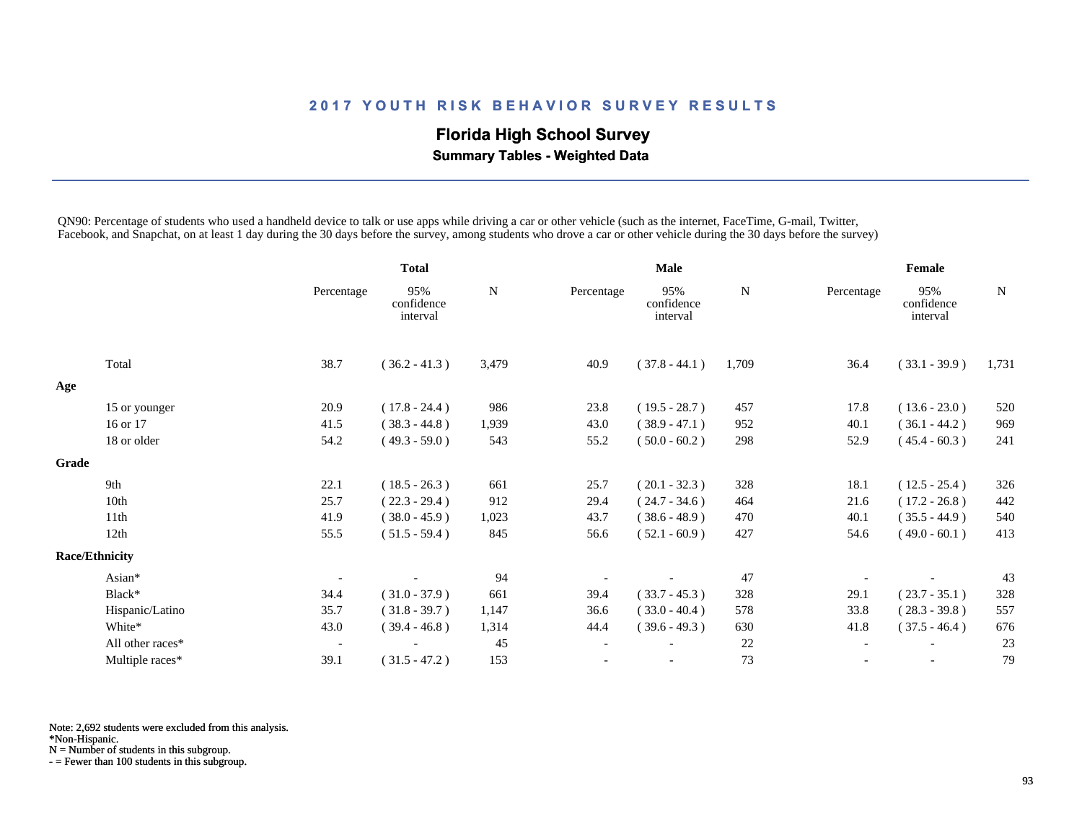# **Florida High School Survey**

 **Summary Tables - Weighted Data**

QN90: Percentage of students who used a handheld device to talk or use apps while driving a car or other vehicle (such as the internet, FaceTime, G-mail, Twitter, Facebook, and Snapchat, on at least 1 day during the 30 days before the survey, among students who drove a car or other vehicle during the 30 days before the survey)

|       |                       |                          | <b>Total</b>                  |             | <b>Male</b>              |                               |       | Female     |                               |       |
|-------|-----------------------|--------------------------|-------------------------------|-------------|--------------------------|-------------------------------|-------|------------|-------------------------------|-------|
|       |                       | Percentage               | 95%<br>confidence<br>interval | $\mathbf N$ | Percentage               | 95%<br>confidence<br>interval | N     | Percentage | 95%<br>confidence<br>interval | N     |
|       | Total                 | 38.7                     | $(36.2 - 41.3)$               | 3,479       | 40.9                     | $(37.8 - 44.1)$               | 1,709 | 36.4       | $(33.1 - 39.9)$               | 1,731 |
| Age   |                       |                          |                               |             |                          |                               |       |            |                               |       |
|       | 15 or younger         | 20.9                     | $(17.8 - 24.4)$               | 986         | 23.8                     | $(19.5 - 28.7)$               | 457   | 17.8       | $(13.6 - 23.0)$               | 520   |
|       | 16 or 17              | 41.5                     | $(38.3 - 44.8)$               | 1,939       | 43.0                     | $(38.9 - 47.1)$               | 952   | 40.1       | $(36.1 - 44.2)$               | 969   |
|       | 18 or older           | 54.2                     | $(49.3 - 59.0)$               | 543         | 55.2                     | $(50.0 - 60.2)$               | 298   | 52.9       | $(45.4 - 60.3)$               | 241   |
| Grade |                       |                          |                               |             |                          |                               |       |            |                               |       |
|       | 9th                   | 22.1                     | $(18.5 - 26.3)$               | 661         | 25.7                     | $(20.1 - 32.3)$               | 328   | 18.1       | $(12.5 - 25.4)$               | 326   |
|       | 10th                  | 25.7                     | $(22.3 - 29.4)$               | 912         | 29.4                     | $(24.7 - 34.6)$               | 464   | 21.6       | $(17.2 - 26.8)$               | 442   |
|       | 11th                  | 41.9                     | $(38.0 - 45.9)$               | 1,023       | 43.7                     | $(38.6 - 48.9)$               | 470   | 40.1       | $(35.5 - 44.9)$               | 540   |
|       | 12th                  | 55.5                     | $(51.5 - 59.4)$               | 845         | 56.6                     | $(52.1 - 60.9)$               | 427   | 54.6       | $(49.0 - 60.1)$               | 413   |
|       | <b>Race/Ethnicity</b> |                          |                               |             |                          |                               |       |            |                               |       |
|       | Asian*                |                          |                               | 94          |                          |                               | 47    |            |                               | 43    |
|       | Black*                | 34.4                     | $(31.0 - 37.9)$               | 661         | 39.4                     | $(33.7 - 45.3)$               | 328   | 29.1       | $(23.7 - 35.1)$               | 328   |
|       | Hispanic/Latino       | 35.7                     | $(31.8 - 39.7)$               | 1,147       | 36.6                     | $(33.0 - 40.4)$               | 578   | 33.8       | $(28.3 - 39.8)$               | 557   |
|       | White*                | 43.0                     | $(39.4 - 46.8)$               | 1,314       | 44.4                     | $(39.6 - 49.3)$               | 630   | 41.8       | $(37.5 - 46.4)$               | 676   |
|       | All other races*      | $\overline{\phantom{a}}$ |                               | 45          | $\overline{\phantom{a}}$ |                               | 22    |            |                               | 23    |
|       | Multiple races*       | 39.1                     | $(31.5 - 47.2)$               | 153         |                          |                               | 73    |            | $\overline{\phantom{a}}$      | 79    |

Note: 2,692 students were excluded from this analysis.

\*Non-Hispanic.

N = Number of students in this subgroup.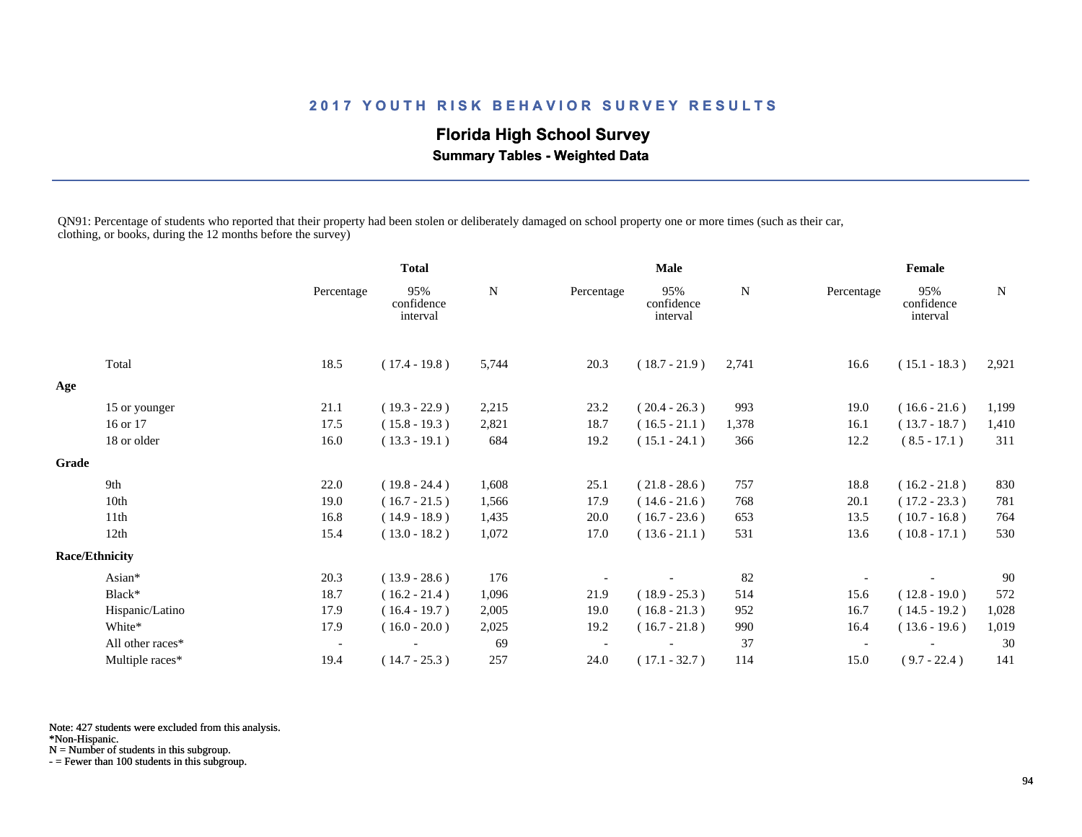# **Florida High School Survey**

 **Summary Tables - Weighted Data**

QN91: Percentage of students who reported that their property had been stolen or deliberately damaged on school property one or more times (such as their car, clothing, or books, during the 12 months before the survey)

|       |                       |                          | <b>Total</b>                  |       | <b>Male</b> |                               |       | Female     |                               |             |
|-------|-----------------------|--------------------------|-------------------------------|-------|-------------|-------------------------------|-------|------------|-------------------------------|-------------|
|       |                       | Percentage               | 95%<br>confidence<br>interval | N     | Percentage  | 95%<br>confidence<br>interval | N     | Percentage | 95%<br>confidence<br>interval | $\mathbf N$ |
|       | Total                 | 18.5                     | $(17.4 - 19.8)$               | 5,744 | 20.3        | $(18.7 - 21.9)$               | 2,741 | 16.6       | $(15.1 - 18.3)$               | 2,921       |
| Age   |                       |                          |                               |       |             |                               |       |            |                               |             |
|       | 15 or younger         | 21.1                     | $(19.3 - 22.9)$               | 2,215 | 23.2        | $(20.4 - 26.3)$               | 993   | 19.0       | $(16.6 - 21.6)$               | 1,199       |
|       | 16 or 17              | 17.5                     | $(15.8 - 19.3)$               | 2,821 | 18.7        | $(16.5 - 21.1)$               | 1,378 | 16.1       | $(13.7 - 18.7)$               | 1,410       |
|       | 18 or older           | 16.0                     | $(13.3 - 19.1)$               | 684   | 19.2        | $(15.1 - 24.1)$               | 366   | 12.2       | $(8.5 - 17.1)$                | 311         |
| Grade |                       |                          |                               |       |             |                               |       |            |                               |             |
|       | 9th                   | 22.0                     | $(19.8 - 24.4)$               | 1,608 | 25.1        | $(21.8 - 28.6)$               | 757   | 18.8       | $(16.2 - 21.8)$               | 830         |
|       | 10th                  | 19.0                     | $(16.7 - 21.5)$               | 1,566 | 17.9        | $(14.6 - 21.6)$               | 768   | 20.1       | $(17.2 - 23.3)$               | 781         |
|       | 11th                  | 16.8                     | $(14.9 - 18.9)$               | 1,435 | 20.0        | $(16.7 - 23.6)$               | 653   | 13.5       | $(10.7 - 16.8)$               | 764         |
|       | 12th                  | 15.4                     | $(13.0 - 18.2)$               | 1,072 | 17.0        | $(13.6 - 21.1)$               | 531   | 13.6       | $(10.8 - 17.1)$               | 530         |
|       | <b>Race/Ethnicity</b> |                          |                               |       |             |                               |       |            |                               |             |
|       | Asian*                | 20.3                     | $(13.9 - 28.6)$               | 176   |             |                               | 82    |            |                               | 90          |
|       | Black*                | 18.7                     | $(16.2 - 21.4)$               | 1,096 | 21.9        | $(18.9 - 25.3)$               | 514   | 15.6       | $(12.8 - 19.0)$               | 572         |
|       | Hispanic/Latino       | 17.9                     | $(16.4 - 19.7)$               | 2,005 | 19.0        | $(16.8 - 21.3)$               | 952   | 16.7       | $(14.5 - 19.2)$               | 1,028       |
|       | White*                | 17.9                     | $(16.0 - 20.0)$               | 2,025 | 19.2        | $(16.7 - 21.8)$               | 990   | 16.4       | $(13.6 - 19.6)$               | 1,019       |
|       | All other races*      | $\overline{\phantom{a}}$ |                               | 69    |             |                               | 37    |            |                               | 30          |
|       | Multiple races*       | 19.4                     | $(14.7 - 25.3)$               | 257   | 24.0        | $(17.1 - 32.7)$               | 114   | 15.0       | $(9.7 - 22.4)$                | 141         |

Note: 427 students were excluded from this analysis.

\*Non-Hispanic.

N = Number of students in this subgroup.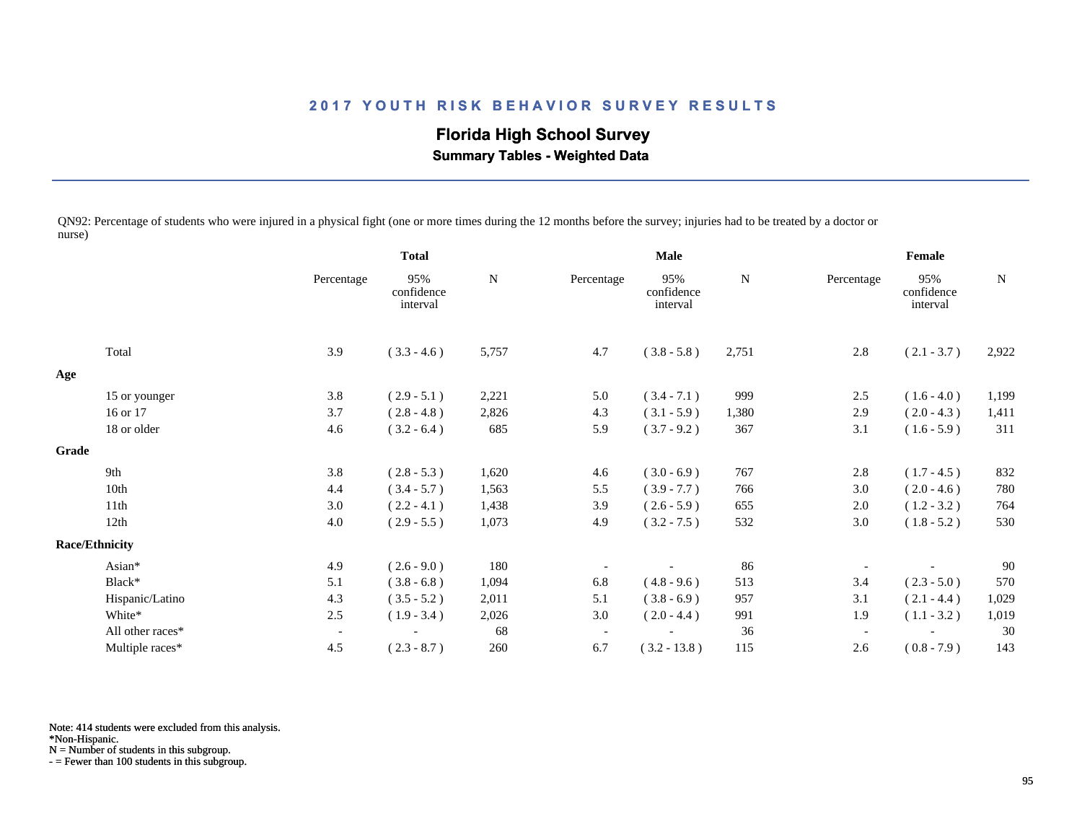# **Florida High School Survey**

 **Summary Tables - Weighted Data**

QN92: Percentage of students who were injured in a physical fight (one or more times during the 12 months before the survey; injuries had to be treated by a doctor or nurse)

|       |                       |                          | <b>Total</b>                  |           | <b>Male</b>              |                               |       | Female                   |                               |        |
|-------|-----------------------|--------------------------|-------------------------------|-----------|--------------------------|-------------------------------|-------|--------------------------|-------------------------------|--------|
|       |                       | Percentage               | 95%<br>confidence<br>interval | ${\bf N}$ | Percentage               | 95%<br>confidence<br>interval | N     | Percentage               | 95%<br>confidence<br>interval | $\,$ N |
|       | Total                 | 3.9                      | $(3.3 - 4.6)$                 | 5,757     | 4.7                      | $(3.8 - 5.8)$                 | 2,751 | 2.8                      | $(2.1 - 3.7)$                 | 2,922  |
| Age   |                       |                          |                               |           |                          |                               |       |                          |                               |        |
|       | 15 or younger         | 3.8                      | $(2.9 - 5.1)$                 | 2,221     | 5.0                      | $(3.4 - 7.1)$                 | 999   | 2.5                      | $(1.6 - 4.0)$                 | 1,199  |
|       | 16 or 17              | 3.7                      | $(2.8 - 4.8)$                 | 2,826     | 4.3                      | $(3.1 - 5.9)$                 | 1,380 | 2.9                      | $(2.0 - 4.3)$                 | 1,411  |
|       | 18 or older           | 4.6                      | $(3.2 - 6.4)$                 | 685       | 5.9                      | $(3.7 - 9.2)$                 | 367   | 3.1                      | $(1.6 - 5.9)$                 | 311    |
| Grade |                       |                          |                               |           |                          |                               |       |                          |                               |        |
|       | 9th                   | 3.8                      | $(2.8 - 5.3)$                 | 1,620     | 4.6                      | $(3.0 - 6.9)$                 | 767   | 2.8                      | $(1.7 - 4.5)$                 | 832    |
|       | 10th                  | 4.4                      | $(3.4 - 5.7)$                 | 1,563     | 5.5                      | $(3.9 - 7.7)$                 | 766   | 3.0                      | $(2.0 - 4.6)$                 | 780    |
|       | 11th                  | 3.0                      | $(2.2 - 4.1)$                 | 1,438     | 3.9                      | $(2.6 - 5.9)$                 | 655   | 2.0                      | $(1.2 - 3.2)$                 | 764    |
|       | 12th                  | 4.0                      | $(2.9 - 5.5)$                 | 1,073     | 4.9                      | $(3.2 - 7.5)$                 | 532   | 3.0                      | $(1.8 - 5.2)$                 | 530    |
|       | <b>Race/Ethnicity</b> |                          |                               |           |                          |                               |       |                          |                               |        |
|       | Asian*                | 4.9                      | $(2.6 - 9.0)$                 | 180       |                          |                               | 86    |                          |                               | 90     |
|       | Black*                | 5.1                      | $(3.8 - 6.8)$                 | 1,094     | 6.8                      | $(4.8 - 9.6)$                 | 513   | 3.4                      | $(2.3 - 5.0)$                 | 570    |
|       | Hispanic/Latino       | 4.3                      | $(3.5 - 5.2)$                 | 2,011     | 5.1                      | $(3.8 - 6.9)$                 | 957   | 3.1                      | $(2.1 - 4.4)$                 | 1,029  |
|       | White*                | 2.5                      | $(1.9 - 3.4)$                 | 2,026     | 3.0                      | $(2.0 - 4.4)$                 | 991   | 1.9                      | $(1.1 - 3.2)$                 | 1,019  |
|       | All other races*      | $\overline{\phantom{a}}$ |                               | 68        | $\overline{\phantom{a}}$ |                               | 36    | $\overline{\phantom{a}}$ |                               | 30     |
|       | Multiple races*       | 4.5                      | $(2.3 - 8.7)$                 | 260       | 6.7                      | $(3.2 - 13.8)$                | 115   | 2.6                      | $(0.8 - 7.9)$                 | 143    |

Note: 414 students were excluded from this analysis.

N = Number of students in this subgroup.

<sup>\*</sup>Non-Hispanic.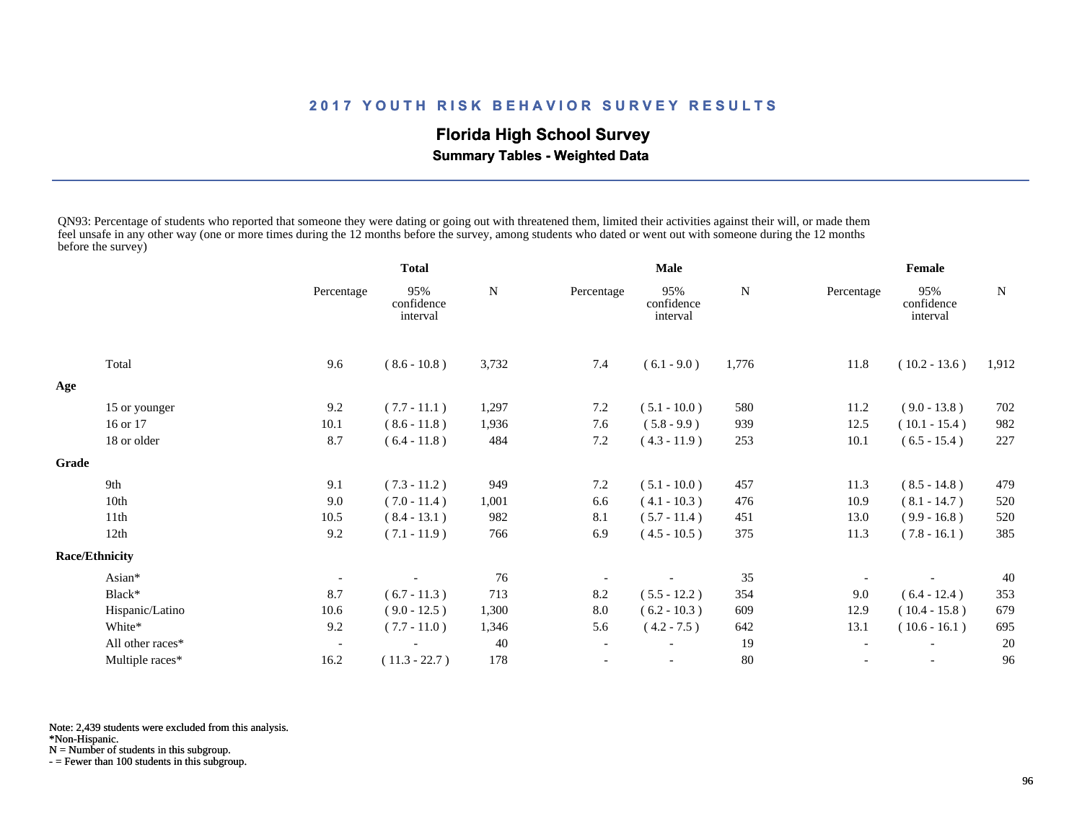## **Florida High School Survey**

 **Summary Tables - Weighted Data**

QN93: Percentage of students who reported that someone they were dating or going out with threatened them, limited their activities against their will, or made them feel unsafe in any other way (one or more times during the 12 months before the survey, among students who dated or went out with someone during the 12 months before the survey)

|       |                       |            | <b>Total</b>                  |           | <b>Male</b> |                               |       | Female     |                               |       |
|-------|-----------------------|------------|-------------------------------|-----------|-------------|-------------------------------|-------|------------|-------------------------------|-------|
|       |                       | Percentage | 95%<br>confidence<br>interval | ${\bf N}$ | Percentage  | 95%<br>confidence<br>interval | N     | Percentage | 95%<br>confidence<br>interval | N     |
|       | Total                 | 9.6        | $(8.6 - 10.8)$                | 3,732     | 7.4         | $(6.1 - 9.0)$                 | 1,776 | 11.8       | $(10.2 - 13.6)$               | 1,912 |
| Age   |                       |            |                               |           |             |                               |       |            |                               |       |
|       | 15 or younger         | 9.2        | $(7.7 - 11.1)$                | 1,297     | 7.2         | $(5.1 - 10.0)$                | 580   | 11.2       | $(9.0 - 13.8)$                | 702   |
|       | 16 or 17              | 10.1       | $(8.6 - 11.8)$                | 1,936     | 7.6         | $(5.8 - 9.9)$                 | 939   | 12.5       | $(10.1 - 15.4)$               | 982   |
|       | 18 or older           | 8.7        | $(6.4 - 11.8)$                | 484       | 7.2         | $(4.3 - 11.9)$                | 253   | 10.1       | $(6.5 - 15.4)$                | 227   |
| Grade |                       |            |                               |           |             |                               |       |            |                               |       |
|       | 9th                   | 9.1        | $(7.3 - 11.2)$                | 949       | 7.2         | $(5.1 - 10.0)$                | 457   | 11.3       | $(8.5 - 14.8)$                | 479   |
|       | 10th                  | 9.0        | $(7.0 - 11.4)$                | 1,001     | 6.6         | $(4.1 - 10.3)$                | 476   | 10.9       | $(8.1 - 14.7)$                | 520   |
|       | 11 <sup>th</sup>      | 10.5       | $(8.4 - 13.1)$                | 982       | 8.1         | $(5.7 - 11.4)$                | 451   | 13.0       | $(9.9 - 16.8)$                | 520   |
|       | 12th                  | 9.2        | $(7.1 - 11.9)$                | 766       | 6.9         | $(4.5 - 10.5)$                | 375   | 11.3       | $(7.8 - 16.1)$                | 385   |
|       | <b>Race/Ethnicity</b> |            |                               |           |             |                               |       |            |                               |       |
|       | Asian*                |            |                               | 76        |             |                               | 35    |            |                               | 40    |
|       | Black*                | 8.7        | $(6.7 - 11.3)$                | 713       | 8.2         | $(5.5 - 12.2)$                | 354   | 9.0        | $(6.4 - 12.4)$                | 353   |
|       | Hispanic/Latino       | 10.6       | $(9.0 - 12.5)$                | 1,300     | $8.0\,$     | $(6.2 - 10.3)$                | 609   | 12.9       | $(10.4 - 15.8)$               | 679   |
|       | White*                | 9.2        | $(7.7 - 11.0)$                | 1,346     | 5.6         | $(4.2 - 7.5)$                 | 642   | 13.1       | $(10.6 - 16.1)$               | 695   |
|       | All other races*      |            |                               | 40        |             |                               | 19    |            |                               | 20    |
|       | Multiple races*       | 16.2       | $(11.3 - 22.7)$               | 178       |             | $\overline{\phantom{a}}$      | 80    |            | $\overline{\phantom{a}}$      | 96    |

Note: 2,439 students were excluded from this analysis.

\*Non-Hispanic.

N = Number of students in this subgroup.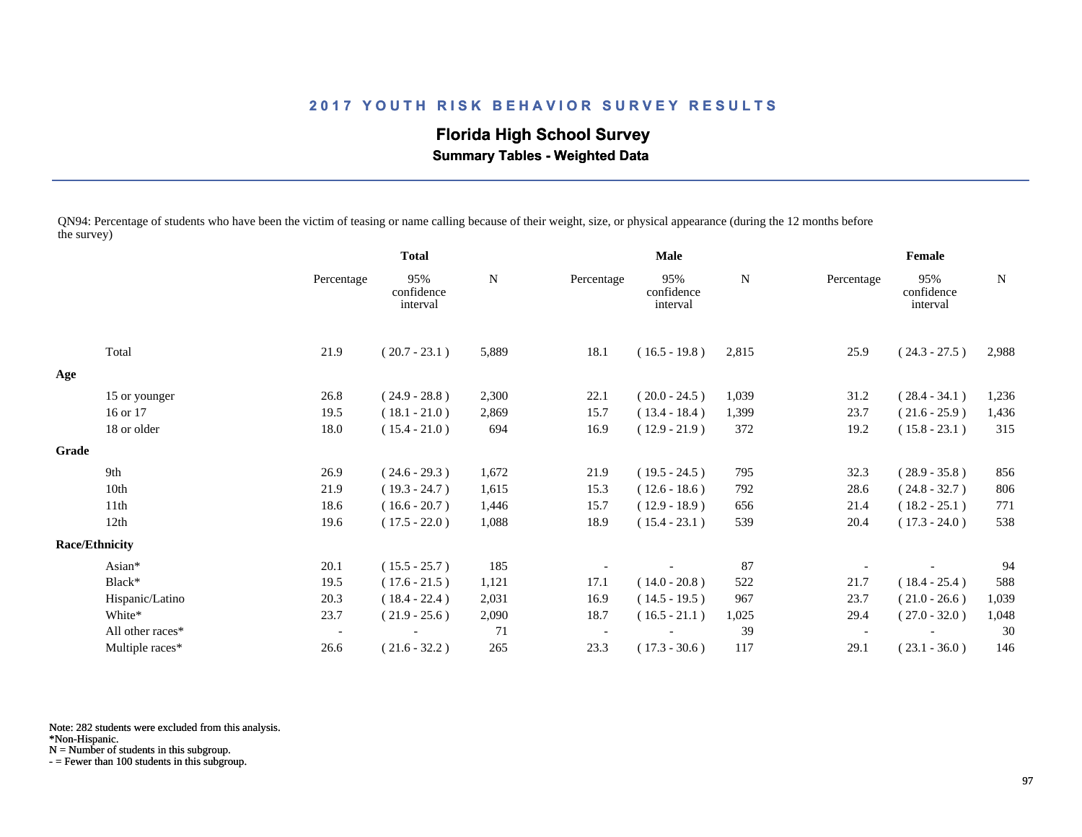# **Florida High School Survey**

 **Summary Tables - Weighted Data**

QN94: Percentage of students who have been the victim of teasing or name calling because of their weight, size, or physical appearance (during the 12 months before the survey)

|       |                       |            | <b>Total</b>                  |       | Male       |                               |       | Female     |                               |       |
|-------|-----------------------|------------|-------------------------------|-------|------------|-------------------------------|-------|------------|-------------------------------|-------|
|       |                       | Percentage | 95%<br>confidence<br>interval | N     | Percentage | 95%<br>confidence<br>interval | N     | Percentage | 95%<br>confidence<br>interval | N     |
|       | Total                 | 21.9       | $(20.7 - 23.1)$               | 5,889 | 18.1       | $(16.5 - 19.8)$               | 2,815 | 25.9       | $(24.3 - 27.5)$               | 2,988 |
| Age   |                       |            |                               |       |            |                               |       |            |                               |       |
|       | 15 or younger         | 26.8       | $(24.9 - 28.8)$               | 2,300 | 22.1       | $(20.0 - 24.5)$               | 1,039 | 31.2       | $(28.4 - 34.1)$               | 1,236 |
|       | 16 or 17              | 19.5       | $(18.1 - 21.0)$               | 2,869 | 15.7       | $(13.4 - 18.4)$               | 1,399 | 23.7       | $(21.6 - 25.9)$               | 1,436 |
|       | 18 or older           | 18.0       | $(15.4 - 21.0)$               | 694   | 16.9       | $(12.9 - 21.9)$               | 372   | 19.2       | $(15.8 - 23.1)$               | 315   |
| Grade |                       |            |                               |       |            |                               |       |            |                               |       |
|       | 9th                   | 26.9       | $(24.6 - 29.3)$               | 1,672 | 21.9       | $(19.5 - 24.5)$               | 795   | 32.3       | $(28.9 - 35.8)$               | 856   |
|       | 10th                  | 21.9       | $(19.3 - 24.7)$               | 1,615 | 15.3       | $(12.6 - 18.6)$               | 792   | 28.6       | $(24.8 - 32.7)$               | 806   |
|       | 11 <sup>th</sup>      | 18.6       | $(16.6 - 20.7)$               | 1,446 | 15.7       | $(12.9 - 18.9)$               | 656   | 21.4       | $(18.2 - 25.1)$               | 771   |
|       | 12th                  | 19.6       | $(17.5 - 22.0)$               | 1,088 | 18.9       | $(15.4 - 23.1)$               | 539   | 20.4       | $(17.3 - 24.0)$               | 538   |
|       | <b>Race/Ethnicity</b> |            |                               |       |            |                               |       |            |                               |       |
|       | Asian*                | 20.1       | $(15.5 - 25.7)$               | 185   |            |                               | 87    |            |                               | 94    |
|       | Black*                | 19.5       | $(17.6 - 21.5)$               | 1,121 | 17.1       | $(14.0 - 20.8)$               | 522   | 21.7       | $(18.4 - 25.4)$               | 588   |
|       | Hispanic/Latino       | 20.3       | $(18.4 - 22.4)$               | 2,031 | 16.9       | $(14.5 - 19.5)$               | 967   | 23.7       | $(21.0 - 26.6)$               | 1,039 |
|       | White*                | 23.7       | $(21.9 - 25.6)$               | 2,090 | 18.7       | $(16.5 - 21.1)$               | 1,025 | 29.4       | $(27.0 - 32.0)$               | 1,048 |
|       | All other races*      |            |                               | 71    |            |                               | 39    |            |                               | 30    |
|       | Multiple races*       | 26.6       | $(21.6 - 32.2)$               | 265   | 23.3       | $(17.3 - 30.6)$               | 117   | 29.1       | $(23.1 - 36.0)$               | 146   |

Note: 282 students were excluded from this analysis.

\*Non-Hispanic.

N = Number of students in this subgroup.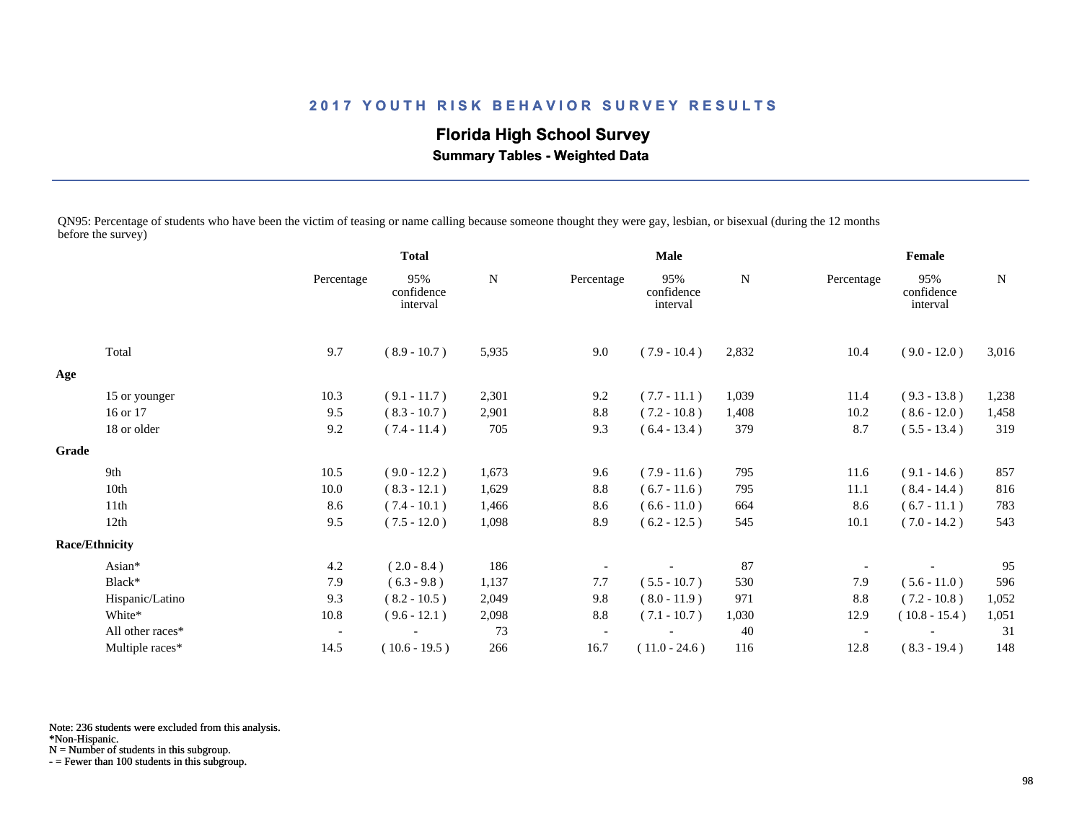# **Florida High School Survey**

 **Summary Tables - Weighted Data**

QN95: Percentage of students who have been the victim of teasing or name calling because someone thought they were gay, lesbian, or bisexual (during the 12 months before the survey)

|       |                       |                          | <b>Total</b>                  |           | <b>Male</b> |                               |       | Female                   |                               |       |
|-------|-----------------------|--------------------------|-------------------------------|-----------|-------------|-------------------------------|-------|--------------------------|-------------------------------|-------|
|       |                       | Percentage               | 95%<br>confidence<br>interval | ${\bf N}$ | Percentage  | 95%<br>confidence<br>interval | N     | Percentage               | 95%<br>confidence<br>interval | N     |
|       | Total                 | 9.7                      | $(8.9 - 10.7)$                | 5,935     | 9.0         | $(7.9 - 10.4)$                | 2,832 | 10.4                     | $(9.0 - 12.0)$                | 3,016 |
| Age   |                       |                          |                               |           |             |                               |       |                          |                               |       |
|       | 15 or younger         | 10.3                     | $(9.1 - 11.7)$                | 2,301     | 9.2         | $(7.7 - 11.1)$                | 1,039 | 11.4                     | $(9.3 - 13.8)$                | 1,238 |
|       | 16 or 17              | 9.5                      | $(8.3 - 10.7)$                | 2,901     | $8.8\,$     | $(7.2 - 10.8)$                | 1,408 | 10.2                     | $(8.6 - 12.0)$                | 1,458 |
|       | 18 or older           | 9.2                      | $(7.4 - 11.4)$                | 705       | 9.3         | $(6.4 - 13.4)$                | 379   | 8.7                      | $(5.5 - 13.4)$                | 319   |
| Grade |                       |                          |                               |           |             |                               |       |                          |                               |       |
|       | 9th                   | 10.5                     | $(9.0 - 12.2)$                | 1,673     | 9.6         | $(7.9 - 11.6)$                | 795   | 11.6                     | $(9.1 - 14.6)$                | 857   |
|       | 10th                  | 10.0                     | $(8.3 - 12.1)$                | 1,629     | $8.8\,$     | $(6.7 - 11.6)$                | 795   | 11.1                     | $(8.4 - 14.4)$                | 816   |
|       | 11 <sup>th</sup>      | 8.6                      | $(7.4 - 10.1)$                | 1,466     | 8.6         | $(6.6 - 11.0)$                | 664   | 8.6                      | $(6.7 - 11.1)$                | 783   |
|       | 12th                  | 9.5                      | $(7.5 - 12.0)$                | 1,098     | 8.9         | $(6.2 - 12.5)$                | 545   | 10.1                     | $(7.0 - 14.2)$                | 543   |
|       | <b>Race/Ethnicity</b> |                          |                               |           |             |                               |       |                          |                               |       |
|       | Asian*                | 4.2                      | $(2.0 - 8.4)$                 | 186       |             |                               | 87    |                          |                               | 95    |
|       | Black*                | 7.9                      | $(6.3 - 9.8)$                 | 1,137     | 7.7         | $(5.5 - 10.7)$                | 530   | 7.9                      | $(5.6 - 11.0)$                | 596   |
|       | Hispanic/Latino       | 9.3                      | $(8.2 - 10.5)$                | 2,049     | 9.8         | $(8.0 - 11.9)$                | 971   | 8.8                      | $(7.2 - 10.8)$                | 1,052 |
|       | White*                | 10.8                     | $(9.6 - 12.1)$                | 2,098     | 8.8         | $(7.1 - 10.7)$                | 1,030 | 12.9                     | $(10.8 - 15.4)$               | 1,051 |
|       | All other races*      | $\overline{\phantom{a}}$ |                               | 73        |             |                               | 40    | $\overline{\phantom{a}}$ |                               | 31    |
|       | Multiple races*       | 14.5                     | $(10.6 - 19.5)$               | 266       | 16.7        | $(11.0 - 24.6)$               | 116   | 12.8                     | $(8.3 - 19.4)$                | 148   |

Note: 236 students were excluded from this analysis.

N = Number of students in this subgroup.

<sup>\*</sup>Non-Hispanic.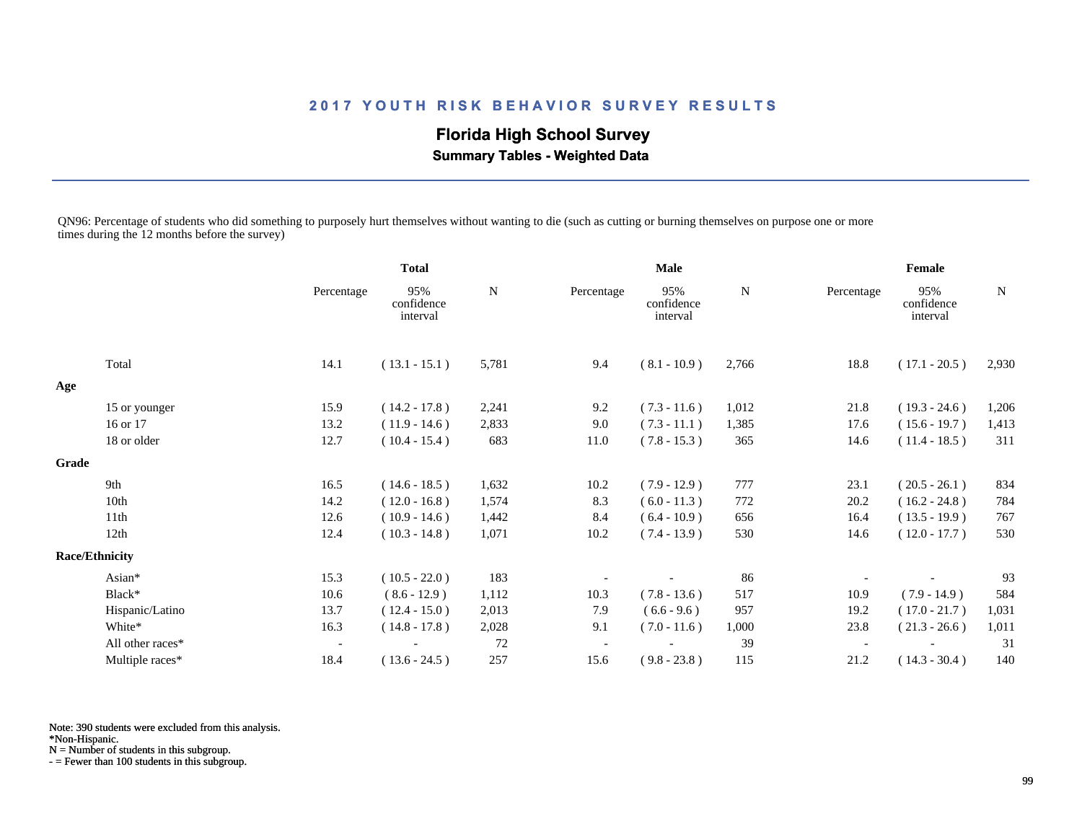## **Florida High School Survey**

 **Summary Tables - Weighted Data**

QN96: Percentage of students who did something to purposely hurt themselves without wanting to die (such as cutting or burning themselves on purpose one or more times during the 12 months before the survey)

|       |                       |                          | <b>Total</b>                  |       | <b>Male</b> |                               |       | Female                   |                               |       |
|-------|-----------------------|--------------------------|-------------------------------|-------|-------------|-------------------------------|-------|--------------------------|-------------------------------|-------|
|       |                       | Percentage               | 95%<br>confidence<br>interval | N     | Percentage  | 95%<br>confidence<br>interval | N     | Percentage               | 95%<br>confidence<br>interval | N     |
|       | Total                 | 14.1                     | $(13.1 - 15.1)$               | 5,781 | 9.4         | $(8.1 - 10.9)$                | 2,766 | 18.8                     | $(17.1 - 20.5)$               | 2,930 |
| Age   |                       |                          |                               |       |             |                               |       |                          |                               |       |
|       | 15 or younger         | 15.9                     | $(14.2 - 17.8)$               | 2,241 | 9.2         | $(7.3 - 11.6)$                | 1,012 | 21.8                     | $(19.3 - 24.6)$               | 1,206 |
|       | 16 or 17              | 13.2                     | $(11.9 - 14.6)$               | 2,833 | 9.0         | $(7.3 - 11.1)$                | 1,385 | 17.6                     | $(15.6 - 19.7)$               | 1,413 |
|       | 18 or older           | 12.7                     | $(10.4 - 15.4)$               | 683   | 11.0        | $(7.8 - 15.3)$                | 365   | 14.6                     | $(11.4 - 18.5)$               | 311   |
| Grade |                       |                          |                               |       |             |                               |       |                          |                               |       |
|       | 9th                   | 16.5                     | $(14.6 - 18.5)$               | 1,632 | 10.2        | $(7.9 - 12.9)$                | 777   | 23.1                     | $(20.5 - 26.1)$               | 834   |
|       | 10th                  | 14.2                     | $(12.0 - 16.8)$               | 1,574 | 8.3         | $(6.0 - 11.3)$                | 772   | 20.2                     | $(16.2 - 24.8)$               | 784   |
|       | 11th                  | 12.6                     | $(10.9 - 14.6)$               | 1,442 | 8.4         | $(6.4 - 10.9)$                | 656   | 16.4                     | $(13.5 - 19.9)$               | 767   |
|       | 12th                  | 12.4                     | $(10.3 - 14.8)$               | 1,071 | 10.2        | $(7.4 - 13.9)$                | 530   | 14.6                     | $(12.0 - 17.7)$               | 530   |
|       | <b>Race/Ethnicity</b> |                          |                               |       |             |                               |       |                          |                               |       |
|       | Asian*                | 15.3                     | $(10.5 - 22.0)$               | 183   |             |                               | 86    |                          |                               | 93    |
|       | Black*                | 10.6                     | $(8.6 - 12.9)$                | 1,112 | 10.3        | $(7.8 - 13.6)$                | 517   | 10.9                     | $(7.9 - 14.9)$                | 584   |
|       | Hispanic/Latino       | 13.7                     | $(12.4 - 15.0)$               | 2,013 | 7.9         | $(6.6 - 9.6)$                 | 957   | 19.2                     | $(17.0 - 21.7)$               | 1,031 |
|       | White*                | 16.3                     | $(14.8 - 17.8)$               | 2,028 | 9.1         | $(7.0 - 11.6)$                | 1,000 | 23.8                     | $(21.3 - 26.6)$               | 1,011 |
|       | All other races*      | $\overline{\phantom{a}}$ |                               | 72    |             |                               | 39    | $\overline{\phantom{a}}$ |                               | 31    |
|       | Multiple races*       | 18.4                     | $(13.6 - 24.5)$               | 257   | 15.6        | $(9.8 - 23.8)$                | 115   | 21.2                     | $(14.3 - 30.4)$               | 140   |

Note: 390 students were excluded from this analysis.

\*Non-Hispanic.

N = Number of students in this subgroup.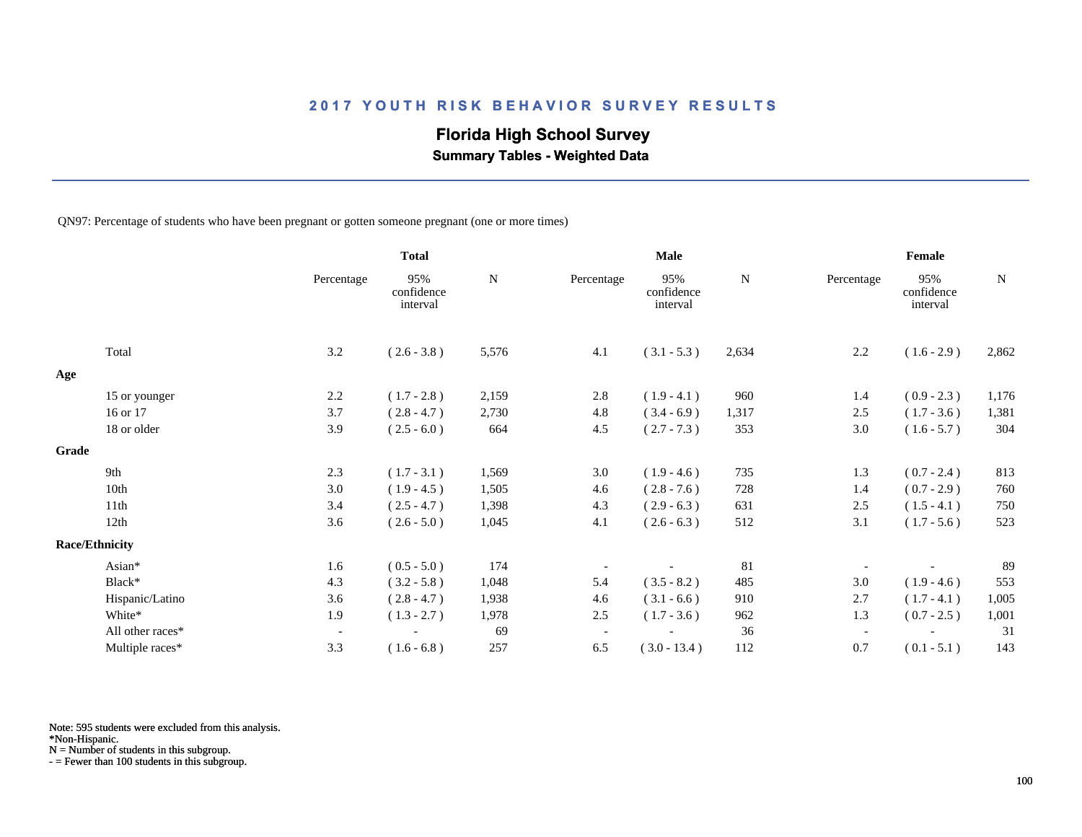## **Florida High School Survey**

 **Summary Tables - Weighted Data**

QN97: Percentage of students who have been pregnant or gotten someone pregnant (one or more times)

|       |                       |                          | <b>Total</b>                  |       |                          | <b>Male</b>                   |       |                          | Female                        |             |
|-------|-----------------------|--------------------------|-------------------------------|-------|--------------------------|-------------------------------|-------|--------------------------|-------------------------------|-------------|
|       |                       | Percentage               | 95%<br>confidence<br>interval | N     | Percentage               | 95%<br>confidence<br>interval | N     | Percentage               | 95%<br>confidence<br>interval | $\mathbf N$ |
|       | Total                 | 3.2                      | $(2.6 - 3.8)$                 | 5,576 | 4.1                      | $(3.1 - 5.3)$                 | 2,634 | 2.2                      | $(1.6 - 2.9)$                 | 2,862       |
| Age   |                       |                          |                               |       |                          |                               |       |                          |                               |             |
|       | 15 or younger         | 2.2                      | $(1.7 - 2.8)$                 | 2,159 | 2.8                      | $(1.9 - 4.1)$                 | 960   | 1.4                      | $(0.9 - 2.3)$                 | 1,176       |
|       | 16 or 17              | 3.7                      | $(2.8 - 4.7)$                 | 2,730 | 4.8                      | $(3.4 - 6.9)$                 | 1,317 | 2.5                      | $(1.7 - 3.6)$                 | 1,381       |
|       | 18 or older           | 3.9                      | $(2.5 - 6.0)$                 | 664   | 4.5                      | $(2.7 - 7.3)$                 | 353   | 3.0                      | $(1.6 - 5.7)$                 | 304         |
| Grade |                       |                          |                               |       |                          |                               |       |                          |                               |             |
|       | 9th                   | 2.3                      | $(1.7 - 3.1)$                 | 1,569 | 3.0                      | $(1.9 - 4.6)$                 | 735   | 1.3                      | $(0.7 - 2.4)$                 | 813         |
|       | 10th                  | 3.0                      | $(1.9 - 4.5)$                 | 1,505 | 4.6                      | $(2.8 - 7.6)$                 | 728   | 1.4                      | $(0.7 - 2.9)$                 | 760         |
|       | 11th                  | 3.4                      | $(2.5 - 4.7)$                 | 1,398 | 4.3                      | $(2.9 - 6.3)$                 | 631   | 2.5                      | $(1.5 - 4.1)$                 | 750         |
|       | 12th                  | 3.6                      | $(2.6 - 5.0)$                 | 1,045 | 4.1                      | $(2.6 - 6.3)$                 | 512   | 3.1                      | $(1.7 - 5.6)$                 | 523         |
|       | <b>Race/Ethnicity</b> |                          |                               |       |                          |                               |       |                          |                               |             |
|       | Asian*                | 1.6                      | $(0.5 - 5.0)$                 | 174   |                          |                               | 81    |                          |                               | 89          |
|       | Black*                | 4.3                      | $(3.2 - 5.8)$                 | 1,048 | 5.4                      | $(3.5 - 8.2)$                 | 485   | 3.0                      | $(1.9 - 4.6)$                 | 553         |
|       | Hispanic/Latino       | 3.6                      | $(2.8 - 4.7)$                 | 1,938 | 4.6                      | $(3.1 - 6.6)$                 | 910   | 2.7                      | $(1.7 - 4.1)$                 | 1,005       |
|       | White*                | 1.9                      | $(1.3 - 2.7)$                 | 1,978 | 2.5                      | $(1.7 - 3.6)$                 | 962   | 1.3                      | $(0.7 - 2.5)$                 | 1,001       |
|       | All other races*      | $\overline{\phantom{a}}$ |                               | 69    | $\overline{\phantom{a}}$ |                               | 36    | $\overline{\phantom{a}}$ |                               | 31          |
|       | Multiple races*       | 3.3                      | $(1.6 - 6.8)$                 | 257   | 6.5                      | $(3.0 - 13.4)$                | 112   | 0.7                      | $(0.1 - 5.1)$                 | 143         |

Note: 595 students were excluded from this analysis.

N = Number of students in this subgroup.

<sup>\*</sup>Non-Hispanic.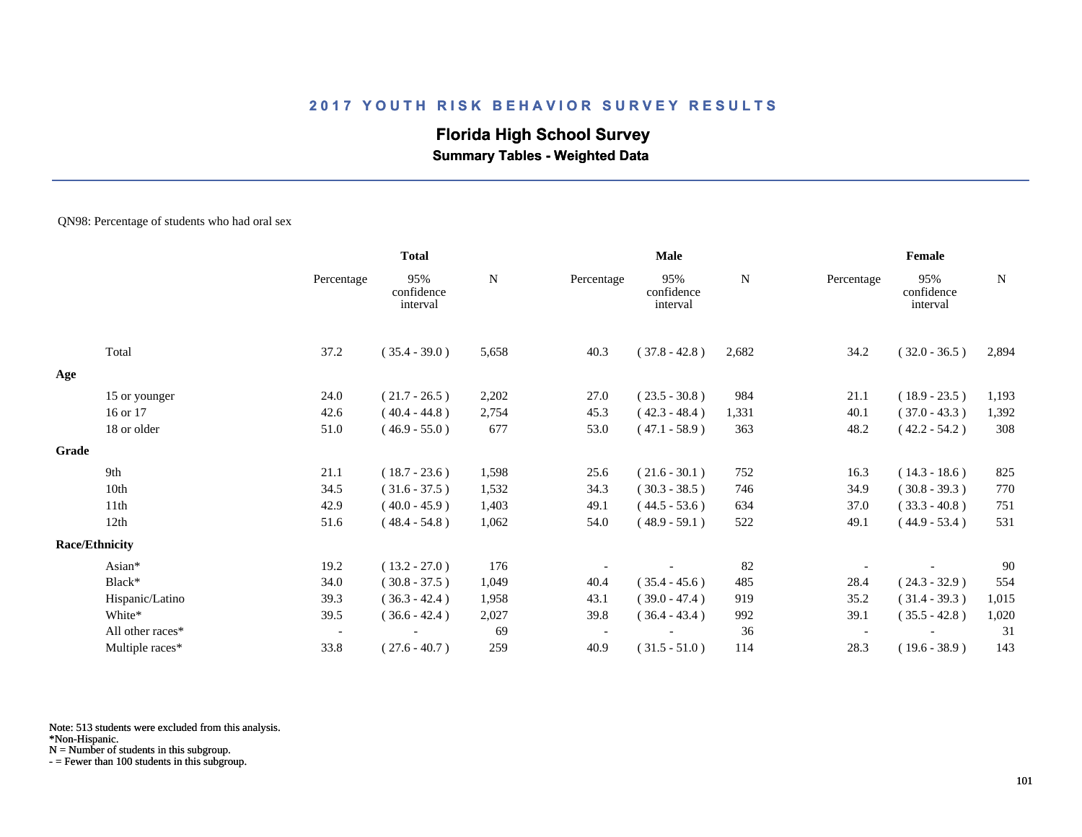# **Florida High School Survey**

 **Summary Tables - Weighted Data**

#### QN98: Percentage of students who had oral sex

|       |                       |                          | <b>Total</b>                  |           |            | Male                          |       |            | Female                        |             |
|-------|-----------------------|--------------------------|-------------------------------|-----------|------------|-------------------------------|-------|------------|-------------------------------|-------------|
|       |                       | Percentage               | 95%<br>confidence<br>interval | ${\bf N}$ | Percentage | 95%<br>confidence<br>interval | N     | Percentage | 95%<br>confidence<br>interval | $\mathbf N$ |
|       | Total                 | 37.2                     | $(35.4 - 39.0)$               | 5,658     | 40.3       | $(37.8 - 42.8)$               | 2,682 | 34.2       | $(32.0 - 36.5)$               | 2,894       |
| Age   |                       |                          |                               |           |            |                               |       |            |                               |             |
|       | 15 or younger         | 24.0                     | $(21.7 - 26.5)$               | 2,202     | 27.0       | $(23.5 - 30.8)$               | 984   | 21.1       | $(18.9 - 23.5)$               | 1,193       |
|       | 16 or 17              | 42.6                     | $(40.4 - 44.8)$               | 2,754     | 45.3       | $(42.3 - 48.4)$               | 1,331 | 40.1       | $(37.0 - 43.3)$               | 1,392       |
|       | 18 or older           | 51.0                     | $(46.9 - 55.0)$               | 677       | 53.0       | $(47.1 - 58.9)$               | 363   | 48.2       | $(42.2 - 54.2)$               | 308         |
| Grade |                       |                          |                               |           |            |                               |       |            |                               |             |
|       | 9th                   | 21.1                     | $(18.7 - 23.6)$               | 1,598     | 25.6       | $(21.6 - 30.1)$               | 752   | 16.3       | $(14.3 - 18.6)$               | 825         |
|       | 10th                  | 34.5                     | $(31.6 - 37.5)$               | 1,532     | 34.3       | $(30.3 - 38.5)$               | 746   | 34.9       | $(30.8 - 39.3)$               | 770         |
|       | 11th                  | 42.9                     | $(40.0 - 45.9)$               | 1,403     | 49.1       | $(44.5 - 53.6)$               | 634   | 37.0       | $(33.3 - 40.8)$               | 751         |
|       | 12th                  | 51.6                     | $(48.4 - 54.8)$               | 1,062     | 54.0       | $(48.9 - 59.1)$               | 522   | 49.1       | $(44.9 - 53.4)$               | 531         |
|       | <b>Race/Ethnicity</b> |                          |                               |           |            |                               |       |            |                               |             |
|       | Asian*                | 19.2                     | $(13.2 - 27.0)$               | 176       |            |                               | 82    |            |                               | 90          |
|       | Black*                | 34.0                     | $(30.8 - 37.5)$               | 1,049     | 40.4       | $(35.4 - 45.6)$               | 485   | 28.4       | $(24.3 - 32.9)$               | 554         |
|       | Hispanic/Latino       | 39.3                     | $(36.3 - 42.4)$               | 1,958     | 43.1       | $(39.0 - 47.4)$               | 919   | 35.2       | $(31.4 - 39.3)$               | 1,015       |
|       | White*                | 39.5                     | $(36.6 - 42.4)$               | 2,027     | 39.8       | $(36.4 - 43.4)$               | 992   | 39.1       | $(35.5 - 42.8)$               | 1,020       |
|       | All other races*      | $\overline{\phantom{a}}$ |                               | 69        |            |                               | 36    |            |                               | 31          |
|       | Multiple races*       | 33.8                     | $(27.6 - 40.7)$               | 259       | 40.9       | $(31.5 - 51.0)$               | 114   | 28.3       | $(19.6 - 38.9)$               | 143         |

Note: 513 students were excluded from this analysis.

\*Non-Hispanic.

N = Number of students in this subgroup.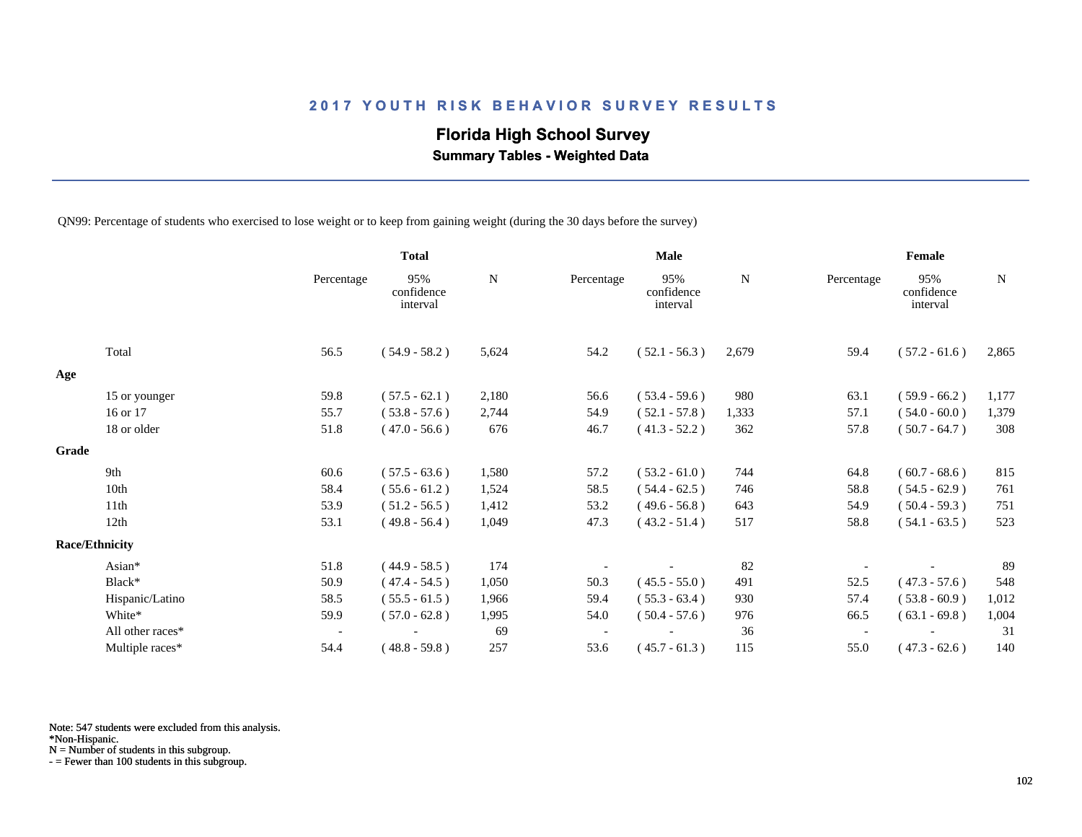# **Florida High School Survey**

 **Summary Tables - Weighted Data**

QN99: Percentage of students who exercised to lose weight or to keep from gaining weight (during the 30 days before the survey)

|       |                       |                          | <b>Total</b>                  |           |            | <b>Male</b>                   |       |                          | Female                        |       |
|-------|-----------------------|--------------------------|-------------------------------|-----------|------------|-------------------------------|-------|--------------------------|-------------------------------|-------|
|       |                       | Percentage               | 95%<br>confidence<br>interval | ${\bf N}$ | Percentage | 95%<br>confidence<br>interval | N     | Percentage               | 95%<br>confidence<br>interval | N     |
|       | Total                 | 56.5                     | $(54.9 - 58.2)$               | 5,624     | 54.2       | $(52.1 - 56.3)$               | 2,679 | 59.4                     | $(57.2 - 61.6)$               | 2,865 |
| Age   |                       |                          |                               |           |            |                               |       |                          |                               |       |
|       | 15 or younger         | 59.8                     | $(57.5 - 62.1)$               | 2,180     | 56.6       | $(53.4 - 59.6)$               | 980   | 63.1                     | $(59.9 - 66.2)$               | 1,177 |
|       | 16 or 17              | 55.7                     | $(53.8 - 57.6)$               | 2,744     | 54.9       | $(52.1 - 57.8)$               | 1,333 | 57.1                     | $(54.0 - 60.0)$               | 1,379 |
|       | 18 or older           | 51.8                     | $(47.0 - 56.6)$               | 676       | 46.7       | $(41.3 - 52.2)$               | 362   | 57.8                     | $(50.7 - 64.7)$               | 308   |
| Grade |                       |                          |                               |           |            |                               |       |                          |                               |       |
|       | 9th                   | 60.6                     | $(57.5 - 63.6)$               | 1,580     | 57.2       | $(53.2 - 61.0)$               | 744   | 64.8                     | $(60.7 - 68.6)$               | 815   |
|       | 10th                  | 58.4                     | $(55.6 - 61.2)$               | 1,524     | 58.5       | $(54.4 - 62.5)$               | 746   | 58.8                     | $(54.5 - 62.9)$               | 761   |
|       | 11th                  | 53.9                     | $(51.2 - 56.5)$               | 1,412     | 53.2       | $(49.6 - 56.8)$               | 643   | 54.9                     | $(50.4 - 59.3)$               | 751   |
|       | 12th                  | 53.1                     | $(49.8 - 56.4)$               | 1,049     | 47.3       | $(43.2 - 51.4)$               | 517   | 58.8                     | $(54.1 - 63.5)$               | 523   |
|       | <b>Race/Ethnicity</b> |                          |                               |           |            |                               |       |                          |                               |       |
|       | Asian*                | 51.8                     | $(44.9 - 58.5)$               | 174       |            |                               | 82    |                          |                               | 89    |
|       | Black*                | 50.9                     | $(47.4 - 54.5)$               | 1,050     | 50.3       | $(45.5 - 55.0)$               | 491   | 52.5                     | $(47.3 - 57.6)$               | 548   |
|       | Hispanic/Latino       | 58.5                     | $(55.5 - 61.5)$               | 1,966     | 59.4       | $(55.3 - 63.4)$               | 930   | 57.4                     | $(53.8 - 60.9)$               | 1,012 |
|       | White*                | 59.9                     | $(57.0 - 62.8)$               | 1,995     | 54.0       | $(50.4 - 57.6)$               | 976   | 66.5                     | $(63.1 - 69.8)$               | 1,004 |
|       | All other races*      | $\overline{\phantom{a}}$ |                               | 69        |            |                               | 36    | $\overline{\phantom{a}}$ |                               | 31    |
|       | Multiple races*       | 54.4                     | $(48.8 - 59.8)$               | 257       | 53.6       | $(45.7 - 61.3)$               | 115   | 55.0                     | $(47.3 - 62.6)$               | 140   |

Note: 547 students were excluded from this analysis.

N = Number of students in this subgroup.

<sup>\*</sup>Non-Hispanic.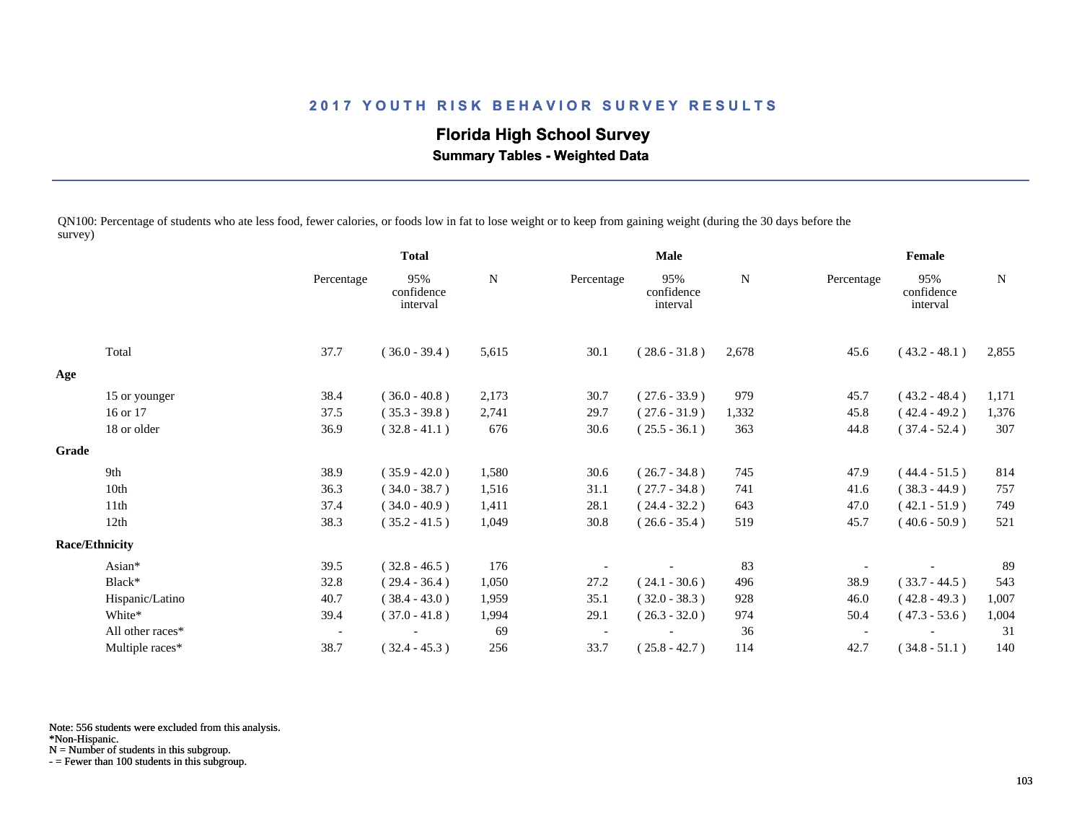# **Florida High School Survey**

 **Summary Tables - Weighted Data**

QN100: Percentage of students who ate less food, fewer calories, or foods low in fat to lose weight or to keep from gaining weight (during the 30 days before the survey)

|       |                       |            | <b>Total</b>                  |       | Male       |                               |       | Female     |                               |       |
|-------|-----------------------|------------|-------------------------------|-------|------------|-------------------------------|-------|------------|-------------------------------|-------|
|       |                       | Percentage | 95%<br>confidence<br>interval | N     | Percentage | 95%<br>confidence<br>interval | N     | Percentage | 95%<br>confidence<br>interval | N     |
|       | Total                 | 37.7       | $(36.0 - 39.4)$               | 5,615 | 30.1       | $(28.6 - 31.8)$               | 2,678 | 45.6       | $(43.2 - 48.1)$               | 2,855 |
| Age   |                       |            |                               |       |            |                               |       |            |                               |       |
|       | 15 or younger         | 38.4       | $(36.0 - 40.8)$               | 2,173 | 30.7       | $(27.6 - 33.9)$               | 979   | 45.7       | $(43.2 - 48.4)$               | 1,171 |
|       | 16 or 17              | 37.5       | $(35.3 - 39.8)$               | 2,741 | 29.7       | $(27.6 - 31.9)$               | 1,332 | 45.8       | $(42.4 - 49.2)$               | 1,376 |
|       | 18 or older           | 36.9       | $(32.8 - 41.1)$               | 676   | 30.6       | $(25.5 - 36.1)$               | 363   | 44.8       | $(37.4 - 52.4)$               | 307   |
| Grade |                       |            |                               |       |            |                               |       |            |                               |       |
|       | 9th                   | 38.9       | $(35.9 - 42.0)$               | 1,580 | 30.6       | $(26.7 - 34.8)$               | 745   | 47.9       | $(44.4 - 51.5)$               | 814   |
|       | 10th                  | 36.3       | $(34.0 - 38.7)$               | 1,516 | 31.1       | $(27.7 - 34.8)$               | 741   | 41.6       | $(38.3 - 44.9)$               | 757   |
|       | 11 <sup>th</sup>      | 37.4       | $(34.0 - 40.9)$               | 1,411 | 28.1       | $(24.4 - 32.2)$               | 643   | 47.0       | $(42.1 - 51.9)$               | 749   |
|       | 12th                  | 38.3       | $(35.2 - 41.5)$               | 1,049 | 30.8       | $(26.6 - 35.4)$               | 519   | 45.7       | $(40.6 - 50.9)$               | 521   |
|       | <b>Race/Ethnicity</b> |            |                               |       |            |                               |       |            |                               |       |
|       | Asian*                | 39.5       | $(32.8 - 46.5)$               | 176   |            |                               | 83    |            |                               | 89    |
|       | Black*                | 32.8       | $(29.4 - 36.4)$               | 1,050 | 27.2       | $(24.1 - 30.6)$               | 496   | 38.9       | $(33.7 - 44.5)$               | 543   |
|       | Hispanic/Latino       | 40.7       | $(38.4 - 43.0)$               | 1,959 | 35.1       | $(32.0 - 38.3)$               | 928   | 46.0       | $(42.8 - 49.3)$               | 1,007 |
|       | White*                | 39.4       | $(37.0 - 41.8)$               | 1,994 | 29.1       | $(26.3 - 32.0)$               | 974   | 50.4       | $(47.3 - 53.6)$               | 1,004 |
|       | All other races*      |            |                               | 69    |            |                               | 36    |            |                               | 31    |
|       | Multiple races*       | 38.7       | $(32.4 - 45.3)$               | 256   | 33.7       | $(25.8 - 42.7)$               | 114   | 42.7       | $(34.8 - 51.1)$               | 140   |

Note: 556 students were excluded from this analysis.

N = Number of students in this subgroup.

<sup>\*</sup>Non-Hispanic.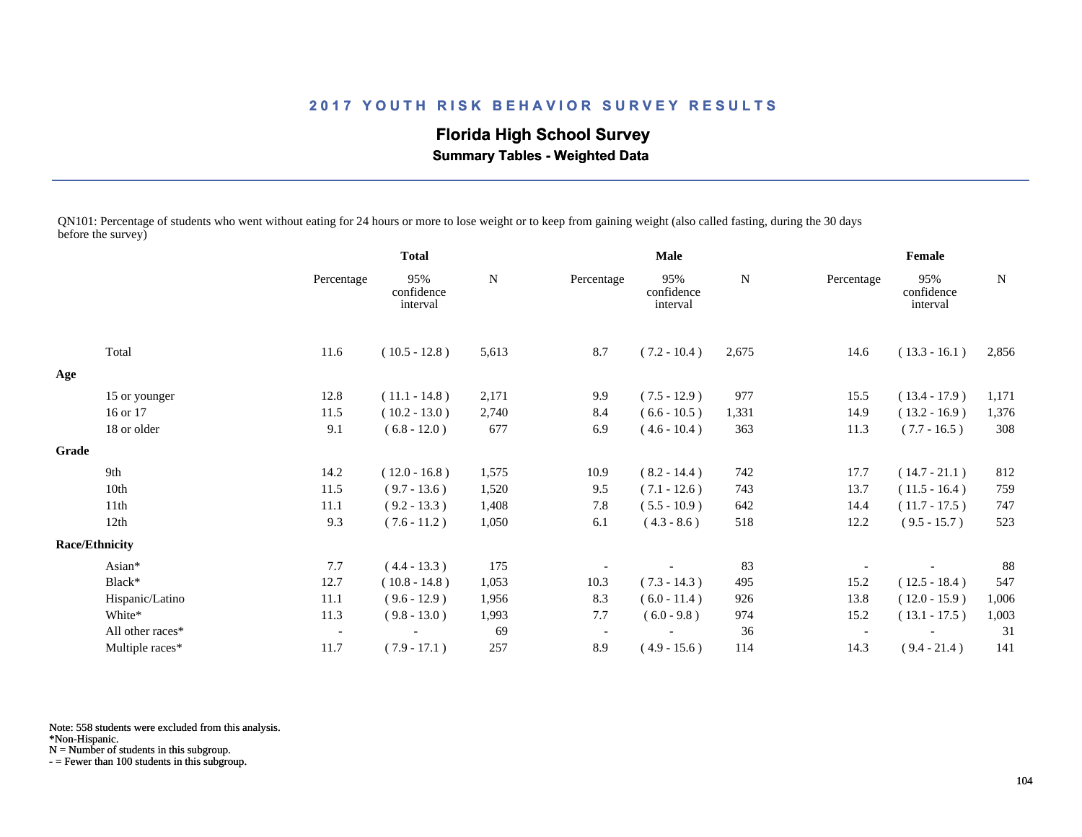**Florida High School Survey**

 **Summary Tables - Weighted Data**

QN101: Percentage of students who went without eating for 24 hours or more to lose weight or to keep from gaining weight (also called fasting, during the 30 days before the survey)

|       |                       |                          | <b>Total</b>                  |             | <b>Male</b> |                               |       | Female     |                               |       |
|-------|-----------------------|--------------------------|-------------------------------|-------------|-------------|-------------------------------|-------|------------|-------------------------------|-------|
|       |                       | Percentage               | 95%<br>confidence<br>interval | $\mathbf N$ | Percentage  | 95%<br>confidence<br>interval | N     | Percentage | 95%<br>confidence<br>interval | N     |
|       | Total                 | 11.6                     | $(10.5 - 12.8)$               | 5,613       | 8.7         | $(7.2 - 10.4)$                | 2,675 | 14.6       | $(13.3 - 16.1)$               | 2,856 |
| Age   |                       |                          |                               |             |             |                               |       |            |                               |       |
|       | 15 or younger         | 12.8                     | $(11.1 - 14.8)$               | 2,171       | 9.9         | $(7.5 - 12.9)$                | 977   | 15.5       | $(13.4 - 17.9)$               | 1,171 |
|       | 16 or 17              | 11.5                     | $(10.2 - 13.0)$               | 2,740       | 8.4         | $(6.6 - 10.5)$                | 1,331 | 14.9       | $(13.2 - 16.9)$               | 1,376 |
|       | 18 or older           | 9.1                      | $(6.8 - 12.0)$                | 677         | 6.9         | $(4.6 - 10.4)$                | 363   | 11.3       | $(7.7 - 16.5)$                | 308   |
| Grade |                       |                          |                               |             |             |                               |       |            |                               |       |
|       | 9th                   | 14.2                     | $(12.0 - 16.8)$               | 1,575       | 10.9        | $(8.2 - 14.4)$                | 742   | 17.7       | $(14.7 - 21.1)$               | 812   |
|       | 10th                  | 11.5                     | $(9.7 - 13.6)$                | 1,520       | 9.5         | $(7.1 - 12.6)$                | 743   | 13.7       | $(11.5 - 16.4)$               | 759   |
|       | 11th                  | 11.1                     | $(9.2 - 13.3)$                | 1,408       | 7.8         | $(5.5 - 10.9)$                | 642   | 14.4       | $(11.7 - 17.5)$               | 747   |
|       | 12th                  | 9.3                      | $(7.6 - 11.2)$                | 1,050       | 6.1         | $(4.3 - 8.6)$                 | 518   | 12.2       | $(9.5 - 15.7)$                | 523   |
|       | <b>Race/Ethnicity</b> |                          |                               |             |             |                               |       |            |                               |       |
|       | Asian*                | 7.7                      | $(4.4 - 13.3)$                | 175         |             |                               | 83    |            |                               | 88    |
|       | Black*                | 12.7                     | $(10.8 - 14.8)$               | 1,053       | 10.3        | $(7.3 - 14.3)$                | 495   | 15.2       | $(12.5 - 18.4)$               | 547   |
|       | Hispanic/Latino       | 11.1                     | $(9.6 - 12.9)$                | 1,956       | 8.3         | $(6.0 - 11.4)$                | 926   | 13.8       | $(12.0 - 15.9)$               | 1,006 |
|       | White*                | 11.3                     | $(9.8 - 13.0)$                | 1,993       | 7.7         | $(6.0 - 9.8)$                 | 974   | 15.2       | $(13.1 - 17.5)$               | 1,003 |
|       | All other races*      | $\overline{\phantom{a}}$ |                               | 69          |             |                               | 36    |            |                               | 31    |
|       | Multiple races*       | 11.7                     | $(7.9 - 17.1)$                | 257         | 8.9         | $(4.9 - 15.6)$                | 114   | 14.3       | $(9.4 - 21.4)$                | 141   |

Note: 558 students were excluded from this analysis.

\*Non-Hispanic.

N = Number of students in this subgroup.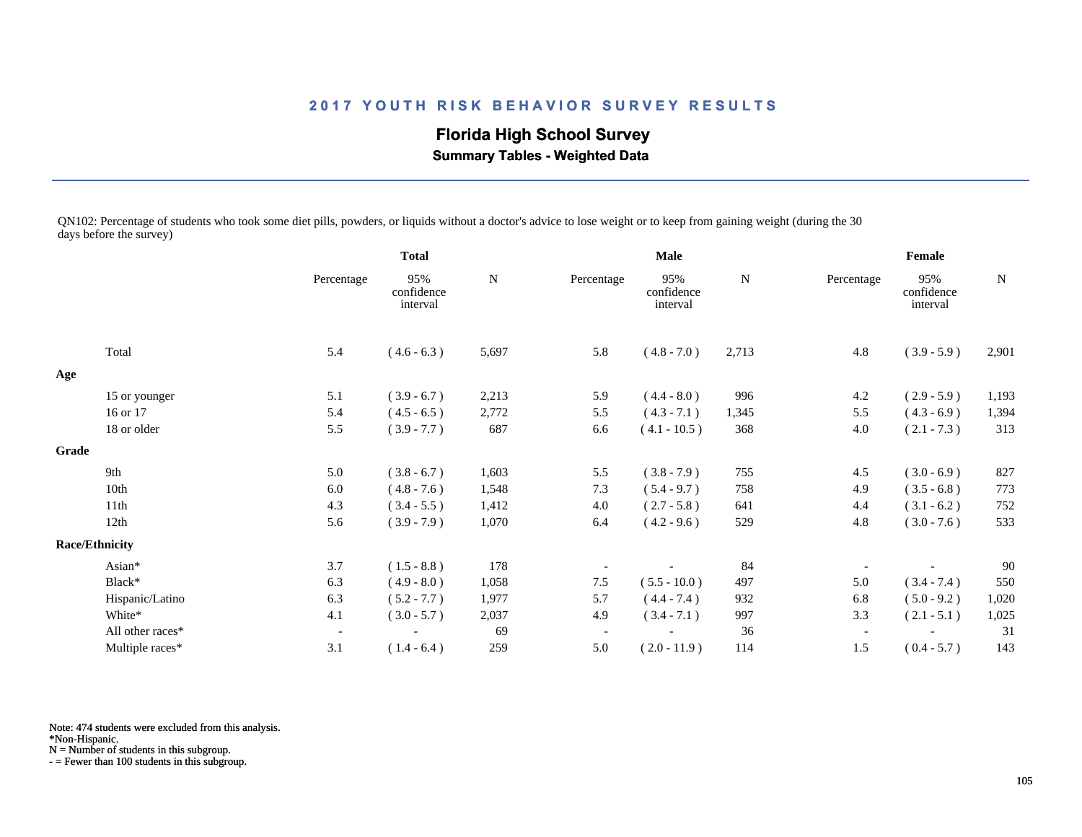**Florida High School Survey Summary Tables - Weighted Data**

QN102: Percentage of students who took some diet pills, powders, or liquids without a doctor's advice to lose weight or to keep from gaining weight (during the 30 days before the survey)

|                       |                  | <b>Total</b>             |                               | <b>Male</b> |                          |                               | Female    |                          |                               |           |
|-----------------------|------------------|--------------------------|-------------------------------|-------------|--------------------------|-------------------------------|-----------|--------------------------|-------------------------------|-----------|
|                       |                  | Percentage               | 95%<br>confidence<br>interval | ${\bf N}$   | Percentage               | 95%<br>confidence<br>interval | ${\bf N}$ | Percentage               | 95%<br>confidence<br>interval | ${\bf N}$ |
|                       | Total            | 5.4                      | $(4.6 - 6.3)$                 | 5,697       | 5.8                      | $(4.8 - 7.0)$                 | 2,713     | 4.8                      | $(3.9 - 5.9)$                 | 2,901     |
| Age                   |                  |                          |                               |             |                          |                               |           |                          |                               |           |
|                       | 15 or younger    | 5.1                      | $(3.9 - 6.7)$                 | 2,213       | 5.9                      | $(4.4 - 8.0)$                 | 996       | 4.2                      | $(2.9 - 5.9)$                 | 1,193     |
|                       | 16 or 17         | 5.4                      | $(4.5 - 6.5)$                 | 2,772       | 5.5                      | $(4.3 - 7.1)$                 | 1,345     | 5.5                      | $(4.3 - 6.9)$                 | 1,394     |
|                       | 18 or older      | 5.5                      | $(3.9 - 7.7)$                 | 687         | 6.6                      | $(4.1 - 10.5)$                | 368       | 4.0                      | $(2.1 - 7.3)$                 | 313       |
| Grade                 |                  |                          |                               |             |                          |                               |           |                          |                               |           |
|                       | 9th              | 5.0                      | $(3.8 - 6.7)$                 | 1,603       | 5.5                      | $(3.8 - 7.9)$                 | 755       | 4.5                      | $(3.0 - 6.9)$                 | 827       |
|                       | 10th             | 6.0                      | $(4.8 - 7.6)$                 | 1,548       | 7.3                      | $(5.4 - 9.7)$                 | 758       | 4.9                      | $(3.5 - 6.8)$                 | 773       |
|                       | 11th             | 4.3                      | $(3.4 - 5.5)$                 | 1,412       | 4.0                      | $(2.7 - 5.8)$                 | 641       | 4.4                      | $(3.1 - 6.2)$                 | 752       |
|                       | 12th             | 5.6                      | $(3.9 - 7.9)$                 | 1,070       | 6.4                      | $(4.2 - 9.6)$                 | 529       | 4.8                      | $(3.0 - 7.6)$                 | 533       |
| <b>Race/Ethnicity</b> |                  |                          |                               |             |                          |                               |           |                          |                               |           |
|                       | Asian*           | 3.7                      | $(1.5 - 8.8)$                 | 178         |                          |                               | 84        |                          |                               | 90        |
|                       | Black*           | 6.3                      | $(4.9 - 8.0)$                 | 1,058       | 7.5                      | $(5.5 - 10.0)$                | 497       | 5.0                      | $(3.4 - 7.4)$                 | 550       |
|                       | Hispanic/Latino  | 6.3                      | $(5.2 - 7.7)$                 | 1,977       | 5.7                      | $(4.4 - 7.4)$                 | 932       | 6.8                      | $(5.0 - 9.2)$                 | 1,020     |
|                       | White*           | 4.1                      | $(3.0 - 5.7)$                 | 2,037       | 4.9                      | $(3.4 - 7.1)$                 | 997       | 3.3                      | $(2.1 - 5.1)$                 | 1,025     |
|                       | All other races* | $\overline{\phantom{a}}$ |                               | 69          | $\overline{\phantom{a}}$ |                               | 36        | $\overline{\phantom{a}}$ |                               | 31        |
|                       | Multiple races*  | 3.1                      | $(1.4 - 6.4)$                 | 259         | 5.0                      | $(2.0 - 11.9)$                | 114       | 1.5                      | $(0.4 - 5.7)$                 | 143       |

Note: 474 students were excluded from this analysis.

\*Non-Hispanic.

N = Number of students in this subgroup.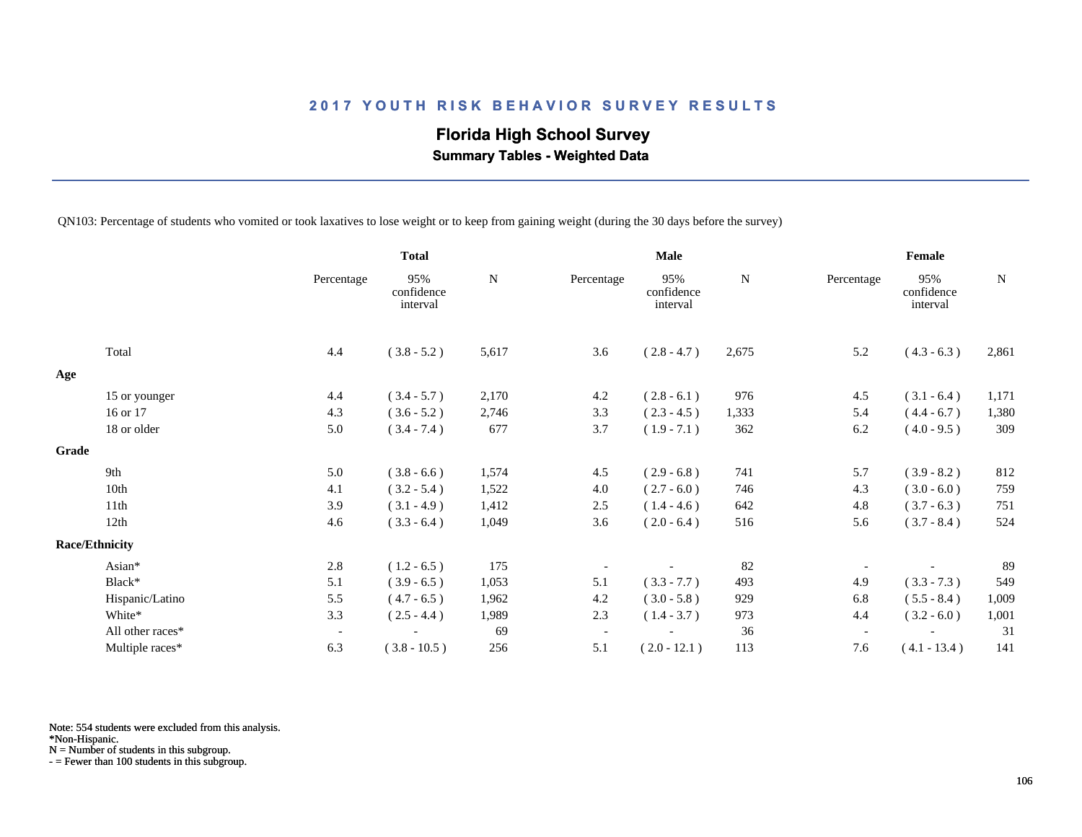# **Florida High School Survey**

 **Summary Tables - Weighted Data**

QN103: Percentage of students who vomited or took laxatives to lose weight or to keep from gaining weight (during the 30 days before the survey)

|       |                       |                          | <b>Total</b>                  |             |                          | <b>Male</b>                   |       |                          | Female                        |       |
|-------|-----------------------|--------------------------|-------------------------------|-------------|--------------------------|-------------------------------|-------|--------------------------|-------------------------------|-------|
|       |                       | Percentage               | 95%<br>confidence<br>interval | $\mathbf N$ | Percentage               | 95%<br>confidence<br>interval | N     | Percentage               | 95%<br>confidence<br>interval | N     |
|       | Total                 | 4.4                      | $(3.8 - 5.2)$                 | 5,617       | 3.6                      | $(2.8 - 4.7)$                 | 2,675 | 5.2                      | $(4.3 - 6.3)$                 | 2,861 |
| Age   |                       |                          |                               |             |                          |                               |       |                          |                               |       |
|       | 15 or younger         | 4.4                      | $(3.4 - 5.7)$                 | 2,170       | 4.2                      | $(2.8 - 6.1)$                 | 976   | 4.5                      | $(3.1 - 6.4)$                 | 1,171 |
|       | 16 or 17              | 4.3                      | $(3.6 - 5.2)$                 | 2,746       | 3.3                      | $(2.3 - 4.5)$                 | 1,333 | 5.4                      | $(4.4 - 6.7)$                 | 1,380 |
|       | 18 or older           | 5.0                      | $(3.4 - 7.4)$                 | 677         | 3.7                      | $(1.9 - 7.1)$                 | 362   | 6.2                      | $(4.0 - 9.5)$                 | 309   |
| Grade |                       |                          |                               |             |                          |                               |       |                          |                               |       |
|       | 9th                   | 5.0                      | $(3.8 - 6.6)$                 | 1,574       | 4.5                      | $(2.9 - 6.8)$                 | 741   | 5.7                      | $(3.9 - 8.2)$                 | 812   |
|       | 10th                  | 4.1                      | $(3.2 - 5.4)$                 | 1,522       | 4.0                      | $(2.7 - 6.0)$                 | 746   | 4.3                      | $(3.0 - 6.0)$                 | 759   |
|       | 11th                  | 3.9                      | $(3.1 - 4.9)$                 | 1,412       | 2.5                      | $(1.4 - 4.6)$                 | 642   | 4.8                      | $(3.7 - 6.3)$                 | 751   |
|       | 12th                  | 4.6                      | $(3.3 - 6.4)$                 | 1,049       | 3.6                      | $(2.0 - 6.4)$                 | 516   | 5.6                      | $(3.7 - 8.4)$                 | 524   |
|       | <b>Race/Ethnicity</b> |                          |                               |             |                          |                               |       |                          |                               |       |
|       | Asian*                | 2.8                      | $(1.2 - 6.5)$                 | 175         |                          |                               | 82    |                          |                               | 89    |
|       | Black*                | 5.1                      | $(3.9 - 6.5)$                 | 1,053       | 5.1                      | $(3.3 - 7.7)$                 | 493   | 4.9                      | $(3.3 - 7.3)$                 | 549   |
|       | Hispanic/Latino       | 5.5                      | $(4.7 - 6.5)$                 | 1,962       | 4.2                      | $(3.0 - 5.8)$                 | 929   | 6.8                      | $(5.5 - 8.4)$                 | 1,009 |
|       | White*                | 3.3                      | $(2.5 - 4.4)$                 | 1,989       | 2.3                      | $(1.4 - 3.7)$                 | 973   | 4.4                      | $(3.2 - 6.0)$                 | 1,001 |
|       | All other races*      | $\overline{\phantom{a}}$ |                               | 69          | $\overline{\phantom{a}}$ |                               | 36    | $\overline{\phantom{a}}$ |                               | 31    |
|       | Multiple races*       | 6.3                      | $(3.8 - 10.5)$                | 256         | 5.1                      | $(2.0 - 12.1)$                | 113   | 7.6                      | $(4.1 - 13.4)$                | 141   |

Note: 554 students were excluded from this analysis.

N = Number of students in this subgroup.

<sup>\*</sup>Non-Hispanic.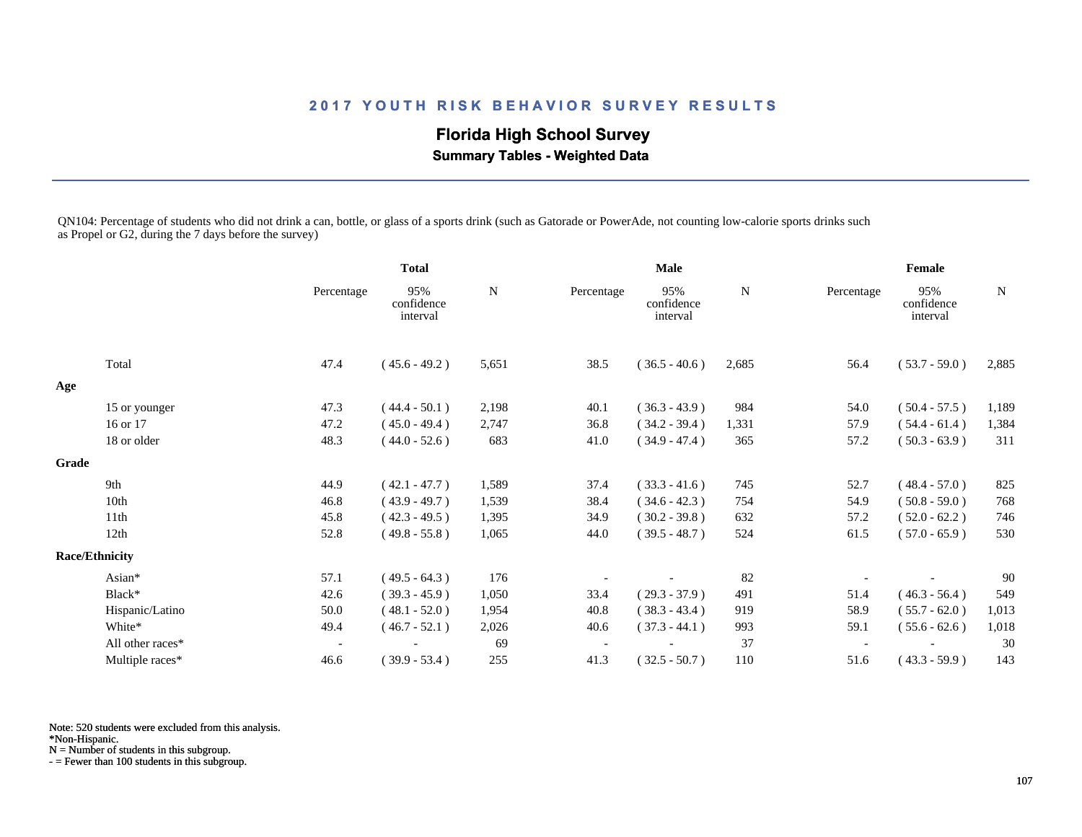# **Florida High School Survey**

 **Summary Tables - Weighted Data**

QN104: Percentage of students who did not drink a can, bottle, or glass of a sports drink (such as Gatorade or PowerAde, not counting low-calorie sports drinks such as Propel or G2, during the 7 days before the survey)

|       |                       |                          | <b>Total</b>                  |       | <b>Male</b> |                               |       | Female     |                               |             |
|-------|-----------------------|--------------------------|-------------------------------|-------|-------------|-------------------------------|-------|------------|-------------------------------|-------------|
|       |                       | Percentage               | 95%<br>confidence<br>interval | N     | Percentage  | 95%<br>confidence<br>interval | N     | Percentage | 95%<br>confidence<br>interval | $\mathbf N$ |
|       | Total                 | 47.4                     | $(45.6 - 49.2)$               | 5,651 | 38.5        | $(36.5 - 40.6)$               | 2,685 | 56.4       | $(53.7 - 59.0)$               | 2,885       |
| Age   |                       |                          |                               |       |             |                               |       |            |                               |             |
|       | 15 or younger         | 47.3                     | $(44.4 - 50.1)$               | 2,198 | 40.1        | $(36.3 - 43.9)$               | 984   | 54.0       | $(50.4 - 57.5)$               | 1,189       |
|       | 16 or 17              | 47.2                     | $(45.0 - 49.4)$               | 2,747 | 36.8        | $(34.2 - 39.4)$               | 1,331 | 57.9       | $(54.4 - 61.4)$               | 1,384       |
|       | 18 or older           | 48.3                     | $(44.0 - 52.6)$               | 683   | 41.0        | $(34.9 - 47.4)$               | 365   | 57.2       | $(50.3 - 63.9)$               | 311         |
| Grade |                       |                          |                               |       |             |                               |       |            |                               |             |
|       | 9th                   | 44.9                     | $(42.1 - 47.7)$               | 1,589 | 37.4        | $(33.3 - 41.6)$               | 745   | 52.7       | $(48.4 - 57.0)$               | 825         |
|       | 10th                  | 46.8                     | $(43.9 - 49.7)$               | 1,539 | 38.4        | $(34.6 - 42.3)$               | 754   | 54.9       | $(50.8 - 59.0)$               | 768         |
|       | 11th                  | 45.8                     | $(42.3 - 49.5)$               | 1,395 | 34.9        | $(30.2 - 39.8)$               | 632   | 57.2       | $(52.0 - 62.2)$               | 746         |
|       | 12th                  | 52.8                     | $(49.8 - 55.8)$               | 1,065 | 44.0        | $(39.5 - 48.7)$               | 524   | 61.5       | $(57.0 - 65.9)$               | 530         |
|       | <b>Race/Ethnicity</b> |                          |                               |       |             |                               |       |            |                               |             |
|       | Asian*                | 57.1                     | $(49.5 - 64.3)$               | 176   |             |                               | 82    |            |                               | 90          |
|       | Black*                | 42.6                     | $(39.3 - 45.9)$               | 1,050 | 33.4        | $(29.3 - 37.9)$               | 491   | 51.4       | $(46.3 - 56.4)$               | 549         |
|       | Hispanic/Latino       | 50.0                     | $(48.1 - 52.0)$               | 1,954 | 40.8        | $(38.3 - 43.4)$               | 919   | 58.9       | $(55.7 - 62.0)$               | 1,013       |
|       | White*                | 49.4                     | $(46.7 - 52.1)$               | 2,026 | 40.6        | $(37.3 - 44.1)$               | 993   | 59.1       | $(55.6 - 62.6)$               | 1,018       |
|       | All other races*      | $\overline{\phantom{a}}$ |                               | 69    |             |                               | 37    |            |                               | 30          |
|       | Multiple races*       | 46.6                     | $(39.9 - 53.4)$               | 255   | 41.3        | $(32.5 - 50.7)$               | 110   | 51.6       | $(43.3 - 59.9)$               | 143         |

Note: 520 students were excluded from this analysis.

\*Non-Hispanic.

N = Number of students in this subgroup.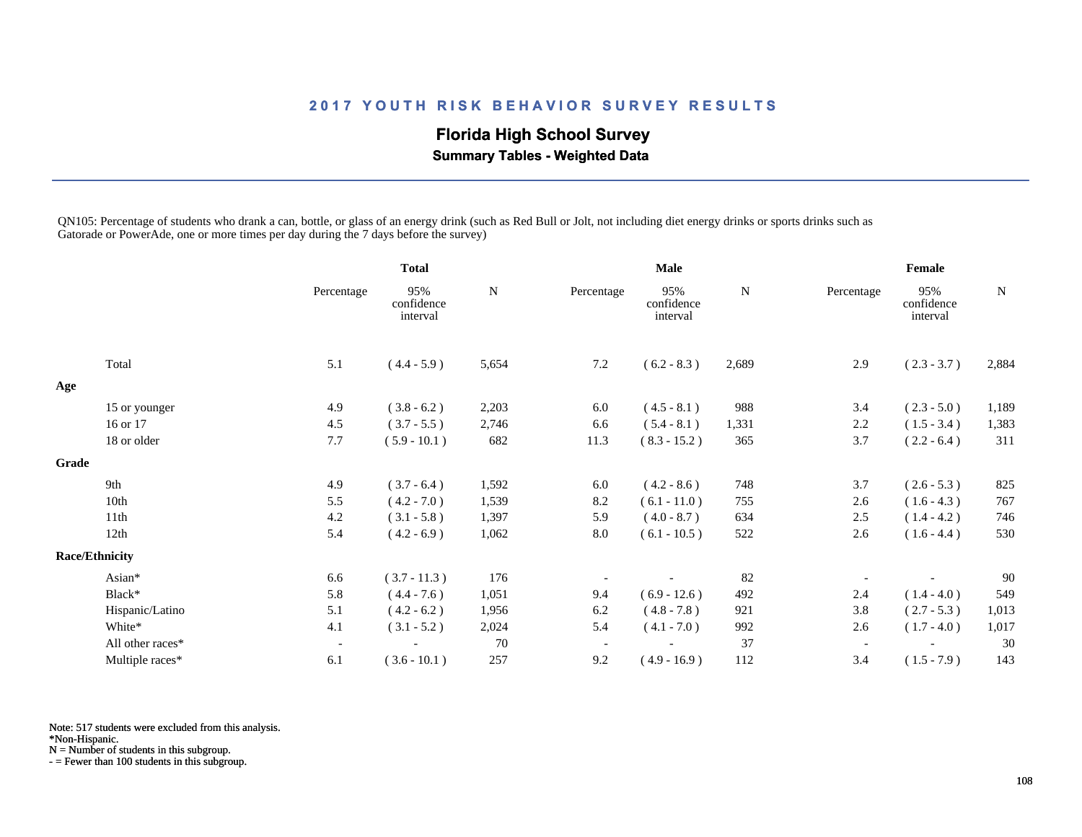# **Florida High School Survey**

 **Summary Tables - Weighted Data**

QN105: Percentage of students who drank a can, bottle, or glass of an energy drink (such as Red Bull or Jolt, not including diet energy drinks or sports drinks such as Gatorade or PowerAde, one or more times per day during the 7 days before the survey)

|       |                       |                          | <b>Total</b>                  |             | <b>Male</b>              |                               |           | Female                   |                               |           |
|-------|-----------------------|--------------------------|-------------------------------|-------------|--------------------------|-------------------------------|-----------|--------------------------|-------------------------------|-----------|
|       |                       | Percentage               | 95%<br>confidence<br>interval | $\mathbf N$ | Percentage               | 95%<br>confidence<br>interval | ${\bf N}$ | Percentage               | 95%<br>confidence<br>interval | ${\bf N}$ |
|       | Total                 | 5.1                      | $(4.4 - 5.9)$                 | 5,654       | 7.2                      | $(6.2 - 8.3)$                 | 2,689     | 2.9                      | $(2.3 - 3.7)$                 | 2,884     |
| Age   |                       |                          |                               |             |                          |                               |           |                          |                               |           |
|       | 15 or younger         | 4.9                      | $(3.8 - 6.2)$                 | 2,203       | 6.0                      | $(4.5 - 8.1)$                 | 988       | 3.4                      | $(2.3 - 5.0)$                 | 1,189     |
|       | 16 or 17              | 4.5                      | $(3.7 - 5.5)$                 | 2,746       | 6.6                      | $(5.4 - 8.1)$                 | 1,331     | 2.2                      | $(1.5 - 3.4)$                 | 1,383     |
|       | 18 or older           | 7.7                      | $(5.9 - 10.1)$                | 682         | 11.3                     | $(8.3 - 15.2)$                | 365       | 3.7                      | $(2.2 - 6.4)$                 | 311       |
| Grade |                       |                          |                               |             |                          |                               |           |                          |                               |           |
|       | 9th                   | 4.9                      | $(3.7 - 6.4)$                 | 1,592       | 6.0                      | $(4.2 - 8.6)$                 | 748       | 3.7                      | $(2.6 - 5.3)$                 | 825       |
|       | 10th                  | 5.5                      | $(4.2 - 7.0)$                 | 1,539       | 8.2                      | $(6.1 - 11.0)$                | 755       | 2.6                      | $(1.6 - 4.3)$                 | 767       |
|       | 11th                  | 4.2                      | $(3.1 - 5.8)$                 | 1,397       | 5.9                      | $(4.0 - 8.7)$                 | 634       | 2.5                      | $(1.4 - 4.2)$                 | 746       |
|       | 12th                  | 5.4                      | $(4.2 - 6.9)$                 | 1,062       | 8.0                      | $(6.1 - 10.5)$                | 522       | 2.6                      | $(1.6 - 4.4)$                 | 530       |
|       | <b>Race/Ethnicity</b> |                          |                               |             |                          |                               |           |                          |                               |           |
|       | Asian*                | 6.6                      | $(3.7 - 11.3)$                | 176         |                          |                               | 82        |                          |                               | 90        |
|       | Black*                | 5.8                      | $(4.4 - 7.6)$                 | 1,051       | 9.4                      | $(6.9 - 12.6)$                | 492       | 2.4                      | $(1.4 - 4.0)$                 | 549       |
|       | Hispanic/Latino       | 5.1                      | $(4.2 - 6.2)$                 | 1,956       | 6.2                      | $(4.8 - 7.8)$                 | 921       | 3.8                      | $(2.7 - 5.3)$                 | 1,013     |
|       | White*                | 4.1                      | $(3.1 - 5.2)$                 | 2,024       | 5.4                      | $(4.1 - 7.0)$                 | 992       | 2.6                      | $(1.7 - 4.0)$                 | 1,017     |
|       | All other races*      | $\overline{\phantom{a}}$ |                               | 70          | $\overline{\phantom{a}}$ |                               | 37        | $\overline{\phantom{a}}$ |                               | 30        |
|       | Multiple races*       | 6.1                      | $(3.6 - 10.1)$                | 257         | 9.2                      | $(4.9 - 16.9)$                | 112       | 3.4                      | $(1.5 - 7.9)$                 | 143       |

Note: 517 students were excluded from this analysis.

\*Non-Hispanic.

N = Number of students in this subgroup.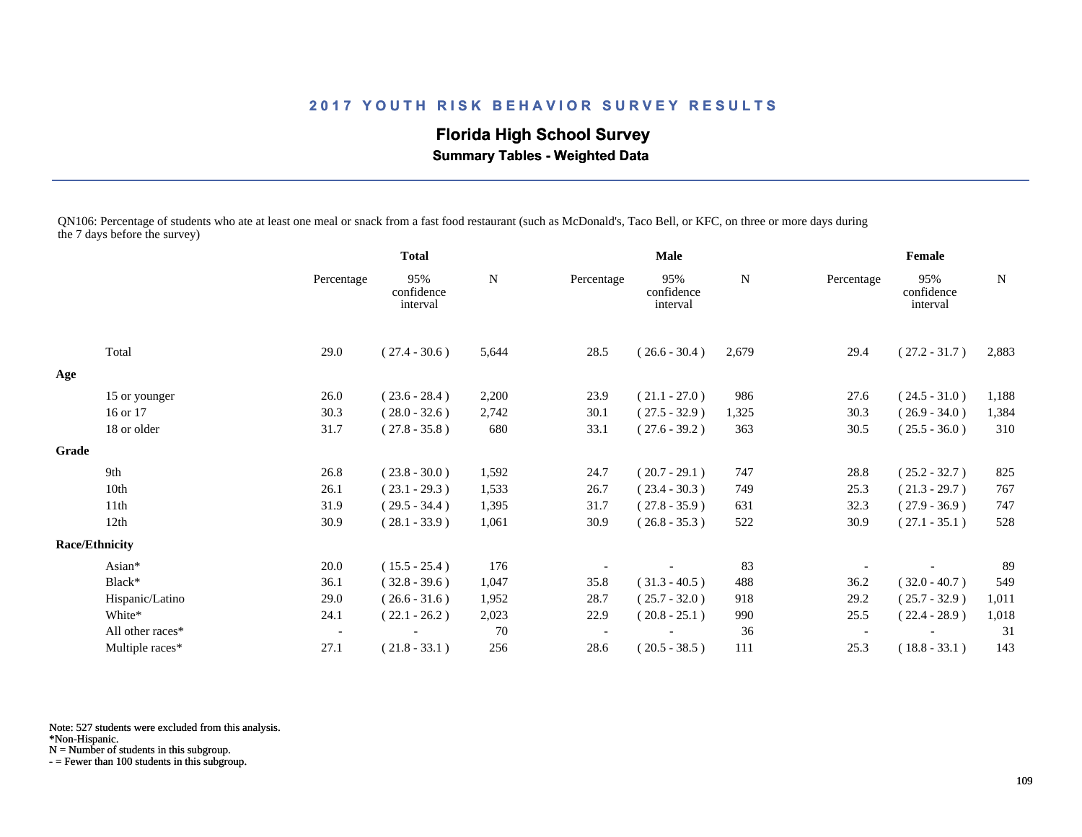# **Florida High School Survey**

 **Summary Tables - Weighted Data**

QN106: Percentage of students who ate at least one meal or snack from a fast food restaurant (such as McDonald's, Taco Bell, or KFC, on three or more days during the 7 days before the survey)

|       |                       |                          | <b>Total</b>                  |       | <b>Male</b> |                               |       | Female     |                               |             |
|-------|-----------------------|--------------------------|-------------------------------|-------|-------------|-------------------------------|-------|------------|-------------------------------|-------------|
|       |                       | Percentage               | 95%<br>confidence<br>interval | N     | Percentage  | 95%<br>confidence<br>interval | N     | Percentage | 95%<br>confidence<br>interval | $\mathbf N$ |
|       | Total                 | 29.0                     | $(27.4 - 30.6)$               | 5,644 | 28.5        | $(26.6 - 30.4)$               | 2,679 | 29.4       | $(27.2 - 31.7)$               | 2,883       |
| Age   |                       |                          |                               |       |             |                               |       |            |                               |             |
|       | 15 or younger         | 26.0                     | $(23.6 - 28.4)$               | 2,200 | 23.9        | $(21.1 - 27.0)$               | 986   | 27.6       | $(24.5 - 31.0)$               | 1,188       |
|       | 16 or 17              | 30.3                     | $(28.0 - 32.6)$               | 2,742 | 30.1        | $(27.5 - 32.9)$               | 1,325 | 30.3       | $(26.9 - 34.0)$               | 1,384       |
|       | 18 or older           | 31.7                     | $(27.8 - 35.8)$               | 680   | 33.1        | $(27.6 - 39.2)$               | 363   | 30.5       | $(25.5 - 36.0)$               | 310         |
| Grade |                       |                          |                               |       |             |                               |       |            |                               |             |
|       | 9th                   | 26.8                     | $(23.8 - 30.0)$               | 1,592 | 24.7        | $(20.7 - 29.1)$               | 747   | 28.8       | $(25.2 - 32.7)$               | 825         |
|       | 10th                  | 26.1                     | $(23.1 - 29.3)$               | 1,533 | 26.7        | $(23.4 - 30.3)$               | 749   | 25.3       | $(21.3 - 29.7)$               | 767         |
|       | 11th                  | 31.9                     | $(29.5 - 34.4)$               | 1,395 | 31.7        | $(27.8 - 35.9)$               | 631   | 32.3       | $(27.9 - 36.9)$               | 747         |
|       | 12th                  | 30.9                     | $(28.1 - 33.9)$               | 1,061 | 30.9        | $(26.8 - 35.3)$               | 522   | 30.9       | $(27.1 - 35.1)$               | 528         |
|       | <b>Race/Ethnicity</b> |                          |                               |       |             |                               |       |            |                               |             |
|       | Asian*                | 20.0                     | $(15.5 - 25.4)$               | 176   |             |                               | 83    |            |                               | 89          |
|       | Black*                | 36.1                     | $(32.8 - 39.6)$               | 1,047 | 35.8        | $(31.3 - 40.5)$               | 488   | 36.2       | $(32.0 - 40.7)$               | 549         |
|       | Hispanic/Latino       | 29.0                     | $(26.6 - 31.6)$               | 1,952 | 28.7        | $(25.7 - 32.0)$               | 918   | 29.2       | $(25.7 - 32.9)$               | 1,011       |
|       | White*                | 24.1                     | $(22.1 - 26.2)$               | 2,023 | 22.9        | $(20.8 - 25.1)$               | 990   | 25.5       | $(22.4 - 28.9)$               | 1,018       |
|       | All other races*      | $\overline{\phantom{a}}$ |                               | 70    |             |                               | 36    |            |                               | 31          |
|       | Multiple races*       | 27.1                     | $(21.8 - 33.1)$               | 256   | 28.6        | $(20.5 - 38.5)$               | 111   | 25.3       | $(18.8 - 33.1)$               | 143         |

Note: 527 students were excluded from this analysis.

N = Number of students in this subgroup.

<sup>\*</sup>Non-Hispanic.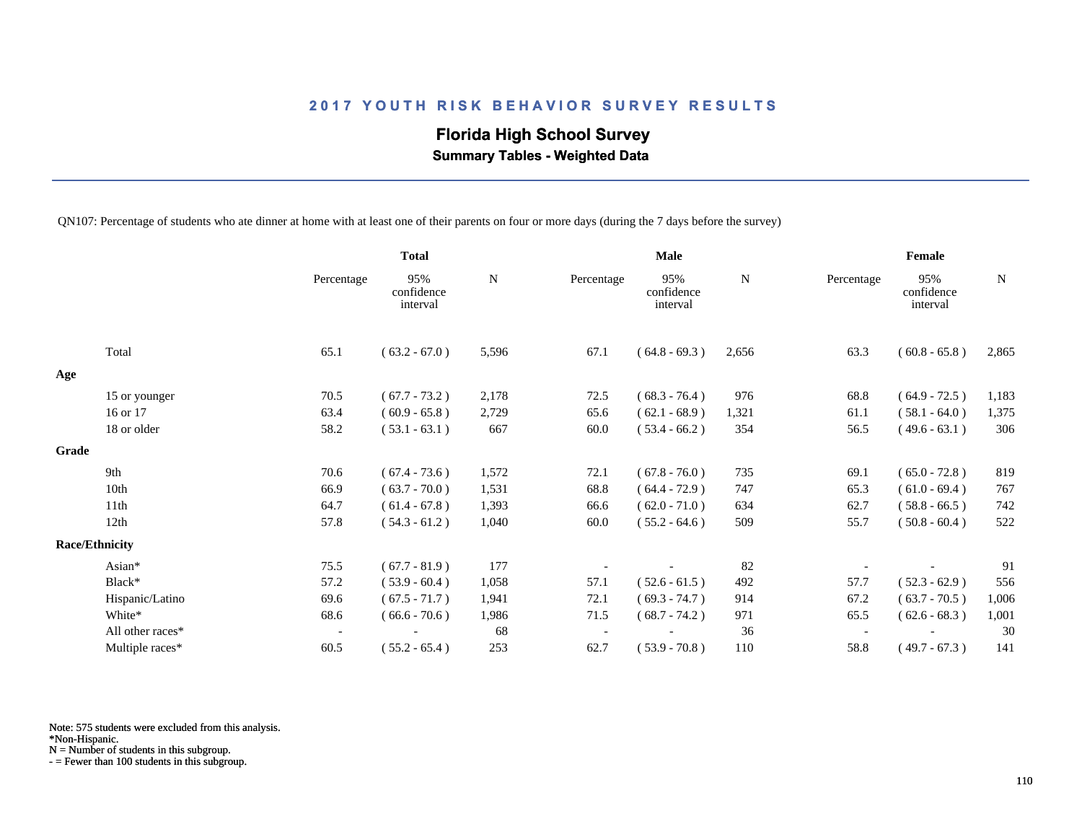# **Florida High School Survey**

 **Summary Tables - Weighted Data**

QN107: Percentage of students who ate dinner at home with at least one of their parents on four or more days (during the 7 days before the survey)

|                       |                  |                          | <b>Total</b>                  |           |            | <b>Male</b>                   |           |                          | Female                        |             |  |
|-----------------------|------------------|--------------------------|-------------------------------|-----------|------------|-------------------------------|-----------|--------------------------|-------------------------------|-------------|--|
|                       |                  | Percentage               | 95%<br>confidence<br>interval | ${\bf N}$ | Percentage | 95%<br>confidence<br>interval | ${\bf N}$ | Percentage               | 95%<br>confidence<br>interval | $\mathbf N$ |  |
|                       | Total            | 65.1                     | $(63.2 - 67.0)$               | 5,596     | 67.1       | $(64.8 - 69.3)$               | 2,656     | 63.3                     | $(60.8 - 65.8)$               | 2,865       |  |
| Age                   |                  |                          |                               |           |            |                               |           |                          |                               |             |  |
|                       | 15 or younger    | 70.5                     | $(67.7 - 73.2)$               | 2,178     | 72.5       | $(68.3 - 76.4)$               | 976       | 68.8                     | $(64.9 - 72.5)$               | 1,183       |  |
|                       | 16 or 17         | 63.4                     | $(60.9 - 65.8)$               | 2,729     | 65.6       | $(62.1 - 68.9)$               | 1,321     | 61.1                     | $(58.1 - 64.0)$               | 1,375       |  |
|                       | 18 or older      | 58.2                     | $(53.1 - 63.1)$               | 667       | 60.0       | $(53.4 - 66.2)$               | 354       | 56.5                     | $(49.6 - 63.1)$               | 306         |  |
| Grade                 |                  |                          |                               |           |            |                               |           |                          |                               |             |  |
|                       | 9th              | 70.6                     | $(67.4 - 73.6)$               | 1,572     | 72.1       | $(67.8 - 76.0)$               | 735       | 69.1                     | $(65.0 - 72.8)$               | 819         |  |
|                       | 10th             | 66.9                     | $(63.7 - 70.0)$               | 1,531     | 68.8       | $(64.4 - 72.9)$               | 747       | 65.3                     | $(61.0 - 69.4)$               | 767         |  |
|                       | 11th             | 64.7                     | $(61.4 - 67.8)$               | 1,393     | 66.6       | $(62.0 - 71.0)$               | 634       | 62.7                     | $(58.8 - 66.5)$               | 742         |  |
|                       | 12 <sub>th</sub> | 57.8                     | $(54.3 - 61.2)$               | 1,040     | 60.0       | $(55.2 - 64.6)$               | 509       | 55.7                     | $(50.8 - 60.4)$               | 522         |  |
| <b>Race/Ethnicity</b> |                  |                          |                               |           |            |                               |           |                          |                               |             |  |
|                       | Asian*           | 75.5                     | $(67.7 - 81.9)$               | 177       |            |                               | 82        |                          |                               | 91          |  |
|                       | Black*           | 57.2                     | $(53.9 - 60.4)$               | 1,058     | 57.1       | $(52.6 - 61.5)$               | 492       | 57.7                     | $(52.3 - 62.9)$               | 556         |  |
|                       | Hispanic/Latino  | 69.6                     | $(67.5 - 71.7)$               | 1,941     | 72.1       | $(69.3 - 74.7)$               | 914       | 67.2                     | $(63.7 - 70.5)$               | 1,006       |  |
|                       | White*           | 68.6                     | $(66.6 - 70.6)$               | 1,986     | 71.5       | $(68.7 - 74.2)$               | 971       | 65.5                     | $(62.6 - 68.3)$               | 1,001       |  |
|                       | All other races* | $\overline{\phantom{a}}$ |                               | 68        |            |                               | 36        | $\overline{\phantom{a}}$ |                               | 30          |  |
|                       | Multiple races*  | 60.5                     | $(55.2 - 65.4)$               | 253       | 62.7       | $(53.9 - 70.8)$               | 110       | 58.8                     | $(49.7 - 67.3)$               | 141         |  |

Note: 575 students were excluded from this analysis.

N = Number of students in this subgroup.

<sup>\*</sup>Non-Hispanic.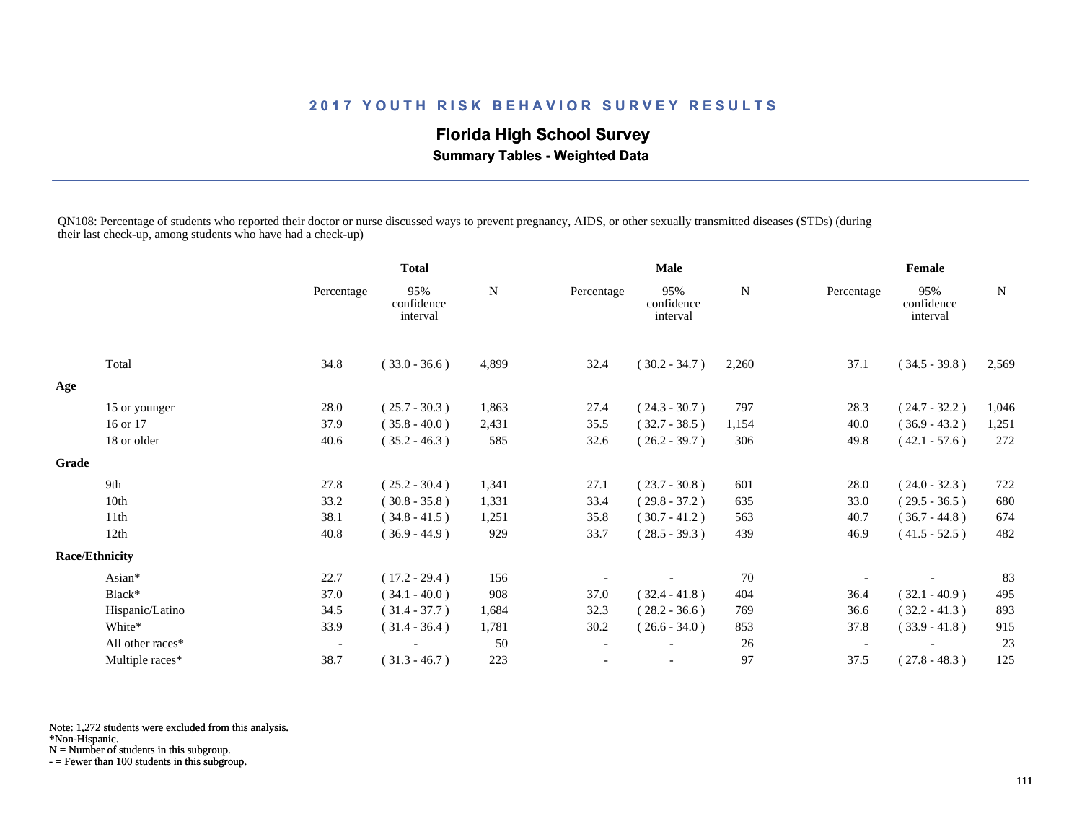## **Florida High School Survey**

 **Summary Tables - Weighted Data**

QN108: Percentage of students who reported their doctor or nurse discussed ways to prevent pregnancy, AIDS, or other sexually transmitted diseases (STDs) (during their last check-up, among students who have had a check-up)

|       |                       |                          | <b>Total</b>                  |             | <b>Male</b>              |                               |       | Female     |                               |             |
|-------|-----------------------|--------------------------|-------------------------------|-------------|--------------------------|-------------------------------|-------|------------|-------------------------------|-------------|
|       |                       | Percentage               | 95%<br>confidence<br>interval | $\mathbf N$ | Percentage               | 95%<br>confidence<br>interval | N     | Percentage | 95%<br>confidence<br>interval | $\mathbf N$ |
|       | Total                 | 34.8                     | $(33.0 - 36.6)$               | 4,899       | 32.4                     | $(30.2 - 34.7)$               | 2,260 | 37.1       | $(34.5 - 39.8)$               | 2,569       |
| Age   |                       |                          |                               |             |                          |                               |       |            |                               |             |
|       | 15 or younger         | 28.0                     | $(25.7 - 30.3)$               | 1,863       | 27.4                     | $(24.3 - 30.7)$               | 797   | 28.3       | $(24.7 - 32.2)$               | 1,046       |
|       | 16 or 17              | 37.9                     | $(35.8 - 40.0)$               | 2,431       | 35.5                     | $(32.7 - 38.5)$               | 1,154 | 40.0       | $(36.9 - 43.2)$               | 1,251       |
|       | 18 or older           | 40.6                     | $(35.2 - 46.3)$               | 585         | 32.6                     | $(26.2 - 39.7)$               | 306   | 49.8       | $(42.1 - 57.6)$               | 272         |
| Grade |                       |                          |                               |             |                          |                               |       |            |                               |             |
|       | 9th                   | 27.8                     | $(25.2 - 30.4)$               | 1,341       | 27.1                     | $(23.7 - 30.8)$               | 601   | 28.0       | $(24.0 - 32.3)$               | 722         |
|       | 10th                  | 33.2                     | $(30.8 - 35.8)$               | 1,331       | 33.4                     | $(29.8 - 37.2)$               | 635   | 33.0       | $(29.5 - 36.5)$               | 680         |
|       | 11th                  | 38.1                     | $(34.8 - 41.5)$               | 1,251       | 35.8                     | $(30.7 - 41.2)$               | 563   | 40.7       | $(36.7 - 44.8)$               | 674         |
|       | 12th                  | 40.8                     | $(36.9 - 44.9)$               | 929         | 33.7                     | $(28.5 - 39.3)$               | 439   | 46.9       | $(41.5 - 52.5)$               | 482         |
|       | <b>Race/Ethnicity</b> |                          |                               |             |                          |                               |       |            |                               |             |
|       | Asian*                | 22.7                     | $(17.2 - 29.4)$               | 156         |                          |                               | 70    |            |                               | 83          |
|       | Black*                | 37.0                     | $(34.1 - 40.0)$               | 908         | 37.0                     | $(32.4 - 41.8)$               | 404   | 36.4       | $(32.1 - 40.9)$               | 495         |
|       | Hispanic/Latino       | 34.5                     | $(31.4 - 37.7)$               | 1,684       | 32.3                     | $(28.2 - 36.6)$               | 769   | 36.6       | $(32.2 - 41.3)$               | 893         |
|       | White*                | 33.9                     | $(31.4 - 36.4)$               | 1,781       | 30.2                     | $(26.6 - 34.0)$               | 853   | 37.8       | $(33.9 - 41.8)$               | 915         |
|       | All other races*      | $\overline{\phantom{a}}$ |                               | 50          | $\overline{\phantom{a}}$ |                               | 26    |            |                               | 23          |
|       | Multiple races*       | 38.7                     | $(31.3 - 46.7)$               | 223         |                          |                               | 97    | 37.5       | $(27.8 - 48.3)$               | 125         |

Note: 1,272 students were excluded from this analysis.

\*Non-Hispanic.

N = Number of students in this subgroup.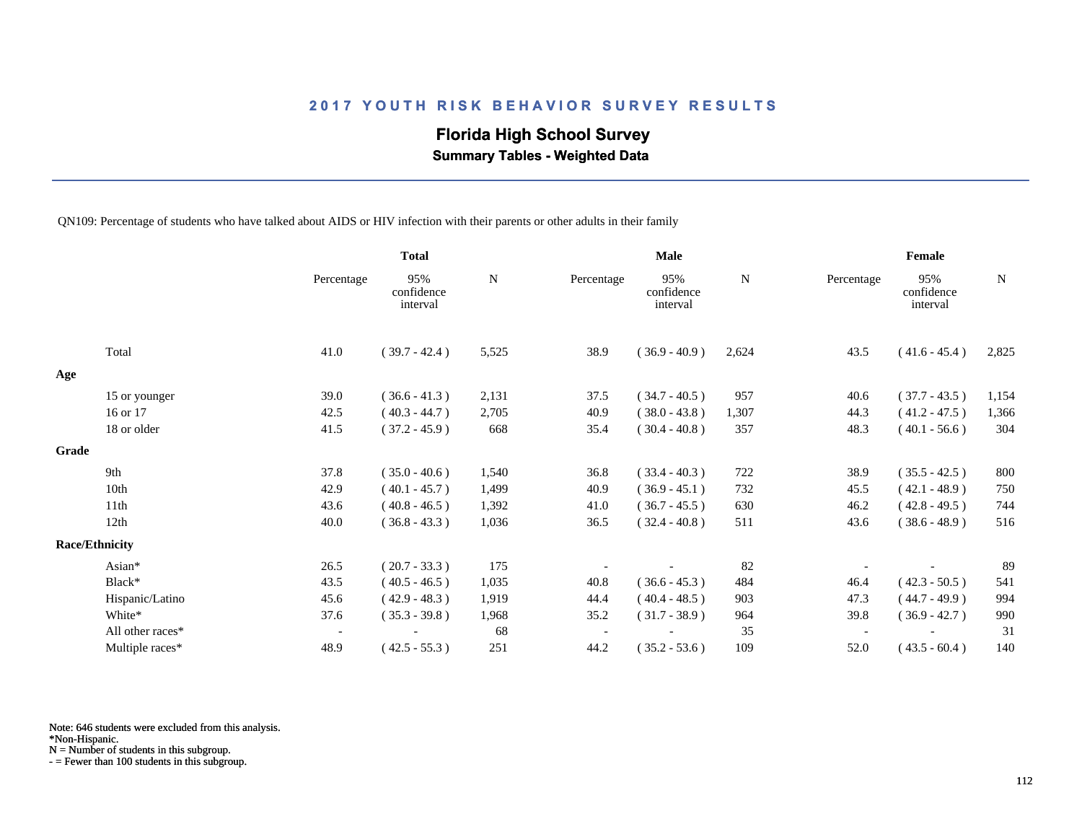#### **Florida High School Survey**

 **Summary Tables - Weighted Data**

QN109: Percentage of students who have talked about AIDS or HIV infection with their parents or other adults in their family

|       |                       |                          | <b>Total</b>                  |           |            | <b>Male</b>                   |       |                          | Female                        |       |  |
|-------|-----------------------|--------------------------|-------------------------------|-----------|------------|-------------------------------|-------|--------------------------|-------------------------------|-------|--|
|       |                       | Percentage               | 95%<br>confidence<br>interval | ${\bf N}$ | Percentage | 95%<br>confidence<br>interval | N     | Percentage               | 95%<br>confidence<br>interval | N     |  |
|       | Total                 | 41.0                     | $(39.7 - 42.4)$               | 5,525     | 38.9       | $(36.9 - 40.9)$               | 2,624 | 43.5                     | $(41.6 - 45.4)$               | 2,825 |  |
| Age   |                       |                          |                               |           |            |                               |       |                          |                               |       |  |
|       | 15 or younger         | 39.0                     | $(36.6 - 41.3)$               | 2,131     | 37.5       | $(34.7 - 40.5)$               | 957   | 40.6                     | $(37.7 - 43.5)$               | 1,154 |  |
|       | 16 or 17              | 42.5                     | $(40.3 - 44.7)$               | 2,705     | 40.9       | $(38.0 - 43.8)$               | 1,307 | 44.3                     | $(41.2 - 47.5)$               | 1,366 |  |
|       | 18 or older           | 41.5                     | $(37.2 - 45.9)$               | 668       | 35.4       | $(30.4 - 40.8)$               | 357   | 48.3                     | $(40.1 - 56.6)$               | 304   |  |
| Grade |                       |                          |                               |           |            |                               |       |                          |                               |       |  |
|       | 9th                   | 37.8                     | $(35.0 - 40.6)$               | 1,540     | 36.8       | $(33.4 - 40.3)$               | 722   | 38.9                     | $(35.5 - 42.5)$               | 800   |  |
|       | 10th                  | 42.9                     | $(40.1 - 45.7)$               | 1,499     | 40.9       | $(36.9 - 45.1)$               | 732   | 45.5                     | $(42.1 - 48.9)$               | 750   |  |
|       | 11th                  | 43.6                     | $(40.8 - 46.5)$               | 1,392     | 41.0       | $(36.7 - 45.5)$               | 630   | 46.2                     | $(42.8 - 49.5)$               | 744   |  |
|       | 12th                  | 40.0                     | $(36.8 - 43.3)$               | 1,036     | 36.5       | $(32.4 - 40.8)$               | 511   | 43.6                     | $(38.6 - 48.9)$               | 516   |  |
|       | <b>Race/Ethnicity</b> |                          |                               |           |            |                               |       |                          |                               |       |  |
|       | Asian*                | 26.5                     | $(20.7 - 33.3)$               | 175       |            |                               | 82    |                          |                               | 89    |  |
|       | Black*                | 43.5                     | $(40.5 - 46.5)$               | 1,035     | 40.8       | $(36.6 - 45.3)$               | 484   | 46.4                     | $(42.3 - 50.5)$               | 541   |  |
|       | Hispanic/Latino       | 45.6                     | $(42.9 - 48.3)$               | 1,919     | 44.4       | $(40.4 - 48.5)$               | 903   | 47.3                     | $(44.7 - 49.9)$               | 994   |  |
|       | White*                | 37.6                     | $(35.3 - 39.8)$               | 1,968     | 35.2       | $(31.7 - 38.9)$               | 964   | 39.8                     | $(36.9 - 42.7)$               | 990   |  |
|       | All other races*      | $\overline{\phantom{a}}$ |                               | 68        |            |                               | 35    | $\overline{\phantom{a}}$ |                               | 31    |  |
|       | Multiple races*       | 48.9                     | $(42.5 - 55.3)$               | 251       | 44.2       | $(35.2 - 53.6)$               | 109   | 52.0                     | $(43.5 - 60.4)$               | 140   |  |

Note: 646 students were excluded from this analysis.

\*Non-Hispanic.

N = Number of students in this subgroup.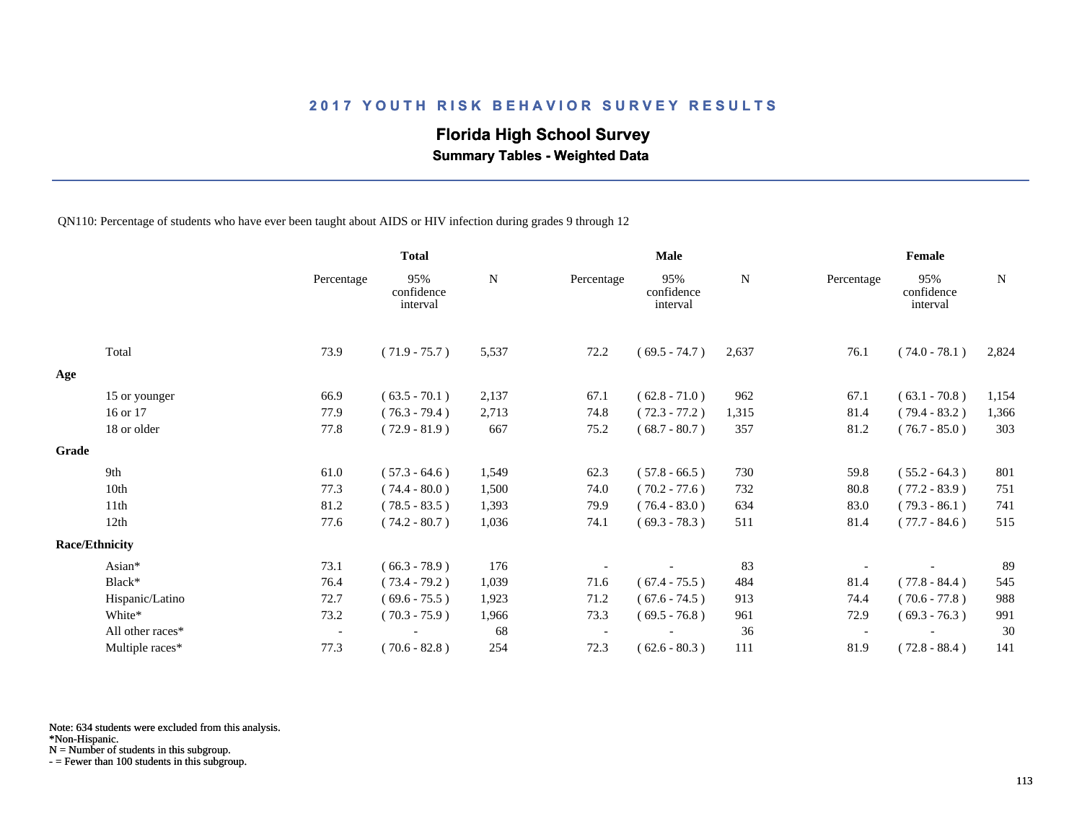#### **Florida High School Survey**

 **Summary Tables - Weighted Data**

QN110: Percentage of students who have ever been taught about AIDS or HIV infection during grades 9 through 12

|       |                       |                          | <b>Total</b>                  |       | <b>Male</b> |                               |       | Female     |                               |             |
|-------|-----------------------|--------------------------|-------------------------------|-------|-------------|-------------------------------|-------|------------|-------------------------------|-------------|
|       |                       | Percentage               | 95%<br>confidence<br>interval | N     | Percentage  | 95%<br>confidence<br>interval | N     | Percentage | 95%<br>confidence<br>interval | $\mathbf N$ |
|       | Total                 | 73.9                     | $(71.9 - 75.7)$               | 5,537 | 72.2        | $(69.5 - 74.7)$               | 2,637 | 76.1       | $(74.0 - 78.1)$               | 2,824       |
| Age   |                       |                          |                               |       |             |                               |       |            |                               |             |
|       | 15 or younger         | 66.9                     | $(63.5 - 70.1)$               | 2,137 | 67.1        | $(62.8 - 71.0)$               | 962   | 67.1       | $(63.1 - 70.8)$               | 1,154       |
|       | 16 or 17              | 77.9                     | $(76.3 - 79.4)$               | 2,713 | 74.8        | $(72.3 - 77.2)$               | 1,315 | 81.4       | $(79.4 - 83.2)$               | 1,366       |
|       | 18 or older           | 77.8                     | $(72.9 - 81.9)$               | 667   | 75.2        | $(68.7 - 80.7)$               | 357   | 81.2       | $(76.7 - 85.0)$               | 303         |
| Grade |                       |                          |                               |       |             |                               |       |            |                               |             |
|       | 9th                   | 61.0                     | $(57.3 - 64.6)$               | 1,549 | 62.3        | $(57.8 - 66.5)$               | 730   | 59.8       | $(55.2 - 64.3)$               | 801         |
|       | 10th                  | 77.3                     | $(74.4 - 80.0)$               | 1,500 | 74.0        | $(70.2 - 77.6)$               | 732   | 80.8       | $(77.2 - 83.9)$               | 751         |
|       | 11th                  | 81.2                     | $(78.5 - 83.5)$               | 1,393 | 79.9        | $(76.4 - 83.0)$               | 634   | 83.0       | $(79.3 - 86.1)$               | 741         |
|       | 12th                  | 77.6                     | $(74.2 - 80.7)$               | 1,036 | 74.1        | $(69.3 - 78.3)$               | 511   | 81.4       | $(77.7 - 84.6)$               | 515         |
|       | <b>Race/Ethnicity</b> |                          |                               |       |             |                               |       |            |                               |             |
|       | Asian*                | 73.1                     | $(66.3 - 78.9)$               | 176   |             |                               | 83    |            |                               | 89          |
|       | Black*                | 76.4                     | $(73.4 - 79.2)$               | 1,039 | 71.6        | $(67.4 - 75.5)$               | 484   | 81.4       | $(77.8 - 84.4)$               | 545         |
|       | Hispanic/Latino       | 72.7                     | $(69.6 - 75.5)$               | 1,923 | 71.2        | $(67.6 - 74.5)$               | 913   | 74.4       | $(70.6 - 77.8)$               | 988         |
|       | White*                | 73.2                     | $(70.3 - 75.9)$               | 1,966 | 73.3        | $(69.5 - 76.8)$               | 961   | 72.9       | $(69.3 - 76.3)$               | 991         |
|       | All other races*      | $\overline{\phantom{a}}$ |                               | 68    |             |                               | 36    |            |                               | 30          |
|       | Multiple races*       | 77.3                     | $(70.6 - 82.8)$               | 254   | 72.3        | $(62.6 - 80.3)$               | 111   | 81.9       | $(72.8 - 88.4)$               | 141         |

Note: 634 students were excluded from this analysis.

N = Number of students in this subgroup.

<sup>\*</sup>Non-Hispanic.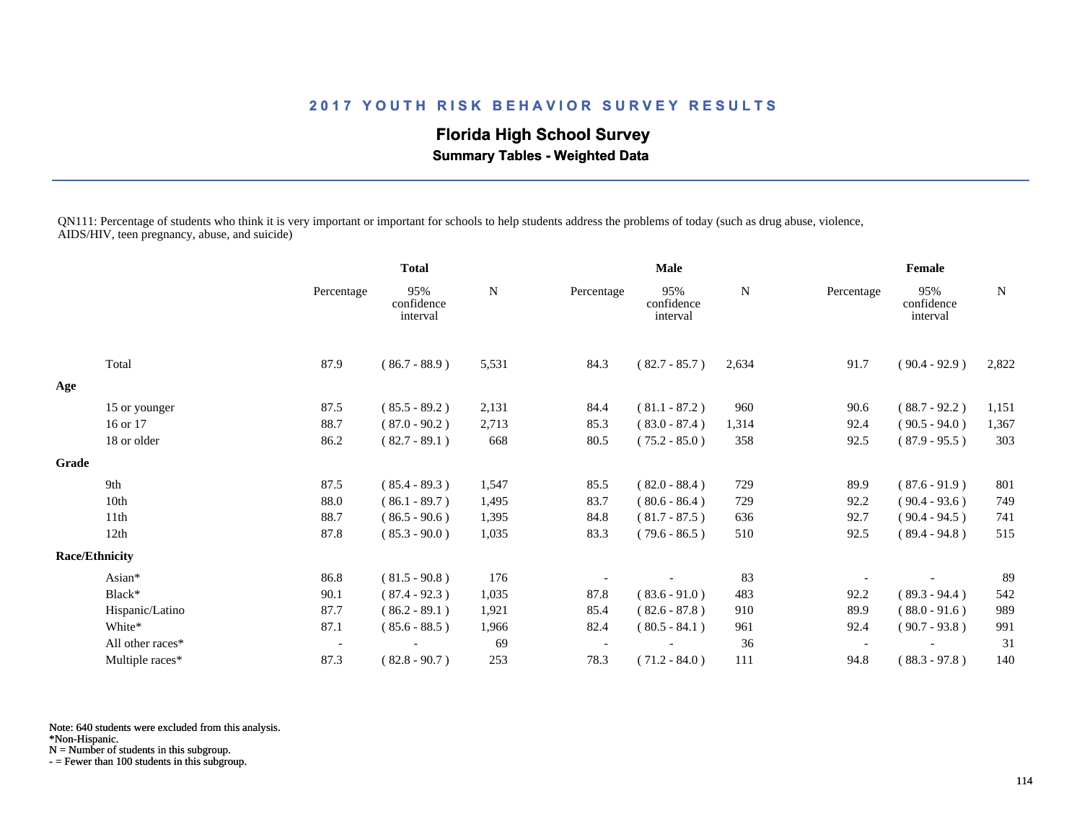## **Florida High School Survey**

 **Summary Tables - Weighted Data**

QN111: Percentage of students who think it is very important or important for schools to help students address the problems of today (such as drug abuse, violence, AIDS/HIV, teen pregnancy, abuse, and suicide)

|       |                       | <b>Total</b>             |                               | <b>Male</b> |            |                               | Female      |            |                               |             |
|-------|-----------------------|--------------------------|-------------------------------|-------------|------------|-------------------------------|-------------|------------|-------------------------------|-------------|
|       |                       | Percentage               | 95%<br>confidence<br>interval | $\mathbf N$ | Percentage | 95%<br>confidence<br>interval | $\mathbf N$ | Percentage | 95%<br>confidence<br>interval | $\mathbf N$ |
|       | Total                 | 87.9                     | $(86.7 - 88.9)$               | 5,531       | 84.3       | $(82.7 - 85.7)$               | 2,634       | 91.7       | $(90.4 - 92.9)$               | 2,822       |
| Age   |                       |                          |                               |             |            |                               |             |            |                               |             |
|       | 15 or younger         | 87.5                     | $(85.5 - 89.2)$               | 2,131       | 84.4       | $(81.1 - 87.2)$               | 960         | 90.6       | $(88.7 - 92.2)$               | 1,151       |
|       | 16 or 17              | 88.7                     | $(87.0 - 90.2)$               | 2,713       | 85.3       | $(83.0 - 87.4)$               | 1,314       | 92.4       | $(90.5 - 94.0)$               | 1,367       |
|       | 18 or older           | 86.2                     | $(82.7 - 89.1)$               | 668         | 80.5       | $(75.2 - 85.0)$               | 358         | 92.5       | $(87.9 - 95.5)$               | 303         |
| Grade |                       |                          |                               |             |            |                               |             |            |                               |             |
|       | 9th                   | 87.5                     | $(85.4 - 89.3)$               | 1,547       | 85.5       | $(82.0 - 88.4)$               | 729         | 89.9       | $(87.6 - 91.9)$               | 801         |
|       | 10th                  | 88.0                     | $(86.1 - 89.7)$               | 1,495       | 83.7       | $(80.6 - 86.4)$               | 729         | 92.2       | $(90.4 - 93.6)$               | 749         |
|       | 11th                  | 88.7                     | $(86.5 - 90.6)$               | 1,395       | 84.8       | $(81.7 - 87.5)$               | 636         | 92.7       | $(90.4 - 94.5)$               | 741         |
|       | 12th                  | 87.8                     | $(85.3 - 90.0)$               | 1,035       | 83.3       | $(79.6 - 86.5)$               | 510         | 92.5       | $(89.4 - 94.8)$               | 515         |
|       | <b>Race/Ethnicity</b> |                          |                               |             |            |                               |             |            |                               |             |
|       | Asian*                | 86.8                     | $(81.5 - 90.8)$               | 176         |            |                               | 83          |            |                               | 89          |
|       | Black*                | 90.1                     | $(87.4 - 92.3)$               | 1,035       | 87.8       | $(83.6 - 91.0)$               | 483         | 92.2       | $(89.3 - 94.4)$               | 542         |
|       | Hispanic/Latino       | 87.7                     | $(86.2 - 89.1)$               | 1,921       | 85.4       | $(82.6 - 87.8)$               | 910         | 89.9       | $(88.0 - 91.6)$               | 989         |
|       | White*                | 87.1                     | $(85.6 - 88.5)$               | 1,966       | 82.4       | $(80.5 - 84.1)$               | 961         | 92.4       | $(90.7 - 93.8)$               | 991         |
|       | All other races*      | $\overline{\phantom{a}}$ |                               | 69          |            |                               | 36          |            |                               | 31          |
|       | Multiple races*       | 87.3                     | $(82.8 - 90.7)$               | 253         | 78.3       | $(71.2 - 84.0)$               | 111         | 94.8       | $(88.3 - 97.8)$               | 140         |
|       |                       |                          |                               |             |            |                               |             |            |                               |             |

Note: 640 students were excluded from this analysis.

\*Non-Hispanic.

N = Number of students in this subgroup.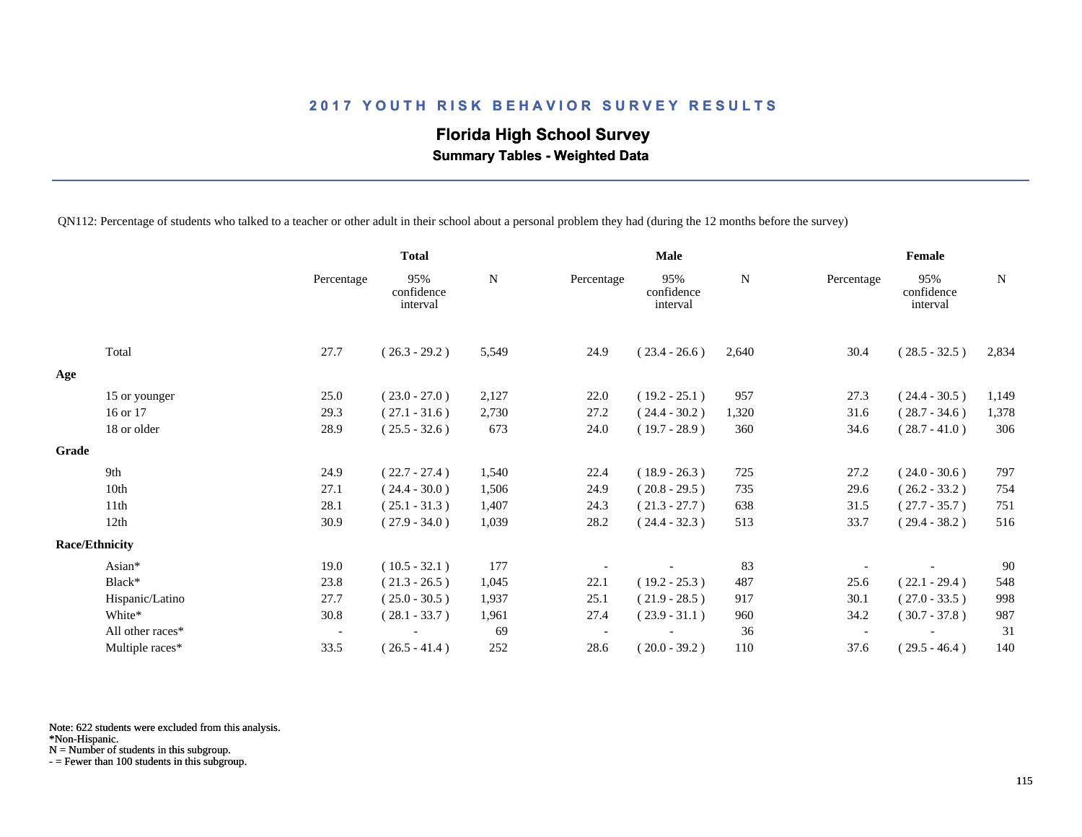# **Florida High School Survey**

 **Summary Tables - Weighted Data**

QN112: Percentage of students who talked to a teacher or other adult in their school about a personal problem they had (during the 12 months before the survey)

|                       |                  |                          | <b>Total</b>                  |             | <b>Male</b> |                               |       | Female                   |                               |             |
|-----------------------|------------------|--------------------------|-------------------------------|-------------|-------------|-------------------------------|-------|--------------------------|-------------------------------|-------------|
|                       |                  | Percentage               | 95%<br>confidence<br>interval | $\mathbf N$ | Percentage  | 95%<br>confidence<br>interval | N     | Percentage               | 95%<br>confidence<br>interval | $\mathbf N$ |
|                       | Total            | 27.7                     | $(26.3 - 29.2)$               | 5,549       | 24.9        | $(23.4 - 26.6)$               | 2,640 | 30.4                     | $(28.5 - 32.5)$               | 2,834       |
| Age                   |                  |                          |                               |             |             |                               |       |                          |                               |             |
|                       | 15 or younger    | 25.0                     | $(23.0 - 27.0)$               | 2,127       | 22.0        | $(19.2 - 25.1)$               | 957   | 27.3                     | $(24.4 - 30.5)$               | 1,149       |
|                       | 16 or 17         | 29.3                     | $(27.1 - 31.6)$               | 2,730       | 27.2        | $(24.4 - 30.2)$               | 1,320 | 31.6                     | $(28.7 - 34.6)$               | 1,378       |
|                       | 18 or older      | 28.9                     | $(25.5 - 32.6)$               | 673         | 24.0        | $(19.7 - 28.9)$               | 360   | 34.6                     | $(28.7 - 41.0)$               | 306         |
| Grade                 |                  |                          |                               |             |             |                               |       |                          |                               |             |
|                       | 9th              | 24.9                     | $(22.7 - 27.4)$               | 1,540       | 22.4        | $(18.9 - 26.3)$               | 725   | 27.2                     | $(24.0 - 30.6)$               | 797         |
|                       | 10th             | 27.1                     | $(24.4 - 30.0)$               | 1,506       | 24.9        | $(20.8 - 29.5)$               | 735   | 29.6                     | $(26.2 - 33.2)$               | 754         |
|                       | 11th             | 28.1                     | $(25.1 - 31.3)$               | 1,407       | 24.3        | $(21.3 - 27.7)$               | 638   | 31.5                     | $(27.7 - 35.7)$               | 751         |
|                       | 12 <sub>th</sub> | 30.9                     | $(27.9 - 34.0)$               | 1,039       | 28.2        | $(24.4 - 32.3)$               | 513   | 33.7                     | $(29.4 - 38.2)$               | 516         |
| <b>Race/Ethnicity</b> |                  |                          |                               |             |             |                               |       |                          |                               |             |
|                       | Asian*           | 19.0                     | $(10.5 - 32.1)$               | 177         |             |                               | 83    |                          |                               | 90          |
|                       | Black*           | 23.8                     | $(21.3 - 26.5)$               | 1,045       | 22.1        | $(19.2 - 25.3)$               | 487   | 25.6                     | $(22.1 - 29.4)$               | 548         |
|                       | Hispanic/Latino  | 27.7                     | $(25.0 - 30.5)$               | 1,937       | 25.1        | $(21.9 - 28.5)$               | 917   | 30.1                     | $(27.0 - 33.5)$               | 998         |
|                       | White*           | 30.8                     | $(28.1 - 33.7)$               | 1,961       | 27.4        | $(23.9 - 31.1)$               | 960   | 34.2                     | $(30.7 - 37.8)$               | 987         |
|                       | All other races* | $\overline{\phantom{a}}$ |                               | 69          |             |                               | 36    | $\overline{\phantom{a}}$ |                               | 31          |
|                       | Multiple races*  | 33.5                     | $(26.5 - 41.4)$               | 252         | 28.6        | $(20.0 - 39.2)$               | 110   | 37.6                     | $(29.5 - 46.4)$               | 140         |

Note: 622 students were excluded from this analysis.

N = Number of students in this subgroup.

<sup>\*</sup>Non-Hispanic.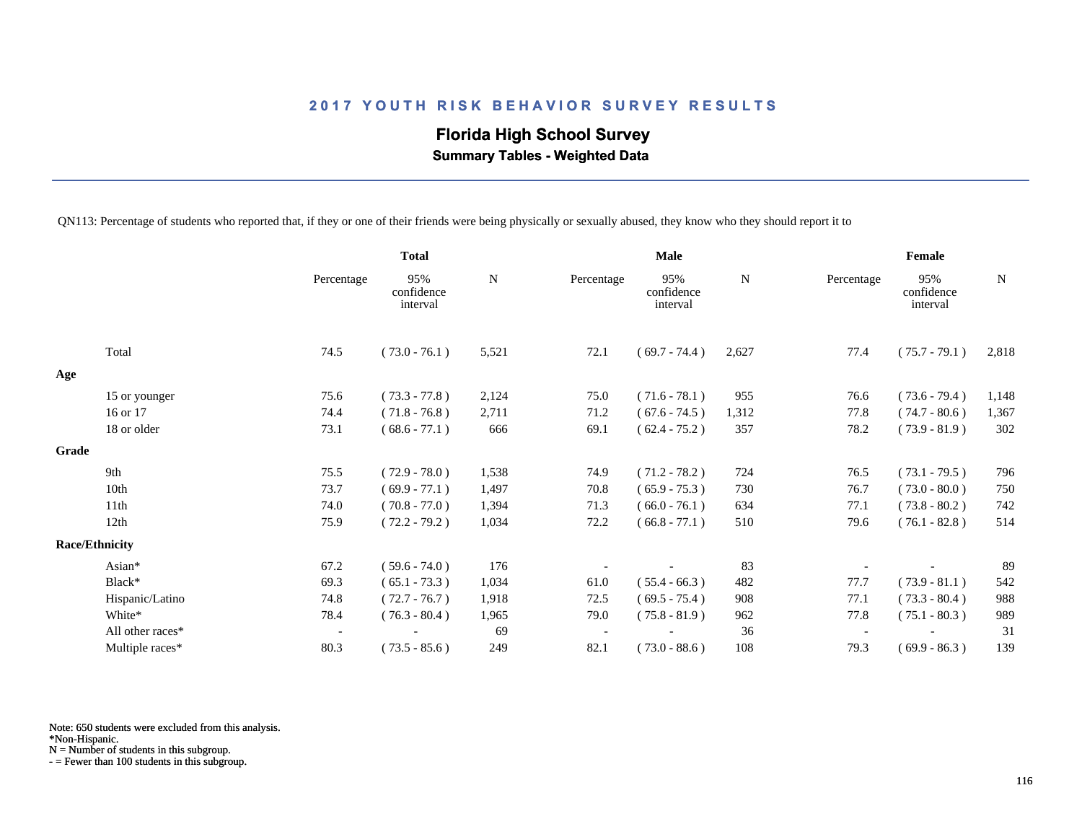# **Florida High School Survey**

 **Summary Tables - Weighted Data**

QN113: Percentage of students who reported that, if they or one of their friends were being physically or sexually abused, they know who they should report it to

|                       |                  |                          | <b>Total</b>                  |             | <b>Male</b> |                               |       | Female                   |                               |       |
|-----------------------|------------------|--------------------------|-------------------------------|-------------|-------------|-------------------------------|-------|--------------------------|-------------------------------|-------|
|                       |                  | Percentage               | 95%<br>confidence<br>interval | $\mathbf N$ | Percentage  | 95%<br>confidence<br>interval | N     | Percentage               | 95%<br>confidence<br>interval | N     |
|                       | Total            | 74.5                     | $(73.0 - 76.1)$               | 5,521       | 72.1        | $(69.7 - 74.4)$               | 2,627 | 77.4                     | $(75.7 - 79.1)$               | 2,818 |
| Age                   |                  |                          |                               |             |             |                               |       |                          |                               |       |
|                       | 15 or younger    | 75.6                     | $(73.3 - 77.8)$               | 2,124       | 75.0        | $(71.6 - 78.1)$               | 955   | 76.6                     | $(73.6 - 79.4)$               | 1,148 |
|                       | 16 or 17         | 74.4                     | $(71.8 - 76.8)$               | 2,711       | 71.2        | $(67.6 - 74.5)$               | 1,312 | 77.8                     | $(74.7 - 80.6)$               | 1,367 |
|                       | 18 or older      | 73.1                     | $(68.6 - 77.1)$               | 666         | 69.1        | $(62.4 - 75.2)$               | 357   | 78.2                     | $(73.9 - 81.9)$               | 302   |
| Grade                 |                  |                          |                               |             |             |                               |       |                          |                               |       |
|                       | 9th              | 75.5                     | $(72.9 - 78.0)$               | 1,538       | 74.9        | $(71.2 - 78.2)$               | 724   | 76.5                     | $(73.1 - 79.5)$               | 796   |
|                       | 10th             | 73.7                     | $(69.9 - 77.1)$               | 1,497       | 70.8        | $(65.9 - 75.3)$               | 730   | 76.7                     | $(73.0 - 80.0)$               | 750   |
|                       | 11th             | 74.0                     | $(70.8 - 77.0)$               | 1,394       | 71.3        | $(66.0 - 76.1)$               | 634   | 77.1                     | $(73.8 - 80.2)$               | 742   |
|                       | 12th             | 75.9                     | $(72.2 - 79.2)$               | 1,034       | 72.2        | $(66.8 - 77.1)$               | 510   | 79.6                     | $(76.1 - 82.8)$               | 514   |
| <b>Race/Ethnicity</b> |                  |                          |                               |             |             |                               |       |                          |                               |       |
|                       | Asian*           | 67.2                     | $(59.6 - 74.0)$               | 176         |             |                               | 83    |                          |                               | 89    |
|                       | Black*           | 69.3                     | $(65.1 - 73.3)$               | 1,034       | 61.0        | $(55.4 - 66.3)$               | 482   | 77.7                     | $(73.9 - 81.1)$               | 542   |
|                       | Hispanic/Latino  | 74.8                     | $(72.7 - 76.7)$               | 1,918       | 72.5        | $(69.5 - 75.4)$               | 908   | 77.1                     | $(73.3 - 80.4)$               | 988   |
|                       | White*           | 78.4                     | $(76.3 - 80.4)$               | 1,965       | 79.0        | $(75.8 - 81.9)$               | 962   | 77.8                     | $(75.1 - 80.3)$               | 989   |
|                       | All other races* | $\overline{\phantom{a}}$ |                               | 69          |             |                               | 36    | $\overline{\phantom{a}}$ |                               | 31    |
|                       | Multiple races*  | 80.3                     | $(73.5 - 85.6)$               | 249         | 82.1        | $(73.0 - 88.6)$               | 108   | 79.3                     | $(69.9 - 86.3)$               | 139   |

Note: 650 students were excluded from this analysis.

N = Number of students in this subgroup.

<sup>\*</sup>Non-Hispanic.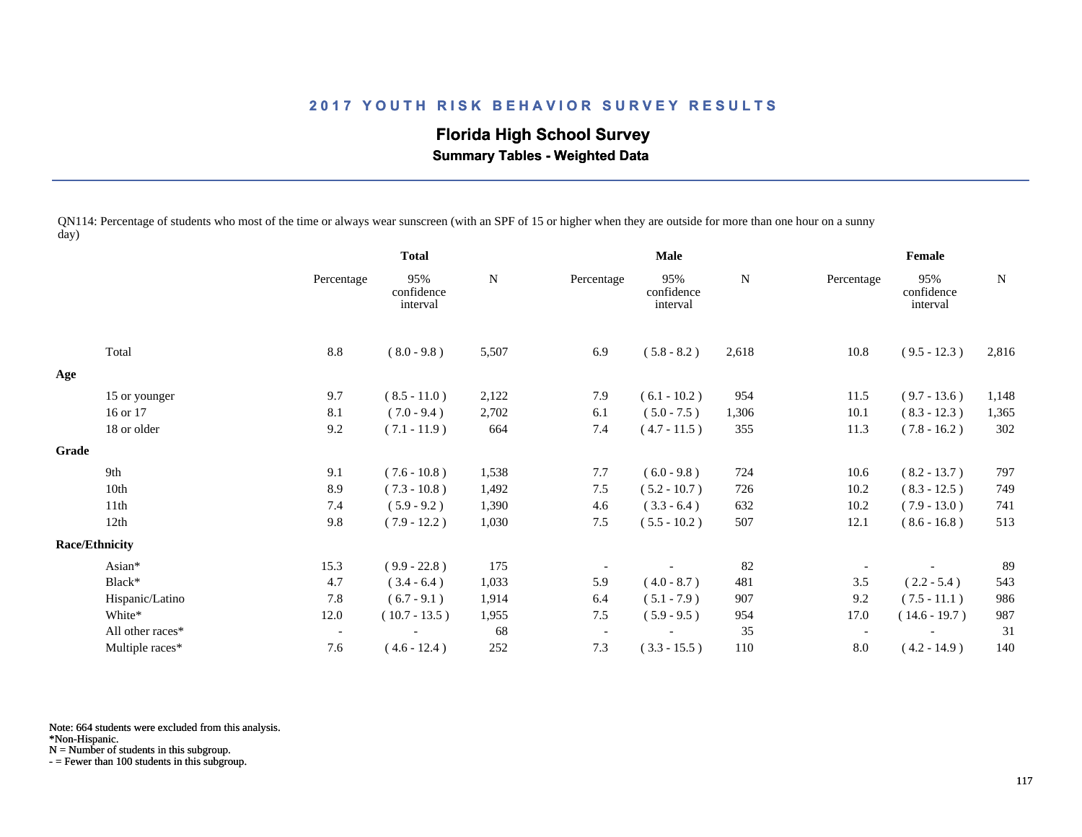# **Florida High School Survey**

 **Summary Tables - Weighted Data**

QN114: Percentage of students who most of the time or always wear sunscreen (with an SPF of 15 or higher when they are outside for more than one hour on a sunny day)

|       |                       |                          | <b>Total</b>                  |       | <b>Male</b>              |                               |       | Female                   |                               |       |
|-------|-----------------------|--------------------------|-------------------------------|-------|--------------------------|-------------------------------|-------|--------------------------|-------------------------------|-------|
|       |                       | Percentage               | 95%<br>confidence<br>interval | N     | Percentage               | 95%<br>confidence<br>interval | N     | Percentage               | 95%<br>confidence<br>interval | N     |
|       | Total                 | 8.8                      | $(8.0 - 9.8)$                 | 5,507 | 6.9                      | $(5.8 - 8.2)$                 | 2,618 | 10.8                     | $(9.5 - 12.3)$                | 2,816 |
| Age   |                       |                          |                               |       |                          |                               |       |                          |                               |       |
|       | 15 or younger         | 9.7                      | $(8.5 - 11.0)$                | 2,122 | 7.9                      | $(6.1 - 10.2)$                | 954   | 11.5                     | $(9.7 - 13.6)$                | 1,148 |
|       | 16 or 17              | 8.1                      | $(7.0 - 9.4)$                 | 2,702 | 6.1                      | $(5.0 - 7.5)$                 | 1,306 | 10.1                     | $(8.3 - 12.3)$                | 1,365 |
|       | 18 or older           | 9.2                      | $(7.1 - 11.9)$                | 664   | 7.4                      | $(4.7 - 11.5)$                | 355   | 11.3                     | $(7.8 - 16.2)$                | 302   |
| Grade |                       |                          |                               |       |                          |                               |       |                          |                               |       |
|       | 9th                   | 9.1                      | $(7.6 - 10.8)$                | 1,538 | 7.7                      | $(6.0 - 9.8)$                 | 724   | 10.6                     | $(8.2 - 13.7)$                | 797   |
|       | 10th                  | 8.9                      | $(7.3 - 10.8)$                | 1,492 | 7.5                      | $(5.2 - 10.7)$                | 726   | 10.2                     | $(8.3 - 12.5)$                | 749   |
|       | 11th                  | 7.4                      | $(5.9 - 9.2)$                 | 1,390 | 4.6                      | $(3.3 - 6.4)$                 | 632   | 10.2                     | $(7.9 - 13.0)$                | 741   |
|       | 12th                  | 9.8                      | $(7.9 - 12.2)$                | 1,030 | 7.5                      | $(5.5 - 10.2)$                | 507   | 12.1                     | $(8.6 - 16.8)$                | 513   |
|       | <b>Race/Ethnicity</b> |                          |                               |       |                          |                               |       |                          |                               |       |
|       | Asian*                | 15.3                     | $(9.9 - 22.8)$                | 175   |                          |                               | 82    |                          |                               | 89    |
|       | Black*                | 4.7                      | $(3.4 - 6.4)$                 | 1,033 | 5.9                      | $(4.0 - 8.7)$                 | 481   | 3.5                      | $(2.2 - 5.4)$                 | 543   |
|       | Hispanic/Latino       | 7.8                      | $(6.7 - 9.1)$                 | 1,914 | 6.4                      | $(5.1 - 7.9)$                 | 907   | 9.2                      | $(7.5 - 11.1)$                | 986   |
|       | White*                | 12.0                     | $(10.7 - 13.5)$               | 1,955 | 7.5                      | $(5.9 - 9.5)$                 | 954   | 17.0                     | $(14.6 - 19.7)$               | 987   |
|       | All other races*      | $\overline{\phantom{a}}$ |                               | 68    | $\overline{\phantom{a}}$ |                               | 35    | $\overline{\phantom{a}}$ |                               | 31    |
|       | Multiple races*       | 7.6                      | $(4.6 - 12.4)$                | 252   | 7.3                      | $(3.3 - 15.5)$                | 110   | 8.0                      | $(4.2 - 14.9)$                | 140   |

Note: 664 students were excluded from this analysis.

N = Number of students in this subgroup.

<sup>\*</sup>Non-Hispanic.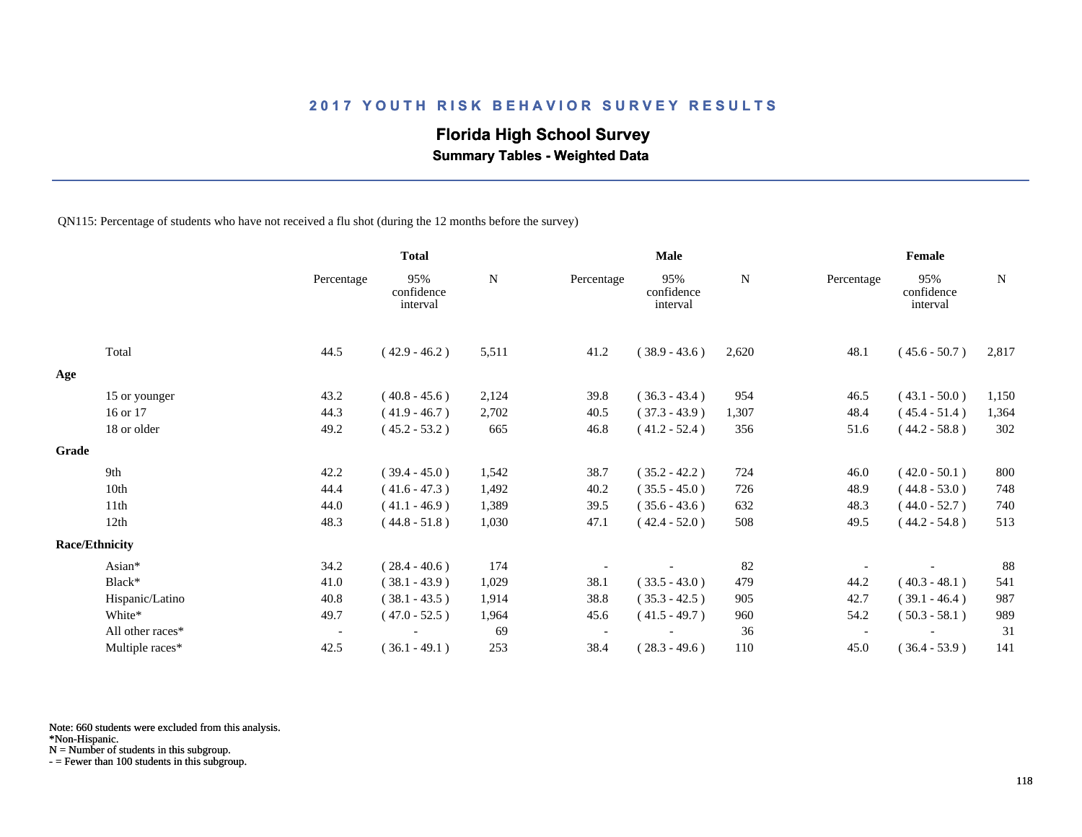#### **Florida High School Survey**

 **Summary Tables - Weighted Data**

QN115: Percentage of students who have not received a flu shot (during the 12 months before the survey)

|                       |                  | <b>Total</b>             |                               | Male  |            |                               | Female |                          |                               |             |
|-----------------------|------------------|--------------------------|-------------------------------|-------|------------|-------------------------------|--------|--------------------------|-------------------------------|-------------|
|                       |                  | Percentage               | 95%<br>confidence<br>interval | N     | Percentage | 95%<br>confidence<br>interval | N      | Percentage               | 95%<br>confidence<br>interval | $\mathbf N$ |
|                       | Total            | 44.5                     | $(42.9 - 46.2)$               | 5,511 | 41.2       | $(38.9 - 43.6)$               | 2,620  | 48.1                     | $(45.6 - 50.7)$               | 2,817       |
| Age                   |                  |                          |                               |       |            |                               |        |                          |                               |             |
|                       | 15 or younger    | 43.2                     | $(40.8 - 45.6)$               | 2,124 | 39.8       | $(36.3 - 43.4)$               | 954    | 46.5                     | $(43.1 - 50.0)$               | 1,150       |
|                       | 16 or 17         | 44.3                     | $(41.9 - 46.7)$               | 2,702 | 40.5       | $(37.3 - 43.9)$               | 1,307  | 48.4                     | $(45.4 - 51.4)$               | 1,364       |
|                       | 18 or older      | 49.2                     | $(45.2 - 53.2)$               | 665   | 46.8       | $(41.2 - 52.4)$               | 356    | 51.6                     | $(44.2 - 58.8)$               | 302         |
| Grade                 |                  |                          |                               |       |            |                               |        |                          |                               |             |
| 9th                   |                  | 42.2                     | $(39.4 - 45.0)$               | 1,542 | 38.7       | $(35.2 - 42.2)$               | 724    | 46.0                     | $(42.0 - 50.1)$               | 800         |
|                       | 10th             | 44.4                     | $(41.6 - 47.3)$               | 1,492 | 40.2       | $(35.5 - 45.0)$               | 726    | 48.9                     | $(44.8 - 53.0)$               | 748         |
|                       | 11th             | 44.0                     | $(41.1 - 46.9)$               | 1,389 | 39.5       | $(35.6 - 43.6)$               | 632    | 48.3                     | $(44.0 - 52.7)$               | 740         |
|                       | 12th             | 48.3                     | $(44.8 - 51.8)$               | 1,030 | 47.1       | $(42.4 - 52.0)$               | 508    | 49.5                     | $(44.2 - 54.8)$               | 513         |
| <b>Race/Ethnicity</b> |                  |                          |                               |       |            |                               |        |                          |                               |             |
|                       | Asian*           | 34.2                     | $(28.4 - 40.6)$               | 174   |            |                               | 82     |                          |                               | 88          |
|                       | Black*           | 41.0                     | $(38.1 - 43.9)$               | 1,029 | 38.1       | $(33.5 - 43.0)$               | 479    | 44.2                     | $(40.3 - 48.1)$               | 541         |
|                       | Hispanic/Latino  | 40.8                     | $(38.1 - 43.5)$               | 1,914 | 38.8       | $(35.3 - 42.5)$               | 905    | 42.7                     | $(39.1 - 46.4)$               | 987         |
|                       | White*           | 49.7                     | $(47.0 - 52.5)$               | 1,964 | 45.6       | $(41.5 - 49.7)$               | 960    | 54.2                     | $(50.3 - 58.1)$               | 989         |
|                       | All other races* | $\overline{\phantom{a}}$ |                               | 69    |            |                               | 36     | $\overline{\phantom{a}}$ |                               | 31          |
|                       | Multiple races*  | 42.5                     | $(36.1 - 49.1)$               | 253   | 38.4       | $(28.3 - 49.6)$               | 110    | 45.0                     | $(36.4 - 53.9)$               | 141         |

Note: 660 students were excluded from this analysis.

N = Number of students in this subgroup.

<sup>\*</sup>Non-Hispanic.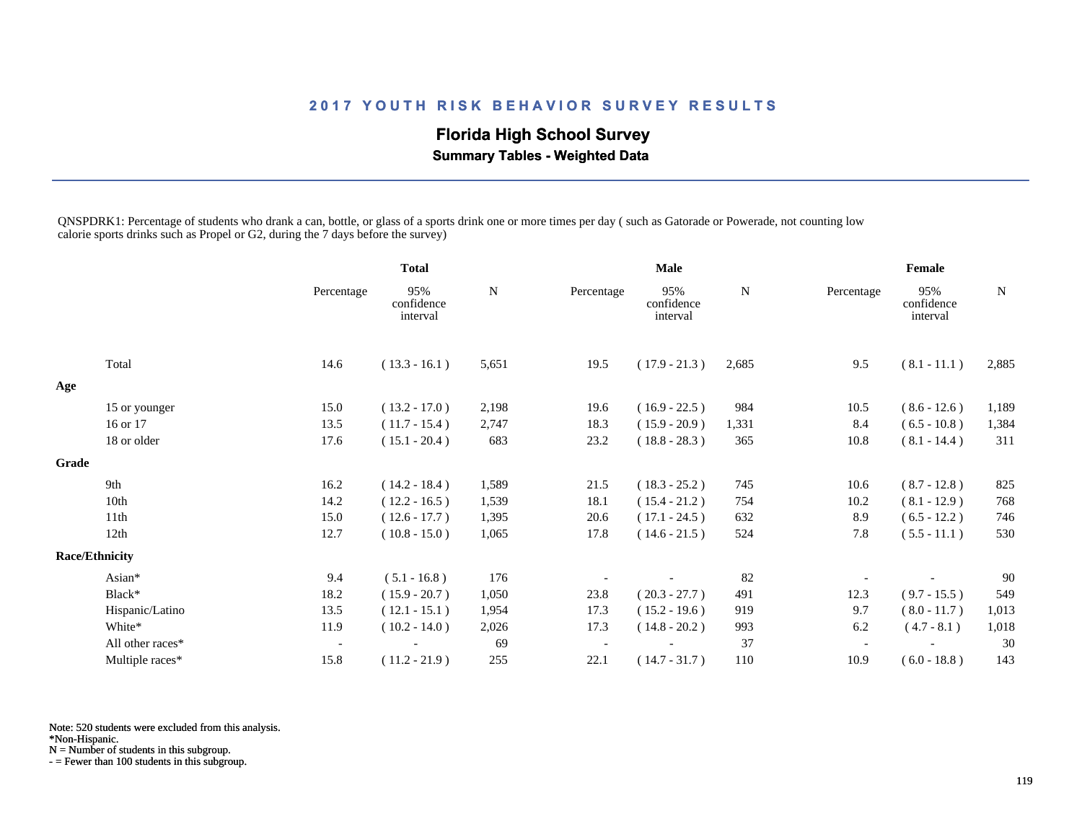### **Florida High School Survey**

 **Summary Tables - Weighted Data**

QNSPDRK1: Percentage of students who drank a can, bottle, or glass of a sports drink one or more times per day ( such as Gatorade or Powerade, not counting low calorie sports drinks such as Propel or G2, during the 7 days before the survey)

|                  |                                        | <b>Total</b>                  |       | <b>Male</b>              |                               |             | Female     |                               |       |
|------------------|----------------------------------------|-------------------------------|-------|--------------------------|-------------------------------|-------------|------------|-------------------------------|-------|
|                  | Percentage                             | 95%<br>confidence<br>interval | N     | Percentage               | 95%<br>confidence<br>interval | $\mathbf N$ | Percentage | 95%<br>confidence<br>interval | N     |
| Total            | 14.6                                   | $(13.3 - 16.1)$               | 5,651 | 19.5                     | $(17.9 - 21.3)$               | 2,685       | 9.5        | $(8.1 - 11.1)$                | 2,885 |
|                  |                                        |                               |       |                          |                               |             |            |                               |       |
|                  | 15.0                                   | $(13.2 - 17.0)$               | 2,198 | 19.6                     | $(16.9 - 22.5)$               | 984         | 10.5       | $(8.6 - 12.6)$                | 1,189 |
| 16 or 17         | 13.5                                   | $(11.7 - 15.4)$               | 2,747 | 18.3                     | $(15.9 - 20.9)$               | 1,331       | 8.4        | $(6.5 - 10.8)$                | 1,384 |
| 18 or older      | 17.6                                   | $(15.1 - 20.4)$               | 683   | 23.2                     | $(18.8 - 28.3)$               | 365         | 10.8       | $(8.1 - 14.4)$                | 311   |
|                  |                                        |                               |       |                          |                               |             |            |                               |       |
| 9th              | 16.2                                   | $(14.2 - 18.4)$               | 1,589 | 21.5                     | $(18.3 - 25.2)$               | 745         | 10.6       | $(8.7 - 12.8)$                | 825   |
| 10th             | 14.2                                   | $(12.2 - 16.5)$               | 1,539 | 18.1                     | $(15.4 - 21.2)$               | 754         | 10.2       | $(8.1 - 12.9)$                | 768   |
| 11th             | 15.0                                   | $(12.6 - 17.7)$               | 1,395 | 20.6                     | $(17.1 - 24.5)$               | 632         | 8.9        | $(6.5 - 12.2)$                | 746   |
| 12th             | 12.7                                   | $(10.8 - 15.0)$               | 1,065 | 17.8                     | $(14.6 - 21.5)$               | 524         | 7.8        | $(5.5 - 11.1)$                | 530   |
|                  |                                        |                               |       |                          |                               |             |            |                               |       |
| Asian*           | 9.4                                    | $(5.1 - 16.8)$                | 176   |                          |                               | 82          |            |                               | 90    |
| Black*           | 18.2                                   | $(15.9 - 20.7)$               | 1,050 | 23.8                     | $(20.3 - 27.7)$               | 491         | 12.3       | $(9.7 - 15.5)$                | 549   |
| Hispanic/Latino  | 13.5                                   | $(12.1 - 15.1)$               | 1,954 | 17.3                     | $(15.2 - 19.6)$               | 919         | 9.7        | $(8.0 - 11.7)$                | 1,013 |
| White*           | 11.9                                   | $(10.2 - 14.0)$               | 2,026 | 17.3                     | $(14.8 - 20.2)$               | 993         | 6.2        | $(4.7 - 8.1)$                 | 1,018 |
| All other races* | $\overline{\phantom{a}}$               |                               | 69    | $\overline{\phantom{a}}$ |                               | 37          |            |                               | 30    |
| Multiple races*  | 15.8                                   | $(11.2 - 21.9)$               | 255   | 22.1                     | $(14.7 - 31.7)$               | 110         | 10.9       | $(6.0 - 18.8)$                | 143   |
|                  | 15 or younger<br><b>Race/Ethnicity</b> |                               |       |                          |                               |             |            |                               |       |

Note: 520 students were excluded from this analysis.

\*Non-Hispanic.

N = Number of students in this subgroup.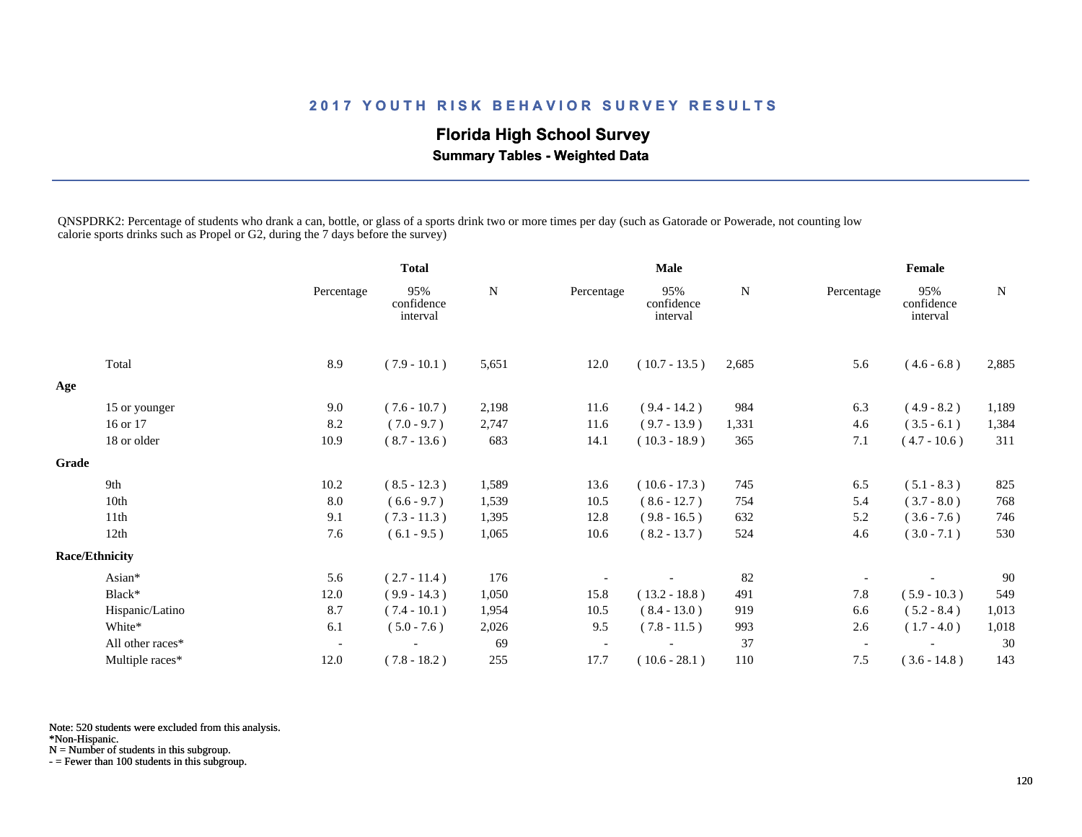### **Florida High School Survey**

 **Summary Tables - Weighted Data**

QNSPDRK2: Percentage of students who drank a can, bottle, or glass of a sports drink two or more times per day (such as Gatorade or Powerade, not counting low calorie sports drinks such as Propel or G2, during the 7 days before the survey)

|       |                       |                          | <b>Total</b>                  |       | <b>Male</b>              |                               |             | Female     |                               |       |
|-------|-----------------------|--------------------------|-------------------------------|-------|--------------------------|-------------------------------|-------------|------------|-------------------------------|-------|
|       |                       | Percentage               | 95%<br>confidence<br>interval | N     | Percentage               | 95%<br>confidence<br>interval | $\mathbf N$ | Percentage | 95%<br>confidence<br>interval | N     |
|       | Total                 | 8.9                      | $(7.9 - 10.1)$                | 5,651 | 12.0                     | $(10.7 - 13.5)$               | 2,685       | 5.6        | $(4.6 - 6.8)$                 | 2,885 |
| Age   |                       |                          |                               |       |                          |                               |             |            |                               |       |
|       | 15 or younger         | 9.0                      | $(7.6 - 10.7)$                | 2,198 | 11.6                     | $(9.4 - 14.2)$                | 984         | 6.3        | $(4.9 - 8.2)$                 | 1,189 |
|       | 16 or 17              | 8.2                      | $(7.0 - 9.7)$                 | 2,747 | 11.6                     | $(9.7 - 13.9)$                | 1,331       | 4.6        | $(3.5 - 6.1)$                 | 1,384 |
|       | 18 or older           | 10.9                     | $(8.7 - 13.6)$                | 683   | 14.1                     | $(10.3 - 18.9)$               | 365         | 7.1        | $(4.7 - 10.6)$                | 311   |
| Grade |                       |                          |                               |       |                          |                               |             |            |                               |       |
|       | 9th                   | 10.2                     | $(8.5 - 12.3)$                | 1,589 | 13.6                     | $(10.6 - 17.3)$               | 745         | 6.5        | $(5.1 - 8.3)$                 | 825   |
|       | 10th                  | 8.0                      | $(6.6 - 9.7)$                 | 1,539 | 10.5                     | $(8.6 - 12.7)$                | 754         | 5.4        | $(3.7 - 8.0)$                 | 768   |
|       | 11th                  | 9.1                      | $(7.3 - 11.3)$                | 1,395 | 12.8                     | $(9.8 - 16.5)$                | 632         | 5.2        | $(3.6 - 7.6)$                 | 746   |
|       | 12th                  | 7.6                      | $(6.1 - 9.5)$                 | 1,065 | 10.6                     | $(8.2 - 13.7)$                | 524         | 4.6        | $(3.0 - 7.1)$                 | 530   |
|       | <b>Race/Ethnicity</b> |                          |                               |       |                          |                               |             |            |                               |       |
|       | Asian*                | 5.6                      | $(2.7 - 11.4)$                | 176   |                          |                               | 82          |            |                               | 90    |
|       | Black*                | 12.0                     | $(9.9 - 14.3)$                | 1,050 | 15.8                     | $(13.2 - 18.8)$               | 491         | 7.8        | $(5.9 - 10.3)$                | 549   |
|       | Hispanic/Latino       | 8.7                      | $(7.4 - 10.1)$                | 1,954 | 10.5                     | $(8.4 - 13.0)$                | 919         | 6.6        | $(5.2 - 8.4)$                 | 1,013 |
|       | White*                | 6.1                      | $(5.0 - 7.6)$                 | 2,026 | 9.5                      | $(7.8 - 11.5)$                | 993         | 2.6        | $(1.7 - 4.0)$                 | 1,018 |
|       | All other races*      | $\overline{\phantom{a}}$ |                               | 69    | $\overline{\phantom{a}}$ |                               | 37          |            |                               | 30    |
|       | Multiple races*       | 12.0                     | $(7.8 - 18.2)$                | 255   | 17.7                     | $(10.6 - 28.1)$               | 110         | 7.5        | $(3.6 - 14.8)$                | 143   |

Note: 520 students were excluded from this analysis.

\*Non-Hispanic.

N = Number of students in this subgroup.